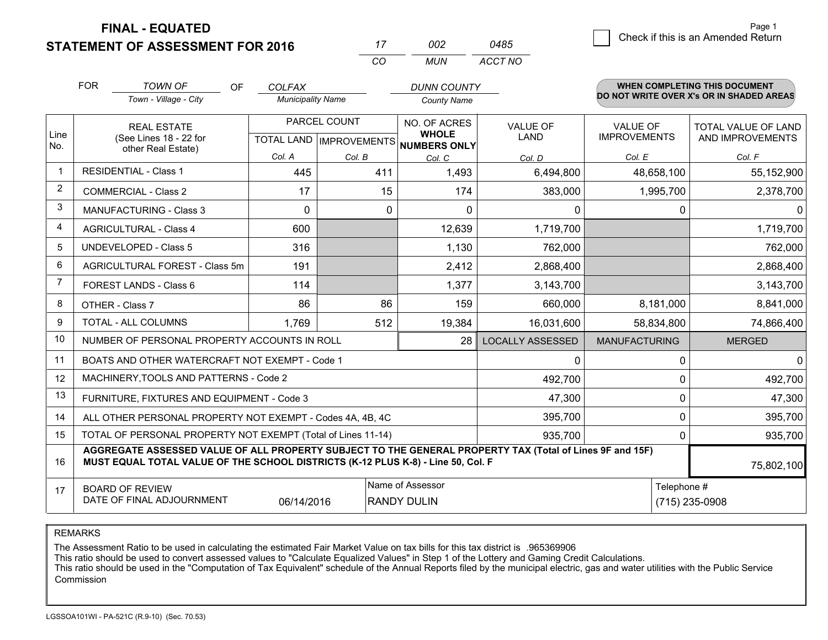**FINAL - EQUATED**

**STATEMENT OF ASSESSMENT FOR 2016** 

|                | <b>FOR</b>                                          | <b>TOWN OF</b><br>OF<br>Town - Village - City                                                                                                                                                | <b>COLFAX</b><br><b>Municipality Name</b> |                                           | <b>DUNN COUNTY</b><br><b>County Name</b>            |                                |                                        | <b>WHEN COMPLETING THIS DOCUMENT</b><br>DO NOT WRITE OVER X's OR IN SHADED AREAS |
|----------------|-----------------------------------------------------|----------------------------------------------------------------------------------------------------------------------------------------------------------------------------------------------|-------------------------------------------|-------------------------------------------|-----------------------------------------------------|--------------------------------|----------------------------------------|----------------------------------------------------------------------------------|
| Line<br>No.    |                                                     | <b>REAL ESTATE</b><br>(See Lines 18 - 22 for                                                                                                                                                 |                                           | PARCEL COUNT<br>TOTAL LAND   IMPROVEMENTS | NO. OF ACRES<br><b>WHOLE</b><br><b>NUMBERS ONLY</b> | <b>VALUE OF</b><br><b>LAND</b> | <b>VALUE OF</b><br><b>IMPROVEMENTS</b> | TOTAL VALUE OF LAND<br>AND IMPROVEMENTS                                          |
|                |                                                     | other Real Estate)                                                                                                                                                                           | Col. A                                    | Col. B                                    | Col. C                                              | Col. D                         | Col. E                                 | Col. F                                                                           |
| $\mathbf 1$    |                                                     | <b>RESIDENTIAL - Class 1</b>                                                                                                                                                                 | 445                                       | 411                                       | 1,493                                               | 6,494,800                      | 48,658,100                             | 55,152,900                                                                       |
| $\overline{2}$ |                                                     | <b>COMMERCIAL - Class 2</b>                                                                                                                                                                  | 17                                        | 15                                        | 174                                                 | 383,000                        | 1,995,700                              | 2,378,700                                                                        |
| 3              |                                                     | <b>MANUFACTURING - Class 3</b>                                                                                                                                                               | $\Omega$                                  |                                           | 0<br>$\mathbf{0}$                                   | $\mathbf{0}$                   | $\mathbf{0}$                           | $\Omega$                                                                         |
| 4              |                                                     | <b>AGRICULTURAL - Class 4</b>                                                                                                                                                                | 600                                       |                                           | 12,639                                              | 1,719,700                      |                                        | 1,719,700                                                                        |
| 5              |                                                     | <b>UNDEVELOPED - Class 5</b>                                                                                                                                                                 | 316                                       |                                           | 1,130                                               | 762,000                        |                                        | 762,000                                                                          |
| 6              | AGRICULTURAL FOREST - Class 5m                      |                                                                                                                                                                                              | 191                                       |                                           | 2,412                                               | 2,868,400                      |                                        | 2,868,400                                                                        |
| $\overline{7}$ |                                                     | FOREST LANDS - Class 6                                                                                                                                                                       | 114                                       |                                           | 1,377                                               | 3,143,700                      |                                        | 3,143,700                                                                        |
| 8              |                                                     | OTHER - Class 7                                                                                                                                                                              | 86                                        | 86                                        | 159                                                 | 660,000                        | 8,181,000                              | 8,841,000                                                                        |
| 9              |                                                     | TOTAL - ALL COLUMNS                                                                                                                                                                          | 1,769                                     | 512                                       | 19,384                                              | 16,031,600                     | 58,834,800                             | 74,866,400                                                                       |
| 10             |                                                     | NUMBER OF PERSONAL PROPERTY ACCOUNTS IN ROLL                                                                                                                                                 |                                           |                                           | 28                                                  | <b>LOCALLY ASSESSED</b>        | <b>MANUFACTURING</b>                   | <b>MERGED</b>                                                                    |
| 11             |                                                     | BOATS AND OTHER WATERCRAFT NOT EXEMPT - Code 1                                                                                                                                               |                                           |                                           |                                                     | $\mathbf 0$                    | 0                                      | $\Omega$                                                                         |
| 12             |                                                     | MACHINERY, TOOLS AND PATTERNS - Code 2                                                                                                                                                       |                                           |                                           |                                                     | 492,700                        | 0                                      | 492,700                                                                          |
| 13             |                                                     | FURNITURE, FIXTURES AND EQUIPMENT - Code 3                                                                                                                                                   |                                           |                                           |                                                     | 47,300                         | 0                                      | 47,300                                                                           |
| 14             |                                                     | ALL OTHER PERSONAL PROPERTY NOT EXEMPT - Codes 4A, 4B, 4C                                                                                                                                    |                                           |                                           |                                                     | 395,700                        | 0                                      | 395,700                                                                          |
| 15             |                                                     | TOTAL OF PERSONAL PROPERTY NOT EXEMPT (Total of Lines 11-14)                                                                                                                                 |                                           |                                           |                                                     | 935,700                        | 0                                      | 935,700                                                                          |
| 16             |                                                     | AGGREGATE ASSESSED VALUE OF ALL PROPERTY SUBJECT TO THE GENERAL PROPERTY TAX (Total of Lines 9F and 15F)<br>MUST EQUAL TOTAL VALUE OF THE SCHOOL DISTRICTS (K-12 PLUS K-8) - Line 50, Col. F |                                           |                                           |                                                     |                                |                                        | 75,802,100                                                                       |
| 17             | <b>BOARD OF REVIEW</b><br>DATE OF FINAL ADJOURNMENT | Telephone #                                                                                                                                                                                  | (715) 235-0908                            |                                           |                                                     |                                |                                        |                                                                                  |

*CO*

*MUN*

*ACCT NO0485*

*<sup>17</sup> <sup>002</sup>*

REMARKS

The Assessment Ratio to be used in calculating the estimated Fair Market Value on tax bills for this tax district is .965369906<br>This ratio should be used to convert assessed values to "Calculate Equalized Values" in Step 1 Commission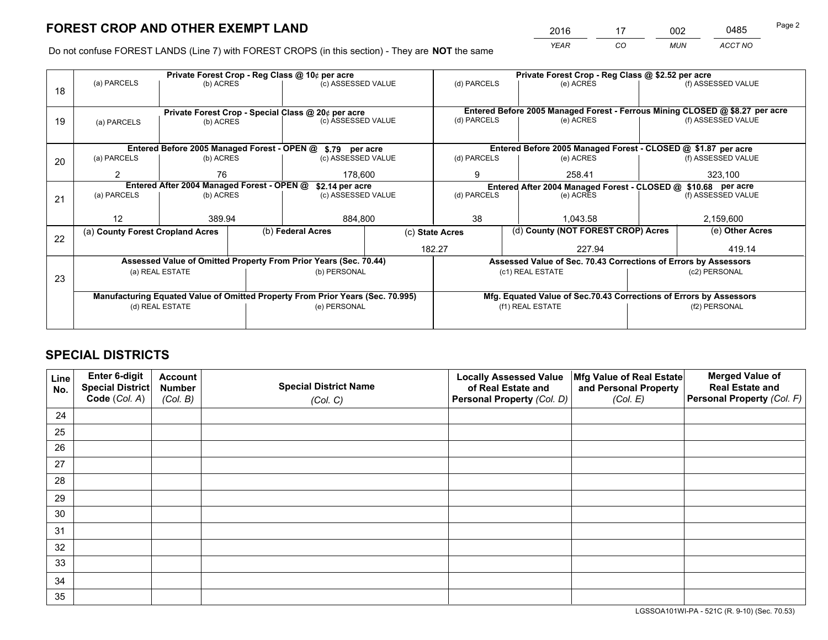*YEAR CO MUN ACCT NO* <sup>2016</sup> <sup>17</sup> <sup>002</sup> <sup>0485</sup>

Do not confuse FOREST LANDS (Line 7) with FOREST CROPS (in this section) - They are **NOT** the same

|    |                                            |                                 |  | Private Forest Crop - Reg Class @ 10¢ per acre                                 |                 |                                                                              | Private Forest Crop - Reg Class @ \$2.52 per acre                  |  |                    |  |
|----|--------------------------------------------|---------------------------------|--|--------------------------------------------------------------------------------|-----------------|------------------------------------------------------------------------------|--------------------------------------------------------------------|--|--------------------|--|
| 18 | (a) PARCELS                                | (b) ACRES                       |  | (c) ASSESSED VALUE                                                             |                 | (d) PARCELS                                                                  | (e) ACRES                                                          |  | (f) ASSESSED VALUE |  |
|    |                                            |                                 |  |                                                                                |                 |                                                                              |                                                                    |  |                    |  |
|    |                                            |                                 |  | Private Forest Crop - Special Class @ 20¢ per acre                             |                 | Entered Before 2005 Managed Forest - Ferrous Mining CLOSED @ \$8.27 per acre |                                                                    |  |                    |  |
| 19 | (a) PARCELS                                | (b) ACRES                       |  | (c) ASSESSED VALUE                                                             |                 | (d) PARCELS                                                                  | (e) ACRES                                                          |  | (f) ASSESSED VALUE |  |
|    |                                            |                                 |  |                                                                                |                 |                                                                              |                                                                    |  |                    |  |
|    |                                            |                                 |  | Entered Before 2005 Managed Forest - OPEN @ \$.79 per acre                     |                 |                                                                              | Entered Before 2005 Managed Forest - CLOSED @ \$1.87 per acre      |  |                    |  |
| 20 | (a) PARCELS                                | (c) ASSESSED VALUE<br>(b) ACRES |  | (d) PARCELS                                                                    | (e) ACRES       |                                                                              | (f) ASSESSED VALUE                                                 |  |                    |  |
|    | 2                                          | 76                              |  | 178,600                                                                        |                 | 9                                                                            | 258.41                                                             |  | 323,100            |  |
|    | Entered After 2004 Managed Forest - OPEN @ |                                 |  |                                                                                | \$2.14 per acre |                                                                              | Entered After 2004 Managed Forest - CLOSED @ \$10.68 per acre      |  |                    |  |
| 21 | (a) PARCELS                                | (b) ACRES                       |  | (c) ASSESSED VALUE                                                             |                 | (d) PARCELS                                                                  | (e) ACRES                                                          |  | (f) ASSESSED VALUE |  |
|    |                                            |                                 |  |                                                                                |                 |                                                                              |                                                                    |  |                    |  |
|    | 12                                         | 389.94                          |  | 884,800                                                                        |                 | 38                                                                           | 1.043.58                                                           |  | 2,159,600          |  |
| 22 | (a) County Forest Cropland Acres           |                                 |  | (b) Federal Acres                                                              |                 | (c) State Acres                                                              | (d) County (NOT FOREST CROP) Acres                                 |  | (e) Other Acres    |  |
|    |                                            |                                 |  |                                                                                |                 | 182.27<br>227.94                                                             |                                                                    |  | 419.14             |  |
|    |                                            |                                 |  | Assessed Value of Omitted Property From Prior Years (Sec. 70.44)               |                 |                                                                              | Assessed Value of Sec. 70.43 Corrections of Errors by Assessors    |  |                    |  |
| 23 |                                            | (a) REAL ESTATE                 |  | (b) PERSONAL                                                                   |                 |                                                                              | (c1) REAL ESTATE                                                   |  | (c2) PERSONAL      |  |
|    |                                            |                                 |  |                                                                                |                 |                                                                              |                                                                    |  |                    |  |
|    |                                            |                                 |  | Manufacturing Equated Value of Omitted Property From Prior Years (Sec. 70.995) |                 |                                                                              | Mfg. Equated Value of Sec.70.43 Corrections of Errors by Assessors |  |                    |  |
|    | (d) REAL ESTATE                            |                                 |  | (e) PERSONAL                                                                   |                 |                                                                              | (f1) REAL ESTATE                                                   |  | (f2) PERSONAL      |  |
|    |                                            |                                 |  |                                                                                |                 |                                                                              |                                                                    |  |                    |  |

# **SPECIAL DISTRICTS**

| Line<br>No. | Enter 6-digit<br><b>Special District</b> | <b>Account</b><br><b>Number</b> | <b>Special District Name</b> | <b>Locally Assessed Value</b><br>of Real Estate and | Mfg Value of Real Estate<br>and Personal Property | <b>Merged Value of</b><br><b>Real Estate and</b> |
|-------------|------------------------------------------|---------------------------------|------------------------------|-----------------------------------------------------|---------------------------------------------------|--------------------------------------------------|
|             | Code (Col. A)                            | (Col. B)                        | (Col. C)                     | Personal Property (Col. D)                          | (Col. E)                                          | Personal Property (Col. F)                       |
| 24          |                                          |                                 |                              |                                                     |                                                   |                                                  |
| 25          |                                          |                                 |                              |                                                     |                                                   |                                                  |
| 26          |                                          |                                 |                              |                                                     |                                                   |                                                  |
| 27          |                                          |                                 |                              |                                                     |                                                   |                                                  |
| 28          |                                          |                                 |                              |                                                     |                                                   |                                                  |
| 29          |                                          |                                 |                              |                                                     |                                                   |                                                  |
| 30          |                                          |                                 |                              |                                                     |                                                   |                                                  |
| 31          |                                          |                                 |                              |                                                     |                                                   |                                                  |
| 32          |                                          |                                 |                              |                                                     |                                                   |                                                  |
| 33          |                                          |                                 |                              |                                                     |                                                   |                                                  |
| 34          |                                          |                                 |                              |                                                     |                                                   |                                                  |
| 35          |                                          |                                 |                              |                                                     |                                                   |                                                  |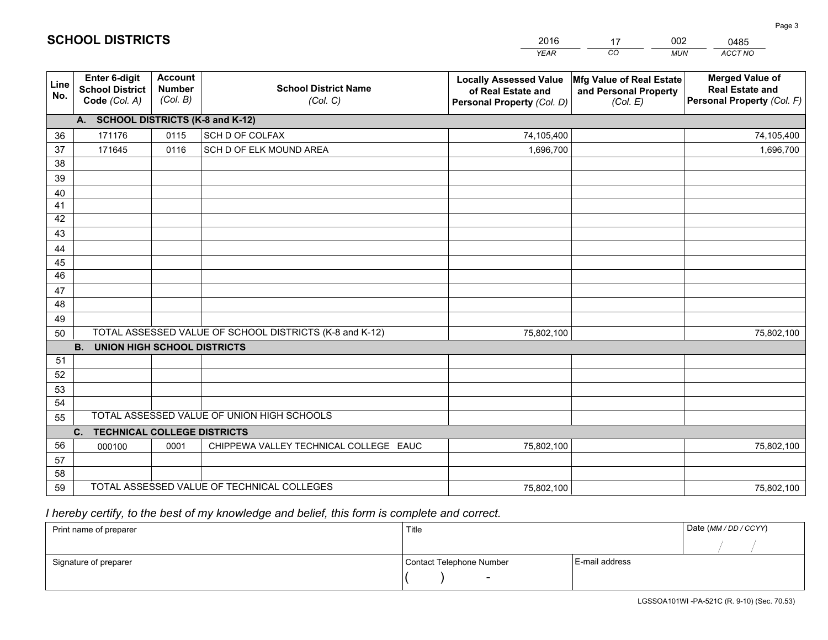|                       |                                                          |                                             |                                                         | <b>YEAR</b>                                                                       | CO<br><b>MUN</b>                                              | ACCT NO                                                                        |
|-----------------------|----------------------------------------------------------|---------------------------------------------|---------------------------------------------------------|-----------------------------------------------------------------------------------|---------------------------------------------------------------|--------------------------------------------------------------------------------|
| Line<br>No.           | Enter 6-digit<br><b>School District</b><br>Code (Col. A) | <b>Account</b><br><b>Number</b><br>(Col. B) | <b>School District Name</b><br>(Col. C)                 | <b>Locally Assessed Value</b><br>of Real Estate and<br>Personal Property (Col. D) | Mfg Value of Real Estate<br>and Personal Property<br>(Col. E) | <b>Merged Value of</b><br><b>Real Estate and</b><br>Personal Property (Col. F) |
|                       | A. SCHOOL DISTRICTS (K-8 and K-12)                       |                                             |                                                         |                                                                                   |                                                               |                                                                                |
| 36                    | 171176                                                   | 0115                                        | SCH D OF COLFAX                                         | 74,105,400                                                                        |                                                               | 74,105,400                                                                     |
| 37                    | 171645                                                   | 0116                                        | SCH D OF ELK MOUND AREA                                 | 1,696,700                                                                         |                                                               | 1,696,700                                                                      |
| 38                    |                                                          |                                             |                                                         |                                                                                   |                                                               |                                                                                |
| 39                    |                                                          |                                             |                                                         |                                                                                   |                                                               |                                                                                |
| 40                    |                                                          |                                             |                                                         |                                                                                   |                                                               |                                                                                |
| 41                    |                                                          |                                             |                                                         |                                                                                   |                                                               |                                                                                |
| 42                    |                                                          |                                             |                                                         |                                                                                   |                                                               |                                                                                |
| 43                    |                                                          |                                             |                                                         |                                                                                   |                                                               |                                                                                |
| 44                    |                                                          |                                             |                                                         |                                                                                   |                                                               |                                                                                |
| 45<br>$\overline{46}$ |                                                          |                                             |                                                         |                                                                                   |                                                               |                                                                                |
| 47                    |                                                          |                                             |                                                         |                                                                                   |                                                               |                                                                                |
| 48                    |                                                          |                                             |                                                         |                                                                                   |                                                               |                                                                                |
| 49                    |                                                          |                                             |                                                         |                                                                                   |                                                               |                                                                                |
| 50                    |                                                          |                                             | TOTAL ASSESSED VALUE OF SCHOOL DISTRICTS (K-8 and K-12) | 75,802,100                                                                        |                                                               | 75,802,100                                                                     |
|                       | <b>B.</b><br><b>UNION HIGH SCHOOL DISTRICTS</b>          |                                             |                                                         |                                                                                   |                                                               |                                                                                |
| 51                    |                                                          |                                             |                                                         |                                                                                   |                                                               |                                                                                |
| 52                    |                                                          |                                             |                                                         |                                                                                   |                                                               |                                                                                |
| 53                    |                                                          |                                             |                                                         |                                                                                   |                                                               |                                                                                |
| 54                    |                                                          |                                             |                                                         |                                                                                   |                                                               |                                                                                |
| 55                    |                                                          |                                             | TOTAL ASSESSED VALUE OF UNION HIGH SCHOOLS              |                                                                                   |                                                               |                                                                                |
|                       | C.<br><b>TECHNICAL COLLEGE DISTRICTS</b>                 |                                             |                                                         |                                                                                   |                                                               |                                                                                |
| 56                    | 000100                                                   | 0001                                        | CHIPPEWA VALLEY TECHNICAL COLLEGE EAUC                  | 75,802,100                                                                        |                                                               | 75,802,100                                                                     |
| 57                    |                                                          |                                             |                                                         |                                                                                   |                                                               |                                                                                |
| 58                    |                                                          |                                             |                                                         |                                                                                   |                                                               |                                                                                |
| 59                    |                                                          |                                             | TOTAL ASSESSED VALUE OF TECHNICAL COLLEGES              | 75,802,100                                                                        |                                                               | 75,802,100                                                                     |

17

002

 *I hereby certify, to the best of my knowledge and belief, this form is complete and correct.*

**SCHOOL DISTRICTS**

| Print name of preparer | Title                    |                | Date (MM/DD/CCYY) |
|------------------------|--------------------------|----------------|-------------------|
|                        |                          |                |                   |
| Signature of preparer  | Contact Telephone Number | E-mail address |                   |
|                        | $\overline{\phantom{0}}$ |                |                   |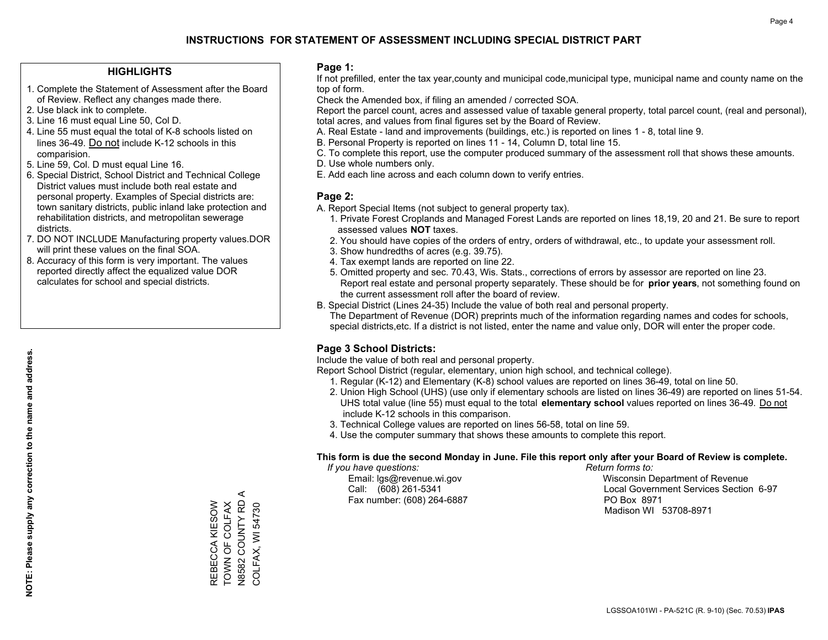### **HIGHLIGHTS**

- 1. Complete the Statement of Assessment after the Board of Review. Reflect any changes made there.
- 2. Use black ink to complete.
- 3. Line 16 must equal Line 50, Col D.
- 4. Line 55 must equal the total of K-8 schools listed on lines 36-49. Do not include K-12 schools in this comparision.
- 5. Line 59, Col. D must equal Line 16.
- 6. Special District, School District and Technical College District values must include both real estate and personal property. Examples of Special districts are: town sanitary districts, public inland lake protection and rehabilitation districts, and metropolitan sewerage districts.
- 7. DO NOT INCLUDE Manufacturing property values.DOR will print these values on the final SOA.
- 8. Accuracy of this form is very important. The values reported directly affect the equalized value DOR calculates for school and special districts.

### **Page 1:**

 If not prefilled, enter the tax year,county and municipal code,municipal type, municipal name and county name on the top of form.

Check the Amended box, if filing an amended / corrected SOA.

 Report the parcel count, acres and assessed value of taxable general property, total parcel count, (real and personal), total acres, and values from final figures set by the Board of Review.

- A. Real Estate land and improvements (buildings, etc.) is reported on lines 1 8, total line 9.
- B. Personal Property is reported on lines 11 14, Column D, total line 15.
- C. To complete this report, use the computer produced summary of the assessment roll that shows these amounts.
- D. Use whole numbers only.
- E. Add each line across and each column down to verify entries.

### **Page 2:**

- A. Report Special Items (not subject to general property tax).
- 1. Private Forest Croplands and Managed Forest Lands are reported on lines 18,19, 20 and 21. Be sure to report assessed values **NOT** taxes.
- 2. You should have copies of the orders of entry, orders of withdrawal, etc., to update your assessment roll.
	- 3. Show hundredths of acres (e.g. 39.75).
- 4. Tax exempt lands are reported on line 22.
- 5. Omitted property and sec. 70.43, Wis. Stats., corrections of errors by assessor are reported on line 23. Report real estate and personal property separately. These should be for **prior years**, not something found on the current assessment roll after the board of review.
- B. Special District (Lines 24-35) Include the value of both real and personal property.
- The Department of Revenue (DOR) preprints much of the information regarding names and codes for schools, special districts,etc. If a district is not listed, enter the name and value only, DOR will enter the proper code.

## **Page 3 School Districts:**

Include the value of both real and personal property.

Report School District (regular, elementary, union high school, and technical college).

- 1. Regular (K-12) and Elementary (K-8) school values are reported on lines 36-49, total on line 50.
- 2. Union High School (UHS) (use only if elementary schools are listed on lines 36-49) are reported on lines 51-54. UHS total value (line 55) must equal to the total **elementary school** values reported on lines 36-49. Do notinclude K-12 schools in this comparison.
- 3. Technical College values are reported on lines 56-58, total on line 59.
- 4. Use the computer summary that shows these amounts to complete this report.

### **This form is due the second Monday in June. File this report only after your Board of Review is complete.**

 *If you have questions: Return forms to:*

Fax number: (608) 264-6887 PO Box 8971

 Email: lgs@revenue.wi.gov Wisconsin Department of Revenue Call: (608) 261-5341 Local Government Services Section 6-97Madison WI 53708-8971

REBECCA KIESOW<br>TOWN OF COLFAX<br>N8582 COUNTY RD A TOWN OF COLFAX REBECCA KIESOW

N8582 COUNTY RD A COLFAX, WI 54730

COLFAX, WI 54730

 $\prec$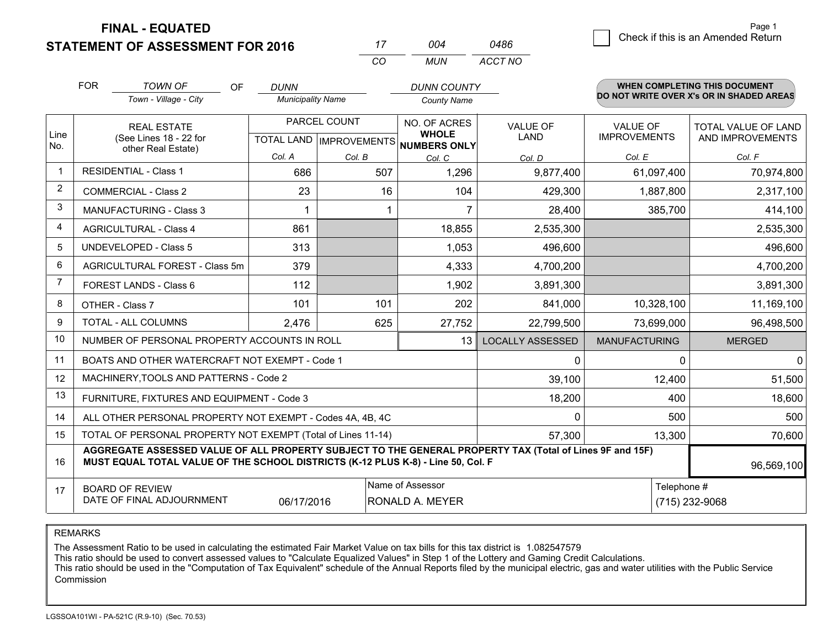**STATEMENT OF ASSESSMENT FOR 2016 FINAL - EQUATED**

|                | CO<br><b>MUN</b><br>ACCT NO                                                                                                                                                                  |                          |              |                                                      |                         |                               |                                          |  |  |  |  |
|----------------|----------------------------------------------------------------------------------------------------------------------------------------------------------------------------------------------|--------------------------|--------------|------------------------------------------------------|-------------------------|-------------------------------|------------------------------------------|--|--|--|--|
|                | <b>FOR</b><br><b>TOWN OF</b><br><b>OF</b>                                                                                                                                                    | <b>DUNN</b>              |              | <b>DUNN COUNTY</b>                                   |                         |                               | <b>WHEN COMPLETING THIS DOCUMENT</b>     |  |  |  |  |
|                | Town - Village - City                                                                                                                                                                        | <b>Municipality Name</b> |              | <b>County Name</b>                                   |                         |                               | DO NOT WRITE OVER X's OR IN SHADED AREAS |  |  |  |  |
|                | <b>REAL ESTATE</b>                                                                                                                                                                           |                          | PARCEL COUNT | NO. OF ACRES                                         | <b>VALUE OF</b>         | <b>VALUE OF</b>               | <b>TOTAL VALUE OF LAND</b>               |  |  |  |  |
| Line<br>No.    | (See Lines 18 - 22 for<br>other Real Estate)                                                                                                                                                 |                          |              | <b>WHOLE</b><br>TOTAL LAND IMPROVEMENTS NUMBERS ONLY | <b>LAND</b>             | <b>IMPROVEMENTS</b>           | AND IMPROVEMENTS                         |  |  |  |  |
|                |                                                                                                                                                                                              | Col. A                   | Col. B       | Col. C                                               | Col. D                  | Col. E                        | Col. F                                   |  |  |  |  |
| $\overline{1}$ | <b>RESIDENTIAL - Class 1</b>                                                                                                                                                                 | 686                      | 507          | 1,296                                                | 9,877,400               | 61,097,400                    | 70,974,800                               |  |  |  |  |
| $\overline{2}$ | <b>COMMERCIAL - Class 2</b>                                                                                                                                                                  | 23                       | 16           | 104                                                  | 429,300                 | 1,887,800                     | 2,317,100                                |  |  |  |  |
| 3              | <b>MANUFACTURING - Class 3</b>                                                                                                                                                               |                          |              |                                                      | 28,400                  | 385,700                       | 414,100                                  |  |  |  |  |
| 4              | <b>AGRICULTURAL - Class 4</b>                                                                                                                                                                | 861                      |              | 18,855                                               | 2,535,300               |                               | 2,535,300                                |  |  |  |  |
| 5              | <b>UNDEVELOPED - Class 5</b>                                                                                                                                                                 | 313                      |              | 1,053                                                | 496,600                 |                               | 496,600                                  |  |  |  |  |
| 6              | AGRICULTURAL FOREST - Class 5m                                                                                                                                                               | 379                      |              | 4,333                                                | 4,700,200               |                               | 4,700,200                                |  |  |  |  |
| $\overline{7}$ | FOREST LANDS - Class 6                                                                                                                                                                       | 112                      |              | 1,902                                                | 3,891,300               |                               | 3,891,300                                |  |  |  |  |
| 8              | OTHER - Class 7                                                                                                                                                                              | 101                      | 101          | 202                                                  | 841,000                 | 10,328,100                    | 11,169,100                               |  |  |  |  |
| 9              | TOTAL - ALL COLUMNS                                                                                                                                                                          | 2,476                    | 625          | 27,752                                               | 22,799,500              | 73,699,000                    | 96,498,500                               |  |  |  |  |
| 10             | NUMBER OF PERSONAL PROPERTY ACCOUNTS IN ROLL                                                                                                                                                 |                          |              | 13                                                   | <b>LOCALLY ASSESSED</b> | <b>MANUFACTURING</b>          | <b>MERGED</b>                            |  |  |  |  |
| 11             | BOATS AND OTHER WATERCRAFT NOT EXEMPT - Code 1                                                                                                                                               |                          |              |                                                      | 0                       | $\mathbf{0}$                  | $\mathbf 0$                              |  |  |  |  |
| 12             | MACHINERY, TOOLS AND PATTERNS - Code 2                                                                                                                                                       |                          |              |                                                      | 39,100                  | 12,400                        | 51,500                                   |  |  |  |  |
| 13             | FURNITURE, FIXTURES AND EQUIPMENT - Code 3                                                                                                                                                   |                          |              |                                                      | 18,200                  | 400                           | 18,600                                   |  |  |  |  |
| 14             | ALL OTHER PERSONAL PROPERTY NOT EXEMPT - Codes 4A, 4B, 4C                                                                                                                                    |                          |              |                                                      | 0                       | 500                           | 500                                      |  |  |  |  |
| 15             | TOTAL OF PERSONAL PROPERTY NOT EXEMPT (Total of Lines 11-14)                                                                                                                                 |                          |              |                                                      | 57,300                  | 13,300                        | 70,600                                   |  |  |  |  |
| 16             | AGGREGATE ASSESSED VALUE OF ALL PROPERTY SUBJECT TO THE GENERAL PROPERTY TAX (Total of Lines 9F and 15F)<br>MUST EQUAL TOTAL VALUE OF THE SCHOOL DISTRICTS (K-12 PLUS K-8) - Line 50, Col. F |                          |              |                                                      |                         |                               | 96,569,100                               |  |  |  |  |
| 17             | <b>BOARD OF REVIEW</b><br>DATE OF FINAL ADJOURNMENT                                                                                                                                          | 06/17/2016               |              | Name of Assessor<br>RONALD A. MEYER                  |                         | Telephone #<br>(715) 232-9068 |                                          |  |  |  |  |

*<sup>17</sup> <sup>004</sup>*

*0486*

REMARKS

The Assessment Ratio to be used in calculating the estimated Fair Market Value on tax bills for this tax district is 1.082547579

This ratio should be used to convert assessed values to "Calculate Equalized Values" in Step 1 of the Lottery and Gaming Credit Calculations.<br>This ratio should be used in the "Computation of Tax Equivalent" schedule of the Commission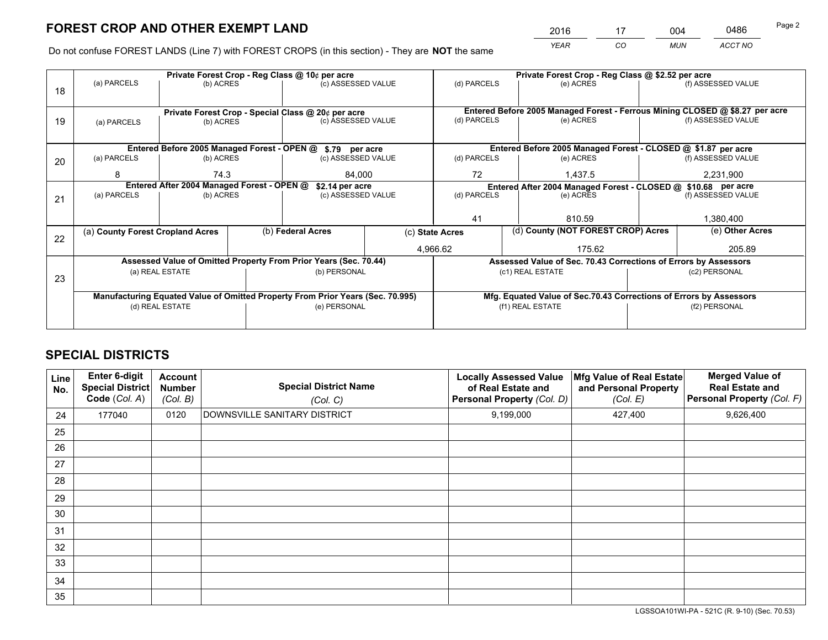*YEAR CO MUN ACCT NO* <sup>2016</sup> <sup>17</sup> <sup>004</sup> <sup>0486</sup>

Do not confuse FOREST LANDS (Line 7) with FOREST CROPS (in this section) - They are **NOT** the same

|    |                                            |                                             |                    | Private Forest Crop - Reg Class @ 10¢ per acre                                 |             |                                                                              | Private Forest Crop - Reg Class @ \$2.52 per acre                  |                    |                    |  |
|----|--------------------------------------------|---------------------------------------------|--------------------|--------------------------------------------------------------------------------|-------------|------------------------------------------------------------------------------|--------------------------------------------------------------------|--------------------|--------------------|--|
| 18 | (a) PARCELS                                | (b) ACRES                                   |                    | (c) ASSESSED VALUE                                                             |             | (d) PARCELS                                                                  | (e) ACRES                                                          |                    | (f) ASSESSED VALUE |  |
|    |                                            |                                             |                    |                                                                                |             | Entered Before 2005 Managed Forest - Ferrous Mining CLOSED @ \$8.27 per acre |                                                                    |                    |                    |  |
| 19 |                                            |                                             |                    | Private Forest Crop - Special Class @ 20¢ per acre<br>(c) ASSESSED VALUE       |             | (d) PARCELS<br>(e) ACRES                                                     |                                                                    |                    | (f) ASSESSED VALUE |  |
|    | (a) PARCELS                                | (b) ACRES                                   |                    |                                                                                |             |                                                                              |                                                                    |                    |                    |  |
|    |                                            |                                             |                    |                                                                                |             |                                                                              |                                                                    |                    |                    |  |
|    |                                            | Entered Before 2005 Managed Forest - OPEN @ |                    | \$.79 per acre                                                                 |             |                                                                              | Entered Before 2005 Managed Forest - CLOSED @ \$1.87 per acre      |                    |                    |  |
| 20 | (a) PARCELS<br>(b) ACRES                   |                                             | (c) ASSESSED VALUE |                                                                                | (d) PARCELS | (e) ACRES                                                                    |                                                                    | (f) ASSESSED VALUE |                    |  |
|    | 8                                          | 74.3                                        |                    |                                                                                |             | 72                                                                           |                                                                    |                    |                    |  |
|    |                                            |                                             |                    | 84,000                                                                         |             |                                                                              | 1,437.5                                                            |                    | 2,231,900          |  |
|    | Entered After 2004 Managed Forest - OPEN @ |                                             |                    | \$2.14 per acre                                                                |             |                                                                              | Entered After 2004 Managed Forest - CLOSED @ \$10.68 per acre      |                    |                    |  |
| 21 | (a) PARCELS                                | (b) ACRES                                   |                    | (c) ASSESSED VALUE                                                             |             | (d) PARCELS                                                                  | (e) ACRES                                                          |                    | (f) ASSESSED VALUE |  |
|    |                                            |                                             |                    |                                                                                |             |                                                                              |                                                                    |                    |                    |  |
|    |                                            |                                             |                    |                                                                                |             | 41                                                                           | 810.59                                                             |                    | 1,380,400          |  |
|    | (a) County Forest Cropland Acres           |                                             |                    | (b) Federal Acres                                                              |             | (c) State Acres                                                              | (d) County (NOT FOREST CROP) Acres                                 |                    | (e) Other Acres    |  |
| 22 |                                            |                                             |                    |                                                                                |             |                                                                              |                                                                    |                    |                    |  |
|    |                                            |                                             |                    |                                                                                |             | 4,966.62                                                                     | 175.62                                                             |                    | 205.89             |  |
|    |                                            |                                             |                    | Assessed Value of Omitted Property From Prior Years (Sec. 70.44)               |             |                                                                              | Assessed Value of Sec. 70.43 Corrections of Errors by Assessors    |                    |                    |  |
|    |                                            | (a) REAL ESTATE                             |                    | (b) PERSONAL                                                                   |             |                                                                              | (c1) REAL ESTATE                                                   |                    | (c2) PERSONAL      |  |
| 23 |                                            |                                             |                    |                                                                                |             |                                                                              |                                                                    |                    |                    |  |
|    |                                            |                                             |                    | Manufacturing Equated Value of Omitted Property From Prior Years (Sec. 70.995) |             |                                                                              | Mfg. Equated Value of Sec.70.43 Corrections of Errors by Assessors |                    |                    |  |
|    |                                            | (d) REAL ESTATE                             |                    | (e) PERSONAL                                                                   |             |                                                                              | (f1) REAL ESTATE                                                   |                    | (f2) PERSONAL      |  |
|    |                                            |                                             |                    |                                                                                |             |                                                                              |                                                                    |                    |                    |  |
|    |                                            |                                             |                    |                                                                                |             |                                                                              |                                                                    |                    |                    |  |

# **SPECIAL DISTRICTS**

| <b>Line</b><br>No. | Enter 6-digit<br><b>Special District</b><br>Code (Col. A) | <b>Account</b><br><b>Number</b><br>(Col. B) | <b>Special District Name</b><br>(Col. C) | <b>Locally Assessed Value</b><br>of Real Estate and<br>Personal Property (Col. D) | Mfg Value of Real Estate<br>and Personal Property<br>(Col. E) | <b>Merged Value of</b><br><b>Real Estate and</b><br>Personal Property (Col. F) |
|--------------------|-----------------------------------------------------------|---------------------------------------------|------------------------------------------|-----------------------------------------------------------------------------------|---------------------------------------------------------------|--------------------------------------------------------------------------------|
| 24                 | 177040                                                    | 0120                                        | DOWNSVILLE SANITARY DISTRICT             | 9,199,000                                                                         | 427,400                                                       | 9,626,400                                                                      |
| 25                 |                                                           |                                             |                                          |                                                                                   |                                                               |                                                                                |
| 26                 |                                                           |                                             |                                          |                                                                                   |                                                               |                                                                                |
| 27                 |                                                           |                                             |                                          |                                                                                   |                                                               |                                                                                |
| 28                 |                                                           |                                             |                                          |                                                                                   |                                                               |                                                                                |
| 29                 |                                                           |                                             |                                          |                                                                                   |                                                               |                                                                                |
| 30                 |                                                           |                                             |                                          |                                                                                   |                                                               |                                                                                |
| 31                 |                                                           |                                             |                                          |                                                                                   |                                                               |                                                                                |
| 32                 |                                                           |                                             |                                          |                                                                                   |                                                               |                                                                                |
| 33                 |                                                           |                                             |                                          |                                                                                   |                                                               |                                                                                |
| 34                 |                                                           |                                             |                                          |                                                                                   |                                                               |                                                                                |
| 35                 |                                                           |                                             |                                          |                                                                                   |                                                               |                                                                                |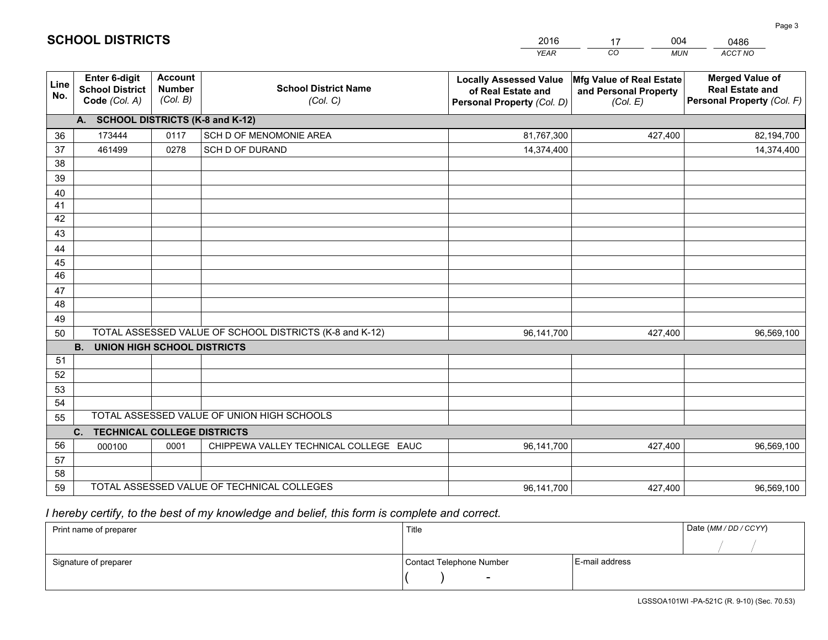|             |                                                                 |                                             |                                                         | <b>YEAR</b>                                                                       | CO<br><b>MUN</b>                                              | <b>ACCT NO</b>                                                                 |
|-------------|-----------------------------------------------------------------|---------------------------------------------|---------------------------------------------------------|-----------------------------------------------------------------------------------|---------------------------------------------------------------|--------------------------------------------------------------------------------|
| Line<br>No. | <b>Enter 6-digit</b><br><b>School District</b><br>Code (Col. A) | <b>Account</b><br><b>Number</b><br>(Col. B) | <b>School District Name</b><br>(Col. C)                 | <b>Locally Assessed Value</b><br>of Real Estate and<br>Personal Property (Col. D) | Mfg Value of Real Estate<br>and Personal Property<br>(Col. E) | <b>Merged Value of</b><br><b>Real Estate and</b><br>Personal Property (Col. F) |
|             | A. SCHOOL DISTRICTS (K-8 and K-12)                              |                                             |                                                         |                                                                                   |                                                               |                                                                                |
| 36          | 173444                                                          | 0117                                        | SCH D OF MENOMONIE AREA                                 | 81,767,300                                                                        | 427,400                                                       | 82,194,700                                                                     |
| 37          | 461499                                                          | 0278                                        | SCH D OF DURAND                                         | 14,374,400                                                                        |                                                               | 14,374,400                                                                     |
| 38          |                                                                 |                                             |                                                         |                                                                                   |                                                               |                                                                                |
| 39          |                                                                 |                                             |                                                         |                                                                                   |                                                               |                                                                                |
| 40          |                                                                 |                                             |                                                         |                                                                                   |                                                               |                                                                                |
| 41          |                                                                 |                                             |                                                         |                                                                                   |                                                               |                                                                                |
| 42          |                                                                 |                                             |                                                         |                                                                                   |                                                               |                                                                                |
| 43          |                                                                 |                                             |                                                         |                                                                                   |                                                               |                                                                                |
| 44<br>45    |                                                                 |                                             |                                                         |                                                                                   |                                                               |                                                                                |
| 46          |                                                                 |                                             |                                                         |                                                                                   |                                                               |                                                                                |
| 47          |                                                                 |                                             |                                                         |                                                                                   |                                                               |                                                                                |
| 48          |                                                                 |                                             |                                                         |                                                                                   |                                                               |                                                                                |
| 49          |                                                                 |                                             |                                                         |                                                                                   |                                                               |                                                                                |
| 50          |                                                                 |                                             | TOTAL ASSESSED VALUE OF SCHOOL DISTRICTS (K-8 and K-12) | 96,141,700                                                                        | 427,400                                                       | 96,569,100                                                                     |
|             | <b>B.</b><br><b>UNION HIGH SCHOOL DISTRICTS</b>                 |                                             |                                                         |                                                                                   |                                                               |                                                                                |
| 51          |                                                                 |                                             |                                                         |                                                                                   |                                                               |                                                                                |
| 52          |                                                                 |                                             |                                                         |                                                                                   |                                                               |                                                                                |
| 53          |                                                                 |                                             |                                                         |                                                                                   |                                                               |                                                                                |
| 54          |                                                                 |                                             |                                                         |                                                                                   |                                                               |                                                                                |
| 55          |                                                                 |                                             | TOTAL ASSESSED VALUE OF UNION HIGH SCHOOLS              |                                                                                   |                                                               |                                                                                |
|             | C.<br><b>TECHNICAL COLLEGE DISTRICTS</b>                        |                                             |                                                         |                                                                                   |                                                               |                                                                                |
| 56          | 000100                                                          | 0001                                        | CHIPPEWA VALLEY TECHNICAL COLLEGE EAUC                  | 96,141,700                                                                        | 427,400                                                       | 96,569,100                                                                     |
| 57          |                                                                 |                                             |                                                         |                                                                                   |                                                               |                                                                                |
| 58<br>59    |                                                                 |                                             | TOTAL ASSESSED VALUE OF TECHNICAL COLLEGES              |                                                                                   |                                                               |                                                                                |
|             |                                                                 |                                             |                                                         | 96,141,700                                                                        | 427,400                                                       | 96,569,100                                                                     |

17

004

 *I hereby certify, to the best of my knowledge and belief, this form is complete and correct.*

**SCHOOL DISTRICTS**

| Print name of preparer | Title                    |                | Date (MM / DD / CCYY) |
|------------------------|--------------------------|----------------|-----------------------|
|                        |                          |                |                       |
| Signature of preparer  | Contact Telephone Number | E-mail address |                       |
|                        | $\sim$                   |                |                       |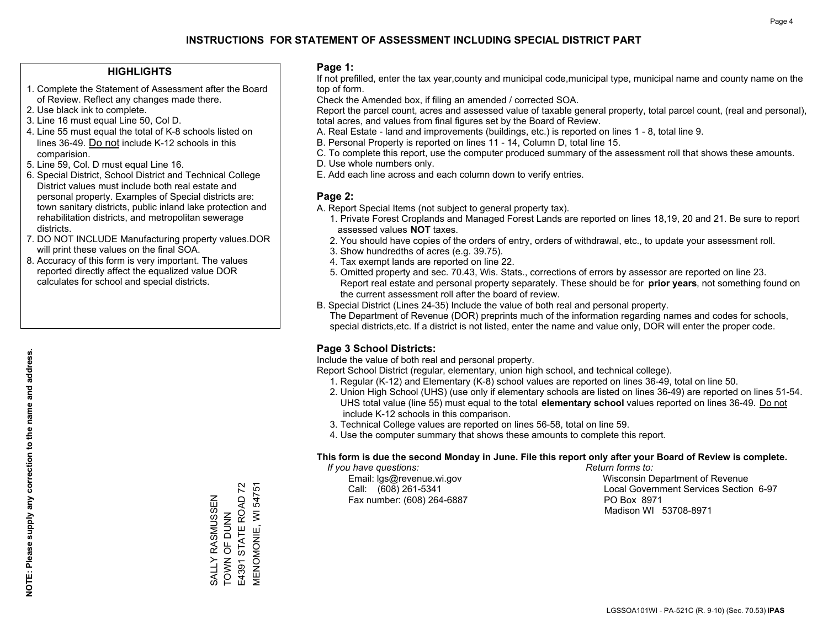### **HIGHLIGHTS**

- 1. Complete the Statement of Assessment after the Board of Review. Reflect any changes made there.
- 2. Use black ink to complete.

**NOTE: Please supply any correction to the name and address.**

NOTE: Please supply any correction to the name and address.

- 3. Line 16 must equal Line 50, Col D.
- 4. Line 55 must equal the total of K-8 schools listed on lines 36-49. Do not include K-12 schools in this comparision.
- 5. Line 59, Col. D must equal Line 16.
- 6. Special District, School District and Technical College District values must include both real estate and personal property. Examples of Special districts are: town sanitary districts, public inland lake protection and rehabilitation districts, and metropolitan sewerage districts.
- 7. DO NOT INCLUDE Manufacturing property values.DOR will print these values on the final SOA.
- 8. Accuracy of this form is very important. The values reported directly affect the equalized value DOR calculates for school and special districts.

### **Page 1:**

 If not prefilled, enter the tax year,county and municipal code,municipal type, municipal name and county name on the top of form.

Check the Amended box, if filing an amended / corrected SOA.

 Report the parcel count, acres and assessed value of taxable general property, total parcel count, (real and personal), total acres, and values from final figures set by the Board of Review.

- A. Real Estate land and improvements (buildings, etc.) is reported on lines 1 8, total line 9.
- B. Personal Property is reported on lines 11 14, Column D, total line 15.
- C. To complete this report, use the computer produced summary of the assessment roll that shows these amounts.
- D. Use whole numbers only.
- E. Add each line across and each column down to verify entries.

### **Page 2:**

- A. Report Special Items (not subject to general property tax).
- 1. Private Forest Croplands and Managed Forest Lands are reported on lines 18,19, 20 and 21. Be sure to report assessed values **NOT** taxes.
- 2. You should have copies of the orders of entry, orders of withdrawal, etc., to update your assessment roll.
	- 3. Show hundredths of acres (e.g. 39.75).
- 4. Tax exempt lands are reported on line 22.
- 5. Omitted property and sec. 70.43, Wis. Stats., corrections of errors by assessor are reported on line 23. Report real estate and personal property separately. These should be for **prior years**, not something found on the current assessment roll after the board of review.
- B. Special District (Lines 24-35) Include the value of both real and personal property.

 The Department of Revenue (DOR) preprints much of the information regarding names and codes for schools, special districts,etc. If a district is not listed, enter the name and value only, DOR will enter the proper code.

## **Page 3 School Districts:**

Include the value of both real and personal property.

Report School District (regular, elementary, union high school, and technical college).

- 1. Regular (K-12) and Elementary (K-8) school values are reported on lines 36-49, total on line 50.
- 2. Union High School (UHS) (use only if elementary schools are listed on lines 36-49) are reported on lines 51-54. UHS total value (line 55) must equal to the total **elementary school** values reported on lines 36-49. Do notinclude K-12 schools in this comparison.
- 3. Technical College values are reported on lines 56-58, total on line 59.
- 4. Use the computer summary that shows these amounts to complete this report.

### **This form is due the second Monday in June. File this report only after your Board of Review is complete.**

 *If you have questions: Return forms to:*

Fax number: (608) 264-6887 PO Box 8971

 Email: lgs@revenue.wi.gov Wisconsin Department of Revenue Call: (608) 261-5341 Local Government Services Section 6-97Madison WI 53708-8971

E4391 STATE ROAD 72 **MENOMONIE, WI 54751** E4391 STATE ROAD 72 MENOMONIE, WI 54751 SALLY RASMUSSEN<br>TOWN OF DUNN SALLY RASMUSSEN TOWN OF DUNN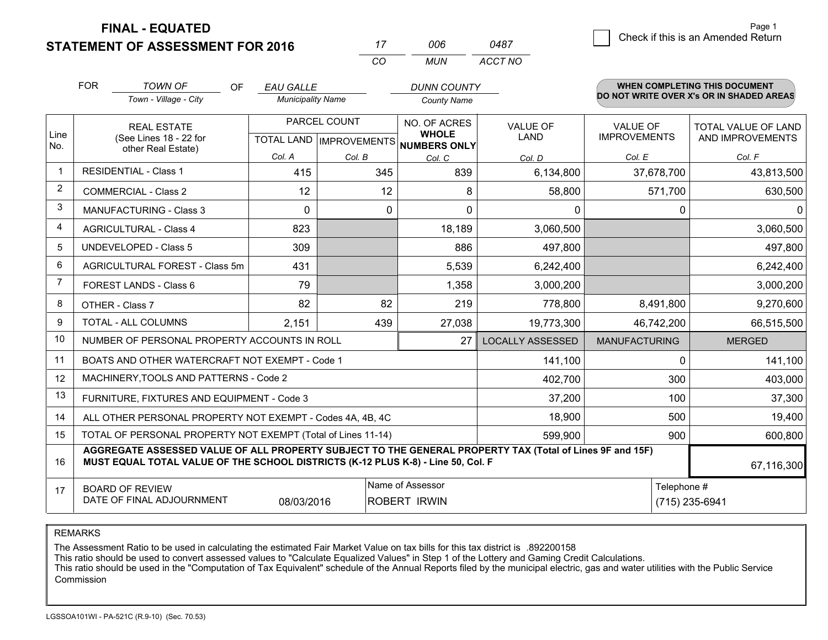**FINAL - EQUATED**

**STATEMENT OF ASSESSMENT FOR 2016** 

|                | <b>FOR</b>                     | <b>TOWN OF</b><br>OF<br>Town - Village - City                                                                                                                                                | <b>EAU GALLE</b><br><b>Municipality Name</b>         |        | <b>DUNN COUNTY</b><br><b>County Name</b> |                         |                                        | <b>WHEN COMPLETING THIS DOCUMENT</b><br>DO NOT WRITE OVER X's OR IN SHADED AREAS |
|----------------|--------------------------------|----------------------------------------------------------------------------------------------------------------------------------------------------------------------------------------------|------------------------------------------------------|--------|------------------------------------------|-------------------------|----------------------------------------|----------------------------------------------------------------------------------|
| Line           |                                | <b>REAL ESTATE</b><br>(See Lines 18 - 22 for                                                                                                                                                 | PARCEL COUNT<br>TOTAL LAND IMPROVEMENTS NUMBERS ONLY |        | NO. OF ACRES<br><b>WHOLE</b>             | <b>VALUE OF</b><br>LAND | <b>VALUE OF</b><br><b>IMPROVEMENTS</b> | TOTAL VALUE OF LAND<br>AND IMPROVEMENTS                                          |
| No.            |                                | other Real Estate)                                                                                                                                                                           | Col. A                                               | Col. B | Col. C                                   | Col. D                  | Col. E                                 | Col. F                                                                           |
| $\mathbf 1$    |                                | <b>RESIDENTIAL - Class 1</b>                                                                                                                                                                 | 415                                                  | 345    | 839                                      | 6,134,800               | 37,678,700                             | 43,813,500                                                                       |
| 2              |                                | <b>COMMERCIAL - Class 2</b>                                                                                                                                                                  | 12                                                   | 12     | 8                                        | 58,800                  | 571,700                                | 630,500                                                                          |
| 3              | <b>MANUFACTURING - Class 3</b> |                                                                                                                                                                                              | 0                                                    |        | 0<br>0                                   | $\mathbf{0}$            | 0                                      | $\mathbf{0}$                                                                     |
| $\overline{4}$ |                                | <b>AGRICULTURAL - Class 4</b>                                                                                                                                                                | 823                                                  |        | 18,189                                   | 3,060,500               |                                        | 3,060,500                                                                        |
| 5              |                                | <b>UNDEVELOPED - Class 5</b>                                                                                                                                                                 | 309                                                  |        | 886                                      | 497,800                 |                                        | 497,800                                                                          |
| 6              | AGRICULTURAL FOREST - Class 5m |                                                                                                                                                                                              | 431                                                  |        | 5,539                                    | 6,242,400               |                                        | 6,242,400                                                                        |
| $\overline{7}$ | FOREST LANDS - Class 6         |                                                                                                                                                                                              | 79                                                   |        | 1,358                                    | 3,000,200               |                                        | 3,000,200                                                                        |
| 8              |                                | OTHER - Class 7                                                                                                                                                                              | 82                                                   | 82     | 219                                      | 778,800                 | 8,491,800                              | 9,270,600                                                                        |
| 9              |                                | TOTAL - ALL COLUMNS                                                                                                                                                                          | 2,151                                                | 439    | 27,038                                   | 19,773,300              | 46,742,200                             | 66,515,500                                                                       |
| 10             |                                | NUMBER OF PERSONAL PROPERTY ACCOUNTS IN ROLL                                                                                                                                                 |                                                      |        | 27                                       | <b>LOCALLY ASSESSED</b> | <b>MANUFACTURING</b>                   | <b>MERGED</b>                                                                    |
| 11             |                                | BOATS AND OTHER WATERCRAFT NOT EXEMPT - Code 1                                                                                                                                               |                                                      |        |                                          | 141,100                 | $\Omega$                               | 141,100                                                                          |
| 12             |                                | MACHINERY, TOOLS AND PATTERNS - Code 2                                                                                                                                                       |                                                      |        |                                          | 402,700                 | 300                                    | 403,000                                                                          |
| 13             |                                | FURNITURE, FIXTURES AND EQUIPMENT - Code 3                                                                                                                                                   |                                                      |        |                                          | 37,200                  | 100                                    | 37,300                                                                           |
| 14             |                                | ALL OTHER PERSONAL PROPERTY NOT EXEMPT - Codes 4A, 4B, 4C                                                                                                                                    |                                                      |        |                                          | 18,900                  | 500                                    | 19,400                                                                           |
| 15             |                                | TOTAL OF PERSONAL PROPERTY NOT EXEMPT (Total of Lines 11-14)                                                                                                                                 |                                                      |        |                                          | 599,900                 | 900                                    | 600,800                                                                          |
| 16             |                                | AGGREGATE ASSESSED VALUE OF ALL PROPERTY SUBJECT TO THE GENERAL PROPERTY TAX (Total of Lines 9F and 15F)<br>MUST EQUAL TOTAL VALUE OF THE SCHOOL DISTRICTS (K-12 PLUS K-8) - Line 50, Col. F |                                                      |        |                                          |                         |                                        | 67,116,300                                                                       |
| 17             |                                | <b>BOARD OF REVIEW</b><br>DATE OF FINAL ADJOURNMENT                                                                                                                                          | 08/03/2016                                           |        | Name of Assessor<br><b>ROBERT IRWIN</b>  |                         | Telephone #                            | (715) 235-6941                                                                   |

*CO*

*MUN*

*ACCT NO0487*

*<sup>17</sup> <sup>006</sup>*

REMARKS

The Assessment Ratio to be used in calculating the estimated Fair Market Value on tax bills for this tax district is .892200158<br>This ratio should be used to convert assessed values to "Calculate Equalized Values" in Step 1 Commission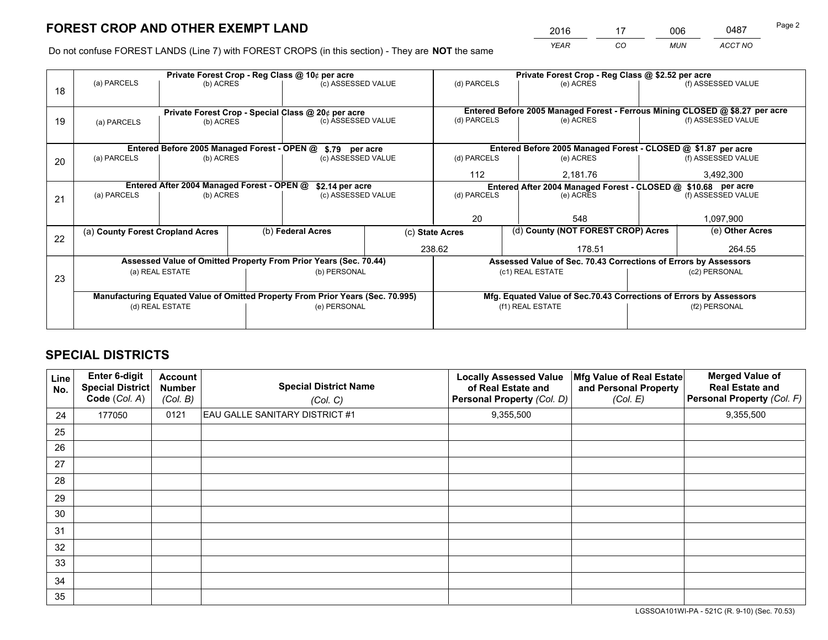*YEAR CO MUN ACCT NO* 2016 <u>17 006 0487</u>

Do not confuse FOREST LANDS (Line 7) with FOREST CROPS (in this section) - They are **NOT** the same

|    |                                            |                                             |  | Private Forest Crop - Reg Class @ 10¢ per acre                                 |  |                                                                              | Private Forest Crop - Reg Class @ \$2.52 per acre                  |               |                    |  |
|----|--------------------------------------------|---------------------------------------------|--|--------------------------------------------------------------------------------|--|------------------------------------------------------------------------------|--------------------------------------------------------------------|---------------|--------------------|--|
| 18 | (a) PARCELS                                | (b) ACRES                                   |  | (c) ASSESSED VALUE                                                             |  | (d) PARCELS                                                                  | (e) ACRES                                                          |               | (f) ASSESSED VALUE |  |
|    |                                            |                                             |  |                                                                                |  |                                                                              |                                                                    |               |                    |  |
|    |                                            |                                             |  | Private Forest Crop - Special Class @ 20¢ per acre                             |  | Entered Before 2005 Managed Forest - Ferrous Mining CLOSED @ \$8.27 per acre |                                                                    |               |                    |  |
| 19 | (a) PARCELS                                | (b) ACRES                                   |  | (c) ASSESSED VALUE                                                             |  | (d) PARCELS                                                                  | (e) ACRES                                                          |               | (f) ASSESSED VALUE |  |
|    |                                            |                                             |  |                                                                                |  |                                                                              |                                                                    |               |                    |  |
|    |                                            | Entered Before 2005 Managed Forest - OPEN @ |  | \$.79 per acre                                                                 |  |                                                                              | Entered Before 2005 Managed Forest - CLOSED @ \$1.87 per acre      |               |                    |  |
| 20 | (a) PARCELS<br>(b) ACRES                   |                                             |  | (c) ASSESSED VALUE                                                             |  | (d) PARCELS                                                                  | (e) ACRES                                                          |               |                    |  |
|    |                                            |                                             |  |                                                                                |  | 112                                                                          | 2,181.76                                                           |               |                    |  |
|    | Entered After 2004 Managed Forest - OPEN @ |                                             |  | \$2.14 per acre                                                                |  | Entered After 2004 Managed Forest - CLOSED @ \$10.68 per acre                |                                                                    |               |                    |  |
| 21 | (a) PARCELS                                | (b) ACRES                                   |  | (c) ASSESSED VALUE                                                             |  | (d) PARCELS                                                                  | (e) ACRES                                                          |               | (f) ASSESSED VALUE |  |
|    |                                            |                                             |  |                                                                                |  |                                                                              |                                                                    |               |                    |  |
|    |                                            |                                             |  |                                                                                |  | 20                                                                           | 548                                                                |               | 1,097,900          |  |
| 22 | (a) County Forest Cropland Acres           |                                             |  | (b) Federal Acres                                                              |  | (c) State Acres                                                              | (d) County (NOT FOREST CROP) Acres                                 |               | (e) Other Acres    |  |
|    |                                            |                                             |  |                                                                                |  | 238.62                                                                       | 178.51                                                             |               | 264.55             |  |
|    |                                            |                                             |  | Assessed Value of Omitted Property From Prior Years (Sec. 70.44)               |  |                                                                              | Assessed Value of Sec. 70.43 Corrections of Errors by Assessors    |               |                    |  |
| 23 |                                            | (a) REAL ESTATE                             |  | (b) PERSONAL                                                                   |  |                                                                              | (c1) REAL ESTATE                                                   |               | (c2) PERSONAL      |  |
|    |                                            |                                             |  |                                                                                |  |                                                                              |                                                                    |               |                    |  |
|    |                                            |                                             |  | Manufacturing Equated Value of Omitted Property From Prior Years (Sec. 70.995) |  |                                                                              | Mfg. Equated Value of Sec.70.43 Corrections of Errors by Assessors |               |                    |  |
|    | (d) REAL ESTATE                            |                                             |  | (e) PERSONAL                                                                   |  | (f1) REAL ESTATE                                                             |                                                                    | (f2) PERSONAL |                    |  |
|    |                                            |                                             |  |                                                                                |  |                                                                              |                                                                    |               |                    |  |

# **SPECIAL DISTRICTS**

| Line<br>No. | Enter 6-digit<br><b>Special District</b><br>Code (Col. A) | <b>Account</b><br><b>Number</b><br>(Col. B) | <b>Special District Name</b><br>(Col. C) | <b>Locally Assessed Value</b><br>of Real Estate and<br>Personal Property (Col. D) | Mfg Value of Real Estate<br>and Personal Property<br>(Col. E) | <b>Merged Value of</b><br><b>Real Estate and</b><br>Personal Property (Col. F) |
|-------------|-----------------------------------------------------------|---------------------------------------------|------------------------------------------|-----------------------------------------------------------------------------------|---------------------------------------------------------------|--------------------------------------------------------------------------------|
| 24          | 177050                                                    | 0121                                        | <b>EAU GALLE SANITARY DISTRICT #1</b>    | 9,355,500                                                                         |                                                               | 9,355,500                                                                      |
| 25          |                                                           |                                             |                                          |                                                                                   |                                                               |                                                                                |
| 26          |                                                           |                                             |                                          |                                                                                   |                                                               |                                                                                |
| 27          |                                                           |                                             |                                          |                                                                                   |                                                               |                                                                                |
| 28          |                                                           |                                             |                                          |                                                                                   |                                                               |                                                                                |
| 29          |                                                           |                                             |                                          |                                                                                   |                                                               |                                                                                |
| 30          |                                                           |                                             |                                          |                                                                                   |                                                               |                                                                                |
| 31          |                                                           |                                             |                                          |                                                                                   |                                                               |                                                                                |
| 32          |                                                           |                                             |                                          |                                                                                   |                                                               |                                                                                |
| 33          |                                                           |                                             |                                          |                                                                                   |                                                               |                                                                                |
| 34          |                                                           |                                             |                                          |                                                                                   |                                                               |                                                                                |
| 35          |                                                           |                                             |                                          |                                                                                   |                                                               |                                                                                |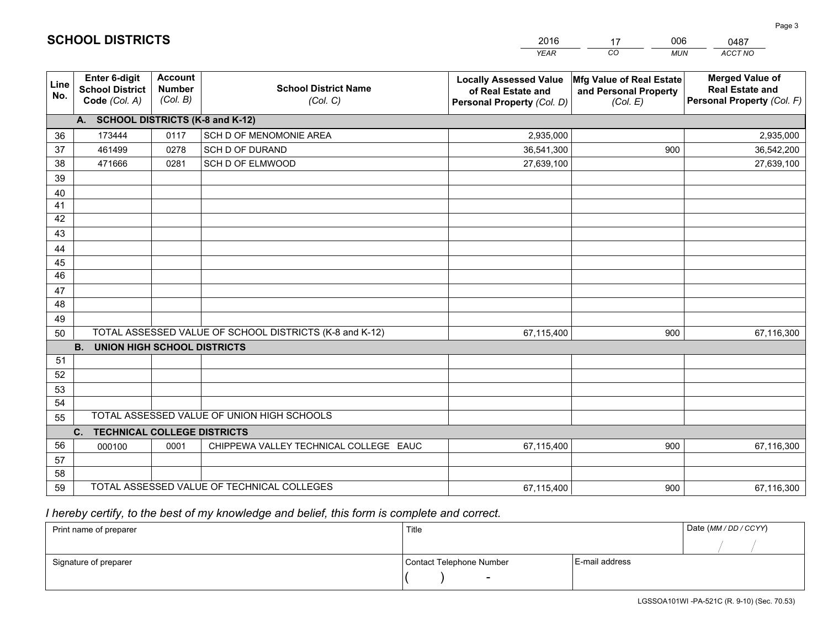|             |                                                                 |                                             |                                                         | <b>YEAR</b>                                                                       | CO<br><b>MUN</b>                                              | ACCT NO                                                                        |  |  |  |  |  |  |
|-------------|-----------------------------------------------------------------|---------------------------------------------|---------------------------------------------------------|-----------------------------------------------------------------------------------|---------------------------------------------------------------|--------------------------------------------------------------------------------|--|--|--|--|--|--|
| Line<br>No. | <b>Enter 6-digit</b><br><b>School District</b><br>Code (Col. A) | <b>Account</b><br><b>Number</b><br>(Col. B) | <b>School District Name</b><br>(Col. C)                 | <b>Locally Assessed Value</b><br>of Real Estate and<br>Personal Property (Col. D) | Mfg Value of Real Estate<br>and Personal Property<br>(Col. E) | <b>Merged Value of</b><br><b>Real Estate and</b><br>Personal Property (Col. F) |  |  |  |  |  |  |
|             | A. SCHOOL DISTRICTS (K-8 and K-12)                              |                                             |                                                         |                                                                                   |                                                               |                                                                                |  |  |  |  |  |  |
| 36          | 173444                                                          | 0117                                        | SCH D OF MENOMONIE AREA                                 | 2,935,000                                                                         |                                                               | 2,935,000                                                                      |  |  |  |  |  |  |
| 37          | 461499                                                          | 0278                                        | <b>SCH D OF DURAND</b>                                  | 36,541,300                                                                        | 900                                                           | 36,542,200                                                                     |  |  |  |  |  |  |
| 38          | 471666                                                          | 0281                                        | SCH D OF ELMWOOD                                        | 27,639,100                                                                        |                                                               | 27,639,100                                                                     |  |  |  |  |  |  |
| 39          |                                                                 |                                             |                                                         |                                                                                   |                                                               |                                                                                |  |  |  |  |  |  |
| 40          |                                                                 |                                             |                                                         |                                                                                   |                                                               |                                                                                |  |  |  |  |  |  |
| 41          |                                                                 |                                             |                                                         |                                                                                   |                                                               |                                                                                |  |  |  |  |  |  |
| 42          |                                                                 |                                             |                                                         |                                                                                   |                                                               |                                                                                |  |  |  |  |  |  |
| 43          |                                                                 |                                             |                                                         |                                                                                   |                                                               |                                                                                |  |  |  |  |  |  |
| 44          |                                                                 |                                             |                                                         |                                                                                   |                                                               |                                                                                |  |  |  |  |  |  |
| 45          |                                                                 |                                             |                                                         |                                                                                   |                                                               |                                                                                |  |  |  |  |  |  |
| 46          |                                                                 |                                             |                                                         |                                                                                   |                                                               |                                                                                |  |  |  |  |  |  |
| 47          |                                                                 |                                             |                                                         |                                                                                   |                                                               |                                                                                |  |  |  |  |  |  |
| 48          |                                                                 |                                             |                                                         |                                                                                   |                                                               |                                                                                |  |  |  |  |  |  |
| 49          |                                                                 |                                             | TOTAL ASSESSED VALUE OF SCHOOL DISTRICTS (K-8 and K-12) |                                                                                   |                                                               |                                                                                |  |  |  |  |  |  |
| 50          | <b>B. UNION HIGH SCHOOL DISTRICTS</b>                           |                                             |                                                         | 67,115,400                                                                        | 900                                                           | 67,116,300                                                                     |  |  |  |  |  |  |
| 51          |                                                                 |                                             |                                                         |                                                                                   |                                                               |                                                                                |  |  |  |  |  |  |
| 52          |                                                                 |                                             |                                                         |                                                                                   |                                                               |                                                                                |  |  |  |  |  |  |
| 53          |                                                                 |                                             |                                                         |                                                                                   |                                                               |                                                                                |  |  |  |  |  |  |
| 54          |                                                                 |                                             |                                                         |                                                                                   |                                                               |                                                                                |  |  |  |  |  |  |
| 55          |                                                                 |                                             | TOTAL ASSESSED VALUE OF UNION HIGH SCHOOLS              |                                                                                   |                                                               |                                                                                |  |  |  |  |  |  |
|             | C.<br><b>TECHNICAL COLLEGE DISTRICTS</b>                        |                                             |                                                         |                                                                                   |                                                               |                                                                                |  |  |  |  |  |  |
| 56          | 000100                                                          | 0001                                        | CHIPPEWA VALLEY TECHNICAL COLLEGE EAUC                  | 67,115,400                                                                        | 900                                                           | 67,116,300                                                                     |  |  |  |  |  |  |
| 57          |                                                                 |                                             |                                                         |                                                                                   |                                                               |                                                                                |  |  |  |  |  |  |
| 58          |                                                                 |                                             |                                                         |                                                                                   |                                                               |                                                                                |  |  |  |  |  |  |
| 59          |                                                                 |                                             | TOTAL ASSESSED VALUE OF TECHNICAL COLLEGES              | 67,115,400                                                                        | 900                                                           | 67,116,300                                                                     |  |  |  |  |  |  |

17

006

 *I hereby certify, to the best of my knowledge and belief, this form is complete and correct.*

**SCHOOL DISTRICTS**

| Print name of preparer | Title                    | Date (MM/DD/CCYY) |  |
|------------------------|--------------------------|-------------------|--|
|                        |                          |                   |  |
| Signature of preparer  | Contact Telephone Number | E-mail address    |  |
|                        | $\overline{\phantom{0}}$ |                   |  |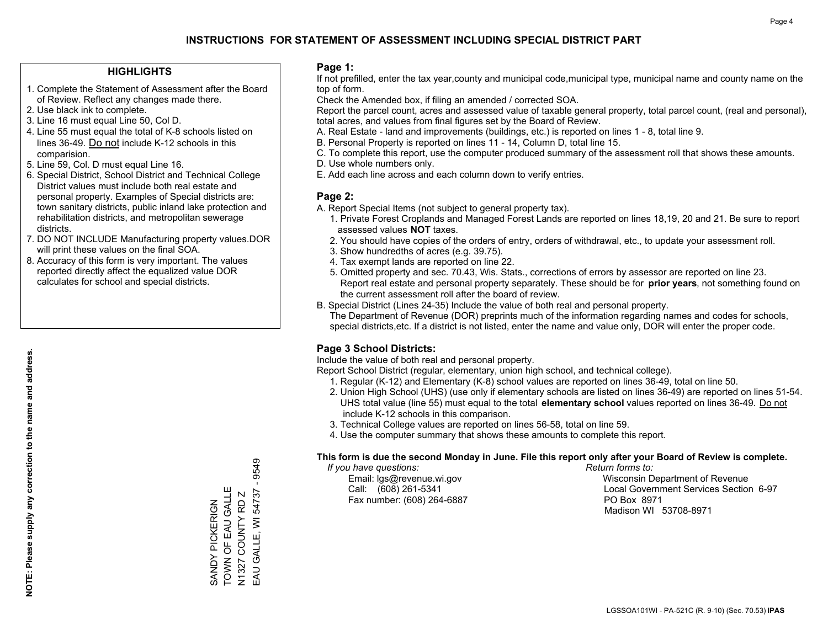### **HIGHLIGHTS**

- 1. Complete the Statement of Assessment after the Board of Review. Reflect any changes made there.
- 2. Use black ink to complete.
- 3. Line 16 must equal Line 50, Col D.
- 4. Line 55 must equal the total of K-8 schools listed on lines 36-49. Do not include K-12 schools in this comparision.
- 5. Line 59, Col. D must equal Line 16.
- 6. Special District, School District and Technical College District values must include both real estate and personal property. Examples of Special districts are: town sanitary districts, public inland lake protection and rehabilitation districts, and metropolitan sewerage districts.
- 7. DO NOT INCLUDE Manufacturing property values.DOR will print these values on the final SOA.
- 8. Accuracy of this form is very important. The values reported directly affect the equalized value DOR calculates for school and special districts.

### **Page 1:**

 If not prefilled, enter the tax year,county and municipal code,municipal type, municipal name and county name on the top of form.

Check the Amended box, if filing an amended / corrected SOA.

 Report the parcel count, acres and assessed value of taxable general property, total parcel count, (real and personal), total acres, and values from final figures set by the Board of Review.

- A. Real Estate land and improvements (buildings, etc.) is reported on lines 1 8, total line 9.
- B. Personal Property is reported on lines 11 14, Column D, total line 15.
- C. To complete this report, use the computer produced summary of the assessment roll that shows these amounts.
- D. Use whole numbers only.
- E. Add each line across and each column down to verify entries.

### **Page 2:**

- A. Report Special Items (not subject to general property tax).
- 1. Private Forest Croplands and Managed Forest Lands are reported on lines 18,19, 20 and 21. Be sure to report assessed values **NOT** taxes.
- 2. You should have copies of the orders of entry, orders of withdrawal, etc., to update your assessment roll.
	- 3. Show hundredths of acres (e.g. 39.75).
- 4. Tax exempt lands are reported on line 22.
- 5. Omitted property and sec. 70.43, Wis. Stats., corrections of errors by assessor are reported on line 23. Report real estate and personal property separately. These should be for **prior years**, not something found on the current assessment roll after the board of review.
- B. Special District (Lines 24-35) Include the value of both real and personal property.

 The Department of Revenue (DOR) preprints much of the information regarding names and codes for schools, special districts,etc. If a district is not listed, enter the name and value only, DOR will enter the proper code.

## **Page 3 School Districts:**

Include the value of both real and personal property.

Report School District (regular, elementary, union high school, and technical college).

- 1. Regular (K-12) and Elementary (K-8) school values are reported on lines 36-49, total on line 50.
- 2. Union High School (UHS) (use only if elementary schools are listed on lines 36-49) are reported on lines 51-54. UHS total value (line 55) must equal to the total **elementary school** values reported on lines 36-49. Do notinclude K-12 schools in this comparison.
- 3. Technical College values are reported on lines 56-58, total on line 59.
- 4. Use the computer summary that shows these amounts to complete this report.

### **This form is due the second Monday in June. File this report only after your Board of Review is complete.**

 *If you have questions: Return forms to:*

Fax number: (608) 264-6887 PO Box 8971

 Email: lgs@revenue.wi.gov Wisconsin Department of Revenue Call: (608) 261-5341 Local Government Services Section 6-97Madison WI 53708-8971

9549 EAU GALLE, WI 54737 - 9549 SANDY PICKERIGN<br>TOWN OF EAU GALLE TOWN OF EAU GALLE EAU GALLE, WI 54737 N1327 COUNTY RD Z SANDY PICKERIGN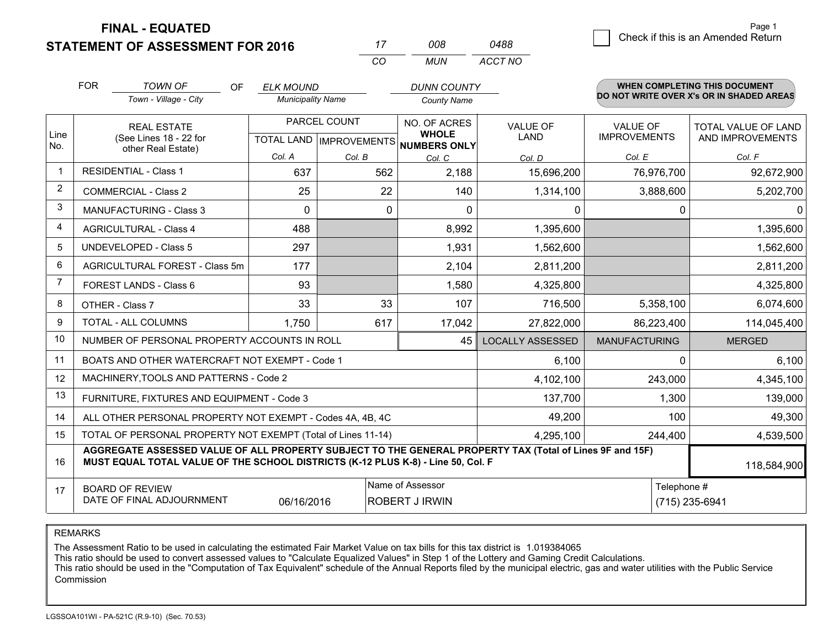**STATEMENT OF ASSESSMENT FOR 2016 FINAL - EQUATED**

|                | <b>STATEMENT OF ASSESSMENT FOR 2016</b>                                                                                                                                                                     |                                                              |                          |              | 17                                        | 008                                           | 0488                    |                                        |                               | onoon in this is an introduced retain          |
|----------------|-------------------------------------------------------------------------------------------------------------------------------------------------------------------------------------------------------------|--------------------------------------------------------------|--------------------------|--------------|-------------------------------------------|-----------------------------------------------|-------------------------|----------------------------------------|-------------------------------|------------------------------------------------|
|                |                                                                                                                                                                                                             |                                                              |                          |              | CO                                        | <b>MUN</b>                                    | ACCT NO                 |                                        |                               |                                                |
|                | <b>FOR</b><br><b>TOWN OF</b><br><b>OF</b>                                                                                                                                                                   |                                                              | <b>ELK MOUND</b>         |              |                                           | <b>DUNN COUNTY</b>                            |                         |                                        |                               | <b>WHEN COMPLETING THIS DOCUMENT</b>           |
|                |                                                                                                                                                                                                             | Town - Village - City                                        | <b>Municipality Name</b> |              |                                           | <b>County Name</b>                            |                         |                                        |                               | DO NOT WRITE OVER X's OR IN SHADED AREAS       |
| Line           |                                                                                                                                                                                                             | <b>REAL ESTATE</b><br>(See Lines 18 - 22 for                 |                          | PARCEL COUNT |                                           | NO. OF ACRES<br><b>WHOLE</b>                  | VALUE OF<br><b>LAND</b> | <b>VALUE OF</b><br><b>IMPROVEMENTS</b> |                               | <b>TOTAL VALUE OF LAND</b><br>AND IMPROVEMENTS |
| No.            |                                                                                                                                                                                                             | other Real Estate)                                           | Col. A                   | Col. B       |                                           | TOTAL LAND MPROVEMENTS NUMBERS ONLY<br>Col. C | Col. D                  | Col. E                                 |                               | Col. F                                         |
| $\mathbf{1}$   |                                                                                                                                                                                                             | <b>RESIDENTIAL - Class 1</b>                                 | 637                      |              | 562                                       | 2,188                                         | 15,696,200              |                                        | 76,976,700                    | 92,672,900                                     |
| $\overline{2}$ |                                                                                                                                                                                                             | <b>COMMERCIAL - Class 2</b>                                  | 25                       |              | 22                                        | 140                                           | 1,314,100               |                                        | 3,888,600                     | 5,202,700                                      |
| 3              |                                                                                                                                                                                                             | <b>MANUFACTURING - Class 3</b>                               | 0                        |              | 0                                         | 0                                             | $\mathbf 0$             |                                        | 0                             | $\Omega$                                       |
| 4              |                                                                                                                                                                                                             | <b>AGRICULTURAL - Class 4</b>                                | 488                      |              |                                           | 8,992                                         | 1,395,600               |                                        |                               | 1,395,600                                      |
| 5              |                                                                                                                                                                                                             | <b>UNDEVELOPED - Class 5</b>                                 | 297                      |              |                                           | 1,931                                         | 1,562,600               |                                        |                               | 1,562,600                                      |
| 6              |                                                                                                                                                                                                             | AGRICULTURAL FOREST - Class 5m                               | 177                      |              |                                           | 2,104                                         | 2,811,200               |                                        |                               | 2,811,200                                      |
| $\overline{7}$ |                                                                                                                                                                                                             | FOREST LANDS - Class 6                                       | 93                       |              |                                           | 1,580                                         | 4,325,800               |                                        |                               | 4,325,800                                      |
| 8              |                                                                                                                                                                                                             | OTHER - Class 7                                              | 33                       |              | 33                                        | 107                                           | 716,500                 |                                        | 5,358,100                     | 6,074,600                                      |
| 9              |                                                                                                                                                                                                             | TOTAL - ALL COLUMNS                                          | 1,750                    |              | 617                                       | 17,042                                        | 27,822,000              |                                        | 86,223,400                    | 114,045,400                                    |
| 10             |                                                                                                                                                                                                             | NUMBER OF PERSONAL PROPERTY ACCOUNTS IN ROLL                 |                          |              |                                           | 45                                            | <b>LOCALLY ASSESSED</b> | <b>MANUFACTURING</b>                   |                               | <b>MERGED</b>                                  |
| 11             |                                                                                                                                                                                                             | BOATS AND OTHER WATERCRAFT NOT EXEMPT - Code 1               |                          |              |                                           |                                               | 6,100                   |                                        | $\Omega$                      | 6,100                                          |
| 12             |                                                                                                                                                                                                             | MACHINERY, TOOLS AND PATTERNS - Code 2                       |                          |              |                                           |                                               | 4,102,100               |                                        | 243,000                       | 4,345,100                                      |
| 13             |                                                                                                                                                                                                             | FURNITURE, FIXTURES AND EQUIPMENT - Code 3                   |                          |              |                                           |                                               | 137,700                 |                                        | 1,300                         | 139,000                                        |
| 14             |                                                                                                                                                                                                             | ALL OTHER PERSONAL PROPERTY NOT EXEMPT - Codes 4A, 4B, 4C    |                          |              |                                           |                                               | 49,200                  |                                        | 100                           | 49,300                                         |
| 15             |                                                                                                                                                                                                             | TOTAL OF PERSONAL PROPERTY NOT EXEMPT (Total of Lines 11-14) |                          |              |                                           |                                               | 4,295,100               | 244,400                                |                               | 4,539,500                                      |
| 16             | AGGREGATE ASSESSED VALUE OF ALL PROPERTY SUBJECT TO THE GENERAL PROPERTY TAX (Total of Lines 9F and 15F)<br>MUST EQUAL TOTAL VALUE OF THE SCHOOL DISTRICTS (K-12 PLUS K-8) - Line 50, Col. F<br>118,584,900 |                                                              |                          |              |                                           |                                               |                         |                                        |                               |                                                |
| 17             | <b>BOARD OF REVIEW</b><br>DATE OF FINAL ADJOURNMENT<br>06/16/2016                                                                                                                                           |                                                              |                          |              | Name of Assessor<br><b>ROBERT J IRWIN</b> |                                               |                         |                                        | Telephone #<br>(715) 235-6941 |                                                |

REMARKS

The Assessment Ratio to be used in calculating the estimated Fair Market Value on tax bills for this tax district is 1.019384065

This ratio should be used to convert assessed values to "Calculate Equalized Values" in Step 1 of the Lottery and Gaming Credit Calculations.<br>This ratio should be used in the "Computation of Tax Equivalent" schedule of the Commission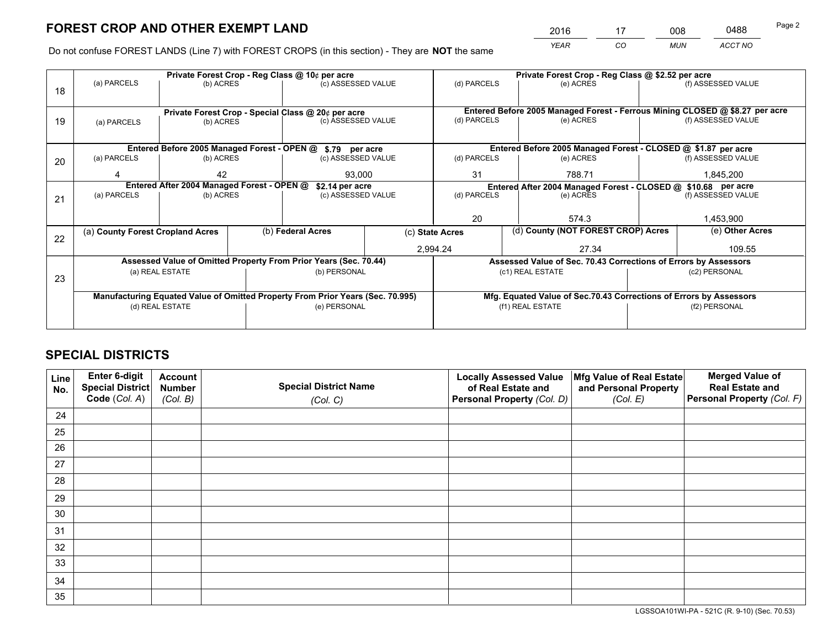*YEAR CO MUN ACCT NO* <sup>2016</sup> <sup>17</sup> <sup>008</sup> <sup>0488</sup>

Do not confuse FOREST LANDS (Line 7) with FOREST CROPS (in this section) - They are **NOT** the same

|    |                                                               |                 |        | Private Forest Crop - Reg Class @ 10¢ per acre                                 |                    |                                                               | Private Forest Crop - Reg Class @ \$2.52 per acre                                                  |  |                    |  |
|----|---------------------------------------------------------------|-----------------|--------|--------------------------------------------------------------------------------|--------------------|---------------------------------------------------------------|----------------------------------------------------------------------------------------------------|--|--------------------|--|
| 18 | (a) PARCELS                                                   | (b) ACRES       |        | (c) ASSESSED VALUE                                                             |                    | (d) PARCELS                                                   | (e) ACRES                                                                                          |  | (f) ASSESSED VALUE |  |
|    |                                                               |                 |        |                                                                                |                    |                                                               |                                                                                                    |  |                    |  |
|    | Private Forest Crop - Special Class @ 20¢ per acre            |                 |        | (d) PARCELS                                                                    |                    |                                                               | Entered Before 2005 Managed Forest - Ferrous Mining CLOSED @ \$8.27 per acre<br>(f) ASSESSED VALUE |  |                    |  |
| 19 | (a) PARCELS                                                   | (b) ACRES       |        | (c) ASSESSED VALUE                                                             |                    |                                                               | (e) ACRES                                                                                          |  |                    |  |
|    |                                                               |                 |        |                                                                                |                    |                                                               |                                                                                                    |  |                    |  |
|    |                                                               |                 |        | Entered Before 2005 Managed Forest - OPEN @ \$.79 per acre                     |                    |                                                               | Entered Before 2005 Managed Forest - CLOSED @ \$1.87 per acre                                      |  |                    |  |
| 20 | (a) PARCELS                                                   | (b) ACRES       |        | (c) ASSESSED VALUE                                                             |                    | (d) PARCELS                                                   | (e) ACRES                                                                                          |  | (f) ASSESSED VALUE |  |
|    |                                                               | 42              | 93.000 |                                                                                |                    | 31                                                            | 788.71                                                                                             |  | 1,845,200          |  |
|    | Entered After 2004 Managed Forest - OPEN @<br>\$2.14 per acre |                 |        |                                                                                |                    | Entered After 2004 Managed Forest - CLOSED @ \$10.68 per acre |                                                                                                    |  |                    |  |
|    | (a) PARCELS                                                   | (b) ACRES       |        |                                                                                | (c) ASSESSED VALUE |                                                               | (d) PARCELS<br>(e) ACRES                                                                           |  | (f) ASSESSED VALUE |  |
| 21 |                                                               |                 |        |                                                                                |                    |                                                               |                                                                                                    |  |                    |  |
|    |                                                               |                 |        |                                                                                |                    | 20                                                            | 574.3                                                                                              |  | 1,453,900          |  |
|    | (a) County Forest Cropland Acres                              |                 |        | (b) Federal Acres                                                              |                    | (d) County (NOT FOREST CROP) Acres<br>(c) State Acres         |                                                                                                    |  | (e) Other Acres    |  |
| 22 |                                                               |                 |        |                                                                                |                    |                                                               |                                                                                                    |  |                    |  |
|    |                                                               |                 |        |                                                                                |                    | 2,994.24                                                      | 27.34                                                                                              |  | 109.55             |  |
|    |                                                               |                 |        | Assessed Value of Omitted Property From Prior Years (Sec. 70.44)               |                    |                                                               | Assessed Value of Sec. 70.43 Corrections of Errors by Assessors                                    |  |                    |  |
|    |                                                               | (a) REAL ESTATE |        | (b) PERSONAL                                                                   |                    |                                                               | (c1) REAL ESTATE                                                                                   |  | (c2) PERSONAL      |  |
| 23 |                                                               |                 |        |                                                                                |                    |                                                               |                                                                                                    |  |                    |  |
|    |                                                               |                 |        | Manufacturing Equated Value of Omitted Property From Prior Years (Sec. 70.995) |                    |                                                               | Mfg. Equated Value of Sec.70.43 Corrections of Errors by Assessors                                 |  |                    |  |
|    |                                                               | (d) REAL ESTATE |        | (e) PERSONAL                                                                   |                    | (f1) REAL ESTATE                                              |                                                                                                    |  | (f2) PERSONAL      |  |
|    |                                                               |                 |        |                                                                                |                    |                                                               |                                                                                                    |  |                    |  |
|    |                                                               |                 |        |                                                                                |                    |                                                               |                                                                                                    |  |                    |  |

# **SPECIAL DISTRICTS**

| Line<br>No. | Enter 6-digit<br>Special District<br>Code (Col. A) | <b>Account</b><br><b>Number</b> | <b>Special District Name</b> | <b>Locally Assessed Value</b><br>of Real Estate and | Mfg Value of Real Estate<br>and Personal Property | <b>Merged Value of</b><br><b>Real Estate and</b><br>Personal Property (Col. F) |
|-------------|----------------------------------------------------|---------------------------------|------------------------------|-----------------------------------------------------|---------------------------------------------------|--------------------------------------------------------------------------------|
|             |                                                    | (Col. B)                        | (Col. C)                     | Personal Property (Col. D)                          | (Col. E)                                          |                                                                                |
| 24          |                                                    |                                 |                              |                                                     |                                                   |                                                                                |
| 25          |                                                    |                                 |                              |                                                     |                                                   |                                                                                |
| 26          |                                                    |                                 |                              |                                                     |                                                   |                                                                                |
| 27          |                                                    |                                 |                              |                                                     |                                                   |                                                                                |
| 28          |                                                    |                                 |                              |                                                     |                                                   |                                                                                |
| 29          |                                                    |                                 |                              |                                                     |                                                   |                                                                                |
| 30          |                                                    |                                 |                              |                                                     |                                                   |                                                                                |
| 31          |                                                    |                                 |                              |                                                     |                                                   |                                                                                |
| 32          |                                                    |                                 |                              |                                                     |                                                   |                                                                                |
| 33          |                                                    |                                 |                              |                                                     |                                                   |                                                                                |
| 34          |                                                    |                                 |                              |                                                     |                                                   |                                                                                |
| 35          |                                                    |                                 |                              |                                                     |                                                   |                                                                                |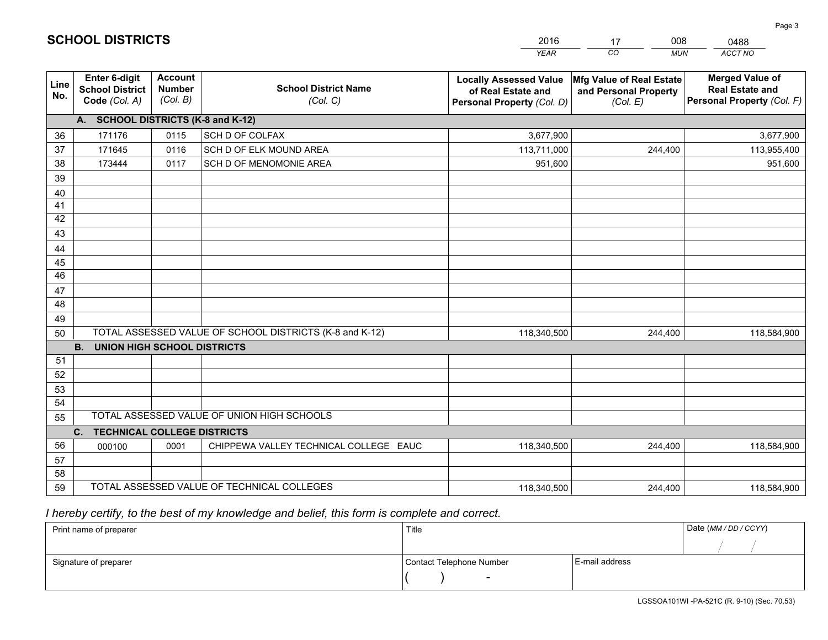|             |                                                                 |                                             |                                                         | <b>YEAR</b>                                                                       | CO<br><b>MUN</b>                                              | <b>ACCT NO</b>                                                                 |
|-------------|-----------------------------------------------------------------|---------------------------------------------|---------------------------------------------------------|-----------------------------------------------------------------------------------|---------------------------------------------------------------|--------------------------------------------------------------------------------|
| Line<br>No. | <b>Enter 6-digit</b><br><b>School District</b><br>Code (Col. A) | <b>Account</b><br><b>Number</b><br>(Col. B) | <b>School District Name</b><br>(Col. C)                 | <b>Locally Assessed Value</b><br>of Real Estate and<br>Personal Property (Col. D) | Mfg Value of Real Estate<br>and Personal Property<br>(Col. E) | <b>Merged Value of</b><br><b>Real Estate and</b><br>Personal Property (Col. F) |
|             | A. SCHOOL DISTRICTS (K-8 and K-12)                              |                                             |                                                         |                                                                                   |                                                               |                                                                                |
| 36          | 171176                                                          | 0115                                        | SCH D OF COLFAX                                         | 3,677,900                                                                         |                                                               | 3,677,900                                                                      |
| 37          | 171645                                                          | 0116                                        | SCH D OF ELK MOUND AREA                                 | 113,711,000                                                                       | 244,400                                                       | 113,955,400                                                                    |
| 38          | 173444                                                          | 0117                                        | SCH D OF MENOMONIE AREA                                 | 951,600                                                                           |                                                               | 951,600                                                                        |
| 39          |                                                                 |                                             |                                                         |                                                                                   |                                                               |                                                                                |
| 40          |                                                                 |                                             |                                                         |                                                                                   |                                                               |                                                                                |
| 41          |                                                                 |                                             |                                                         |                                                                                   |                                                               |                                                                                |
| 42          |                                                                 |                                             |                                                         |                                                                                   |                                                               |                                                                                |
| 43          |                                                                 |                                             |                                                         |                                                                                   |                                                               |                                                                                |
| 44          |                                                                 |                                             |                                                         |                                                                                   |                                                               |                                                                                |
| 45          |                                                                 |                                             |                                                         |                                                                                   |                                                               |                                                                                |
| 46          |                                                                 |                                             |                                                         |                                                                                   |                                                               |                                                                                |
| 47          |                                                                 |                                             |                                                         |                                                                                   |                                                               |                                                                                |
| 48          |                                                                 |                                             |                                                         |                                                                                   |                                                               |                                                                                |
| 49          |                                                                 |                                             |                                                         |                                                                                   |                                                               |                                                                                |
| 50          |                                                                 |                                             | TOTAL ASSESSED VALUE OF SCHOOL DISTRICTS (K-8 and K-12) | 118,340,500                                                                       | 244,400                                                       | 118,584,900                                                                    |
| 51          | <b>B.</b><br>UNION HIGH SCHOOL DISTRICTS                        |                                             |                                                         |                                                                                   |                                                               |                                                                                |
| 52          |                                                                 |                                             |                                                         |                                                                                   |                                                               |                                                                                |
| 53          |                                                                 |                                             |                                                         |                                                                                   |                                                               |                                                                                |
| 54          |                                                                 |                                             |                                                         |                                                                                   |                                                               |                                                                                |
| 55          |                                                                 |                                             | TOTAL ASSESSED VALUE OF UNION HIGH SCHOOLS              |                                                                                   |                                                               |                                                                                |
|             | C.<br><b>TECHNICAL COLLEGE DISTRICTS</b>                        |                                             |                                                         |                                                                                   |                                                               |                                                                                |
| 56          | 000100                                                          | 0001                                        | CHIPPEWA VALLEY TECHNICAL COLLEGE EAUC                  | 118,340,500                                                                       | 244,400                                                       | 118,584,900                                                                    |
| 57          |                                                                 |                                             |                                                         |                                                                                   |                                                               |                                                                                |
| 58          |                                                                 |                                             |                                                         |                                                                                   |                                                               |                                                                                |
| 59          |                                                                 |                                             | TOTAL ASSESSED VALUE OF TECHNICAL COLLEGES              | 118,340,500                                                                       | 244,400                                                       | 118,584,900                                                                    |

17

008

 *I hereby certify, to the best of my knowledge and belief, this form is complete and correct.*

**SCHOOL DISTRICTS**

| Print name of preparer | Title                    | Date (MM / DD / CCYY) |  |
|------------------------|--------------------------|-----------------------|--|
|                        |                          |                       |  |
| Signature of preparer  | Contact Telephone Number | E-mail address        |  |
|                        | $\sim$                   |                       |  |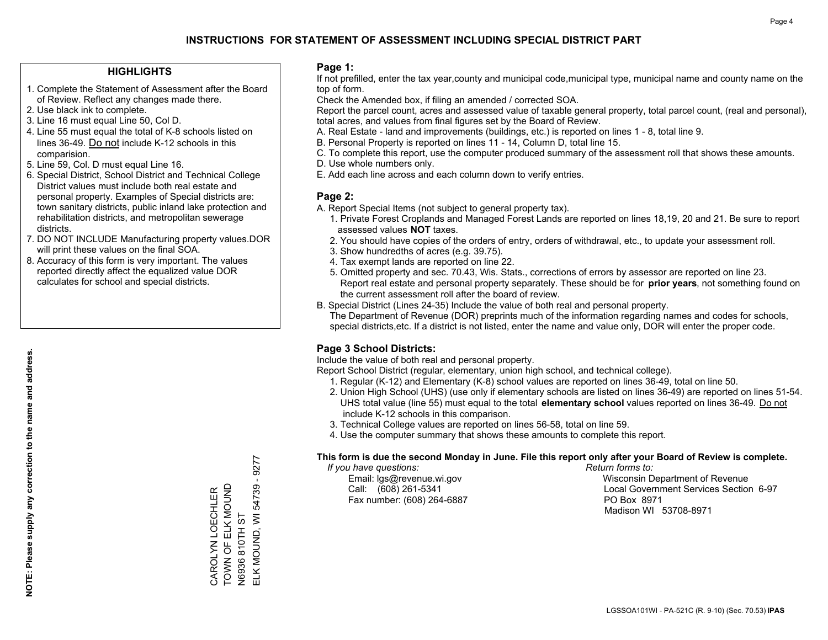### **HIGHLIGHTS**

- 1. Complete the Statement of Assessment after the Board of Review. Reflect any changes made there.
- 2. Use black ink to complete.
- 3. Line 16 must equal Line 50, Col D.
- 4. Line 55 must equal the total of K-8 schools listed on lines 36-49. Do not include K-12 schools in this comparision.
- 5. Line 59, Col. D must equal Line 16.
- 6. Special District, School District and Technical College District values must include both real estate and personal property. Examples of Special districts are: town sanitary districts, public inland lake protection and rehabilitation districts, and metropolitan sewerage districts.
- 7. DO NOT INCLUDE Manufacturing property values.DOR will print these values on the final SOA.
- 8. Accuracy of this form is very important. The values reported directly affect the equalized value DOR calculates for school and special districts.

### **Page 1:**

 If not prefilled, enter the tax year,county and municipal code,municipal type, municipal name and county name on the top of form.

Check the Amended box, if filing an amended / corrected SOA.

 Report the parcel count, acres and assessed value of taxable general property, total parcel count, (real and personal), total acres, and values from final figures set by the Board of Review.

- A. Real Estate land and improvements (buildings, etc.) is reported on lines 1 8, total line 9.
- B. Personal Property is reported on lines 11 14, Column D, total line 15.
- C. To complete this report, use the computer produced summary of the assessment roll that shows these amounts.
- D. Use whole numbers only.
- E. Add each line across and each column down to verify entries.

### **Page 2:**

- A. Report Special Items (not subject to general property tax).
- 1. Private Forest Croplands and Managed Forest Lands are reported on lines 18,19, 20 and 21. Be sure to report assessed values **NOT** taxes.
- 2. You should have copies of the orders of entry, orders of withdrawal, etc., to update your assessment roll.
	- 3. Show hundredths of acres (e.g. 39.75).
- 4. Tax exempt lands are reported on line 22.
- 5. Omitted property and sec. 70.43, Wis. Stats., corrections of errors by assessor are reported on line 23. Report real estate and personal property separately. These should be for **prior years**, not something found on the current assessment roll after the board of review.
- B. Special District (Lines 24-35) Include the value of both real and personal property.
- The Department of Revenue (DOR) preprints much of the information regarding names and codes for schools, special districts,etc. If a district is not listed, enter the name and value only, DOR will enter the proper code.

## **Page 3 School Districts:**

Include the value of both real and personal property.

Report School District (regular, elementary, union high school, and technical college).

- 1. Regular (K-12) and Elementary (K-8) school values are reported on lines 36-49, total on line 50.
- 2. Union High School (UHS) (use only if elementary schools are listed on lines 36-49) are reported on lines 51-54. UHS total value (line 55) must equal to the total **elementary school** values reported on lines 36-49. Do notinclude K-12 schools in this comparison.
- 3. Technical College values are reported on lines 56-58, total on line 59.
- 4. Use the computer summary that shows these amounts to complete this report.

### **This form is due the second Monday in June. File this report only after your Board of Review is complete.**

 *If you have questions: Return forms to:*

Fax number: (608) 264-6887 PO Box 8971

 Email: lgs@revenue.wi.gov Wisconsin Department of Revenue Call: (608) 261-5341 Local Government Services Section 6-97Madison WI 53708-8971

 $-9277$ ELK MOUND, WI 54739 - 9277 TOWN OF ELK MOUND ELK MOUND, WI 54739 CAROLYN LOECHLER<br>TOWN OF ELK MOUND CAROLYN LOECHLER N6936 810TH ST N6936 810TH ST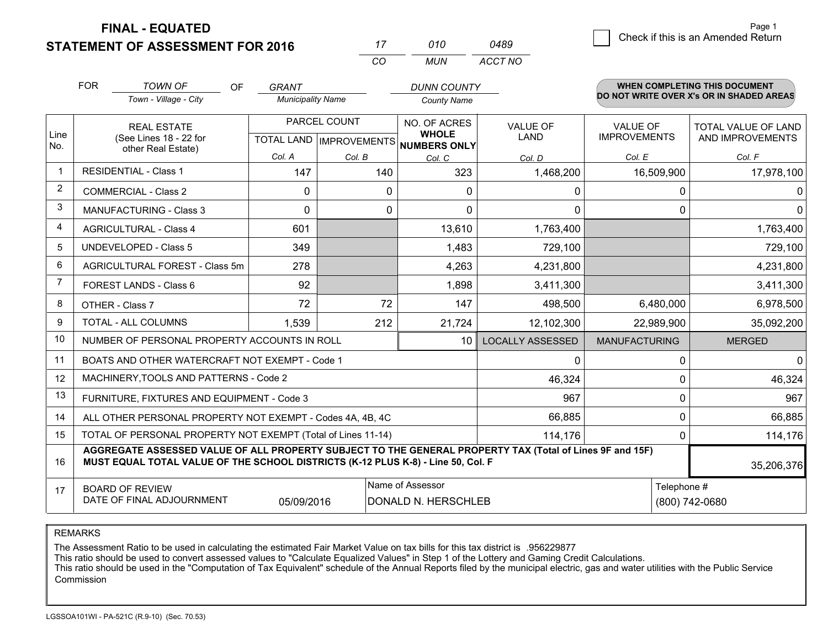**FINAL - EQUATED**

**STATEMENT OF ASSESSMENT FOR 2016** 

| 0489 |  | Check if this is an Amended Return |
|------|--|------------------------------------|
|------|--|------------------------------------|

|                | <b>FOR</b><br><b>TOWN OF</b><br>OF                                                                                                                                                           | GRANT                    |              | <b>DUNN COUNTY</b>                                       |                         |                      | <b>WHEN COMPLETING THIS DOCUMENT</b>     |
|----------------|----------------------------------------------------------------------------------------------------------------------------------------------------------------------------------------------|--------------------------|--------------|----------------------------------------------------------|-------------------------|----------------------|------------------------------------------|
|                | Town - Village - City                                                                                                                                                                        | <b>Municipality Name</b> |              | <b>County Name</b>                                       |                         |                      | DO NOT WRITE OVER X's OR IN SHADED AREAS |
|                | <b>REAL ESTATE</b>                                                                                                                                                                           |                          | PARCEL COUNT | NO. OF ACRES                                             | <b>VALUE OF</b>         | <b>VALUE OF</b>      | <b>TOTAL VALUE OF LAND</b>               |
| Line<br>No.    | (See Lines 18 - 22 for<br>other Real Estate)                                                                                                                                                 |                          |              | <b>WHOLE</b><br>TOTAL LAND   IMPROVEMENTS   NUMBERS ONLY | <b>LAND</b>             | <b>IMPROVEMENTS</b>  | AND IMPROVEMENTS                         |
|                |                                                                                                                                                                                              | Col. A                   | Col. B       | Col. C                                                   | Col. D                  | Col. E               | Col. F                                   |
| 1              | <b>RESIDENTIAL - Class 1</b>                                                                                                                                                                 | 147                      | 140          | 323                                                      | 1,468,200               | 16,509,900           | 17,978,100                               |
| 2              | <b>COMMERCIAL - Class 2</b>                                                                                                                                                                  | $\mathbf{0}$             | 0            | $\Omega$                                                 | 0                       | $\mathbf 0$          | 0                                        |
| 3              | <b>MANUFACTURING - Class 3</b>                                                                                                                                                               | $\Omega$                 | 0            | $\Omega$                                                 | 0                       | $\Omega$             | $\mathbf{0}$                             |
| $\overline{4}$ | <b>AGRICULTURAL - Class 4</b>                                                                                                                                                                | 601                      |              | 13,610                                                   | 1,763,400               |                      | 1,763,400                                |
| 5              | <b>UNDEVELOPED - Class 5</b>                                                                                                                                                                 | 349                      |              | 1,483                                                    | 729,100                 |                      | 729,100                                  |
| 6              | AGRICULTURAL FOREST - Class 5m                                                                                                                                                               | 278                      |              | 4,263                                                    | 4,231,800               |                      | 4,231,800                                |
| $\overline{7}$ | FOREST LANDS - Class 6                                                                                                                                                                       | 92                       |              | 1,898                                                    | 3,411,300               |                      | 3,411,300                                |
| 8              | OTHER - Class 7                                                                                                                                                                              | 72                       | 72           | 147                                                      | 498,500                 | 6,480,000            | 6,978,500                                |
| 9              | <b>TOTAL - ALL COLUMNS</b>                                                                                                                                                                   | 1,539                    | 212          | 21,724                                                   | 12,102,300              | 22,989,900           | 35,092,200                               |
| 10             | NUMBER OF PERSONAL PROPERTY ACCOUNTS IN ROLL                                                                                                                                                 |                          |              | 10                                                       | <b>LOCALLY ASSESSED</b> | <b>MANUFACTURING</b> | <b>MERGED</b>                            |
| 11             | BOATS AND OTHER WATERCRAFT NOT EXEMPT - Code 1                                                                                                                                               |                          |              |                                                          | 0                       | $\mathbf{0}$         | $\mathbf 0$                              |
| 12             | MACHINERY, TOOLS AND PATTERNS - Code 2                                                                                                                                                       |                          |              |                                                          | 46,324                  | $\Omega$             | 46,324                                   |
| 13             | FURNITURE, FIXTURES AND EQUIPMENT - Code 3                                                                                                                                                   |                          |              |                                                          | 967                     | $\mathbf{0}$         | 967                                      |
| 14             | ALL OTHER PERSONAL PROPERTY NOT EXEMPT - Codes 4A, 4B, 4C                                                                                                                                    |                          |              |                                                          | 66,885                  | $\Omega$             | 66,885                                   |
| 15             | TOTAL OF PERSONAL PROPERTY NOT EXEMPT (Total of Lines 11-14)                                                                                                                                 |                          |              |                                                          | 114,176                 | $\mathbf{0}$         | 114,176                                  |
| 16             | AGGREGATE ASSESSED VALUE OF ALL PROPERTY SUBJECT TO THE GENERAL PROPERTY TAX (Total of Lines 9F and 15F)<br>MUST EQUAL TOTAL VALUE OF THE SCHOOL DISTRICTS (K-12 PLUS K-8) - Line 50, Col. F |                          |              |                                                          |                         |                      | 35,206,376                               |
| 17             | <b>BOARD OF REVIEW</b>                                                                                                                                                                       |                          |              | Name of Assessor                                         |                         | Telephone #          |                                          |
|                | DATE OF FINAL ADJOURNMENT<br>05/09/2016<br>DONALD N. HERSCHLEB<br>(800) 742-0680                                                                                                             |                          |              |                                                          |                         |                      |                                          |

*CO*

*MUN*

*ACCT NO*

*<sup>17</sup> <sup>010</sup>*

REMARKS

The Assessment Ratio to be used in calculating the estimated Fair Market Value on tax bills for this tax district is .956229877<br>This ratio should be used to convert assessed values to "Calculate Equalized Values" in Step 1 Commission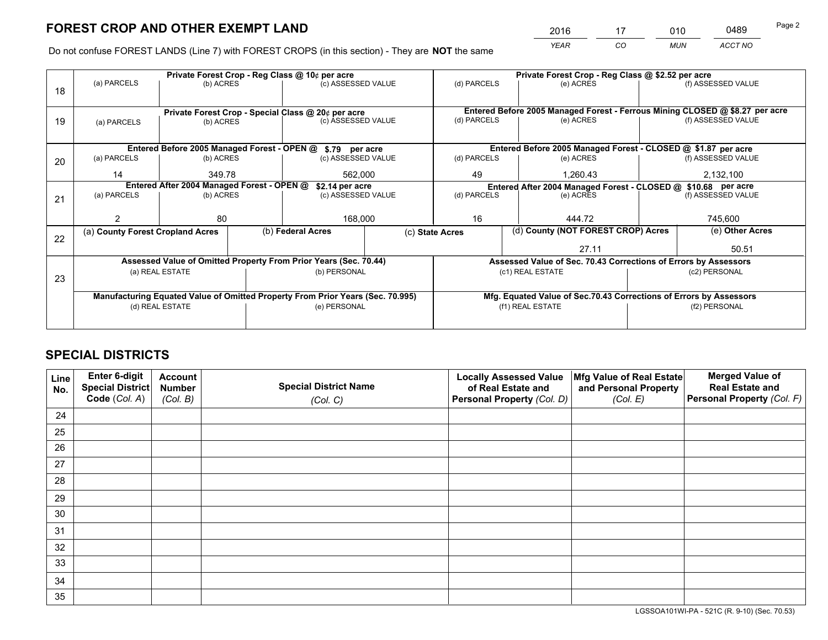*YEAR CO MUN ACCT NO* <sup>2016</sup> <sup>17</sup> <sup>010</sup> <sup>0489</sup>

Do not confuse FOREST LANDS (Line 7) with FOREST CROPS (in this section) - They are **NOT** the same

|    |                                                               |                 |  | Private Forest Crop - Reg Class @ 10¢ per acre                                 |    |                                                                              | Private Forest Crop - Reg Class @ \$2.52 per acre                  |  |                    |  |
|----|---------------------------------------------------------------|-----------------|--|--------------------------------------------------------------------------------|----|------------------------------------------------------------------------------|--------------------------------------------------------------------|--|--------------------|--|
| 18 | (a) PARCELS                                                   | (b) ACRES       |  | (c) ASSESSED VALUE                                                             |    | (d) PARCELS                                                                  | (e) ACRES                                                          |  | (f) ASSESSED VALUE |  |
|    |                                                               |                 |  |                                                                                |    |                                                                              |                                                                    |  |                    |  |
|    | Private Forest Crop - Special Class @ 20¢ per acre            |                 |  |                                                                                |    | Entered Before 2005 Managed Forest - Ferrous Mining CLOSED @ \$8.27 per acre |                                                                    |  |                    |  |
| 19 | (a) PARCELS                                                   | (b) ACRES       |  | (c) ASSESSED VALUE                                                             |    | (d) PARCELS                                                                  | (e) ACRES                                                          |  | (f) ASSESSED VALUE |  |
|    |                                                               |                 |  |                                                                                |    |                                                                              |                                                                    |  |                    |  |
|    |                                                               |                 |  | Entered Before 2005 Managed Forest - OPEN @ \$.79 per acre                     |    |                                                                              | Entered Before 2005 Managed Forest - CLOSED @ \$1.87 per acre      |  |                    |  |
| 20 | (a) PARCELS                                                   | (b) ACRES       |  | (c) ASSESSED VALUE                                                             |    | (d) PARCELS                                                                  | (e) ACRES                                                          |  | (f) ASSESSED VALUE |  |
|    | 14<br>349.78<br>562,000                                       |                 |  |                                                                                | 49 | 1,260.43                                                                     |                                                                    |  |                    |  |
|    | Entered After 2004 Managed Forest - OPEN @<br>\$2.14 per acre |                 |  |                                                                                |    |                                                                              | Entered After 2004 Managed Forest - CLOSED @ \$10.68 per acre      |  |                    |  |
| 21 | (a) PARCELS                                                   | (b) ACRES       |  | (c) ASSESSED VALUE                                                             |    | (d) PARCELS<br>(e) ACRES                                                     |                                                                    |  | (f) ASSESSED VALUE |  |
|    |                                                               |                 |  |                                                                                |    |                                                                              |                                                                    |  | 745,600            |  |
|    |                                                               | 80              |  | 168,000                                                                        |    | 16                                                                           | 444.72                                                             |  |                    |  |
| 22 | (a) County Forest Cropland Acres                              |                 |  | (b) Federal Acres                                                              |    | (d) County (NOT FOREST CROP) Acres<br>(c) State Acres                        |                                                                    |  | (e) Other Acres    |  |
|    |                                                               |                 |  |                                                                                |    | 27.11                                                                        |                                                                    |  | 50.51              |  |
|    |                                                               |                 |  | Assessed Value of Omitted Property From Prior Years (Sec. 70.44)               |    |                                                                              | Assessed Value of Sec. 70.43 Corrections of Errors by Assessors    |  |                    |  |
| 23 |                                                               | (a) REAL ESTATE |  | (b) PERSONAL                                                                   |    | (c1) REAL ESTATE                                                             |                                                                    |  | (c2) PERSONAL      |  |
|    |                                                               |                 |  |                                                                                |    |                                                                              |                                                                    |  |                    |  |
|    |                                                               |                 |  | Manufacturing Equated Value of Omitted Property From Prior Years (Sec. 70.995) |    |                                                                              | Mfg. Equated Value of Sec.70.43 Corrections of Errors by Assessors |  |                    |  |
|    |                                                               | (d) REAL ESTATE |  | (e) PERSONAL                                                                   |    | (f1) REAL ESTATE                                                             |                                                                    |  | (f2) PERSONAL      |  |
|    |                                                               |                 |  |                                                                                |    |                                                                              |                                                                    |  |                    |  |

# **SPECIAL DISTRICTS**

| Line<br>No. | Enter 6-digit<br><b>Special District</b> | <b>Account</b><br><b>Number</b> | <b>Special District Name</b> | <b>Locally Assessed Value</b><br>of Real Estate and | Mfg Value of Real Estate<br>and Personal Property | <b>Merged Value of</b><br><b>Real Estate and</b> |
|-------------|------------------------------------------|---------------------------------|------------------------------|-----------------------------------------------------|---------------------------------------------------|--------------------------------------------------|
|             | Code (Col. A)                            | (Col. B)                        | (Col. C)                     | Personal Property (Col. D)                          | (Col. E)                                          | Personal Property (Col. F)                       |
| 24          |                                          |                                 |                              |                                                     |                                                   |                                                  |
| 25          |                                          |                                 |                              |                                                     |                                                   |                                                  |
| 26          |                                          |                                 |                              |                                                     |                                                   |                                                  |
| 27          |                                          |                                 |                              |                                                     |                                                   |                                                  |
| 28          |                                          |                                 |                              |                                                     |                                                   |                                                  |
| 29          |                                          |                                 |                              |                                                     |                                                   |                                                  |
| 30          |                                          |                                 |                              |                                                     |                                                   |                                                  |
| 31          |                                          |                                 |                              |                                                     |                                                   |                                                  |
| 32          |                                          |                                 |                              |                                                     |                                                   |                                                  |
| 33          |                                          |                                 |                              |                                                     |                                                   |                                                  |
| 34          |                                          |                                 |                              |                                                     |                                                   |                                                  |
| 35          |                                          |                                 |                              |                                                     |                                                   |                                                  |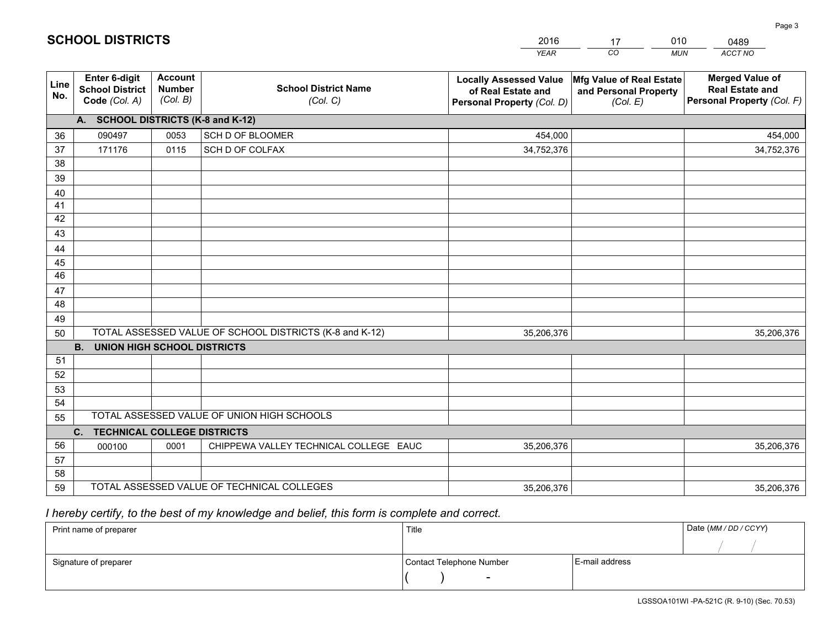|             |                                                          |                                             |                                                         | <b>YEAR</b>                                                                       | CO<br><b>MUN</b>                                              | ACCT NO                                                                        |
|-------------|----------------------------------------------------------|---------------------------------------------|---------------------------------------------------------|-----------------------------------------------------------------------------------|---------------------------------------------------------------|--------------------------------------------------------------------------------|
| Line<br>No. | Enter 6-digit<br><b>School District</b><br>Code (Col. A) | <b>Account</b><br><b>Number</b><br>(Col. B) | <b>School District Name</b><br>(Col. C)                 | <b>Locally Assessed Value</b><br>of Real Estate and<br>Personal Property (Col. D) | Mfg Value of Real Estate<br>and Personal Property<br>(Col. E) | <b>Merged Value of</b><br><b>Real Estate and</b><br>Personal Property (Col. F) |
|             | A. SCHOOL DISTRICTS (K-8 and K-12)                       |                                             |                                                         |                                                                                   |                                                               |                                                                                |
| 36          | 090497                                                   | 0053                                        | SCH D OF BLOOMER                                        | 454,000                                                                           |                                                               | 454,000                                                                        |
| 37          | 171176                                                   | 0115                                        | SCH D OF COLFAX                                         | 34,752,376                                                                        |                                                               | 34,752,376                                                                     |
| 38          |                                                          |                                             |                                                         |                                                                                   |                                                               |                                                                                |
| 39          |                                                          |                                             |                                                         |                                                                                   |                                                               |                                                                                |
| 40          |                                                          |                                             |                                                         |                                                                                   |                                                               |                                                                                |
| 41          |                                                          |                                             |                                                         |                                                                                   |                                                               |                                                                                |
| 42          |                                                          |                                             |                                                         |                                                                                   |                                                               |                                                                                |
| 43          |                                                          |                                             |                                                         |                                                                                   |                                                               |                                                                                |
| 44          |                                                          |                                             |                                                         |                                                                                   |                                                               |                                                                                |
| 45          |                                                          |                                             |                                                         |                                                                                   |                                                               |                                                                                |
| 46          |                                                          |                                             |                                                         |                                                                                   |                                                               |                                                                                |
| 47          |                                                          |                                             |                                                         |                                                                                   |                                                               |                                                                                |
| 48          |                                                          |                                             |                                                         |                                                                                   |                                                               |                                                                                |
| 49          |                                                          |                                             | TOTAL ASSESSED VALUE OF SCHOOL DISTRICTS (K-8 and K-12) |                                                                                   |                                                               |                                                                                |
| 50          | <b>B.</b><br><b>UNION HIGH SCHOOL DISTRICTS</b>          |                                             |                                                         | 35,206,376                                                                        |                                                               | 35,206,376                                                                     |
| 51          |                                                          |                                             |                                                         |                                                                                   |                                                               |                                                                                |
| 52          |                                                          |                                             |                                                         |                                                                                   |                                                               |                                                                                |
| 53          |                                                          |                                             |                                                         |                                                                                   |                                                               |                                                                                |
| 54          |                                                          |                                             |                                                         |                                                                                   |                                                               |                                                                                |
| 55          |                                                          |                                             | TOTAL ASSESSED VALUE OF UNION HIGH SCHOOLS              |                                                                                   |                                                               |                                                                                |
|             | C. TECHNICAL COLLEGE DISTRICTS                           |                                             |                                                         |                                                                                   |                                                               |                                                                                |
| 56          | 000100                                                   | 0001                                        | CHIPPEWA VALLEY TECHNICAL COLLEGE EAUC                  | 35,206,376                                                                        |                                                               | 35,206,376                                                                     |
| 57          |                                                          |                                             |                                                         |                                                                                   |                                                               |                                                                                |
| 58          |                                                          |                                             |                                                         |                                                                                   |                                                               |                                                                                |
| 59          |                                                          |                                             | TOTAL ASSESSED VALUE OF TECHNICAL COLLEGES              | 35,206,376                                                                        |                                                               | 35,206,376                                                                     |

17

010

 *I hereby certify, to the best of my knowledge and belief, this form is complete and correct.*

**SCHOOL DISTRICTS**

| Print name of preparer | Title                    |                | Date (MM / DD / CCYY) |
|------------------------|--------------------------|----------------|-----------------------|
|                        |                          |                |                       |
| Signature of preparer  | Contact Telephone Number | E-mail address |                       |
|                        | $\sim$                   |                |                       |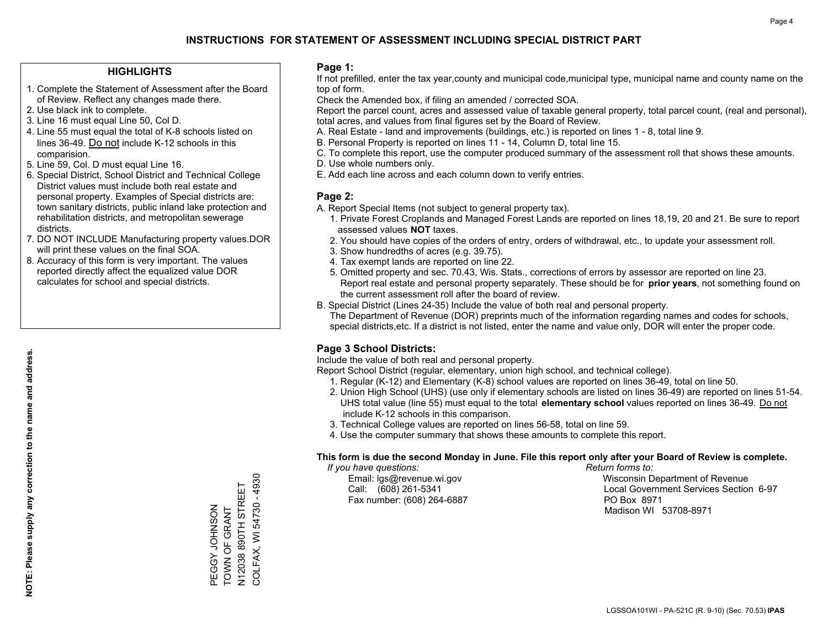### **HIGHLIGHTS**

- 1. Complete the Statement of Assessment after the Board of Review. Reflect any changes made there.
- 2. Use black ink to complete.
- 3. Line 16 must equal Line 50, Col D.
- 4. Line 55 must equal the total of K-8 schools listed on lines 36-49. Do not include K-12 schools in this comparision.
- 5. Line 59, Col. D must equal Line 16.
- 6. Special District, School District and Technical College District values must include both real estate and personal property. Examples of Special districts are: town sanitary districts, public inland lake protection and rehabilitation districts, and metropolitan sewerage districts.
- 7. DO NOT INCLUDE Manufacturing property values.DOR will print these values on the final SOA.

PEGGY JOHNSON TOWN OF GRANT N12038 890TH STREET COLFAX, WI 54730 - 4930

PEGGY JOHNSON<br>TOWN OF GRANT

COLFAX, WI 54730 - 4930 N12038 890TH STREET

 8. Accuracy of this form is very important. The values reported directly affect the equalized value DOR calculates for school and special districts.

### **Page 1:**

 If not prefilled, enter the tax year,county and municipal code,municipal type, municipal name and county name on the top of form.

Check the Amended box, if filing an amended / corrected SOA.

 Report the parcel count, acres and assessed value of taxable general property, total parcel count, (real and personal), total acres, and values from final figures set by the Board of Review.

- A. Real Estate land and improvements (buildings, etc.) is reported on lines 1 8, total line 9.
- B. Personal Property is reported on lines 11 14, Column D, total line 15.
- C. To complete this report, use the computer produced summary of the assessment roll that shows these amounts.
- D. Use whole numbers only.
- E. Add each line across and each column down to verify entries.

### **Page 2:**

- A. Report Special Items (not subject to general property tax).
- 1. Private Forest Croplands and Managed Forest Lands are reported on lines 18,19, 20 and 21. Be sure to report assessed values **NOT** taxes.
- 2. You should have copies of the orders of entry, orders of withdrawal, etc., to update your assessment roll.
	- 3. Show hundredths of acres (e.g. 39.75).
- 4. Tax exempt lands are reported on line 22.
- 5. Omitted property and sec. 70.43, Wis. Stats., corrections of errors by assessor are reported on line 23. Report real estate and personal property separately. These should be for **prior years**, not something found on the current assessment roll after the board of review.
- B. Special District (Lines 24-35) Include the value of both real and personal property.
- The Department of Revenue (DOR) preprints much of the information regarding names and codes for schools, special districts,etc. If a district is not listed, enter the name and value only, DOR will enter the proper code.

## **Page 3 School Districts:**

Include the value of both real and personal property.

Report School District (regular, elementary, union high school, and technical college).

- 1. Regular (K-12) and Elementary (K-8) school values are reported on lines 36-49, total on line 50.
- 2. Union High School (UHS) (use only if elementary schools are listed on lines 36-49) are reported on lines 51-54. UHS total value (line 55) must equal to the total **elementary school** values reported on lines 36-49. Do notinclude K-12 schools in this comparison.
- 3. Technical College values are reported on lines 56-58, total on line 59.
- 4. Use the computer summary that shows these amounts to complete this report.

### **This form is due the second Monday in June. File this report only after your Board of Review is complete.**

 *If you have questions: Return forms to:*

Fax number: (608) 264-6887 PO Box 8971

 Email: lgs@revenue.wi.gov Wisconsin Department of Revenue Call: (608) 261-5341 Local Government Services Section 6-97Madison WI 53708-8971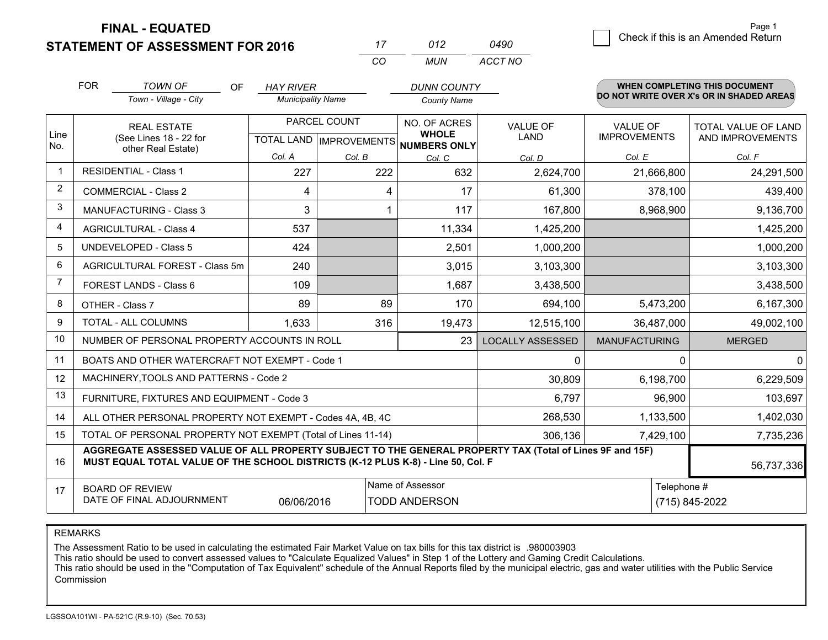**FINAL - EQUATED**

**STATEMENT OF ASSESSMENT FOR 2016** 

| 77       | 012  | 0490    |
|----------|------|---------|
| $\alpha$ | MUN. | ACCT NO |

|                         | <b>FOR</b><br><b>TOWN OF</b><br>OF<br>Town - Village - City                                                                                                                                  | <b>HAY RIVER</b><br><b>Municipality Name</b> |              | <b>DUNN COUNTY</b><br><b>County Name</b>                                                               |                         |                                 | WHEN COMPLETING THIS DOCUMENT<br>DO NOT WRITE OVER X's OR IN SHADED AREAS |
|-------------------------|----------------------------------------------------------------------------------------------------------------------------------------------------------------------------------------------|----------------------------------------------|--------------|--------------------------------------------------------------------------------------------------------|-------------------------|---------------------------------|---------------------------------------------------------------------------|
| Line<br>No.             | <b>REAL ESTATE</b><br>(See Lines 18 - 22 for<br>other Real Estate)                                                                                                                           |                                              | PARCEL COUNT | NO. OF ACRES<br><b>VALUE OF</b><br><b>WHOLE</b><br><b>LAND</b><br>TOTAL LAND IMPROVEMENTS NUMBERS ONLY |                         | VALUE OF<br><b>IMPROVEMENTS</b> | <b>TOTAL VALUE OF LAND</b><br>AND IMPROVEMENTS                            |
|                         |                                                                                                                                                                                              | Col. A                                       | Col. B       | Col. C                                                                                                 | Col. D                  | Col. E                          | Col. F                                                                    |
| $\overline{\mathbf{1}}$ | <b>RESIDENTIAL - Class 1</b>                                                                                                                                                                 | 227                                          | 222          | 632                                                                                                    | 2,624,700               | 21,666,800                      | 24,291,500                                                                |
| 2                       | <b>COMMERCIAL - Class 2</b>                                                                                                                                                                  | 4                                            | 4            | 17                                                                                                     | 61,300                  | 378,100                         | 439,400                                                                   |
| 3                       | MANUFACTURING - Class 3                                                                                                                                                                      | 3                                            |              | 117                                                                                                    | 167,800                 | 8,968,900                       | 9,136,700                                                                 |
| 4                       | <b>AGRICULTURAL - Class 4</b>                                                                                                                                                                | 537                                          |              | 11,334                                                                                                 | 1,425,200               |                                 | 1,425,200                                                                 |
| 5                       | UNDEVELOPED - Class 5                                                                                                                                                                        | 424                                          |              | 2,501                                                                                                  | 1,000,200               |                                 | 1,000,200                                                                 |
| 6                       | AGRICULTURAL FOREST - Class 5m                                                                                                                                                               | 240                                          |              | 3,015                                                                                                  | 3,103,300               |                                 | 3,103,300                                                                 |
| $\overline{7}$          | FOREST LANDS - Class 6                                                                                                                                                                       | 109                                          |              | 1,687                                                                                                  | 3,438,500               |                                 | 3,438,500                                                                 |
| 8                       | OTHER - Class 7                                                                                                                                                                              | 89                                           | 89           | 170                                                                                                    | 694,100                 | 5,473,200                       | 6,167,300                                                                 |
| 9                       | TOTAL - ALL COLUMNS                                                                                                                                                                          | 1,633                                        | 316          | 19,473                                                                                                 | 12,515,100              | 36,487,000                      | 49,002,100                                                                |
| 10                      | NUMBER OF PERSONAL PROPERTY ACCOUNTS IN ROLL                                                                                                                                                 |                                              |              | 23                                                                                                     | <b>LOCALLY ASSESSED</b> | <b>MANUFACTURING</b>            | <b>MERGED</b>                                                             |
| 11                      | BOATS AND OTHER WATERCRAFT NOT EXEMPT - Code 1                                                                                                                                               |                                              |              |                                                                                                        | 0                       |                                 | $\Omega$<br>$\mathbf{0}$                                                  |
| 12                      | MACHINERY, TOOLS AND PATTERNS - Code 2                                                                                                                                                       |                                              |              |                                                                                                        | 30,809                  | 6,198,700                       | 6,229,509                                                                 |
| 13                      | FURNITURE, FIXTURES AND EQUIPMENT - Code 3                                                                                                                                                   |                                              |              |                                                                                                        | 6,797                   | 96,900                          | 103,697                                                                   |
| 14                      | ALL OTHER PERSONAL PROPERTY NOT EXEMPT - Codes 4A, 4B, 4C                                                                                                                                    |                                              |              |                                                                                                        | 268,530                 | 1,133,500                       | 1,402,030                                                                 |
| 15                      | TOTAL OF PERSONAL PROPERTY NOT EXEMPT (Total of Lines 11-14)                                                                                                                                 |                                              |              |                                                                                                        | 306,136                 | 7,429,100                       | 7,735,236                                                                 |
| 16                      | AGGREGATE ASSESSED VALUE OF ALL PROPERTY SUBJECT TO THE GENERAL PROPERTY TAX (Total of Lines 9F and 15F)<br>MUST EQUAL TOTAL VALUE OF THE SCHOOL DISTRICTS (K-12 PLUS K-8) - Line 50, Col. F |                                              |              |                                                                                                        |                         |                                 | 56,737,336                                                                |
| 17                      | Name of Assessor<br><b>BOARD OF REVIEW</b><br>DATE OF FINAL ADJOURNMENT<br><b>TODD ANDERSON</b><br>06/06/2016                                                                                |                                              |              |                                                                                                        |                         |                                 | Telephone #<br>(715) 845-2022                                             |

REMARKS

The Assessment Ratio to be used in calculating the estimated Fair Market Value on tax bills for this tax district is .980003903

This ratio should be used to convert assessed values to "Calculate Equalized Values" in Step 1 of the Lottery and Gaming Credit Calculations.<br>This ratio should be used in the "Computation of Tax Equivalent" schedule of the Commission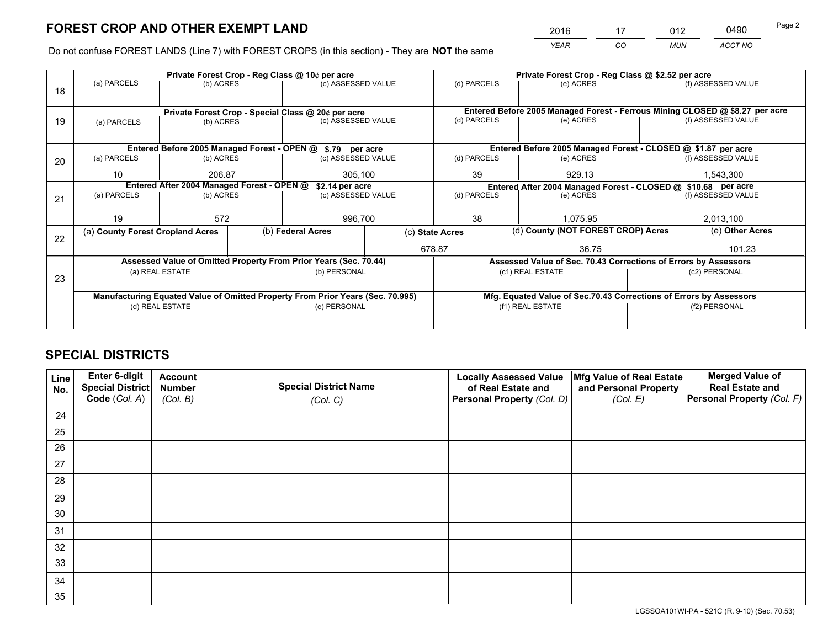*YEAR CO MUN ACCT NO* <sup>2016</sup> <sup>17</sup> <sup>012</sup> <sup>0490</sup>

Do not confuse FOREST LANDS (Line 7) with FOREST CROPS (in this section) - They are **NOT** the same

|    |                                                    |                                            |  | Private Forest Crop - Reg Class @ 10¢ per acre                                 |  |                 | Private Forest Crop - Reg Class @ \$2.52 per acre                  |  |                                                                              |  |
|----|----------------------------------------------------|--------------------------------------------|--|--------------------------------------------------------------------------------|--|-----------------|--------------------------------------------------------------------|--|------------------------------------------------------------------------------|--|
| 18 | (a) PARCELS                                        | (b) ACRES                                  |  | (c) ASSESSED VALUE                                                             |  | (d) PARCELS     | (e) ACRES                                                          |  | (f) ASSESSED VALUE                                                           |  |
|    | Private Forest Crop - Special Class @ 20¢ per acre |                                            |  |                                                                                |  |                 |                                                                    |  | Entered Before 2005 Managed Forest - Ferrous Mining CLOSED @ \$8.27 per acre |  |
| 19 | (a) PARCELS                                        | (b) ACRES                                  |  | (c) ASSESSED VALUE                                                             |  | (d) PARCELS     | (e) ACRES                                                          |  | (f) ASSESSED VALUE                                                           |  |
|    |                                                    |                                            |  | Entered Before 2005 Managed Forest - OPEN @ \$.79 per acre                     |  |                 | Entered Before 2005 Managed Forest - CLOSED @ \$1.87 per acre      |  |                                                                              |  |
| 20 | (a) PARCELS                                        | (b) ACRES                                  |  | (c) ASSESSED VALUE                                                             |  | (d) PARCELS     | (e) ACRES                                                          |  | (f) ASSESSED VALUE                                                           |  |
|    | 10                                                 | 206.87                                     |  | 305,100                                                                        |  | 39              | 929.13                                                             |  | 1,543,300                                                                    |  |
|    |                                                    | Entered After 2004 Managed Forest - OPEN @ |  | \$2.14 per acre                                                                |  |                 | Entered After 2004 Managed Forest - CLOSED @ \$10.68 per acre      |  |                                                                              |  |
| 21 | (a) PARCELS                                        | (b) ACRES                                  |  | (c) ASSESSED VALUE                                                             |  | (d) PARCELS     | (e) ACRES                                                          |  |                                                                              |  |
|    |                                                    |                                            |  |                                                                                |  |                 |                                                                    |  |                                                                              |  |
|    | 19                                                 | 572                                        |  | 996,700                                                                        |  | 38              | 1.075.95                                                           |  | 2,013,100                                                                    |  |
| 22 | (a) County Forest Cropland Acres                   |                                            |  | (b) Federal Acres                                                              |  | (c) State Acres | (d) County (NOT FOREST CROP) Acres                                 |  | (e) Other Acres                                                              |  |
|    |                                                    |                                            |  |                                                                                |  | 678.87          | 36.75                                                              |  | 101.23                                                                       |  |
|    |                                                    |                                            |  | Assessed Value of Omitted Property From Prior Years (Sec. 70.44)               |  |                 | Assessed Value of Sec. 70.43 Corrections of Errors by Assessors    |  |                                                                              |  |
| 23 |                                                    | (a) REAL ESTATE                            |  | (b) PERSONAL                                                                   |  |                 | (c1) REAL ESTATE                                                   |  | (c2) PERSONAL                                                                |  |
|    |                                                    |                                            |  |                                                                                |  |                 |                                                                    |  |                                                                              |  |
|    |                                                    |                                            |  | Manufacturing Equated Value of Omitted Property From Prior Years (Sec. 70.995) |  |                 | Mfg. Equated Value of Sec.70.43 Corrections of Errors by Assessors |  |                                                                              |  |
|    | (d) REAL ESTATE                                    |                                            |  | (e) PERSONAL                                                                   |  |                 | (f1) REAL ESTATE                                                   |  | (f2) PERSONAL                                                                |  |
|    |                                                    |                                            |  |                                                                                |  |                 |                                                                    |  |                                                                              |  |

# **SPECIAL DISTRICTS**

| Line<br>No. | Enter 6-digit<br><b>Special District</b> | <b>Account</b><br><b>Number</b> | <b>Special District Name</b> | <b>Locally Assessed Value</b><br>of Real Estate and | Mfg Value of Real Estate<br>and Personal Property | <b>Merged Value of</b><br><b>Real Estate and</b> |
|-------------|------------------------------------------|---------------------------------|------------------------------|-----------------------------------------------------|---------------------------------------------------|--------------------------------------------------|
|             | Code (Col. A)                            | (Col. B)                        | (Col. C)                     | Personal Property (Col. D)                          | (Col. E)                                          | Personal Property (Col. F)                       |
| 24          |                                          |                                 |                              |                                                     |                                                   |                                                  |
| 25          |                                          |                                 |                              |                                                     |                                                   |                                                  |
| 26          |                                          |                                 |                              |                                                     |                                                   |                                                  |
| 27          |                                          |                                 |                              |                                                     |                                                   |                                                  |
| 28          |                                          |                                 |                              |                                                     |                                                   |                                                  |
| 29          |                                          |                                 |                              |                                                     |                                                   |                                                  |
| 30          |                                          |                                 |                              |                                                     |                                                   |                                                  |
| 31          |                                          |                                 |                              |                                                     |                                                   |                                                  |
| 32          |                                          |                                 |                              |                                                     |                                                   |                                                  |
| 33          |                                          |                                 |                              |                                                     |                                                   |                                                  |
| 34          |                                          |                                 |                              |                                                     |                                                   |                                                  |
| 35          |                                          |                                 |                              |                                                     |                                                   |                                                  |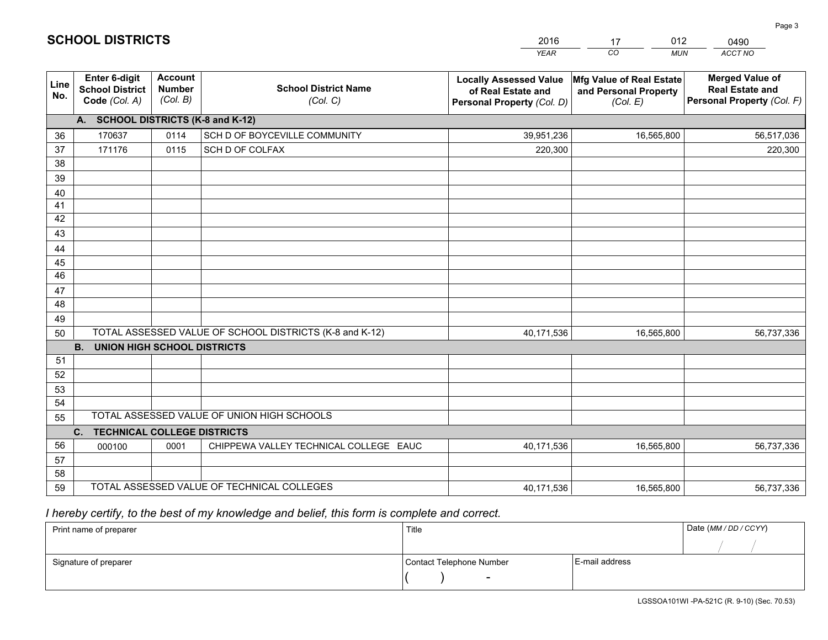|             |                                                                 |                                             |                                                         | <b>YEAR</b>                                                                       | CO<br><b>MUN</b>                                              | ACCT NO                                                                        |
|-------------|-----------------------------------------------------------------|---------------------------------------------|---------------------------------------------------------|-----------------------------------------------------------------------------------|---------------------------------------------------------------|--------------------------------------------------------------------------------|
| Line<br>No. | <b>Enter 6-digit</b><br><b>School District</b><br>Code (Col. A) | <b>Account</b><br><b>Number</b><br>(Col. B) | <b>School District Name</b><br>(Col. C)                 | <b>Locally Assessed Value</b><br>of Real Estate and<br>Personal Property (Col. D) | Mfg Value of Real Estate<br>and Personal Property<br>(Col. E) | <b>Merged Value of</b><br><b>Real Estate and</b><br>Personal Property (Col. F) |
|             | A. SCHOOL DISTRICTS (K-8 and K-12)                              |                                             |                                                         |                                                                                   |                                                               |                                                                                |
| 36          | 170637                                                          | 0114                                        | SCH D OF BOYCEVILLE COMMUNITY                           | 39,951,236                                                                        | 16,565,800                                                    | 56,517,036                                                                     |
| 37          | 171176                                                          | 0115                                        | SCH D OF COLFAX                                         | 220,300                                                                           |                                                               | 220,300                                                                        |
| 38          |                                                                 |                                             |                                                         |                                                                                   |                                                               |                                                                                |
| 39          |                                                                 |                                             |                                                         |                                                                                   |                                                               |                                                                                |
| 40          |                                                                 |                                             |                                                         |                                                                                   |                                                               |                                                                                |
| 41          |                                                                 |                                             |                                                         |                                                                                   |                                                               |                                                                                |
| 42<br>43    |                                                                 |                                             |                                                         |                                                                                   |                                                               |                                                                                |
|             |                                                                 |                                             |                                                         |                                                                                   |                                                               |                                                                                |
| 44<br>45    |                                                                 |                                             |                                                         |                                                                                   |                                                               |                                                                                |
| 46          |                                                                 |                                             |                                                         |                                                                                   |                                                               |                                                                                |
| 47          |                                                                 |                                             |                                                         |                                                                                   |                                                               |                                                                                |
| 48          |                                                                 |                                             |                                                         |                                                                                   |                                                               |                                                                                |
| 49          |                                                                 |                                             |                                                         |                                                                                   |                                                               |                                                                                |
| 50          |                                                                 |                                             | TOTAL ASSESSED VALUE OF SCHOOL DISTRICTS (K-8 and K-12) | 40,171,536                                                                        | 16,565,800                                                    | 56,737,336                                                                     |
|             | <b>B.</b><br><b>UNION HIGH SCHOOL DISTRICTS</b>                 |                                             |                                                         |                                                                                   |                                                               |                                                                                |
| 51          |                                                                 |                                             |                                                         |                                                                                   |                                                               |                                                                                |
| 52          |                                                                 |                                             |                                                         |                                                                                   |                                                               |                                                                                |
| 53          |                                                                 |                                             |                                                         |                                                                                   |                                                               |                                                                                |
| 54          |                                                                 |                                             |                                                         |                                                                                   |                                                               |                                                                                |
| 55          |                                                                 |                                             | TOTAL ASSESSED VALUE OF UNION HIGH SCHOOLS              |                                                                                   |                                                               |                                                                                |
|             | C.<br><b>TECHNICAL COLLEGE DISTRICTS</b>                        |                                             |                                                         |                                                                                   |                                                               |                                                                                |
| 56          | 000100                                                          | 0001                                        | CHIPPEWA VALLEY TECHNICAL COLLEGE EAUC                  | 40,171,536                                                                        | 16,565,800                                                    | 56,737,336                                                                     |
| 57          |                                                                 |                                             |                                                         |                                                                                   |                                                               |                                                                                |
| 58<br>59    |                                                                 |                                             | TOTAL ASSESSED VALUE OF TECHNICAL COLLEGES              |                                                                                   |                                                               |                                                                                |
|             |                                                                 |                                             |                                                         | 40,171,536                                                                        | 16,565,800                                                    | 56,737,336                                                                     |

17

012

 *I hereby certify, to the best of my knowledge and belief, this form is complete and correct.*

**SCHOOL DISTRICTS**

| Print name of preparer | Title                    |                | Date (MM / DD / CCYY) |
|------------------------|--------------------------|----------------|-----------------------|
|                        |                          |                |                       |
| Signature of preparer  | Contact Telephone Number | E-mail address |                       |
|                        | $\sim$                   |                |                       |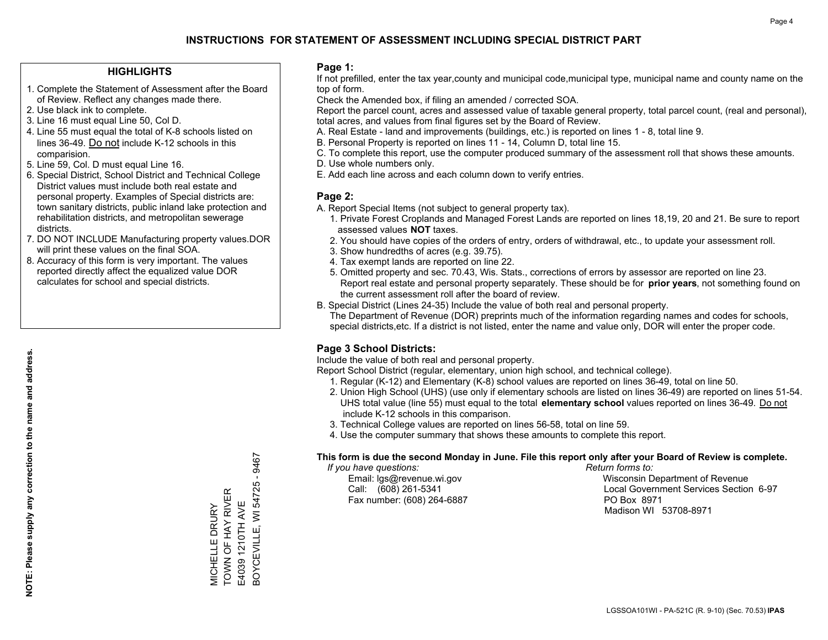### **HIGHLIGHTS**

- 1. Complete the Statement of Assessment after the Board of Review. Reflect any changes made there.
- 2. Use black ink to complete.
- 3. Line 16 must equal Line 50, Col D.
- 4. Line 55 must equal the total of K-8 schools listed on lines 36-49. Do not include K-12 schools in this comparision.
- 5. Line 59, Col. D must equal Line 16.
- 6. Special District, School District and Technical College District values must include both real estate and personal property. Examples of Special districts are: town sanitary districts, public inland lake protection and rehabilitation districts, and metropolitan sewerage districts.
- 7. DO NOT INCLUDE Manufacturing property values.DOR will print these values on the final SOA.

MICHELLE DRURY TOWN OF HAY RIVER E4039 1210TH AVE

VIICHELLE DRURY<br>TOWN OF HAY RIVER E4039 1210TH AVE BOYCEVILLE, WI 54725 - 9467

3OYCEVILLE, WI 54725 - 9467

 8. Accuracy of this form is very important. The values reported directly affect the equalized value DOR calculates for school and special districts.

### **Page 1:**

 If not prefilled, enter the tax year,county and municipal code,municipal type, municipal name and county name on the top of form.

Check the Amended box, if filing an amended / corrected SOA.

 Report the parcel count, acres and assessed value of taxable general property, total parcel count, (real and personal), total acres, and values from final figures set by the Board of Review.

- A. Real Estate land and improvements (buildings, etc.) is reported on lines 1 8, total line 9.
- B. Personal Property is reported on lines 11 14, Column D, total line 15.
- C. To complete this report, use the computer produced summary of the assessment roll that shows these amounts.
- D. Use whole numbers only.
- E. Add each line across and each column down to verify entries.

### **Page 2:**

- A. Report Special Items (not subject to general property tax).
- 1. Private Forest Croplands and Managed Forest Lands are reported on lines 18,19, 20 and 21. Be sure to report assessed values **NOT** taxes.
- 2. You should have copies of the orders of entry, orders of withdrawal, etc., to update your assessment roll.
	- 3. Show hundredths of acres (e.g. 39.75).
- 4. Tax exempt lands are reported on line 22.
- 5. Omitted property and sec. 70.43, Wis. Stats., corrections of errors by assessor are reported on line 23. Report real estate and personal property separately. These should be for **prior years**, not something found on the current assessment roll after the board of review.
- B. Special District (Lines 24-35) Include the value of both real and personal property.
- The Department of Revenue (DOR) preprints much of the information regarding names and codes for schools, special districts,etc. If a district is not listed, enter the name and value only, DOR will enter the proper code.

## **Page 3 School Districts:**

Include the value of both real and personal property.

Report School District (regular, elementary, union high school, and technical college).

- 1. Regular (K-12) and Elementary (K-8) school values are reported on lines 36-49, total on line 50.
- 2. Union High School (UHS) (use only if elementary schools are listed on lines 36-49) are reported on lines 51-54. UHS total value (line 55) must equal to the total **elementary school** values reported on lines 36-49. Do notinclude K-12 schools in this comparison.
- 3. Technical College values are reported on lines 56-58, total on line 59.
- 4. Use the computer summary that shows these amounts to complete this report.

### **This form is due the second Monday in June. File this report only after your Board of Review is complete.**

 *If you have questions: Return forms to:*

Fax number: (608) 264-6887 PO Box 8971

 Email: lgs@revenue.wi.gov Wisconsin Department of Revenue Call: (608) 261-5341 Local Government Services Section 6-97Madison WI 53708-8971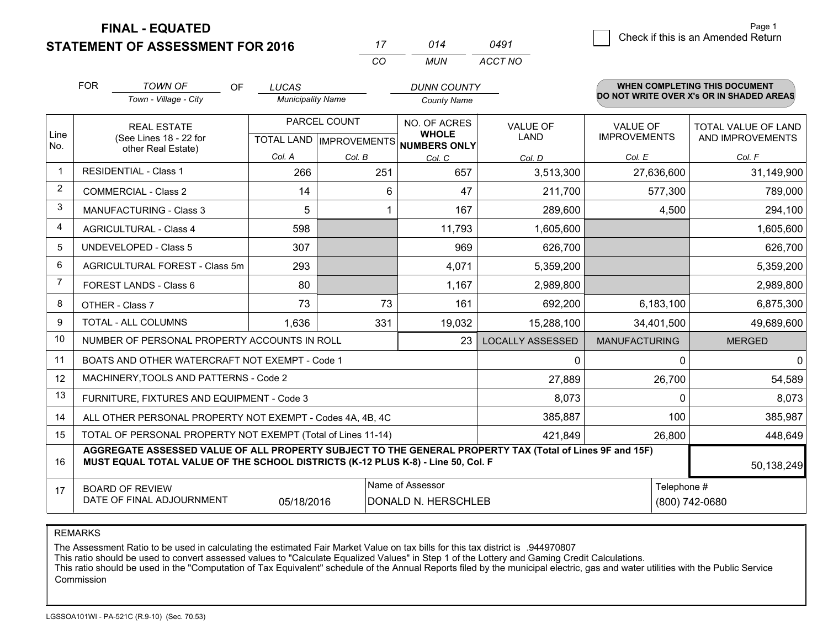**FINAL - EQUATED**

**STATEMENT OF ASSESSMENT FOR 2016** 

| 17 | 014 | 0491    | Check if this is an Amended Return |
|----|-----|---------|------------------------------------|
|    | MUN | ACCT NO |                                    |

|                | <b>FOR</b>                                                                                                                  | <b>TOWN OF</b><br><b>OF</b>                                                                                                                                                                  | <b>LUCAS</b>             |              | <b>DUNN COUNTY</b>                                   |                         |                      | WHEN COMPLETING THIS DOCUMENT<br>DO NOT WRITE OVER X's OR IN SHADED AREAS |
|----------------|-----------------------------------------------------------------------------------------------------------------------------|----------------------------------------------------------------------------------------------------------------------------------------------------------------------------------------------|--------------------------|--------------|------------------------------------------------------|-------------------------|----------------------|---------------------------------------------------------------------------|
|                |                                                                                                                             | Town - Village - City                                                                                                                                                                        | <b>Municipality Name</b> |              | <b>County Name</b>                                   |                         |                      |                                                                           |
|                | <b>REAL ESTATE</b>                                                                                                          |                                                                                                                                                                                              |                          | PARCEL COUNT | NO. OF ACRES                                         | <b>VALUE OF</b>         | <b>VALUE OF</b>      | <b>TOTAL VALUE OF LAND</b>                                                |
| Line<br>No.    |                                                                                                                             | (See Lines 18 - 22 for<br>other Real Estate)                                                                                                                                                 |                          |              | <b>WHOLE</b><br>TOTAL LAND IMPROVEMENTS NUMBERS ONLY | LAND                    | <b>IMPROVEMENTS</b>  | AND IMPROVEMENTS                                                          |
|                |                                                                                                                             |                                                                                                                                                                                              | Col. A                   | Col. B       | Col. C                                               | Col. D                  | Col. E               | Col. F                                                                    |
| $\mathbf 1$    | <b>RESIDENTIAL - Class 1</b>                                                                                                |                                                                                                                                                                                              | 266                      | 251          | 657                                                  | 3,513,300               | 27,636,600           | 31,149,900                                                                |
| 2              |                                                                                                                             | <b>COMMERCIAL - Class 2</b>                                                                                                                                                                  | 14                       | 6            | 47                                                   | 211,700                 | 577,300              | 789,000                                                                   |
| 3              |                                                                                                                             | <b>MANUFACTURING - Class 3</b>                                                                                                                                                               | 5                        |              | 167                                                  | 289,600                 | 4,500                | 294,100                                                                   |
| 4              |                                                                                                                             | <b>AGRICULTURAL - Class 4</b>                                                                                                                                                                | 598                      |              | 11,793                                               | 1,605,600               |                      | 1,605,600                                                                 |
| 5              |                                                                                                                             | <b>UNDEVELOPED - Class 5</b>                                                                                                                                                                 | 307                      |              | 969                                                  | 626,700                 |                      | 626,700                                                                   |
| 6              | AGRICULTURAL FOREST - Class 5m                                                                                              |                                                                                                                                                                                              | 293                      |              | 4,071                                                | 5,359,200               |                      | 5,359,200                                                                 |
| $\overline{7}$ | FOREST LANDS - Class 6                                                                                                      |                                                                                                                                                                                              | 80                       |              | 1,167                                                | 2,989,800               |                      | 2,989,800                                                                 |
| 8              |                                                                                                                             | OTHER - Class 7                                                                                                                                                                              | 73                       | 73           | 161                                                  | 692,200                 | 6,183,100            | 6,875,300                                                                 |
| 9              |                                                                                                                             | TOTAL - ALL COLUMNS                                                                                                                                                                          | 1,636                    | 331          | 19,032                                               | 15,288,100              | 34,401,500           | 49,689,600                                                                |
| 10             |                                                                                                                             | NUMBER OF PERSONAL PROPERTY ACCOUNTS IN ROLL                                                                                                                                                 |                          |              | 23                                                   | <b>LOCALLY ASSESSED</b> | <b>MANUFACTURING</b> | <b>MERGED</b>                                                             |
| 11             |                                                                                                                             | BOATS AND OTHER WATERCRAFT NOT EXEMPT - Code 1                                                                                                                                               |                          |              |                                                      | $\mathbf 0$             | O                    | O                                                                         |
| 12             |                                                                                                                             | MACHINERY, TOOLS AND PATTERNS - Code 2                                                                                                                                                       |                          |              |                                                      | 27,889                  | 26,700               | 54,589                                                                    |
| 13             |                                                                                                                             | FURNITURE, FIXTURES AND EQUIPMENT - Code 3                                                                                                                                                   |                          |              |                                                      | 8,073                   | $\Omega$             | 8,073                                                                     |
| 14             |                                                                                                                             | ALL OTHER PERSONAL PROPERTY NOT EXEMPT - Codes 4A, 4B, 4C                                                                                                                                    |                          |              |                                                      | 385,887                 | 100                  | 385,987                                                                   |
| 15             | TOTAL OF PERSONAL PROPERTY NOT EXEMPT (Total of Lines 11-14)                                                                |                                                                                                                                                                                              |                          |              |                                                      | 421,849                 | 26,800               | 448,649                                                                   |
| 16             |                                                                                                                             | AGGREGATE ASSESSED VALUE OF ALL PROPERTY SUBJECT TO THE GENERAL PROPERTY TAX (Total of Lines 9F and 15F)<br>MUST EQUAL TOTAL VALUE OF THE SCHOOL DISTRICTS (K-12 PLUS K-8) - Line 50, Col. F |                          |              |                                                      |                         |                      | 50,138,249                                                                |
| 17             | Name of Assessor<br>Telephone #<br><b>BOARD OF REVIEW</b><br>DATE OF FINAL ADJOURNMENT<br>DONALD N. HERSCHLEB<br>05/18/2016 |                                                                                                                                                                                              |                          |              |                                                      |                         | (800) 742-0680       |                                                                           |

*CO*

REMARKS

The Assessment Ratio to be used in calculating the estimated Fair Market Value on tax bills for this tax district is .944970807

This ratio should be used to convert assessed values to "Calculate Equalized Values" in Step 1 of the Lottery and Gaming Credit Calculations.<br>This ratio should be used in the "Computation of Tax Equivalent" schedule of the Commission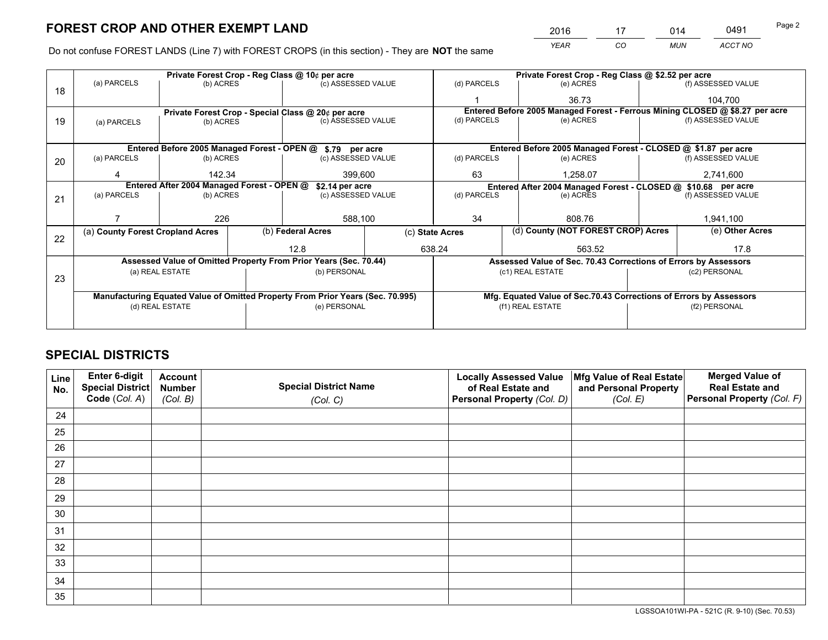*YEAR CO MUN ACCT NO* <u>2016 - 17 014 0491</u>

Do not confuse FOREST LANDS (Line 7) with FOREST CROPS (in this section) - They are **NOT** the same

|    |                                                                                |                 |  | Private Forest Crop - Reg Class @ 10¢ per acre                   |  |                 |  | Private Forest Crop - Reg Class @ \$2.52 per acre                  |  |                                                                              |  |
|----|--------------------------------------------------------------------------------|-----------------|--|------------------------------------------------------------------|--|-----------------|--|--------------------------------------------------------------------|--|------------------------------------------------------------------------------|--|
| 18 | (a) PARCELS                                                                    | (b) ACRES       |  | (c) ASSESSED VALUE                                               |  | (d) PARCELS     |  | (e) ACRES                                                          |  | (f) ASSESSED VALUE                                                           |  |
|    |                                                                                |                 |  |                                                                  |  |                 |  | 36.73                                                              |  | 104.700                                                                      |  |
|    | Private Forest Crop - Special Class @ 20¢ per acre                             |                 |  |                                                                  |  |                 |  |                                                                    |  | Entered Before 2005 Managed Forest - Ferrous Mining CLOSED @ \$8.27 per acre |  |
| 19 | (a) PARCELS                                                                    | (b) ACRES       |  | (c) ASSESSED VALUE                                               |  | (d) PARCELS     |  | (e) ACRES                                                          |  | (f) ASSESSED VALUE                                                           |  |
|    |                                                                                |                 |  |                                                                  |  |                 |  |                                                                    |  |                                                                              |  |
|    |                                                                                |                 |  | Entered Before 2005 Managed Forest - OPEN @ \$.79 per acre       |  |                 |  | Entered Before 2005 Managed Forest - CLOSED @ \$1.87 per acre      |  |                                                                              |  |
| 20 | (a) PARCELS                                                                    | (b) ACRES       |  | (c) ASSESSED VALUE                                               |  | (d) PARCELS     |  | (e) ACRES                                                          |  | (f) ASSESSED VALUE                                                           |  |
|    | Δ                                                                              | 142.34          |  | 399,600                                                          |  | 63              |  | 1.258.07                                                           |  | 2,741,600                                                                    |  |
|    | Entered After 2004 Managed Forest - OPEN @<br>\$2.14 per acre                  |                 |  |                                                                  |  |                 |  | Entered After 2004 Managed Forest - CLOSED @ \$10.68 per acre      |  |                                                                              |  |
| 21 | (a) PARCELS                                                                    | (b) ACRES       |  | (c) ASSESSED VALUE                                               |  | (d) PARCELS     |  | (e) ACRES                                                          |  | (f) ASSESSED VALUE                                                           |  |
|    |                                                                                |                 |  |                                                                  |  |                 |  |                                                                    |  |                                                                              |  |
|    |                                                                                | 226             |  | 588,100                                                          |  | 34              |  | 808.76                                                             |  | 1,941,100                                                                    |  |
| 22 | (a) County Forest Cropland Acres                                               |                 |  | (b) Federal Acres                                                |  | (c) State Acres |  | (d) County (NOT FOREST CROP) Acres                                 |  | (e) Other Acres                                                              |  |
|    |                                                                                |                 |  | 12.8                                                             |  | 638.24          |  | 563.52                                                             |  | 17.8                                                                         |  |
|    |                                                                                |                 |  | Assessed Value of Omitted Property From Prior Years (Sec. 70.44) |  |                 |  | Assessed Value of Sec. 70.43 Corrections of Errors by Assessors    |  |                                                                              |  |
|    |                                                                                | (a) REAL ESTATE |  | (b) PERSONAL                                                     |  |                 |  | (c1) REAL ESTATE                                                   |  | (c2) PERSONAL                                                                |  |
| 23 |                                                                                |                 |  |                                                                  |  |                 |  |                                                                    |  |                                                                              |  |
|    | Manufacturing Equated Value of Omitted Property From Prior Years (Sec. 70.995) |                 |  |                                                                  |  |                 |  | Mfg. Equated Value of Sec.70.43 Corrections of Errors by Assessors |  |                                                                              |  |
|    | (d) REAL ESTATE                                                                |                 |  | (e) PERSONAL                                                     |  |                 |  | (f1) REAL ESTATE                                                   |  | (f2) PERSONAL                                                                |  |
|    |                                                                                |                 |  |                                                                  |  |                 |  |                                                                    |  |                                                                              |  |

# **SPECIAL DISTRICTS**

| Line<br>No. | Enter 6-digit<br>Special District<br>Code (Col. A) | <b>Account</b><br><b>Number</b><br>(Col. B) | <b>Special District Name</b><br>(Col. C) | <b>Locally Assessed Value</b><br>of Real Estate and<br>Personal Property (Col. D) | Mfg Value of Real Estate<br>and Personal Property<br>(Col. E) | <b>Merged Value of</b><br><b>Real Estate and</b><br>Personal Property (Col. F) |
|-------------|----------------------------------------------------|---------------------------------------------|------------------------------------------|-----------------------------------------------------------------------------------|---------------------------------------------------------------|--------------------------------------------------------------------------------|
| 24          |                                                    |                                             |                                          |                                                                                   |                                                               |                                                                                |
| 25          |                                                    |                                             |                                          |                                                                                   |                                                               |                                                                                |
| 26          |                                                    |                                             |                                          |                                                                                   |                                                               |                                                                                |
| 27          |                                                    |                                             |                                          |                                                                                   |                                                               |                                                                                |
| 28          |                                                    |                                             |                                          |                                                                                   |                                                               |                                                                                |
| 29          |                                                    |                                             |                                          |                                                                                   |                                                               |                                                                                |
| 30          |                                                    |                                             |                                          |                                                                                   |                                                               |                                                                                |
| 31          |                                                    |                                             |                                          |                                                                                   |                                                               |                                                                                |
| 32          |                                                    |                                             |                                          |                                                                                   |                                                               |                                                                                |
| 33          |                                                    |                                             |                                          |                                                                                   |                                                               |                                                                                |
| 34          |                                                    |                                             |                                          |                                                                                   |                                                               |                                                                                |
| 35          |                                                    |                                             |                                          |                                                                                   |                                                               |                                                                                |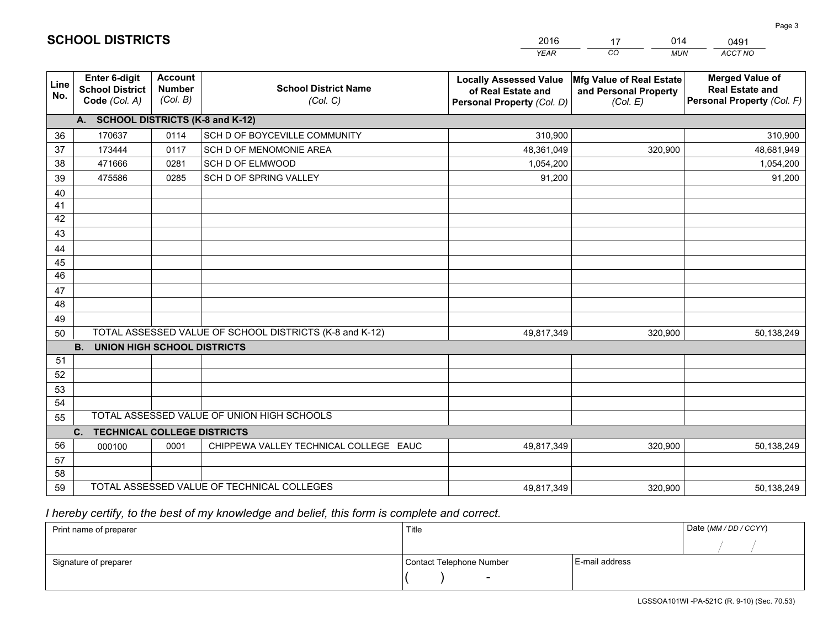|             |                                                                 |                                             |                                                         | YEAR                                                                              | CO.<br><b>MUN</b>                                             | ACCT NO                                                                        |
|-------------|-----------------------------------------------------------------|---------------------------------------------|---------------------------------------------------------|-----------------------------------------------------------------------------------|---------------------------------------------------------------|--------------------------------------------------------------------------------|
| Line<br>No. | <b>Enter 6-digit</b><br><b>School District</b><br>Code (Col. A) | <b>Account</b><br><b>Number</b><br>(Col. B) | <b>School District Name</b><br>(Col. C)                 | <b>Locally Assessed Value</b><br>of Real Estate and<br>Personal Property (Col. D) | Mfg Value of Real Estate<br>and Personal Property<br>(Col. E) | <b>Merged Value of</b><br><b>Real Estate and</b><br>Personal Property (Col. F) |
|             | A. SCHOOL DISTRICTS (K-8 and K-12)                              |                                             |                                                         |                                                                                   |                                                               |                                                                                |
| 36          | 170637                                                          | 0114                                        | SCH D OF BOYCEVILLE COMMUNITY                           | 310,900                                                                           |                                                               | 310,900                                                                        |
| 37          | 173444                                                          | 0117                                        | SCH D OF MENOMONIE AREA                                 | 48,361,049                                                                        | 320,900                                                       | 48,681,949                                                                     |
| 38          | 471666                                                          | 0281                                        | SCH D OF ELMWOOD                                        | 1,054,200                                                                         |                                                               | 1,054,200                                                                      |
| 39          | 475586                                                          | 0285                                        | SCH D OF SPRING VALLEY                                  | 91,200                                                                            |                                                               | 91,200                                                                         |
| 40          |                                                                 |                                             |                                                         |                                                                                   |                                                               |                                                                                |
| 41          |                                                                 |                                             |                                                         |                                                                                   |                                                               |                                                                                |
| 42          |                                                                 |                                             |                                                         |                                                                                   |                                                               |                                                                                |
| 43          |                                                                 |                                             |                                                         |                                                                                   |                                                               |                                                                                |
| 44          |                                                                 |                                             |                                                         |                                                                                   |                                                               |                                                                                |
| 45          |                                                                 |                                             |                                                         |                                                                                   |                                                               |                                                                                |
| 46          |                                                                 |                                             |                                                         |                                                                                   |                                                               |                                                                                |
| 47          |                                                                 |                                             |                                                         |                                                                                   |                                                               |                                                                                |
| 48          |                                                                 |                                             |                                                         |                                                                                   |                                                               |                                                                                |
| 49          |                                                                 |                                             |                                                         |                                                                                   |                                                               |                                                                                |
| 50          | <b>B.</b><br><b>UNION HIGH SCHOOL DISTRICTS</b>                 |                                             | TOTAL ASSESSED VALUE OF SCHOOL DISTRICTS (K-8 and K-12) | 49,817,349                                                                        | 320,900                                                       | 50,138,249                                                                     |
| 51          |                                                                 |                                             |                                                         |                                                                                   |                                                               |                                                                                |
| 52          |                                                                 |                                             |                                                         |                                                                                   |                                                               |                                                                                |
| 53          |                                                                 |                                             |                                                         |                                                                                   |                                                               |                                                                                |
| 54          |                                                                 |                                             |                                                         |                                                                                   |                                                               |                                                                                |
| 55          |                                                                 |                                             | TOTAL ASSESSED VALUE OF UNION HIGH SCHOOLS              |                                                                                   |                                                               |                                                                                |
|             | C.<br><b>TECHNICAL COLLEGE DISTRICTS</b>                        |                                             |                                                         |                                                                                   |                                                               |                                                                                |
| 56          | 000100                                                          | 0001                                        | CHIPPEWA VALLEY TECHNICAL COLLEGE EAUC                  | 49,817,349                                                                        | 320,900                                                       | 50,138,249                                                                     |
| 57          |                                                                 |                                             |                                                         |                                                                                   |                                                               |                                                                                |
| 58          |                                                                 |                                             |                                                         |                                                                                   |                                                               |                                                                                |
| 59          |                                                                 |                                             | TOTAL ASSESSED VALUE OF TECHNICAL COLLEGES              | 49,817,349                                                                        | 320,900                                                       | 50,138,249                                                                     |

17

014

 *I hereby certify, to the best of my knowledge and belief, this form is complete and correct.*

**SCHOOL DISTRICTS**

| Print name of preparer | Title                    |                | Date (MM / DD / CCYY) |
|------------------------|--------------------------|----------------|-----------------------|
|                        |                          |                |                       |
| Signature of preparer  | Contact Telephone Number | E-mail address |                       |
|                        | $\sim$                   |                |                       |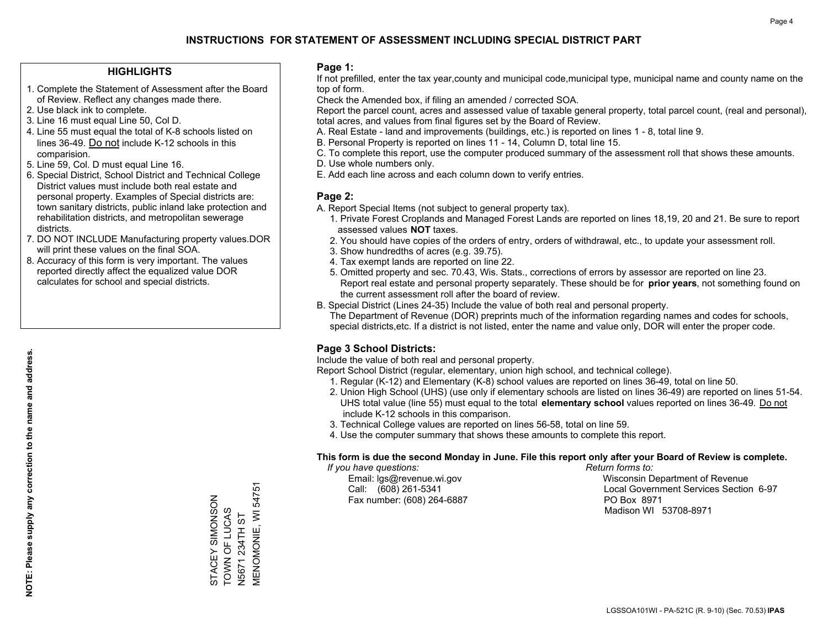### **HIGHLIGHTS**

- 1. Complete the Statement of Assessment after the Board of Review. Reflect any changes made there.
- 2. Use black ink to complete.
- 3. Line 16 must equal Line 50, Col D.
- 4. Line 55 must equal the total of K-8 schools listed on lines 36-49. Do not include K-12 schools in this comparision.
- 5. Line 59, Col. D must equal Line 16.
- 6. Special District, School District and Technical College District values must include both real estate and personal property. Examples of Special districts are: town sanitary districts, public inland lake protection and rehabilitation districts, and metropolitan sewerage districts.
- 7. DO NOT INCLUDE Manufacturing property values.DOR will print these values on the final SOA.
- 8. Accuracy of this form is very important. The values reported directly affect the equalized value DOR calculates for school and special districts.

### **Page 1:**

 If not prefilled, enter the tax year,county and municipal code,municipal type, municipal name and county name on the top of form.

Check the Amended box, if filing an amended / corrected SOA.

 Report the parcel count, acres and assessed value of taxable general property, total parcel count, (real and personal), total acres, and values from final figures set by the Board of Review.

- A. Real Estate land and improvements (buildings, etc.) is reported on lines 1 8, total line 9.
- B. Personal Property is reported on lines 11 14, Column D, total line 15.
- C. To complete this report, use the computer produced summary of the assessment roll that shows these amounts.
- D. Use whole numbers only.
- E. Add each line across and each column down to verify entries.

### **Page 2:**

- A. Report Special Items (not subject to general property tax).
- 1. Private Forest Croplands and Managed Forest Lands are reported on lines 18,19, 20 and 21. Be sure to report assessed values **NOT** taxes.
- 2. You should have copies of the orders of entry, orders of withdrawal, etc., to update your assessment roll.
	- 3. Show hundredths of acres (e.g. 39.75).
- 4. Tax exempt lands are reported on line 22.
- 5. Omitted property and sec. 70.43, Wis. Stats., corrections of errors by assessor are reported on line 23. Report real estate and personal property separately. These should be for **prior years**, not something found on the current assessment roll after the board of review.
- B. Special District (Lines 24-35) Include the value of both real and personal property.

 The Department of Revenue (DOR) preprints much of the information regarding names and codes for schools, special districts,etc. If a district is not listed, enter the name and value only, DOR will enter the proper code.

## **Page 3 School Districts:**

Include the value of both real and personal property.

Report School District (regular, elementary, union high school, and technical college).

- 1. Regular (K-12) and Elementary (K-8) school values are reported on lines 36-49, total on line 50.
- 2. Union High School (UHS) (use only if elementary schools are listed on lines 36-49) are reported on lines 51-54. UHS total value (line 55) must equal to the total **elementary school** values reported on lines 36-49. Do notinclude K-12 schools in this comparison.
- 3. Technical College values are reported on lines 56-58, total on line 59.
- 4. Use the computer summary that shows these amounts to complete this report.

### **This form is due the second Monday in June. File this report only after your Board of Review is complete.**

 *If you have questions: Return forms to:*

Fax number: (608) 264-6887 PO Box 8971

 Email: lgs@revenue.wi.gov Wisconsin Department of Revenue Call: (608) 261-5341 Local Government Services Section 6-97Madison WI 53708-8971

**MENOMONIE, WI 54751** MENOMONIE, WI 54751 STACEY SIMONSON STACEY SIMONSON TOWN OF LUCAS **TOWN OF LUCAS V5671 234TH ST** N5671 234TH ST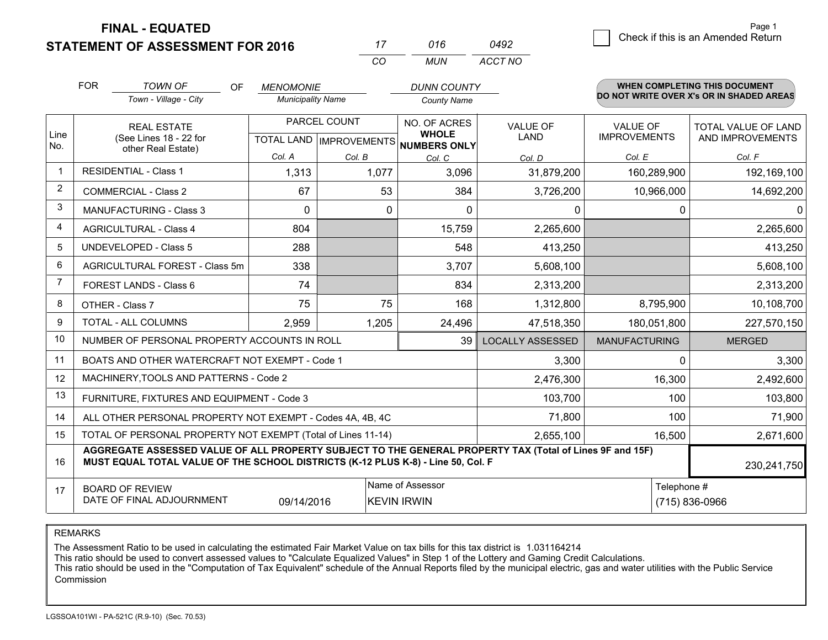**STATEMENT OF ASSESSMENT FOR 2016** 

**FINAL - EQUATED**

|                | <b>FOR</b>                                          | <b>TOWN OF</b><br>OF<br>Town - Village - City                                                                                                                                                | <b>MENOMONIE</b><br><b>Municipality Name</b> |                                                   | <b>DUNN COUNTY</b><br><b>County Name</b>     |                         |                                        | <b>WHEN COMPLETING THIS DOCUMENT</b><br>DO NOT WRITE OVER X's OR IN SHADED AREAS |
|----------------|-----------------------------------------------------|----------------------------------------------------------------------------------------------------------------------------------------------------------------------------------------------|----------------------------------------------|---------------------------------------------------|----------------------------------------------|-------------------------|----------------------------------------|----------------------------------------------------------------------------------|
| Line<br>No.    |                                                     | <b>REAL ESTATE</b><br>(See Lines 18 - 22 for                                                                                                                                                 |                                              | PARCEL COUNT<br><b>TOTAL LAND   IMPROVEMENTS </b> | NO. OF ACRES<br><b>WHOLE</b><br>NUMBERS ONLY | <b>VALUE OF</b><br>LAND | <b>VALUE OF</b><br><b>IMPROVEMENTS</b> | <b>TOTAL VALUE OF LAND</b><br>AND IMPROVEMENTS                                   |
|                |                                                     | other Real Estate)                                                                                                                                                                           | Col. A                                       | Col. B                                            | Col. C                                       | Col. D                  | Col. E                                 | Col. F                                                                           |
| -1             | <b>RESIDENTIAL - Class 1</b>                        |                                                                                                                                                                                              | 1,313                                        | 1,077                                             | 3,096<br>31,879,200                          |                         | 160,289,900                            | 192,169,100                                                                      |
| $\overline{2}$ | <b>COMMERCIAL - Class 2</b>                         |                                                                                                                                                                                              | 67                                           | 53                                                | 384                                          | 3,726,200               | 10,966,000                             | 14,692,200                                                                       |
| 3              |                                                     | MANUFACTURING - Class 3                                                                                                                                                                      | $\mathbf 0$                                  | 0                                                 | $\Omega$                                     | 0                       | 0                                      | 0                                                                                |
| 4              |                                                     | <b>AGRICULTURAL - Class 4</b>                                                                                                                                                                | 804                                          |                                                   | 15,759                                       | 2,265,600               |                                        | 2,265,600                                                                        |
| 5              |                                                     | <b>UNDEVELOPED - Class 5</b>                                                                                                                                                                 | 288                                          |                                                   | 548                                          | 413,250                 |                                        | 413,250                                                                          |
| 6              |                                                     | AGRICULTURAL FOREST - Class 5m                                                                                                                                                               | 338                                          |                                                   | 3,707                                        | 5,608,100               |                                        | 5,608,100                                                                        |
| $\overline{7}$ |                                                     | FOREST LANDS - Class 6                                                                                                                                                                       | 74                                           |                                                   | 834                                          | 2,313,200               |                                        | 2,313,200                                                                        |
| 8              |                                                     | OTHER - Class 7                                                                                                                                                                              | 75                                           | 75                                                | 168                                          | 1,312,800               | 8,795,900                              | 10,108,700                                                                       |
| 9              |                                                     | TOTAL - ALL COLUMNS                                                                                                                                                                          | 2,959                                        | 1,205                                             | 24,496                                       | 47,518,350              | 180,051,800                            | 227,570,150                                                                      |
| 10             |                                                     | NUMBER OF PERSONAL PROPERTY ACCOUNTS IN ROLL                                                                                                                                                 |                                              |                                                   | 39                                           | <b>LOCALLY ASSESSED</b> | <b>MANUFACTURING</b>                   | <b>MERGED</b>                                                                    |
| 11             |                                                     | BOATS AND OTHER WATERCRAFT NOT EXEMPT - Code 1                                                                                                                                               |                                              |                                                   |                                              | 3,300                   | $\Omega$                               | 3,300                                                                            |
| 12             |                                                     | MACHINERY, TOOLS AND PATTERNS - Code 2                                                                                                                                                       |                                              |                                                   |                                              | 2,476,300               | 16,300                                 | 2,492,600                                                                        |
| 13             |                                                     | FURNITURE, FIXTURES AND EQUIPMENT - Code 3                                                                                                                                                   |                                              |                                                   |                                              | 103,700                 | 100                                    | 103,800                                                                          |
| 14             |                                                     | ALL OTHER PERSONAL PROPERTY NOT EXEMPT - Codes 4A, 4B, 4C                                                                                                                                    |                                              |                                                   |                                              | 71,800                  | 100                                    | 71,900                                                                           |
| 15             |                                                     | TOTAL OF PERSONAL PROPERTY NOT EXEMPT (Total of Lines 11-14)                                                                                                                                 |                                              |                                                   |                                              | 2,655,100               | 16,500                                 | 2,671,600                                                                        |
| 16             |                                                     | AGGREGATE ASSESSED VALUE OF ALL PROPERTY SUBJECT TO THE GENERAL PROPERTY TAX (Total of Lines 9F and 15F)<br>MUST EQUAL TOTAL VALUE OF THE SCHOOL DISTRICTS (K-12 PLUS K-8) - Line 50, Col. F |                                              |                                                   |                                              |                         |                                        | 230,241,750                                                                      |
| 17             | <b>BOARD OF REVIEW</b><br>DATE OF FINAL ADJOURNMENT | Telephone #                                                                                                                                                                                  | (715) 836-0966                               |                                                   |                                              |                         |                                        |                                                                                  |

*CO*

*MUN*

*ACCT NO0492*

*<sup>17</sup> <sup>016</sup>*

REMARKS

The Assessment Ratio to be used in calculating the estimated Fair Market Value on tax bills for this tax district is 1.031164214<br>This ratio should be used to convert assessed values to "Calculate Equalized Values" in Step Commission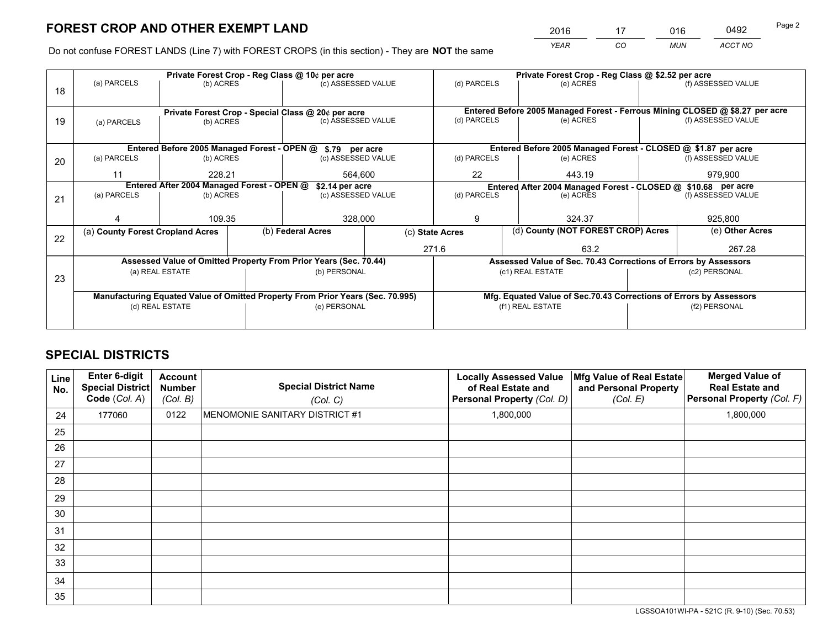*YEAR CO MUN ACCT NO* <sup>2016</sup> <sup>17</sup> <sup>016</sup> <sup>0492</sup>

Do not confuse FOREST LANDS (Line 7) with FOREST CROPS (in this section) - They are **NOT** the same

|    |                                  |                                            |  | Private Forest Crop - Reg Class @ 10¢ per acre                                 |                 |             | Private Forest Crop - Reg Class @ \$2.52 per acre                                      |                                                                              |               |                    |  |
|----|----------------------------------|--------------------------------------------|--|--------------------------------------------------------------------------------|-----------------|-------------|----------------------------------------------------------------------------------------|------------------------------------------------------------------------------|---------------|--------------------|--|
| 18 | (a) PARCELS                      | (b) ACRES                                  |  | (c) ASSESSED VALUE                                                             |                 | (d) PARCELS |                                                                                        | (e) ACRES                                                                    |               | (f) ASSESSED VALUE |  |
|    |                                  |                                            |  | Private Forest Crop - Special Class @ 20¢ per acre                             |                 |             |                                                                                        | Entered Before 2005 Managed Forest - Ferrous Mining CLOSED @ \$8.27 per acre |               |                    |  |
| 19 | (a) PARCELS                      | (b) ACRES                                  |  | (c) ASSESSED VALUE                                                             |                 | (d) PARCELS |                                                                                        | (e) ACRES                                                                    |               | (f) ASSESSED VALUE |  |
|    |                                  |                                            |  | Entered Before 2005 Managed Forest - OPEN @ \$.79 per acre                     |                 |             |                                                                                        | Entered Before 2005 Managed Forest - CLOSED @ \$1.87 per acre                |               |                    |  |
| 20 | (a) PARCELS                      | (b) ACRES                                  |  | (c) ASSESSED VALUE                                                             |                 | (d) PARCELS |                                                                                        | (e) ACRES                                                                    |               | (f) ASSESSED VALUE |  |
|    | 11                               | 228.21                                     |  |                                                                                | 564.600         |             |                                                                                        | 443.19                                                                       |               | 979,900            |  |
|    |                                  | Entered After 2004 Managed Forest - OPEN @ |  | \$2.14 per acre                                                                |                 |             |                                                                                        | Entered After 2004 Managed Forest - CLOSED @ \$10.68 per acre                |               |                    |  |
| 21 | (a) PARCELS                      | (b) ACRES                                  |  | (c) ASSESSED VALUE                                                             |                 | (d) PARCELS |                                                                                        | (e) ACRES                                                                    |               | (f) ASSESSED VALUE |  |
|    |                                  | 109.35                                     |  | 328,000                                                                        |                 | 9           |                                                                                        | 324.37                                                                       |               | 925,800            |  |
| 22 | (a) County Forest Cropland Acres |                                            |  | (b) Federal Acres                                                              | (c) State Acres |             |                                                                                        | (d) County (NOT FOREST CROP) Acres                                           |               | (e) Other Acres    |  |
|    |                                  |                                            |  |                                                                                | 271.6           |             |                                                                                        | 63.2                                                                         |               | 267.28             |  |
|    |                                  |                                            |  | Assessed Value of Omitted Property From Prior Years (Sec. 70.44)               |                 |             |                                                                                        | Assessed Value of Sec. 70.43 Corrections of Errors by Assessors              |               |                    |  |
| 23 |                                  | (a) REAL ESTATE                            |  | (b) PERSONAL                                                                   |                 |             |                                                                                        | (c1) REAL ESTATE                                                             | (c2) PERSONAL |                    |  |
|    |                                  |                                            |  |                                                                                |                 |             |                                                                                        |                                                                              |               |                    |  |
|    |                                  |                                            |  | Manufacturing Equated Value of Omitted Property From Prior Years (Sec. 70.995) |                 |             | Mfg. Equated Value of Sec.70.43 Corrections of Errors by Assessors<br>(f1) REAL ESTATE |                                                                              |               | (f2) PERSONAL      |  |
|    |                                  | (d) REAL ESTATE                            |  | (e) PERSONAL                                                                   |                 |             |                                                                                        |                                                                              |               |                    |  |
|    |                                  |                                            |  |                                                                                |                 |             |                                                                                        |                                                                              |               |                    |  |

# **SPECIAL DISTRICTS**

| <b>Line</b><br>No. | Enter 6-digit<br><b>Special District</b><br>Code (Col. A) | <b>Account</b><br><b>Number</b><br>(Col. B) | <b>Special District Name</b><br>(Col. C) | <b>Locally Assessed Value</b><br>of Real Estate and<br>Personal Property (Col. D) | Mfg Value of Real Estate<br>and Personal Property<br>(Col. E) | <b>Merged Value of</b><br><b>Real Estate and</b><br>Personal Property (Col. F) |
|--------------------|-----------------------------------------------------------|---------------------------------------------|------------------------------------------|-----------------------------------------------------------------------------------|---------------------------------------------------------------|--------------------------------------------------------------------------------|
| 24                 | 177060                                                    | 0122                                        | MENOMONIE SANITARY DISTRICT #1           | 1,800,000                                                                         |                                                               | 1,800,000                                                                      |
| 25                 |                                                           |                                             |                                          |                                                                                   |                                                               |                                                                                |
| 26                 |                                                           |                                             |                                          |                                                                                   |                                                               |                                                                                |
| 27                 |                                                           |                                             |                                          |                                                                                   |                                                               |                                                                                |
| 28                 |                                                           |                                             |                                          |                                                                                   |                                                               |                                                                                |
| 29                 |                                                           |                                             |                                          |                                                                                   |                                                               |                                                                                |
| 30                 |                                                           |                                             |                                          |                                                                                   |                                                               |                                                                                |
| 31                 |                                                           |                                             |                                          |                                                                                   |                                                               |                                                                                |
| 32                 |                                                           |                                             |                                          |                                                                                   |                                                               |                                                                                |
| 33                 |                                                           |                                             |                                          |                                                                                   |                                                               |                                                                                |
| 34                 |                                                           |                                             |                                          |                                                                                   |                                                               |                                                                                |
| 35                 |                                                           |                                             |                                          |                                                                                   |                                                               |                                                                                |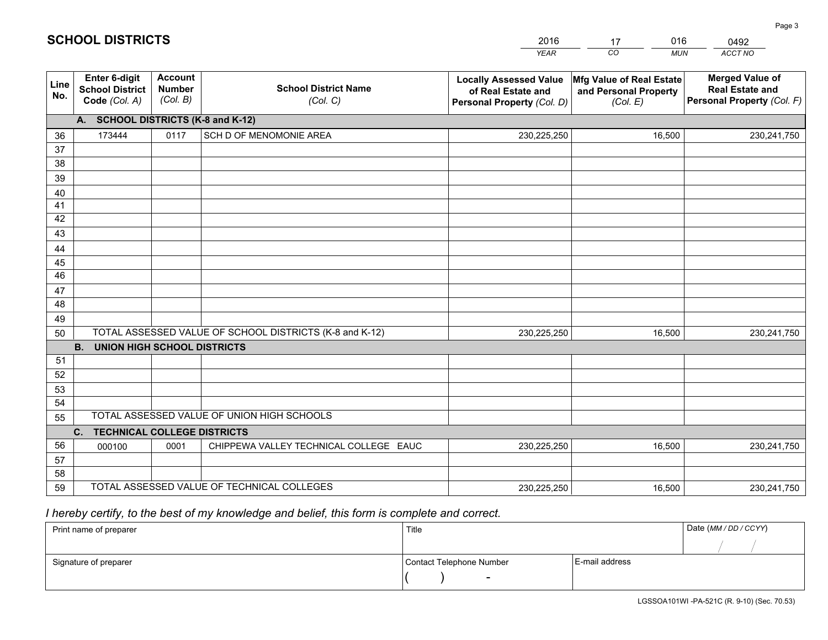|             |                                                          |                                             |                                                         | <b>YEAR</b>                                                                       | CO<br><b>MUN</b>                                              | ACCT NO                                                                        |
|-------------|----------------------------------------------------------|---------------------------------------------|---------------------------------------------------------|-----------------------------------------------------------------------------------|---------------------------------------------------------------|--------------------------------------------------------------------------------|
| Line<br>No. | Enter 6-digit<br><b>School District</b><br>Code (Col. A) | <b>Account</b><br><b>Number</b><br>(Col. B) | <b>School District Name</b><br>(Col. C)                 | <b>Locally Assessed Value</b><br>of Real Estate and<br>Personal Property (Col. D) | Mfg Value of Real Estate<br>and Personal Property<br>(Col. E) | <b>Merged Value of</b><br><b>Real Estate and</b><br>Personal Property (Col. F) |
|             | A. SCHOOL DISTRICTS (K-8 and K-12)                       |                                             |                                                         |                                                                                   |                                                               |                                                                                |
| 36          | 173444                                                   | 0117                                        | SCH D OF MENOMONIE AREA                                 | 230,225,250                                                                       | 16,500                                                        | 230,241,750                                                                    |
| 37          |                                                          |                                             |                                                         |                                                                                   |                                                               |                                                                                |
| 38          |                                                          |                                             |                                                         |                                                                                   |                                                               |                                                                                |
| 39          |                                                          |                                             |                                                         |                                                                                   |                                                               |                                                                                |
| 40          |                                                          |                                             |                                                         |                                                                                   |                                                               |                                                                                |
| 41          |                                                          |                                             |                                                         |                                                                                   |                                                               |                                                                                |
| 42<br>43    |                                                          |                                             |                                                         |                                                                                   |                                                               |                                                                                |
|             |                                                          |                                             |                                                         |                                                                                   |                                                               |                                                                                |
| 44<br>45    |                                                          |                                             |                                                         |                                                                                   |                                                               |                                                                                |
| 46          |                                                          |                                             |                                                         |                                                                                   |                                                               |                                                                                |
| 47          |                                                          |                                             |                                                         |                                                                                   |                                                               |                                                                                |
| 48          |                                                          |                                             |                                                         |                                                                                   |                                                               |                                                                                |
| 49          |                                                          |                                             |                                                         |                                                                                   |                                                               |                                                                                |
| 50          |                                                          |                                             | TOTAL ASSESSED VALUE OF SCHOOL DISTRICTS (K-8 and K-12) | 230,225,250                                                                       | 16,500                                                        | 230,241,750                                                                    |
|             | <b>B.</b><br><b>UNION HIGH SCHOOL DISTRICTS</b>          |                                             |                                                         |                                                                                   |                                                               |                                                                                |
| 51          |                                                          |                                             |                                                         |                                                                                   |                                                               |                                                                                |
| 52          |                                                          |                                             |                                                         |                                                                                   |                                                               |                                                                                |
| 53          |                                                          |                                             |                                                         |                                                                                   |                                                               |                                                                                |
| 54          |                                                          |                                             |                                                         |                                                                                   |                                                               |                                                                                |
| 55          |                                                          |                                             | TOTAL ASSESSED VALUE OF UNION HIGH SCHOOLS              |                                                                                   |                                                               |                                                                                |
|             | C <sub>1</sub><br><b>TECHNICAL COLLEGE DISTRICTS</b>     |                                             |                                                         |                                                                                   |                                                               |                                                                                |
| 56          | 000100                                                   | 0001                                        | CHIPPEWA VALLEY TECHNICAL COLLEGE EAUC                  | 230,225,250                                                                       | 16,500                                                        | 230,241,750                                                                    |
| 57<br>58    |                                                          |                                             |                                                         |                                                                                   |                                                               |                                                                                |
| 59          |                                                          |                                             | TOTAL ASSESSED VALUE OF TECHNICAL COLLEGES              | 230,225,250                                                                       | 16,500                                                        | 230,241,750                                                                    |
|             |                                                          |                                             |                                                         |                                                                                   |                                                               |                                                                                |

17

016

# *I hereby certify, to the best of my knowledge and belief, this form is complete and correct.*

**SCHOOL DISTRICTS**

| Print name of preparer | Title                    |                | Date (MM / DD / CCYY) |
|------------------------|--------------------------|----------------|-----------------------|
|                        |                          |                |                       |
| Signature of preparer  | Contact Telephone Number | E-mail address |                       |
|                        | $\overline{\phantom{0}}$ |                |                       |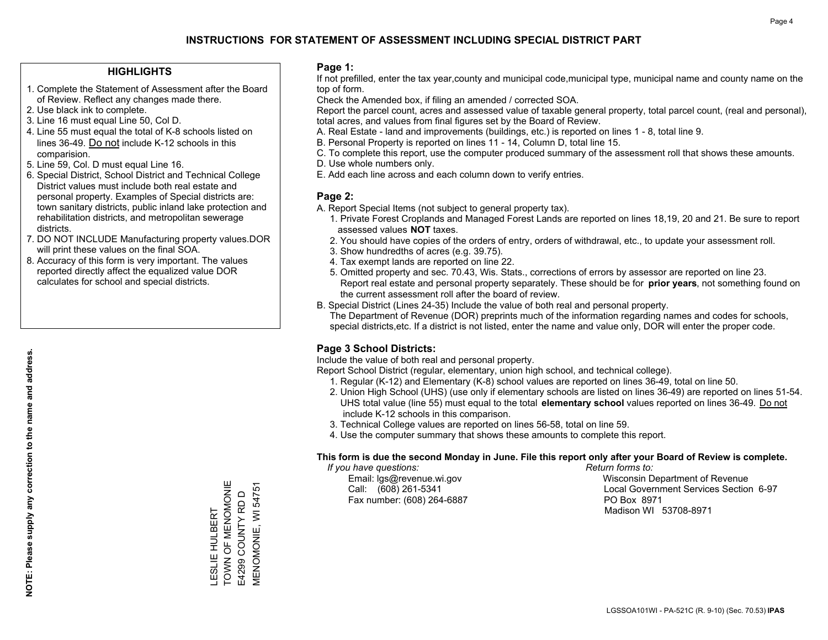### **HIGHLIGHTS**

- 1. Complete the Statement of Assessment after the Board of Review. Reflect any changes made there.
- 2. Use black ink to complete.
- 3. Line 16 must equal Line 50, Col D.
- 4. Line 55 must equal the total of K-8 schools listed on lines 36-49. Do not include K-12 schools in this comparision.
- 5. Line 59, Col. D must equal Line 16.
- 6. Special District, School District and Technical College District values must include both real estate and personal property. Examples of Special districts are: town sanitary districts, public inland lake protection and rehabilitation districts, and metropolitan sewerage districts.
- 7. DO NOT INCLUDE Manufacturing property values.DOR will print these values on the final SOA.

LESLIE HULBERT TOWN OF MENOMONIE E4299 COUNTY RD D MENOMONIE, WI 54751

LESLIE HULBERT<br>TOWN OF MENOMONIE

**MENOMONIE, WI 54751** E4299 COUNTY RD D

 8. Accuracy of this form is very important. The values reported directly affect the equalized value DOR calculates for school and special districts.

### **Page 1:**

 If not prefilled, enter the tax year,county and municipal code,municipal type, municipal name and county name on the top of form.

Check the Amended box, if filing an amended / corrected SOA.

 Report the parcel count, acres and assessed value of taxable general property, total parcel count, (real and personal), total acres, and values from final figures set by the Board of Review.

- A. Real Estate land and improvements (buildings, etc.) is reported on lines 1 8, total line 9.
- B. Personal Property is reported on lines 11 14, Column D, total line 15.
- C. To complete this report, use the computer produced summary of the assessment roll that shows these amounts.
- D. Use whole numbers only.
- E. Add each line across and each column down to verify entries.

### **Page 2:**

- A. Report Special Items (not subject to general property tax).
- 1. Private Forest Croplands and Managed Forest Lands are reported on lines 18,19, 20 and 21. Be sure to report assessed values **NOT** taxes.
- 2. You should have copies of the orders of entry, orders of withdrawal, etc., to update your assessment roll.
	- 3. Show hundredths of acres (e.g. 39.75).
- 4. Tax exempt lands are reported on line 22.
- 5. Omitted property and sec. 70.43, Wis. Stats., corrections of errors by assessor are reported on line 23. Report real estate and personal property separately. These should be for **prior years**, not something found on the current assessment roll after the board of review.
- B. Special District (Lines 24-35) Include the value of both real and personal property.
- The Department of Revenue (DOR) preprints much of the information regarding names and codes for schools, special districts,etc. If a district is not listed, enter the name and value only, DOR will enter the proper code.

## **Page 3 School Districts:**

Include the value of both real and personal property.

Report School District (regular, elementary, union high school, and technical college).

- 1. Regular (K-12) and Elementary (K-8) school values are reported on lines 36-49, total on line 50.
- 2. Union High School (UHS) (use only if elementary schools are listed on lines 36-49) are reported on lines 51-54. UHS total value (line 55) must equal to the total **elementary school** values reported on lines 36-49. Do notinclude K-12 schools in this comparison.
- 3. Technical College values are reported on lines 56-58, total on line 59.
- 4. Use the computer summary that shows these amounts to complete this report.

### **This form is due the second Monday in June. File this report only after your Board of Review is complete.**

 *If you have questions: Return forms to:*

Fax number: (608) 264-6887 PO Box 8971

 Email: lgs@revenue.wi.gov Wisconsin Department of Revenue Call: (608) 261-5341 Local Government Services Section 6-97Madison WI 53708-8971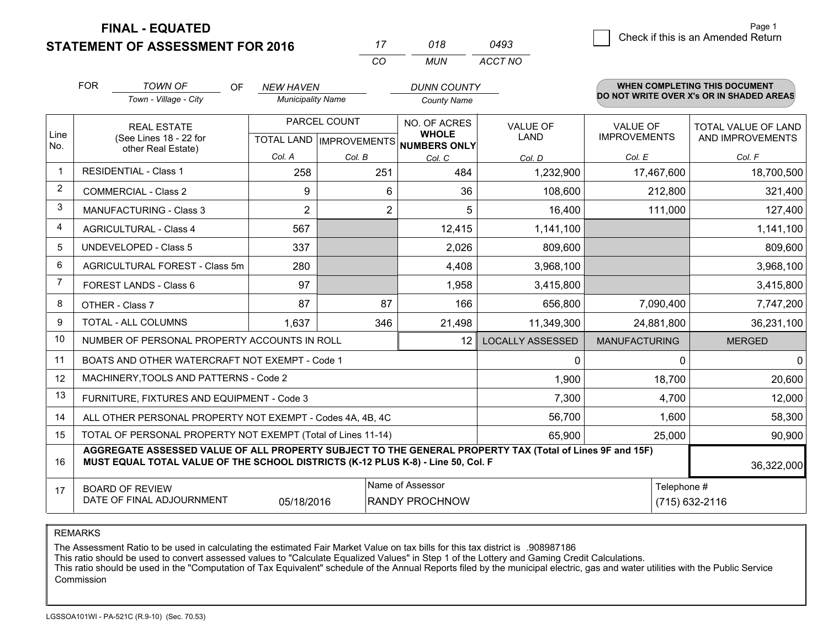**FINAL - EQUATED**

Page 1

|            | <b>STATEMENT OF ASSESSMENT FOR 2016</b> |     |                                              | CO | 018<br><b>MUN</b>                           | 0493<br>ACCT NO | Check if this is an Amended Return                                             |
|------------|-----------------------------------------|-----|----------------------------------------------|----|---------------------------------------------|-----------------|--------------------------------------------------------------------------------|
| <b>FOR</b> | <b>TOWN OF</b><br>Town - Village - City | OF. | <b>NEW HAVEN</b><br><b>Municipality Name</b> |    | <b>DUNN COUNTY</b><br>County Name           |                 | <b>WHEN COMPLETING THIS DOCUMENT</b><br>DO NOT WRITE OVER X's OR IN SHADED ARE |
|            |                                         |     | <b>DADCEL COLINIT</b>                        |    | $\cdots$ $\sim$ $\sim$ $\sim$ $\sim$ $\sim$ |                 |                                                                                |

#### **WHEN COMPLETING THIS DOCUMENTDO NOT WRITE OVER X's OR IN SHADED AREAS**

|                | <b>REAL ESTATE</b>                                                                                                                                                                                         |                | PARCEL COUNT   | NO. OF ACRES                                         | VALUE OF                | <b>VALUE OF</b>      | <b>TOTAL VALUE OF LAND</b> |  |  |
|----------------|------------------------------------------------------------------------------------------------------------------------------------------------------------------------------------------------------------|----------------|----------------|------------------------------------------------------|-------------------------|----------------------|----------------------------|--|--|
| Line<br>No.    | (See Lines 18 - 22 for<br>other Real Estate)                                                                                                                                                               |                |                | <b>WHOLE</b><br>TOTAL LAND IMPROVEMENTS NUMBERS ONLY | LAND                    | <b>IMPROVEMENTS</b>  | AND IMPROVEMENTS           |  |  |
|                |                                                                                                                                                                                                            | Col. A         | Col. B         | Col. C                                               | Col. D                  | Col. E               | Col. F                     |  |  |
| $\mathbf 1$    | <b>RESIDENTIAL - Class 1</b>                                                                                                                                                                               | 258            | 251            | 484                                                  | 1,232,900               | 17,467,600           | 18,700,500                 |  |  |
| $\overline{2}$ | <b>COMMERCIAL - Class 2</b>                                                                                                                                                                                | 9              | 6              | 36                                                   | 108,600                 | 212,800              | 321,400                    |  |  |
| 3              | <b>MANUFACTURING - Class 3</b>                                                                                                                                                                             | $\overline{2}$ | $\overline{c}$ | 5                                                    | 16,400                  | 111,000              | 127,400                    |  |  |
| $\overline{4}$ | <b>AGRICULTURAL - Class 4</b>                                                                                                                                                                              | 567            |                | 12,415                                               | 1,141,100               |                      | 1,141,100                  |  |  |
| 5              | UNDEVELOPED - Class 5                                                                                                                                                                                      | 337            |                | 2,026                                                | 809,600                 |                      | 809,600                    |  |  |
| 6              | AGRICULTURAL FOREST - Class 5m                                                                                                                                                                             | 280            |                | 4,408                                                | 3,968,100               |                      | 3,968,100                  |  |  |
| 7              | FOREST LANDS - Class 6                                                                                                                                                                                     | 97             |                | 1,958                                                | 3,415,800               |                      | 3,415,800                  |  |  |
| 8              | OTHER - Class 7                                                                                                                                                                                            | 87             | 87             | 166                                                  | 656,800                 | 7,090,400            | 7,747,200                  |  |  |
| 9              | <b>TOTAL - ALL COLUMNS</b>                                                                                                                                                                                 | 1,637          | 346            | 21,498                                               | 11,349,300              | 24,881,800           | 36,231,100                 |  |  |
| 10             | NUMBER OF PERSONAL PROPERTY ACCOUNTS IN ROLL                                                                                                                                                               |                |                | 12                                                   | <b>LOCALLY ASSESSED</b> | <b>MANUFACTURING</b> | <b>MERGED</b>              |  |  |
| 11             | BOATS AND OTHER WATERCRAFT NOT EXEMPT - Code 1                                                                                                                                                             |                |                |                                                      | 0                       | 0                    | 0                          |  |  |
| 12             | MACHINERY, TOOLS AND PATTERNS - Code 2                                                                                                                                                                     |                |                |                                                      | 1,900                   | 18,700               | 20,600                     |  |  |
| 13             | FURNITURE, FIXTURES AND EQUIPMENT - Code 3                                                                                                                                                                 |                |                |                                                      | 7,300                   | 4,700                | 12,000                     |  |  |
| 14             | ALL OTHER PERSONAL PROPERTY NOT EXEMPT - Codes 4A, 4B, 4C                                                                                                                                                  |                |                |                                                      | 56,700                  | 1,600                | 58,300                     |  |  |
| 15             | TOTAL OF PERSONAL PROPERTY NOT EXEMPT (Total of Lines 11-14)                                                                                                                                               |                |                |                                                      | 65,900                  | 25,000               | 90,900                     |  |  |
| 16             | AGGREGATE ASSESSED VALUE OF ALL PROPERTY SUBJECT TO THE GENERAL PROPERTY TAX (Total of Lines 9F and 15F)<br>MUST EQUAL TOTAL VALUE OF THE SCHOOL DISTRICTS (K-12 PLUS K-8) - Line 50, Col. F<br>36,322,000 |                |                |                                                      |                         |                      |                            |  |  |
| 17             | <b>BOARD OF REVIEW</b>                                                                                                                                                                                     | 05/18/2016     |                | Name of Assessor<br><b>RANDY PROCHNOW</b>            |                         |                      | Telephone #                |  |  |
|                | DATE OF FINAL ADJOURNMENT                                                                                                                                                                                  |                |                | $(715)$ 632-2116                                     |                         |                      |                            |  |  |

REMARKS

The Assessment Ratio to be used in calculating the estimated Fair Market Value on tax bills for this tax district is .908987186<br>This ratio should be used to convert assessed values to "Calculate Equalized Values" in Step 1 Commission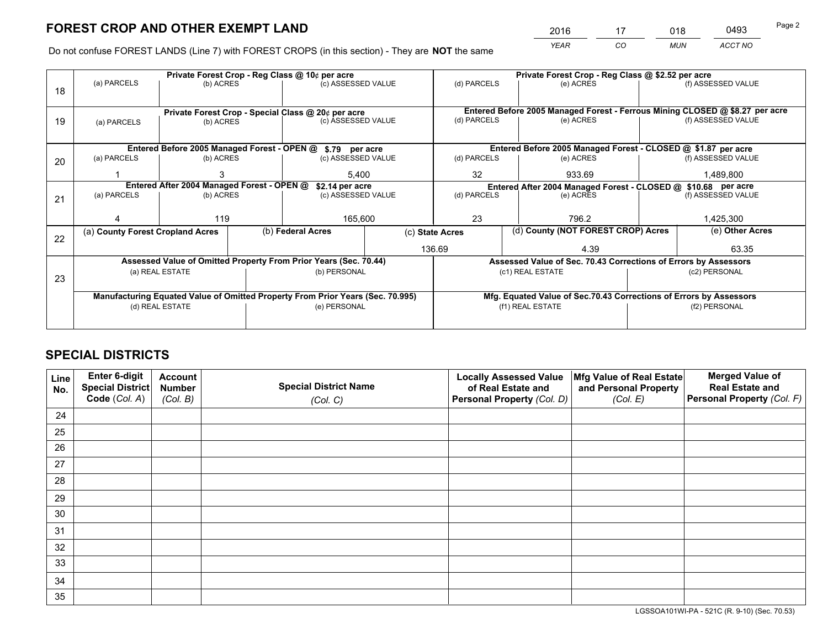*YEAR CO MUN ACCT NO* <sup>2016</sup> <sup>17</sup> <sup>018</sup> <sup>0493</sup>

Do not confuse FOREST LANDS (Line 7) with FOREST CROPS (in this section) - They are **NOT** the same

|    |                                  |                                            |  | Private Forest Crop - Reg Class @ 10¢ per acre                                 |                 |             | Private Forest Crop - Reg Class @ \$2.52 per acre                            |               |                    |  |  |
|----|----------------------------------|--------------------------------------------|--|--------------------------------------------------------------------------------|-----------------|-------------|------------------------------------------------------------------------------|---------------|--------------------|--|--|
| 18 | (a) PARCELS                      | (b) ACRES                                  |  | (c) ASSESSED VALUE                                                             |                 | (d) PARCELS | (e) ACRES                                                                    |               | (f) ASSESSED VALUE |  |  |
|    |                                  |                                            |  |                                                                                |                 |             | Entered Before 2005 Managed Forest - Ferrous Mining CLOSED @ \$8.27 per acre |               |                    |  |  |
| 19 | (a) PARCELS                      | (b) ACRES                                  |  | Private Forest Crop - Special Class @ 20¢ per acre<br>(c) ASSESSED VALUE       |                 | (d) PARCELS | (e) ACRES                                                                    |               | (f) ASSESSED VALUE |  |  |
|    |                                  |                                            |  | Entered Before 2005 Managed Forest - OPEN @ \$.79 per acre                     |                 |             | Entered Before 2005 Managed Forest - CLOSED @ \$1.87 per acre                |               |                    |  |  |
|    | (a) PARCELS                      | (b) ACRES                                  |  | (c) ASSESSED VALUE                                                             |                 | (d) PARCELS | (e) ACRES                                                                    |               | (f) ASSESSED VALUE |  |  |
| 20 |                                  |                                            |  |                                                                                |                 |             |                                                                              |               |                    |  |  |
|    |                                  |                                            |  | 5.400                                                                          |                 | 32          | 933.69                                                                       | 1,489,800     |                    |  |  |
|    |                                  | Entered After 2004 Managed Forest - OPEN @ |  | \$2.14 per acre                                                                |                 |             | Entered After 2004 Managed Forest - CLOSED @ \$10.68 per acre                |               |                    |  |  |
| 21 | (a) PARCELS                      | (b) ACRES                                  |  | (c) ASSESSED VALUE                                                             |                 | (d) PARCELS | (e) ACRES                                                                    |               | (f) ASSESSED VALUE |  |  |
|    |                                  |                                            |  |                                                                                |                 |             |                                                                              |               |                    |  |  |
|    |                                  | 119                                        |  | 165,600                                                                        |                 | 23<br>796.2 |                                                                              |               | 1,425,300          |  |  |
|    | (a) County Forest Cropland Acres |                                            |  | (b) Federal Acres                                                              | (c) State Acres |             | (d) County (NOT FOREST CROP) Acres                                           |               | (e) Other Acres    |  |  |
| 22 |                                  |                                            |  |                                                                                |                 |             |                                                                              |               |                    |  |  |
|    |                                  |                                            |  |                                                                                |                 | 136.69      | 4.39                                                                         |               | 63.35              |  |  |
|    |                                  |                                            |  | Assessed Value of Omitted Property From Prior Years (Sec. 70.44)               |                 |             | Assessed Value of Sec. 70.43 Corrections of Errors by Assessors              |               |                    |  |  |
| 23 |                                  | (a) REAL ESTATE                            |  | (b) PERSONAL                                                                   |                 |             | (c1) REAL ESTATE                                                             |               | (c2) PERSONAL      |  |  |
|    |                                  |                                            |  |                                                                                |                 |             |                                                                              |               |                    |  |  |
|    |                                  |                                            |  | Manufacturing Equated Value of Omitted Property From Prior Years (Sec. 70.995) |                 |             | Mfg. Equated Value of Sec.70.43 Corrections of Errors by Assessors           |               |                    |  |  |
|    |                                  | (d) REAL ESTATE                            |  | (e) PERSONAL                                                                   |                 |             | (f1) REAL ESTATE                                                             | (f2) PERSONAL |                    |  |  |
|    |                                  |                                            |  |                                                                                |                 |             |                                                                              |               |                    |  |  |
|    |                                  |                                            |  |                                                                                |                 |             |                                                                              |               |                    |  |  |

# **SPECIAL DISTRICTS**

| Line<br>No. | Enter 6-digit<br><b>Special District</b> | <b>Account</b><br><b>Number</b> | <b>Special District Name</b> | <b>Locally Assessed Value</b><br>of Real Estate and | Mfg Value of Real Estate<br>and Personal Property | <b>Merged Value of</b><br><b>Real Estate and</b> |
|-------------|------------------------------------------|---------------------------------|------------------------------|-----------------------------------------------------|---------------------------------------------------|--------------------------------------------------|
|             | Code (Col. A)                            | (Col. B)                        | (Col. C)                     | Personal Property (Col. D)                          | (Col. E)                                          | Personal Property (Col. F)                       |
| 24          |                                          |                                 |                              |                                                     |                                                   |                                                  |
| 25          |                                          |                                 |                              |                                                     |                                                   |                                                  |
| 26          |                                          |                                 |                              |                                                     |                                                   |                                                  |
| 27          |                                          |                                 |                              |                                                     |                                                   |                                                  |
| 28          |                                          |                                 |                              |                                                     |                                                   |                                                  |
| 29          |                                          |                                 |                              |                                                     |                                                   |                                                  |
| 30          |                                          |                                 |                              |                                                     |                                                   |                                                  |
| 31          |                                          |                                 |                              |                                                     |                                                   |                                                  |
| 32          |                                          |                                 |                              |                                                     |                                                   |                                                  |
| 33          |                                          |                                 |                              |                                                     |                                                   |                                                  |
| 34          |                                          |                                 |                              |                                                     |                                                   |                                                  |
| 35          |                                          |                                 |                              |                                                     |                                                   |                                                  |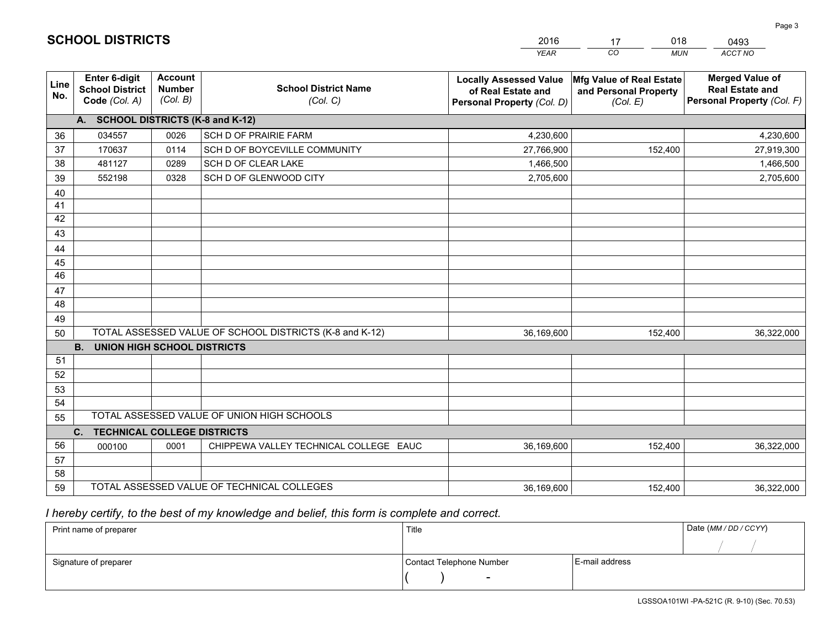|             |                                                                 |                                             |                                                         | <b>YEAR</b>                                                                       | CO.<br><b>MUN</b>                                             | ACCT NO                                                                        |
|-------------|-----------------------------------------------------------------|---------------------------------------------|---------------------------------------------------------|-----------------------------------------------------------------------------------|---------------------------------------------------------------|--------------------------------------------------------------------------------|
| Line<br>No. | <b>Enter 6-digit</b><br><b>School District</b><br>Code (Col. A) | <b>Account</b><br><b>Number</b><br>(Col. B) | <b>School District Name</b><br>(Col. C)                 | <b>Locally Assessed Value</b><br>of Real Estate and<br>Personal Property (Col. D) | Mfg Value of Real Estate<br>and Personal Property<br>(Col. E) | <b>Merged Value of</b><br><b>Real Estate and</b><br>Personal Property (Col. F) |
|             | A. SCHOOL DISTRICTS (K-8 and K-12)                              |                                             |                                                         |                                                                                   |                                                               |                                                                                |
| 36          | 034557                                                          | 0026                                        | <b>SCH D OF PRAIRIE FARM</b>                            | 4,230,600                                                                         |                                                               | 4,230,600                                                                      |
| 37          | 170637                                                          | 0114                                        | SCH D OF BOYCEVILLE COMMUNITY                           | 27,766,900                                                                        | 152,400                                                       | 27,919,300                                                                     |
| 38          | 481127                                                          | 0289                                        | SCH D OF CLEAR LAKE                                     | 1,466,500                                                                         |                                                               | 1,466,500                                                                      |
| 39          | 552198                                                          | 0328                                        | SCH D OF GLENWOOD CITY                                  | 2,705,600                                                                         |                                                               | 2,705,600                                                                      |
| 40          |                                                                 |                                             |                                                         |                                                                                   |                                                               |                                                                                |
| 41          |                                                                 |                                             |                                                         |                                                                                   |                                                               |                                                                                |
| 42          |                                                                 |                                             |                                                         |                                                                                   |                                                               |                                                                                |
| 43          |                                                                 |                                             |                                                         |                                                                                   |                                                               |                                                                                |
| 44          |                                                                 |                                             |                                                         |                                                                                   |                                                               |                                                                                |
| 45          |                                                                 |                                             |                                                         |                                                                                   |                                                               |                                                                                |
| 46          |                                                                 |                                             |                                                         |                                                                                   |                                                               |                                                                                |
| 47          |                                                                 |                                             |                                                         |                                                                                   |                                                               |                                                                                |
| 48          |                                                                 |                                             |                                                         |                                                                                   |                                                               |                                                                                |
| 49          |                                                                 |                                             |                                                         |                                                                                   |                                                               |                                                                                |
| 50          |                                                                 |                                             | TOTAL ASSESSED VALUE OF SCHOOL DISTRICTS (K-8 and K-12) | 36,169,600                                                                        | 152,400                                                       | 36,322,000                                                                     |
|             | <b>B.</b><br><b>UNION HIGH SCHOOL DISTRICTS</b>                 |                                             |                                                         |                                                                                   |                                                               |                                                                                |
| 51          |                                                                 |                                             |                                                         |                                                                                   |                                                               |                                                                                |
| 52          |                                                                 |                                             |                                                         |                                                                                   |                                                               |                                                                                |
| 53          |                                                                 |                                             |                                                         |                                                                                   |                                                               |                                                                                |
| 54          |                                                                 |                                             |                                                         |                                                                                   |                                                               |                                                                                |
| 55          |                                                                 |                                             | TOTAL ASSESSED VALUE OF UNION HIGH SCHOOLS              |                                                                                   |                                                               |                                                                                |
|             | C.<br><b>TECHNICAL COLLEGE DISTRICTS</b>                        |                                             |                                                         |                                                                                   |                                                               |                                                                                |
| 56          | 000100                                                          | 0001                                        | CHIPPEWA VALLEY TECHNICAL COLLEGE EAUC                  | 36,169,600                                                                        | 152,400                                                       | 36,322,000                                                                     |
| 57          |                                                                 |                                             |                                                         |                                                                                   |                                                               |                                                                                |
| 58          |                                                                 |                                             |                                                         |                                                                                   |                                                               |                                                                                |
| 59          |                                                                 |                                             | TOTAL ASSESSED VALUE OF TECHNICAL COLLEGES              | 36,169,600                                                                        | 152,400                                                       | 36,322,000                                                                     |

17

018

 *I hereby certify, to the best of my knowledge and belief, this form is complete and correct.*

**SCHOOL DISTRICTS**

| Print name of preparer | Title                    |                | Date (MM / DD / CCYY) |
|------------------------|--------------------------|----------------|-----------------------|
|                        |                          |                |                       |
| Signature of preparer  | Contact Telephone Number | E-mail address |                       |
|                        | $\sim$                   |                |                       |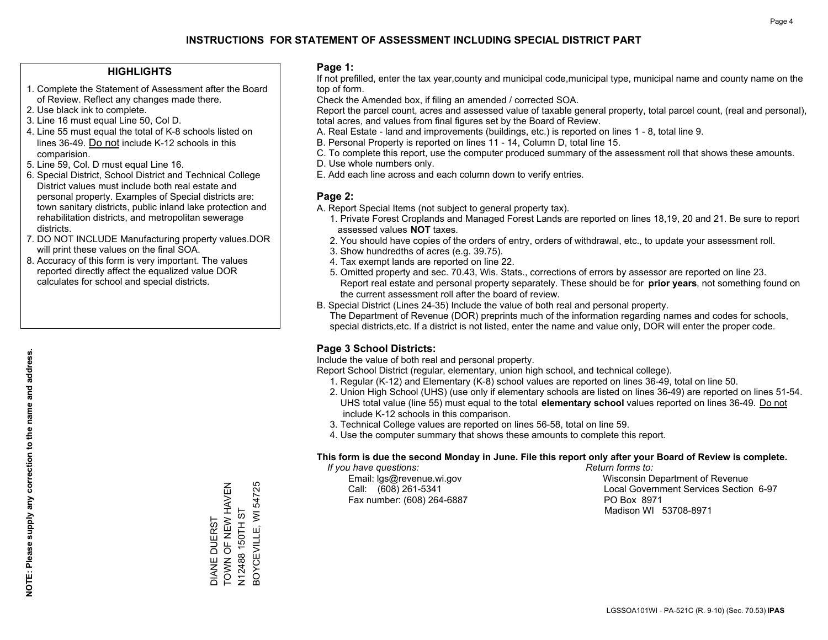### **HIGHLIGHTS**

- 1. Complete the Statement of Assessment after the Board of Review. Reflect any changes made there.
- 2. Use black ink to complete.
- 3. Line 16 must equal Line 50, Col D.
- 4. Line 55 must equal the total of K-8 schools listed on lines 36-49. Do not include K-12 schools in this comparision.
- 5. Line 59, Col. D must equal Line 16.
- 6. Special District, School District and Technical College District values must include both real estate and personal property. Examples of Special districts are: town sanitary districts, public inland lake protection and rehabilitation districts, and metropolitan sewerage districts.
- 7. DO NOT INCLUDE Manufacturing property values.DOR will print these values on the final SOA.
- 8. Accuracy of this form is very important. The values reported directly affect the equalized value DOR calculates for school and special districts.

### **Page 1:**

 If not prefilled, enter the tax year,county and municipal code,municipal type, municipal name and county name on the top of form.

Check the Amended box, if filing an amended / corrected SOA.

 Report the parcel count, acres and assessed value of taxable general property, total parcel count, (real and personal), total acres, and values from final figures set by the Board of Review.

- A. Real Estate land and improvements (buildings, etc.) is reported on lines 1 8, total line 9.
- B. Personal Property is reported on lines 11 14, Column D, total line 15.
- C. To complete this report, use the computer produced summary of the assessment roll that shows these amounts.
- D. Use whole numbers only.
- E. Add each line across and each column down to verify entries.

### **Page 2:**

- A. Report Special Items (not subject to general property tax).
- 1. Private Forest Croplands and Managed Forest Lands are reported on lines 18,19, 20 and 21. Be sure to report assessed values **NOT** taxes.
- 2. You should have copies of the orders of entry, orders of withdrawal, etc., to update your assessment roll.
	- 3. Show hundredths of acres (e.g. 39.75).
- 4. Tax exempt lands are reported on line 22.
- 5. Omitted property and sec. 70.43, Wis. Stats., corrections of errors by assessor are reported on line 23. Report real estate and personal property separately. These should be for **prior years**, not something found on the current assessment roll after the board of review.
- B. Special District (Lines 24-35) Include the value of both real and personal property.
- The Department of Revenue (DOR) preprints much of the information regarding names and codes for schools, special districts,etc. If a district is not listed, enter the name and value only, DOR will enter the proper code.

## **Page 3 School Districts:**

Include the value of both real and personal property.

Report School District (regular, elementary, union high school, and technical college).

- 1. Regular (K-12) and Elementary (K-8) school values are reported on lines 36-49, total on line 50.
- 2. Union High School (UHS) (use only if elementary schools are listed on lines 36-49) are reported on lines 51-54. UHS total value (line 55) must equal to the total **elementary school** values reported on lines 36-49. Do notinclude K-12 schools in this comparison.
- 3. Technical College values are reported on lines 56-58, total on line 59.
- 4. Use the computer summary that shows these amounts to complete this report.

### **This form is due the second Monday in June. File this report only after your Board of Review is complete.**

 *If you have questions: Return forms to:*

Fax number: (608) 264-6887 PO Box 8971

 Email: lgs@revenue.wi.gov Wisconsin Department of Revenue Call: (608) 261-5341 Local Government Services Section 6-97Madison WI 53708-8971

TOWN OF NEW HAVEN DIANE DUERST<br>TOWN OF NEW HAVEN 3OYCEVILLE, WI 54725 N12488 150TH ST N12488 150TH ST DIANE DUERST

BOYCEVILLE, WI 54725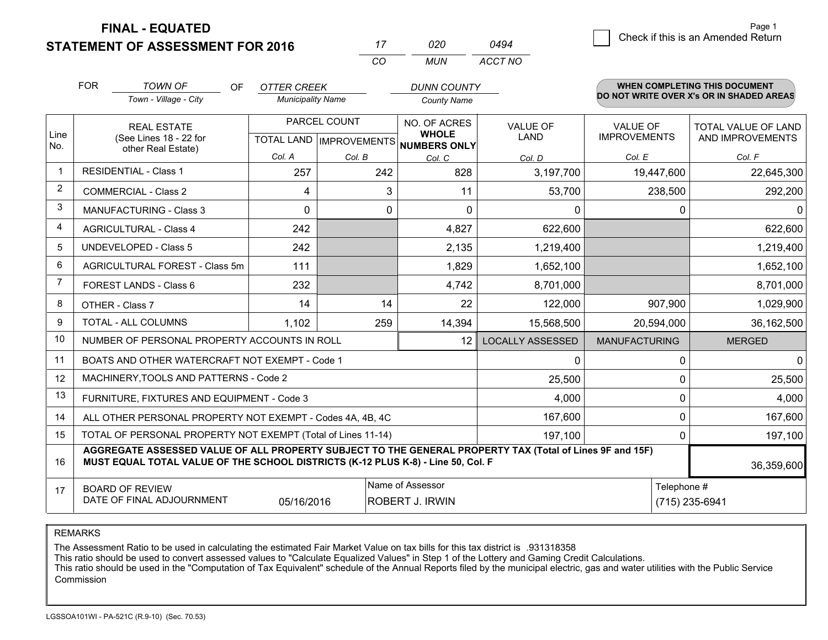**STATEMENT OF ASSESSMENT FOR 2016** 

**FINAL - EQUATED**

|                | <b>FOR</b>                                                                                                                                                                                   | <b>TOWN OF</b><br><b>OF</b><br>Town - Village - City               | <b>OTTER CREEK</b><br><b>Municipality Name</b> |              | <b>DUNN COUNTY</b><br><b>County Name</b>                             |                         |                                        |              | <b>WHEN COMPLETING THIS DOCUMENT</b><br>DO NOT WRITE OVER X's OR IN SHADED AREAS |
|----------------|----------------------------------------------------------------------------------------------------------------------------------------------------------------------------------------------|--------------------------------------------------------------------|------------------------------------------------|--------------|----------------------------------------------------------------------|-------------------------|----------------------------------------|--------------|----------------------------------------------------------------------------------|
| Line<br>No.    |                                                                                                                                                                                              | <b>REAL ESTATE</b><br>(See Lines 18 - 22 for<br>other Real Estate) |                                                | PARCEL COUNT | NO. OF ACRES<br><b>WHOLE</b><br>TOTAL LAND IMPROVEMENTS NUMBERS ONLY | <b>VALUE OF</b><br>LAND | <b>VALUE OF</b><br><b>IMPROVEMENTS</b> |              | <b>TOTAL VALUE OF LAND</b><br>AND IMPROVEMENTS                                   |
|                |                                                                                                                                                                                              |                                                                    | Col. A                                         | Col. B       | Col. C                                                               | Col. D                  | Col. E                                 |              | Col. F                                                                           |
| $\mathbf 1$    |                                                                                                                                                                                              | <b>RESIDENTIAL - Class 1</b>                                       | 257                                            | 242          | 828                                                                  | 3,197,700               | 19,447,600                             |              | 22,645,300                                                                       |
| $\overline{2}$ |                                                                                                                                                                                              | <b>COMMERCIAL - Class 2</b>                                        | 4                                              | 3            | 11                                                                   | 53,700                  | 238,500                                |              | 292,200                                                                          |
| 3              |                                                                                                                                                                                              | <b>MANUFACTURING - Class 3</b>                                     | 0                                              | 0            | 0                                                                    | 0                       |                                        | $\mathbf{0}$ | 0                                                                                |
| 4              |                                                                                                                                                                                              | <b>AGRICULTURAL - Class 4</b>                                      | 242                                            |              | 4,827                                                                | 622,600                 |                                        |              | 622,600                                                                          |
| 5              |                                                                                                                                                                                              | <b>UNDEVELOPED - Class 5</b>                                       | 242                                            |              | 2,135                                                                | 1,219,400               |                                        |              | 1,219,400                                                                        |
| 6              |                                                                                                                                                                                              | AGRICULTURAL FOREST - Class 5m                                     | 111                                            |              | 1,829                                                                | 1,652,100               |                                        |              | 1,652,100                                                                        |
| $\overline{7}$ |                                                                                                                                                                                              | FOREST LANDS - Class 6                                             | 232                                            |              | 4,742                                                                | 8,701,000               |                                        |              | 8,701,000                                                                        |
| 8              |                                                                                                                                                                                              | OTHER - Class 7                                                    | 14                                             | 14           | 22                                                                   | 122,000                 | 907,900                                |              | 1,029,900                                                                        |
| 9              |                                                                                                                                                                                              | <b>TOTAL - ALL COLUMNS</b>                                         | 1,102                                          | 259          | 14,394                                                               | 15,568,500              | 20,594,000                             |              | 36,162,500                                                                       |
| 10             |                                                                                                                                                                                              | NUMBER OF PERSONAL PROPERTY ACCOUNTS IN ROLL                       |                                                |              | 12                                                                   | <b>LOCALLY ASSESSED</b> | <b>MANUFACTURING</b>                   |              | <b>MERGED</b>                                                                    |
| 11             |                                                                                                                                                                                              | BOATS AND OTHER WATERCRAFT NOT EXEMPT - Code 1                     |                                                |              |                                                                      | $\Omega$                |                                        | $\Omega$     | $\Omega$                                                                         |
| 12             |                                                                                                                                                                                              | MACHINERY, TOOLS AND PATTERNS - Code 2                             |                                                |              |                                                                      | 25,500                  |                                        | $\Omega$     | 25,500                                                                           |
| 13             |                                                                                                                                                                                              | FURNITURE, FIXTURES AND EQUIPMENT - Code 3                         |                                                |              |                                                                      | 4,000                   |                                        | 0            | 4,000                                                                            |
| 14             |                                                                                                                                                                                              | ALL OTHER PERSONAL PROPERTY NOT EXEMPT - Codes 4A, 4B, 4C          |                                                |              |                                                                      | 167,600                 |                                        | $\Omega$     | 167,600                                                                          |
| 15             |                                                                                                                                                                                              | TOTAL OF PERSONAL PROPERTY NOT EXEMPT (Total of Lines 11-14)       |                                                |              |                                                                      | 197,100                 |                                        | $\mathbf{0}$ | 197,100                                                                          |
| 16             | AGGREGATE ASSESSED VALUE OF ALL PROPERTY SUBJECT TO THE GENERAL PROPERTY TAX (Total of Lines 9F and 15F)<br>MUST EQUAL TOTAL VALUE OF THE SCHOOL DISTRICTS (K-12 PLUS K-8) - Line 50, Col. F |                                                                    |                                                |              |                                                                      |                         |                                        |              | 36,359,600                                                                       |
| 17             |                                                                                                                                                                                              | <b>BOARD OF REVIEW</b><br>DATE OF FINAL ADJOURNMENT                | 05/16/2016                                     |              | Name of Assessor<br><b>ROBERT J. IRWIN</b>                           |                         | Telephone #<br>(715) 235-6941          |              |                                                                                  |

*MUN*

*ACCT NO0494*

*<sup>17</sup> <sup>020</sup>*

*CO*

REMARKS

The Assessment Ratio to be used in calculating the estimated Fair Market Value on tax bills for this tax district is .931318358<br>This ratio should be used to convert assessed values to "Calculate Equalized Values" in Step 1 Commission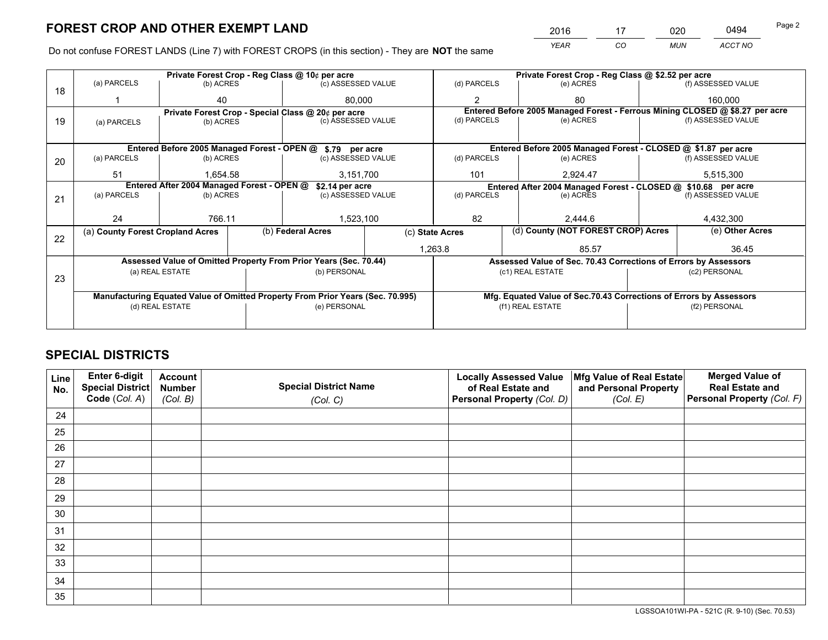*YEAR CO MUN ACCT NO* 2016 <u>17 020 0494</u>

Do not confuse FOREST LANDS (Line 7) with FOREST CROPS (in this section) - They are **NOT** the same

|    | Private Forest Crop - Reg Class @ 10¢ per acre                |                                             |  |                                                                                |                 | Private Forest Crop - Reg Class @ \$2.52 per acre                  |                                                                              |                                                       |                    |  |
|----|---------------------------------------------------------------|---------------------------------------------|--|--------------------------------------------------------------------------------|-----------------|--------------------------------------------------------------------|------------------------------------------------------------------------------|-------------------------------------------------------|--------------------|--|
| 18 | (a) PARCELS                                                   | (b) ACRES                                   |  | (c) ASSESSED VALUE                                                             |                 | (d) PARCELS                                                        | (e) ACRES                                                                    |                                                       | (f) ASSESSED VALUE |  |
|    |                                                               | 40                                          |  | 80.000                                                                         |                 | $\overline{2}$                                                     | 80                                                                           |                                                       | 160,000            |  |
|    |                                                               |                                             |  | Private Forest Crop - Special Class @ 20¢ per acre                             |                 |                                                                    | Entered Before 2005 Managed Forest - Ferrous Mining CLOSED @ \$8.27 per acre |                                                       |                    |  |
| 19 | (a) PARCELS                                                   | (b) ACRES                                   |  | (c) ASSESSED VALUE                                                             |                 | (d) PARCELS                                                        | (e) ACRES                                                                    |                                                       | (f) ASSESSED VALUE |  |
|    |                                                               |                                             |  |                                                                                |                 |                                                                    |                                                                              |                                                       |                    |  |
|    |                                                               | Entered Before 2005 Managed Forest - OPEN @ |  | \$.79 per acre                                                                 |                 |                                                                    | Entered Before 2005 Managed Forest - CLOSED @ \$1.87 per acre                |                                                       |                    |  |
| 20 | (a) PARCELS                                                   | (b) ACRES                                   |  | (c) ASSESSED VALUE                                                             |                 | (d) PARCELS                                                        | (e) ACRES                                                                    |                                                       | (f) ASSESSED VALUE |  |
|    | 51                                                            | 1.654.58                                    |  | 3,151,700                                                                      |                 | 101                                                                | 2.924.47                                                                     |                                                       | 5,515,300          |  |
|    | Entered After 2004 Managed Forest - OPEN @<br>\$2.14 per acre |                                             |  |                                                                                |                 |                                                                    | Entered After 2004 Managed Forest - CLOSED @ \$10.68 per acre                |                                                       |                    |  |
| 21 | (a) PARCELS                                                   | (b) ACRES                                   |  | (c) ASSESSED VALUE                                                             |                 | (d) PARCELS<br>(e) ACRES                                           |                                                                              | (f) ASSESSED VALUE                                    |                    |  |
|    |                                                               |                                             |  |                                                                                |                 |                                                                    |                                                                              |                                                       |                    |  |
|    | 24                                                            | 766.11                                      |  | 1,523,100                                                                      |                 | 82                                                                 | 2,444.6                                                                      |                                                       | 4,432,300          |  |
| 22 | (a) County Forest Cropland Acres                              |                                             |  | (b) Federal Acres                                                              | (c) State Acres |                                                                    |                                                                              | (d) County (NOT FOREST CROP) Acres<br>(e) Other Acres |                    |  |
|    |                                                               |                                             |  |                                                                                |                 | 1,263.8<br>85.57                                                   |                                                                              |                                                       | 36.45              |  |
|    |                                                               |                                             |  | Assessed Value of Omitted Property From Prior Years (Sec. 70.44)               |                 |                                                                    | Assessed Value of Sec. 70.43 Corrections of Errors by Assessors              |                                                       |                    |  |
|    |                                                               | (a) REAL ESTATE                             |  | (b) PERSONAL                                                                   |                 | (c1) REAL ESTATE<br>(c2) PERSONAL                                  |                                                                              |                                                       |                    |  |
|    | 23                                                            |                                             |  |                                                                                |                 |                                                                    |                                                                              |                                                       |                    |  |
|    |                                                               |                                             |  | Manufacturing Equated Value of Omitted Property From Prior Years (Sec. 70.995) |                 | Mfg. Equated Value of Sec.70.43 Corrections of Errors by Assessors |                                                                              |                                                       |                    |  |
|    | (d) REAL ESTATE                                               |                                             |  | (e) PERSONAL                                                                   |                 | (f1) REAL ESTATE                                                   |                                                                              |                                                       | (f2) PERSONAL      |  |
|    |                                                               |                                             |  |                                                                                |                 |                                                                    |                                                                              |                                                       |                    |  |

## **SPECIAL DISTRICTS**

| Line<br>No. | Enter 6-digit<br>Special District<br>Code (Col. A) | <b>Account</b><br><b>Number</b><br>(Col. B) | <b>Special District Name</b><br>(Col. C) | <b>Locally Assessed Value</b><br>of Real Estate and<br>Personal Property (Col. D) | Mfg Value of Real Estate<br>and Personal Property<br>(Col. E) | <b>Merged Value of</b><br><b>Real Estate and</b><br>Personal Property (Col. F) |
|-------------|----------------------------------------------------|---------------------------------------------|------------------------------------------|-----------------------------------------------------------------------------------|---------------------------------------------------------------|--------------------------------------------------------------------------------|
| 24          |                                                    |                                             |                                          |                                                                                   |                                                               |                                                                                |
| 25          |                                                    |                                             |                                          |                                                                                   |                                                               |                                                                                |
| 26          |                                                    |                                             |                                          |                                                                                   |                                                               |                                                                                |
| 27          |                                                    |                                             |                                          |                                                                                   |                                                               |                                                                                |
| 28          |                                                    |                                             |                                          |                                                                                   |                                                               |                                                                                |
| 29          |                                                    |                                             |                                          |                                                                                   |                                                               |                                                                                |
| 30          |                                                    |                                             |                                          |                                                                                   |                                                               |                                                                                |
| 31          |                                                    |                                             |                                          |                                                                                   |                                                               |                                                                                |
| 32          |                                                    |                                             |                                          |                                                                                   |                                                               |                                                                                |
| 33          |                                                    |                                             |                                          |                                                                                   |                                                               |                                                                                |
| 34          |                                                    |                                             |                                          |                                                                                   |                                                               |                                                                                |
| 35          |                                                    |                                             |                                          |                                                                                   |                                                               |                                                                                |

LGSSOA101WI-PA - 521C (R. 9-10) (Sec. 70.53)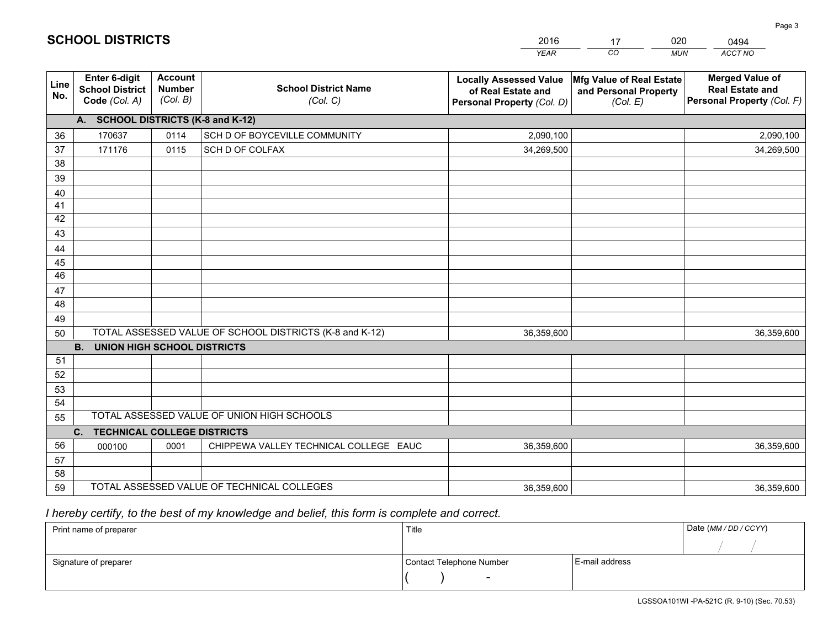|             |                                                          |                                             |                                                         | <b>YEAR</b>                                                                       | CO<br><b>MUN</b>                                              | ACCT NO                                                                        |
|-------------|----------------------------------------------------------|---------------------------------------------|---------------------------------------------------------|-----------------------------------------------------------------------------------|---------------------------------------------------------------|--------------------------------------------------------------------------------|
| Line<br>No. | Enter 6-digit<br><b>School District</b><br>Code (Col. A) | <b>Account</b><br><b>Number</b><br>(Col. B) | <b>School District Name</b><br>(Col. C)                 | <b>Locally Assessed Value</b><br>of Real Estate and<br>Personal Property (Col. D) | Mfg Value of Real Estate<br>and Personal Property<br>(Col. E) | <b>Merged Value of</b><br><b>Real Estate and</b><br>Personal Property (Col. F) |
|             | A. SCHOOL DISTRICTS (K-8 and K-12)                       |                                             |                                                         |                                                                                   |                                                               |                                                                                |
| 36          | 170637                                                   | 0114                                        | SCH D OF BOYCEVILLE COMMUNITY                           | 2,090,100                                                                         |                                                               | 2,090,100                                                                      |
| 37          | 171176                                                   | 0115                                        | SCH D OF COLFAX                                         | 34,269,500                                                                        |                                                               | 34,269,500                                                                     |
| 38          |                                                          |                                             |                                                         |                                                                                   |                                                               |                                                                                |
| 39          |                                                          |                                             |                                                         |                                                                                   |                                                               |                                                                                |
| 40          |                                                          |                                             |                                                         |                                                                                   |                                                               |                                                                                |
| 41          |                                                          |                                             |                                                         |                                                                                   |                                                               |                                                                                |
| 42          |                                                          |                                             |                                                         |                                                                                   |                                                               |                                                                                |
| 43          |                                                          |                                             |                                                         |                                                                                   |                                                               |                                                                                |
| 44<br>45    |                                                          |                                             |                                                         |                                                                                   |                                                               |                                                                                |
| 46          |                                                          |                                             |                                                         |                                                                                   |                                                               |                                                                                |
| 47          |                                                          |                                             |                                                         |                                                                                   |                                                               |                                                                                |
| 48          |                                                          |                                             |                                                         |                                                                                   |                                                               |                                                                                |
| 49          |                                                          |                                             |                                                         |                                                                                   |                                                               |                                                                                |
| 50          |                                                          |                                             | TOTAL ASSESSED VALUE OF SCHOOL DISTRICTS (K-8 and K-12) | 36,359,600                                                                        |                                                               | 36,359,600                                                                     |
|             | <b>B.</b><br><b>UNION HIGH SCHOOL DISTRICTS</b>          |                                             |                                                         |                                                                                   |                                                               |                                                                                |
| 51          |                                                          |                                             |                                                         |                                                                                   |                                                               |                                                                                |
| 52          |                                                          |                                             |                                                         |                                                                                   |                                                               |                                                                                |
| 53          |                                                          |                                             |                                                         |                                                                                   |                                                               |                                                                                |
| 54          |                                                          |                                             |                                                         |                                                                                   |                                                               |                                                                                |
| 55          |                                                          |                                             | TOTAL ASSESSED VALUE OF UNION HIGH SCHOOLS              |                                                                                   |                                                               |                                                                                |
|             | C.<br><b>TECHNICAL COLLEGE DISTRICTS</b>                 |                                             |                                                         |                                                                                   |                                                               |                                                                                |
| 56          | 000100                                                   | 0001                                        | CHIPPEWA VALLEY TECHNICAL COLLEGE EAUC                  | 36,359,600                                                                        |                                                               | 36,359,600                                                                     |
| 57          |                                                          |                                             |                                                         |                                                                                   |                                                               |                                                                                |
| 58          |                                                          |                                             |                                                         |                                                                                   |                                                               |                                                                                |
| 59          |                                                          |                                             | TOTAL ASSESSED VALUE OF TECHNICAL COLLEGES              | 36,359,600                                                                        |                                                               | 36,359,600                                                                     |

17

020

 *I hereby certify, to the best of my knowledge and belief, this form is complete and correct.*

**SCHOOL DISTRICTS**

| Print name of preparer | Title                    |                | Date (MM / DD / CCYY) |
|------------------------|--------------------------|----------------|-----------------------|
|                        |                          |                |                       |
| Signature of preparer  | Contact Telephone Number | E-mail address |                       |
|                        | $\sim$                   |                |                       |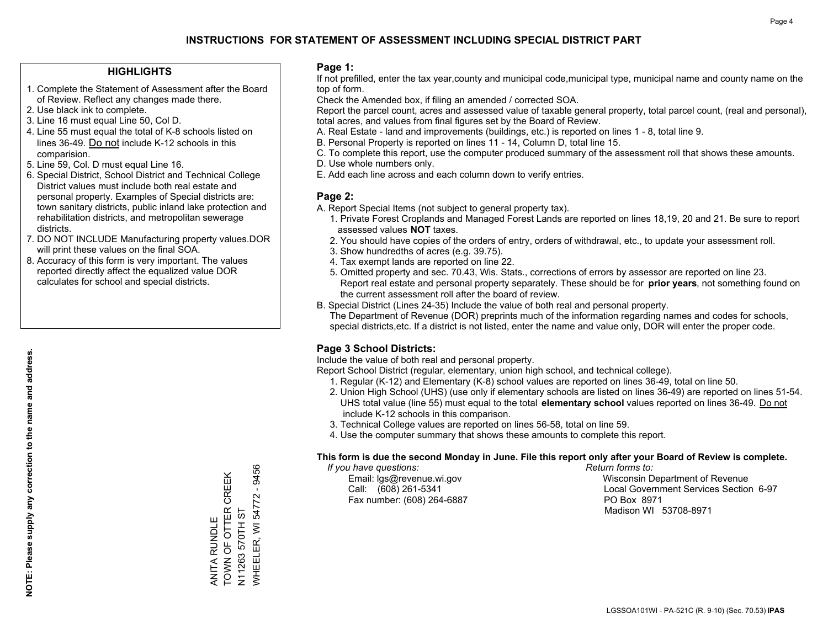### **HIGHLIGHTS**

- 1. Complete the Statement of Assessment after the Board of Review. Reflect any changes made there.
- 2. Use black ink to complete.
- 3. Line 16 must equal Line 50, Col D.
- 4. Line 55 must equal the total of K-8 schools listed on lines 36-49. Do not include K-12 schools in this comparision.
- 5. Line 59, Col. D must equal Line 16.
- 6. Special District, School District and Technical College District values must include both real estate and personal property. Examples of Special districts are: town sanitary districts, public inland lake protection and rehabilitation districts, and metropolitan sewerage districts.
- 7. DO NOT INCLUDE Manufacturing property values.DOR will print these values on the final SOA.
- 8. Accuracy of this form is very important. The values reported directly affect the equalized value DOR calculates for school and special districts.

### **Page 1:**

 If not prefilled, enter the tax year,county and municipal code,municipal type, municipal name and county name on the top of form.

Check the Amended box, if filing an amended / corrected SOA.

 Report the parcel count, acres and assessed value of taxable general property, total parcel count, (real and personal), total acres, and values from final figures set by the Board of Review.

- A. Real Estate land and improvements (buildings, etc.) is reported on lines 1 8, total line 9.
- B. Personal Property is reported on lines 11 14, Column D, total line 15.
- C. To complete this report, use the computer produced summary of the assessment roll that shows these amounts.
- D. Use whole numbers only.
- E. Add each line across and each column down to verify entries.

### **Page 2:**

- A. Report Special Items (not subject to general property tax).
- 1. Private Forest Croplands and Managed Forest Lands are reported on lines 18,19, 20 and 21. Be sure to report assessed values **NOT** taxes.
- 2. You should have copies of the orders of entry, orders of withdrawal, etc., to update your assessment roll.
	- 3. Show hundredths of acres (e.g. 39.75).
- 4. Tax exempt lands are reported on line 22.
- 5. Omitted property and sec. 70.43, Wis. Stats., corrections of errors by assessor are reported on line 23. Report real estate and personal property separately. These should be for **prior years**, not something found on the current assessment roll after the board of review.
- B. Special District (Lines 24-35) Include the value of both real and personal property.

 The Department of Revenue (DOR) preprints much of the information regarding names and codes for schools, special districts,etc. If a district is not listed, enter the name and value only, DOR will enter the proper code.

### **Page 3 School Districts:**

Include the value of both real and personal property.

Report School District (regular, elementary, union high school, and technical college).

- 1. Regular (K-12) and Elementary (K-8) school values are reported on lines 36-49, total on line 50.
- 2. Union High School (UHS) (use only if elementary schools are listed on lines 36-49) are reported on lines 51-54. UHS total value (line 55) must equal to the total **elementary school** values reported on lines 36-49. Do notinclude K-12 schools in this comparison.
- 3. Technical College values are reported on lines 56-58, total on line 59.
- 4. Use the computer summary that shows these amounts to complete this report.

#### **This form is due the second Monday in June. File this report only after your Board of Review is complete.**

 *If you have questions: Return forms to:*

Fax number: (608) 264-6887 PO Box 8971

 Email: lgs@revenue.wi.gov Wisconsin Department of Revenue Call: (608) 261-5341 Local Government Services Section 6-97Madison WI 53708-8971

WHEELER, WI 54772 - 9456 WHEELER, WI 54772 - 9456 TOWN OF OTTER CREEK ANITA RUNDLE<br>TOWN OF OTTER CREEK N11263 570TH ST N11263 570TH ST ANITA RUNDLE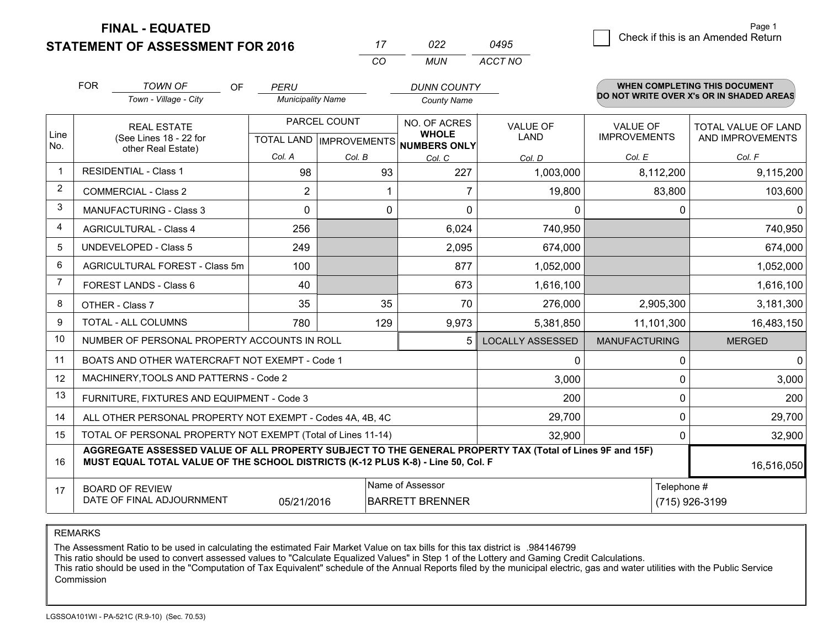**FINAL - EQUATED**

**STATEMENT OF ASSESSMENT FOR 2016** 

|   |                                    | Page 1 |
|---|------------------------------------|--------|
| 5 | Check if this is an Amended Return |        |
|   |                                    |        |

|                | <b>FOR</b>                                                        | <b>TOWN OF</b><br><b>OF</b>                                                                                                                                                                  | <b>PERU</b>              |                           | <b>DUNN COUNTY</b>                  |                         |                      | <b>WHEN COMPLETING THIS DOCUMENT</b>     |
|----------------|-------------------------------------------------------------------|----------------------------------------------------------------------------------------------------------------------------------------------------------------------------------------------|--------------------------|---------------------------|-------------------------------------|-------------------------|----------------------|------------------------------------------|
|                |                                                                   | Town - Village - City                                                                                                                                                                        | <b>Municipality Name</b> |                           | <b>County Name</b>                  |                         |                      | DO NOT WRITE OVER X's OR IN SHADED AREAS |
|                | <b>REAL ESTATE</b>                                                |                                                                                                                                                                                              |                          | PARCEL COUNT              | NO. OF ACRES                        | <b>VALUE OF</b>         | <b>VALUE OF</b>      | TOTAL VALUE OF LAND                      |
| Line<br>No.    |                                                                   | (See Lines 18 - 22 for<br>other Real Estate)                                                                                                                                                 |                          | TOTAL LAND   IMPROVEMENTS | <b>WHOLE</b><br><b>NUMBERS ONLY</b> | <b>LAND</b>             | <b>IMPROVEMENTS</b>  | AND IMPROVEMENTS                         |
|                |                                                                   |                                                                                                                                                                                              | Col. A                   | Col. B                    | Col. C                              | Col. D                  | Col. E               | Col. F                                   |
| 1              |                                                                   | <b>RESIDENTIAL - Class 1</b>                                                                                                                                                                 | 98                       | 93                        | 227                                 | 1,003,000               | 8,112,200            | 9,115,200                                |
| 2              |                                                                   | <b>COMMERCIAL - Class 2</b>                                                                                                                                                                  | $\overline{2}$           | 1                         | 7                                   | 19,800                  | 83,800               | 103,600                                  |
| 3              |                                                                   | MANUFACTURING - Class 3                                                                                                                                                                      | $\Omega$                 | 0                         | $\Omega$                            | $\Omega$                | 0                    | 0                                        |
| 4              |                                                                   | <b>AGRICULTURAL - Class 4</b>                                                                                                                                                                | 256                      |                           | 6,024                               | 740,950                 |                      | 740,950                                  |
| 5              |                                                                   | <b>UNDEVELOPED - Class 5</b>                                                                                                                                                                 | 249                      |                           | 2,095                               | 674,000                 |                      | 674,000                                  |
| 6              |                                                                   | AGRICULTURAL FOREST - Class 5m                                                                                                                                                               | 100                      |                           | 877                                 | 1,052,000               |                      | 1,052,000                                |
| $\overline{7}$ |                                                                   | FOREST LANDS - Class 6                                                                                                                                                                       | 40                       |                           | 673                                 | 1,616,100               |                      | 1,616,100                                |
| 8              |                                                                   | OTHER - Class 7                                                                                                                                                                              | 35                       | 35                        | 70                                  | 276,000                 | 2,905,300            | 3,181,300                                |
| 9              |                                                                   | <b>TOTAL - ALL COLUMNS</b>                                                                                                                                                                   | 780                      | 129                       | 9,973                               | 5,381,850               | 11,101,300           | 16,483,150                               |
| 10             |                                                                   | NUMBER OF PERSONAL PROPERTY ACCOUNTS IN ROLL                                                                                                                                                 |                          |                           |                                     | <b>LOCALLY ASSESSED</b> | <b>MANUFACTURING</b> | <b>MERGED</b>                            |
| 11             |                                                                   | BOATS AND OTHER WATERCRAFT NOT EXEMPT - Code 1                                                                                                                                               |                          |                           |                                     | 0                       | 0                    | $\mathbf 0$                              |
| 12             |                                                                   | MACHINERY, TOOLS AND PATTERNS - Code 2                                                                                                                                                       |                          |                           |                                     | 3,000                   | 0                    | 3,000                                    |
| 13             |                                                                   | FURNITURE, FIXTURES AND EQUIPMENT - Code 3                                                                                                                                                   |                          |                           |                                     | 200                     | 0                    | 200                                      |
| 14             |                                                                   | ALL OTHER PERSONAL PROPERTY NOT EXEMPT - Codes 4A, 4B, 4C                                                                                                                                    |                          |                           |                                     | 29,700                  | $\Omega$             | 29,700                                   |
| 15             | TOTAL OF PERSONAL PROPERTY NOT EXEMPT (Total of Lines 11-14)      |                                                                                                                                                                                              |                          |                           |                                     | 32,900                  | 0                    | 32,900                                   |
| 16             |                                                                   | AGGREGATE ASSESSED VALUE OF ALL PROPERTY SUBJECT TO THE GENERAL PROPERTY TAX (Total of Lines 9F and 15F)<br>MUST EQUAL TOTAL VALUE OF THE SCHOOL DISTRICTS (K-12 PLUS K-8) - Line 50, Col. F |                          |                           |                                     |                         |                      | 16,516,050                               |
| 17             |                                                                   | <b>BOARD OF REVIEW</b>                                                                                                                                                                       |                          |                           | Name of Assessor                    |                         | Telephone #          |                                          |
|                | DATE OF FINAL ADJOURNMENT<br>05/21/2016<br><b>BARRETT BRENNER</b> |                                                                                                                                                                                              |                          |                           |                                     |                         |                      | (715) 926-3199                           |

*CO*

*MUN*

*ACCT NO0495*

*<sup>17</sup> <sup>022</sup>*

REMARKS

The Assessment Ratio to be used in calculating the estimated Fair Market Value on tax bills for this tax district is .984146799<br>This ratio should be used to convert assessed values to "Calculate Equalized Values" in Step 1 Commission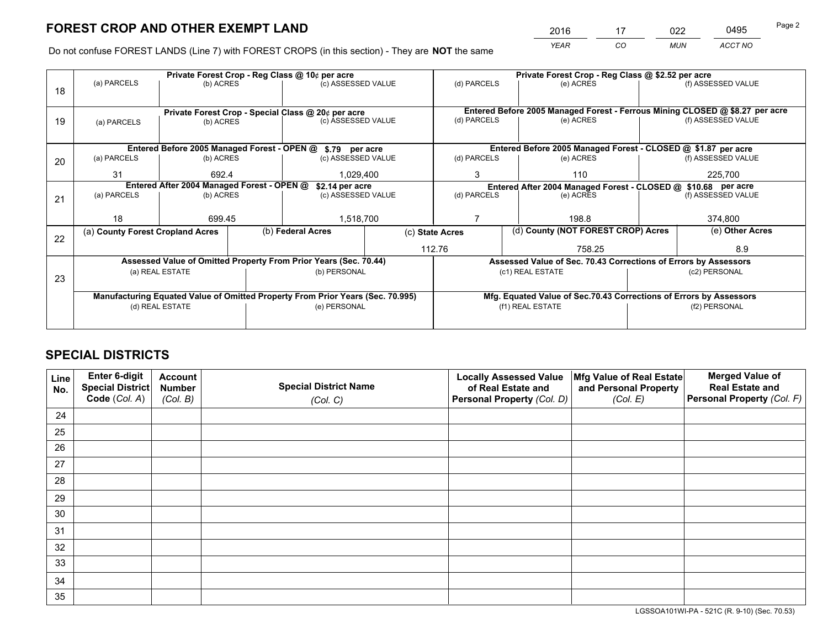*YEAR CO MUN ACCT NO* <sup>2016</sup> <sup>17</sup> <sup>022</sup> <sup>0495</sup>

Do not confuse FOREST LANDS (Line 7) with FOREST CROPS (in this section) - They are **NOT** the same

|    |                                                               |                 |  | Private Forest Crop - Reg Class @ 10¢ per acre                                 |                                                                              | Private Forest Crop - Reg Class @ \$2.52 per acre                  |                                                                 |                    |                    |
|----|---------------------------------------------------------------|-----------------|--|--------------------------------------------------------------------------------|------------------------------------------------------------------------------|--------------------------------------------------------------------|-----------------------------------------------------------------|--------------------|--------------------|
| 18 | (a) PARCELS                                                   | (b) ACRES       |  | (c) ASSESSED VALUE                                                             |                                                                              | (d) PARCELS                                                        | (e) ACRES                                                       |                    | (f) ASSESSED VALUE |
|    |                                                               |                 |  |                                                                                |                                                                              |                                                                    |                                                                 |                    |                    |
|    | Private Forest Crop - Special Class @ 20¢ per acre            |                 |  |                                                                                | Entered Before 2005 Managed Forest - Ferrous Mining CLOSED @ \$8.27 per acre |                                                                    |                                                                 |                    |                    |
| 19 | (a) PARCELS                                                   | (b) ACRES       |  | (c) ASSESSED VALUE                                                             |                                                                              | (d) PARCELS                                                        | (e) ACRES                                                       |                    | (f) ASSESSED VALUE |
|    |                                                               |                 |  |                                                                                |                                                                              |                                                                    |                                                                 |                    |                    |
|    |                                                               |                 |  | Entered Before 2005 Managed Forest - OPEN @ \$.79 per acre                     |                                                                              |                                                                    | Entered Before 2005 Managed Forest - CLOSED @ \$1.87 per acre   |                    |                    |
| 20 | (a) PARCELS                                                   | (b) ACRES       |  | (c) ASSESSED VALUE                                                             |                                                                              | (d) PARCELS                                                        | (e) ACRES                                                       |                    | (f) ASSESSED VALUE |
|    | 31                                                            | 692.4           |  | 1,029,400                                                                      |                                                                              | 3                                                                  | 110                                                             |                    |                    |
|    | Entered After 2004 Managed Forest - OPEN @<br>\$2.14 per acre |                 |  |                                                                                | Entered After 2004 Managed Forest - CLOSED @ \$10.68 per acre                |                                                                    |                                                                 |                    |                    |
| 21 | (a) PARCELS                                                   | (b) ACRES       |  | (c) ASSESSED VALUE                                                             |                                                                              | (d) PARCELS<br>(e) ACRES                                           |                                                                 | (f) ASSESSED VALUE |                    |
|    |                                                               |                 |  |                                                                                |                                                                              |                                                                    |                                                                 |                    |                    |
|    | 18                                                            | 699.45          |  | 1,518,700                                                                      |                                                                              |                                                                    | 198.8                                                           |                    | 374,800            |
| 22 | (a) County Forest Cropland Acres                              |                 |  | (b) Federal Acres                                                              |                                                                              | (d) County (NOT FOREST CROP) Acres<br>(c) State Acres              |                                                                 |                    | (e) Other Acres    |
|    |                                                               |                 |  |                                                                                |                                                                              | 112.76                                                             | 758.25                                                          |                    | 8.9                |
|    |                                                               |                 |  | Assessed Value of Omitted Property From Prior Years (Sec. 70.44)               |                                                                              |                                                                    | Assessed Value of Sec. 70.43 Corrections of Errors by Assessors |                    |                    |
| 23 |                                                               | (a) REAL ESTATE |  | (b) PERSONAL                                                                   | (c1) REAL ESTATE                                                             |                                                                    | (c2) PERSONAL                                                   |                    |                    |
|    |                                                               |                 |  |                                                                                |                                                                              |                                                                    |                                                                 |                    |                    |
|    |                                                               |                 |  | Manufacturing Equated Value of Omitted Property From Prior Years (Sec. 70.995) |                                                                              | Mfg. Equated Value of Sec.70.43 Corrections of Errors by Assessors |                                                                 |                    |                    |
|    | (d) REAL ESTATE                                               |                 |  | (e) PERSONAL                                                                   |                                                                              | (f1) REAL ESTATE                                                   |                                                                 | (f2) PERSONAL      |                    |
|    |                                                               |                 |  |                                                                                |                                                                              |                                                                    |                                                                 |                    |                    |

## **SPECIAL DISTRICTS**

| Line<br>No. | Enter 6-digit<br>Special District<br>Code (Col. A) | <b>Account</b><br><b>Number</b> | <b>Special District Name</b> | <b>Locally Assessed Value</b><br>of Real Estate and | Mfg Value of Real Estate<br>and Personal Property | <b>Merged Value of</b><br><b>Real Estate and</b><br>Personal Property (Col. F) |
|-------------|----------------------------------------------------|---------------------------------|------------------------------|-----------------------------------------------------|---------------------------------------------------|--------------------------------------------------------------------------------|
|             |                                                    | (Col. B)                        | (Col. C)                     | Personal Property (Col. D)                          | (Col. E)                                          |                                                                                |
| 24          |                                                    |                                 |                              |                                                     |                                                   |                                                                                |
| 25          |                                                    |                                 |                              |                                                     |                                                   |                                                                                |
| 26          |                                                    |                                 |                              |                                                     |                                                   |                                                                                |
| 27          |                                                    |                                 |                              |                                                     |                                                   |                                                                                |
| 28          |                                                    |                                 |                              |                                                     |                                                   |                                                                                |
| 29          |                                                    |                                 |                              |                                                     |                                                   |                                                                                |
| 30          |                                                    |                                 |                              |                                                     |                                                   |                                                                                |
| 31          |                                                    |                                 |                              |                                                     |                                                   |                                                                                |
| 32          |                                                    |                                 |                              |                                                     |                                                   |                                                                                |
| 33          |                                                    |                                 |                              |                                                     |                                                   |                                                                                |
| 34          |                                                    |                                 |                              |                                                     |                                                   |                                                                                |
| 35          |                                                    |                                 |                              |                                                     |                                                   |                                                                                |

LGSSOA101WI-PA - 521C (R. 9-10) (Sec. 70.53)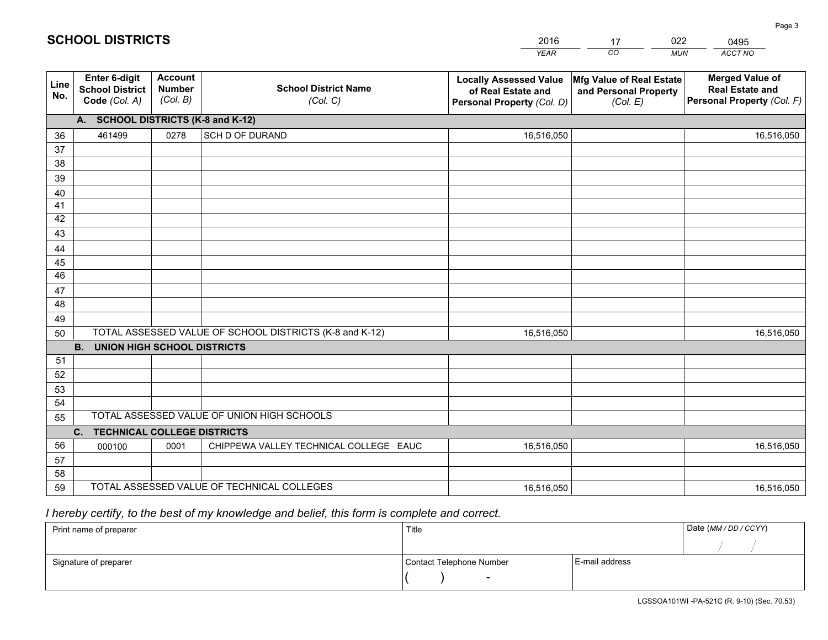|             |                                                          |                                             |                                                         | <b>YEAR</b>                                                                       | CO<br><b>MUN</b>                                              | ACCT NO                                                                        |
|-------------|----------------------------------------------------------|---------------------------------------------|---------------------------------------------------------|-----------------------------------------------------------------------------------|---------------------------------------------------------------|--------------------------------------------------------------------------------|
| Line<br>No. | Enter 6-digit<br><b>School District</b><br>Code (Col. A) | <b>Account</b><br><b>Number</b><br>(Col. B) | <b>School District Name</b><br>(Col. C)                 | <b>Locally Assessed Value</b><br>of Real Estate and<br>Personal Property (Col. D) | Mfg Value of Real Estate<br>and Personal Property<br>(Col. E) | <b>Merged Value of</b><br><b>Real Estate and</b><br>Personal Property (Col. F) |
|             | A. SCHOOL DISTRICTS (K-8 and K-12)                       |                                             |                                                         |                                                                                   |                                                               |                                                                                |
| 36          | 461499                                                   | 0278                                        | SCH D OF DURAND                                         | 16,516,050                                                                        |                                                               | 16,516,050                                                                     |
| 37          |                                                          |                                             |                                                         |                                                                                   |                                                               |                                                                                |
| 38          |                                                          |                                             |                                                         |                                                                                   |                                                               |                                                                                |
| 39          |                                                          |                                             |                                                         |                                                                                   |                                                               |                                                                                |
| 40          |                                                          |                                             |                                                         |                                                                                   |                                                               |                                                                                |
| 41          |                                                          |                                             |                                                         |                                                                                   |                                                               |                                                                                |
| 42          |                                                          |                                             |                                                         |                                                                                   |                                                               |                                                                                |
| 43          |                                                          |                                             |                                                         |                                                                                   |                                                               |                                                                                |
| 44<br>45    |                                                          |                                             |                                                         |                                                                                   |                                                               |                                                                                |
| 46          |                                                          |                                             |                                                         |                                                                                   |                                                               |                                                                                |
| 47          |                                                          |                                             |                                                         |                                                                                   |                                                               |                                                                                |
| 48          |                                                          |                                             |                                                         |                                                                                   |                                                               |                                                                                |
| 49          |                                                          |                                             |                                                         |                                                                                   |                                                               |                                                                                |
| 50          |                                                          |                                             | TOTAL ASSESSED VALUE OF SCHOOL DISTRICTS (K-8 and K-12) | 16,516,050                                                                        |                                                               | 16,516,050                                                                     |
|             | <b>B.</b><br><b>UNION HIGH SCHOOL DISTRICTS</b>          |                                             |                                                         |                                                                                   |                                                               |                                                                                |
| 51          |                                                          |                                             |                                                         |                                                                                   |                                                               |                                                                                |
| 52          |                                                          |                                             |                                                         |                                                                                   |                                                               |                                                                                |
| 53          |                                                          |                                             |                                                         |                                                                                   |                                                               |                                                                                |
| 54          |                                                          |                                             |                                                         |                                                                                   |                                                               |                                                                                |
| 55          |                                                          |                                             | TOTAL ASSESSED VALUE OF UNION HIGH SCHOOLS              |                                                                                   |                                                               |                                                                                |
|             | $C_{1}$<br><b>TECHNICAL COLLEGE DISTRICTS</b>            |                                             |                                                         |                                                                                   |                                                               |                                                                                |
| 56          | 000100                                                   | 0001                                        | CHIPPEWA VALLEY TECHNICAL COLLEGE EAUC                  | 16,516,050                                                                        |                                                               | 16,516,050                                                                     |
| 57          |                                                          |                                             |                                                         |                                                                                   |                                                               |                                                                                |
| 58          |                                                          |                                             |                                                         |                                                                                   |                                                               |                                                                                |
| 59          |                                                          |                                             | TOTAL ASSESSED VALUE OF TECHNICAL COLLEGES              | 16,516,050                                                                        |                                                               | 16,516,050                                                                     |

17

022

 *I hereby certify, to the best of my knowledge and belief, this form is complete and correct.*

**SCHOOL DISTRICTS**

| Print name of preparer | Title                    |                | Date (MM / DD / CCYY) |
|------------------------|--------------------------|----------------|-----------------------|
|                        |                          |                |                       |
| Signature of preparer  | Contact Telephone Number | E-mail address |                       |
|                        | $\sim$                   |                |                       |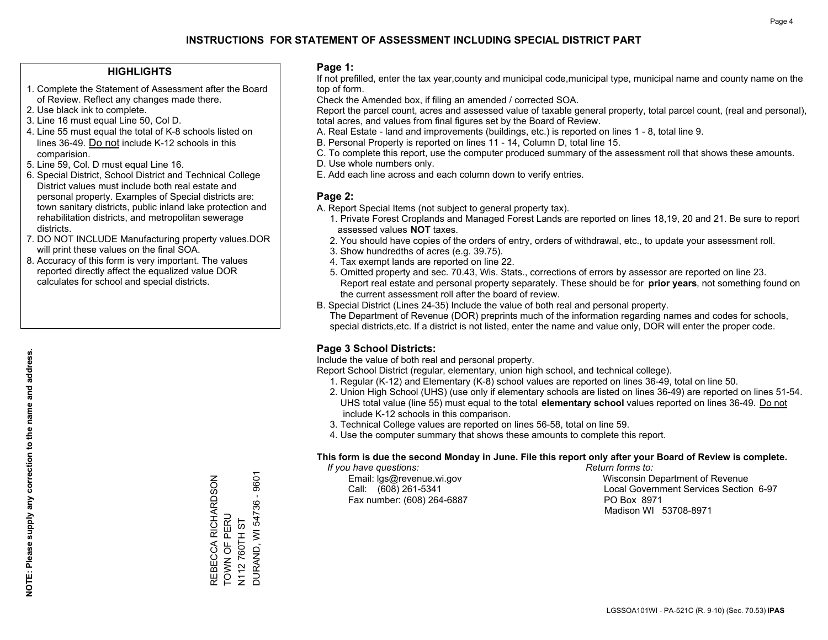### **HIGHLIGHTS**

- 1. Complete the Statement of Assessment after the Board of Review. Reflect any changes made there.
- 2. Use black ink to complete.
- 3. Line 16 must equal Line 50, Col D.
- 4. Line 55 must equal the total of K-8 schools listed on lines 36-49. Do not include K-12 schools in this comparision.
- 5. Line 59, Col. D must equal Line 16.
- 6. Special District, School District and Technical College District values must include both real estate and personal property. Examples of Special districts are: town sanitary districts, public inland lake protection and rehabilitation districts, and metropolitan sewerage districts.
- 7. DO NOT INCLUDE Manufacturing property values.DOR will print these values on the final SOA.

REBECCA RICHARDSON

REBECCA RICHARDSON<br>TOWN OF PERU

TOWN OF PERU N112 760TH ST DURAND, WI 54736 - 9601

**DURAND, WI 54736 -**N112760TH ST

9601

 8. Accuracy of this form is very important. The values reported directly affect the equalized value DOR calculates for school and special districts.

### **Page 1:**

 If not prefilled, enter the tax year,county and municipal code,municipal type, municipal name and county name on the top of form.

Check the Amended box, if filing an amended / corrected SOA.

 Report the parcel count, acres and assessed value of taxable general property, total parcel count, (real and personal), total acres, and values from final figures set by the Board of Review.

- A. Real Estate land and improvements (buildings, etc.) is reported on lines 1 8, total line 9.
- B. Personal Property is reported on lines 11 14, Column D, total line 15.
- C. To complete this report, use the computer produced summary of the assessment roll that shows these amounts.
- D. Use whole numbers only.
- E. Add each line across and each column down to verify entries.

### **Page 2:**

- A. Report Special Items (not subject to general property tax).
- 1. Private Forest Croplands and Managed Forest Lands are reported on lines 18,19, 20 and 21. Be sure to report assessed values **NOT** taxes.
- 2. You should have copies of the orders of entry, orders of withdrawal, etc., to update your assessment roll.
	- 3. Show hundredths of acres (e.g. 39.75).
- 4. Tax exempt lands are reported on line 22.
- 5. Omitted property and sec. 70.43, Wis. Stats., corrections of errors by assessor are reported on line 23. Report real estate and personal property separately. These should be for **prior years**, not something found on the current assessment roll after the board of review.
- B. Special District (Lines 24-35) Include the value of both real and personal property.
- The Department of Revenue (DOR) preprints much of the information regarding names and codes for schools, special districts,etc. If a district is not listed, enter the name and value only, DOR will enter the proper code.

### **Page 3 School Districts:**

Include the value of both real and personal property.

Report School District (regular, elementary, union high school, and technical college).

- 1. Regular (K-12) and Elementary (K-8) school values are reported on lines 36-49, total on line 50.
- 2. Union High School (UHS) (use only if elementary schools are listed on lines 36-49) are reported on lines 51-54. UHS total value (line 55) must equal to the total **elementary school** values reported on lines 36-49. Do notinclude K-12 schools in this comparison.
- 3. Technical College values are reported on lines 56-58, total on line 59.
- 4. Use the computer summary that shows these amounts to complete this report.

#### **This form is due the second Monday in June. File this report only after your Board of Review is complete.**

 *If you have questions: Return forms to:*

Fax number: (608) 264-6887 PO Box 8971

 Email: lgs@revenue.wi.gov Wisconsin Department of Revenue Call: (608) 261-5341 Local Government Services Section 6-97Madison WI 53708-8971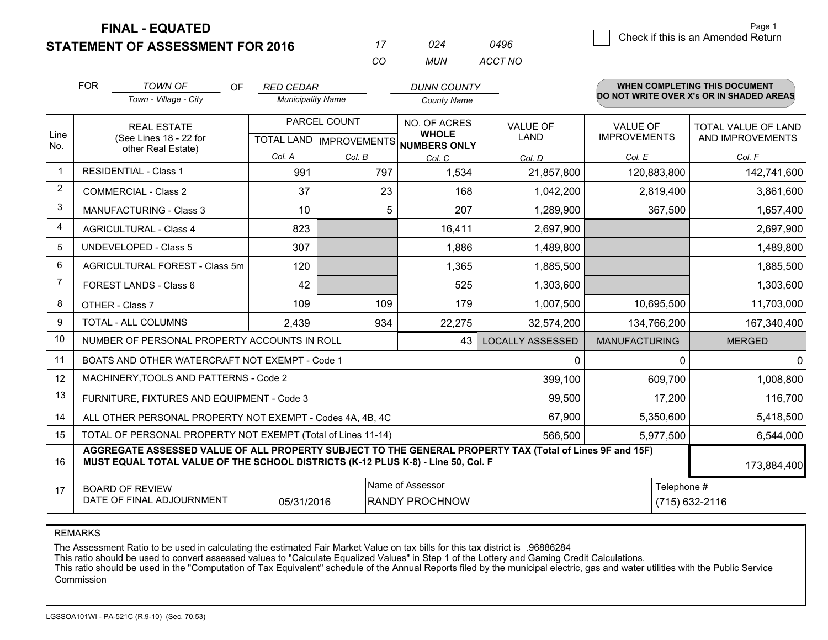**FINAL - EQUATED**

**STATEMENT OF ASSESSMENT FOR 2016** 

| 17  | 024 | 0496    |
|-----|-----|---------|
| CO. | MUN | ACCT NO |

|                | <b>FOR</b>                                                                                                                                                                                                  | <b>TOWN OF</b><br>OF.                                        | <b>RED CEDAR</b>         |                           | <b>DUNN COUNTY</b>           |                         |                      | <b>WHEN COMPLETING THIS DOCUMENT</b><br>DO NOT WRITE OVER X's OR IN SHADED AREAS |  |  |
|----------------|-------------------------------------------------------------------------------------------------------------------------------------------------------------------------------------------------------------|--------------------------------------------------------------|--------------------------|---------------------------|------------------------------|-------------------------|----------------------|----------------------------------------------------------------------------------|--|--|
|                |                                                                                                                                                                                                             | Town - Village - City                                        | <b>Municipality Name</b> |                           | <b>County Name</b>           |                         |                      |                                                                                  |  |  |
|                |                                                                                                                                                                                                             | <b>REAL ESTATE</b>                                           |                          | PARCEL COUNT              | NO. OF ACRES                 | <b>VALUE OF</b>         | <b>VALUE OF</b>      | TOTAL VALUE OF LAND                                                              |  |  |
| Line<br>No.    |                                                                                                                                                                                                             | (See Lines 18 - 22 for<br>other Real Estate)                 |                          | TOTAL LAND   IMPROVEMENTS | <b>WHOLE</b><br>NUMBERS ONLY | LAND                    | <b>IMPROVEMENTS</b>  | AND IMPROVEMENTS                                                                 |  |  |
|                |                                                                                                                                                                                                             |                                                              | Col. A                   | Col. B                    | Col. C                       | Col. D                  | Col. E               | Col. F                                                                           |  |  |
| -1             | <b>RESIDENTIAL - Class 1</b>                                                                                                                                                                                |                                                              | 991                      | 797                       | 1,534                        | 21,857,800              | 120,883,800          | 142,741,600                                                                      |  |  |
| 2              |                                                                                                                                                                                                             | <b>COMMERCIAL - Class 2</b>                                  | 37                       | 23                        | 168                          | 1,042,200               | 2,819,400            | 3,861,600                                                                        |  |  |
| 3              |                                                                                                                                                                                                             | <b>MANUFACTURING - Class 3</b>                               | 10                       | 5                         | 207                          | 1,289,900               | 367,500              | 1,657,400                                                                        |  |  |
| 4              |                                                                                                                                                                                                             | <b>AGRICULTURAL - Class 4</b>                                | 823                      |                           | 16,411                       | 2,697,900               |                      | 2,697,900                                                                        |  |  |
| 5              |                                                                                                                                                                                                             | <b>UNDEVELOPED - Class 5</b>                                 | 307                      |                           | 1,886                        | 1,489,800               |                      | 1,489,800                                                                        |  |  |
| 6              |                                                                                                                                                                                                             | AGRICULTURAL FOREST - Class 5m                               | 120                      |                           | 1,365                        | 1,885,500               |                      | 1,885,500                                                                        |  |  |
| $\overline{7}$ | FOREST LANDS - Class 6                                                                                                                                                                                      |                                                              | 42                       |                           | 525                          | 1,303,600               |                      | 1,303,600                                                                        |  |  |
| 8              |                                                                                                                                                                                                             | OTHER - Class 7                                              | 109                      | 109                       | 179                          | 1,007,500               | 10,695,500           | 11,703,000                                                                       |  |  |
| 9              |                                                                                                                                                                                                             | <b>TOTAL - ALL COLUMNS</b>                                   | 2,439                    | 934                       | 22,275                       | 32,574,200              | 134,766,200          | 167,340,400                                                                      |  |  |
| 10             |                                                                                                                                                                                                             | NUMBER OF PERSONAL PROPERTY ACCOUNTS IN ROLL                 |                          |                           | 43                           | <b>LOCALLY ASSESSED</b> | <b>MANUFACTURING</b> | <b>MERGED</b>                                                                    |  |  |
| 11             |                                                                                                                                                                                                             | BOATS AND OTHER WATERCRAFT NOT EXEMPT - Code 1               |                          |                           |                              | 0                       | $\Omega$             | 0                                                                                |  |  |
| 12             |                                                                                                                                                                                                             | MACHINERY, TOOLS AND PATTERNS - Code 2                       |                          |                           |                              | 399,100                 | 609,700              | 1,008,800                                                                        |  |  |
| 13             |                                                                                                                                                                                                             | FURNITURE, FIXTURES AND EQUIPMENT - Code 3                   |                          |                           |                              | 99,500                  | 17,200               | 116,700                                                                          |  |  |
| 14             |                                                                                                                                                                                                             | ALL OTHER PERSONAL PROPERTY NOT EXEMPT - Codes 4A, 4B, 4C    |                          |                           |                              | 67,900                  | 5,350,600            | 5,418,500                                                                        |  |  |
| 15             |                                                                                                                                                                                                             | TOTAL OF PERSONAL PROPERTY NOT EXEMPT (Total of Lines 11-14) |                          |                           |                              | 566,500                 | 5,977,500            | 6,544,000                                                                        |  |  |
| 16             | AGGREGATE ASSESSED VALUE OF ALL PROPERTY SUBJECT TO THE GENERAL PROPERTY TAX (Total of Lines 9F and 15F)<br>MUST EQUAL TOTAL VALUE OF THE SCHOOL DISTRICTS (K-12 PLUS K-8) - Line 50, Col. F<br>173,884,400 |                                                              |                          |                           |                              |                         |                      |                                                                                  |  |  |
| 17             |                                                                                                                                                                                                             | <b>BOARD OF REVIEW</b>                                       |                          |                           | Name of Assessor             |                         |                      | Telephone #                                                                      |  |  |
|                |                                                                                                                                                                                                             | DATE OF FINAL ADJOURNMENT                                    | 05/31/2016               |                           | RANDY PROCHNOW               |                         |                      | (715) 632-2116                                                                   |  |  |

REMARKS

The Assessment Ratio to be used in calculating the estimated Fair Market Value on tax bills for this tax district is .96886284

This ratio should be used to convert assessed values to "Calculate Equalized Values" in Step 1 of the Lottery and Gaming Credit Calculations.<br>This ratio should be used in the "Computation of Tax Equivalent" schedule of the Commission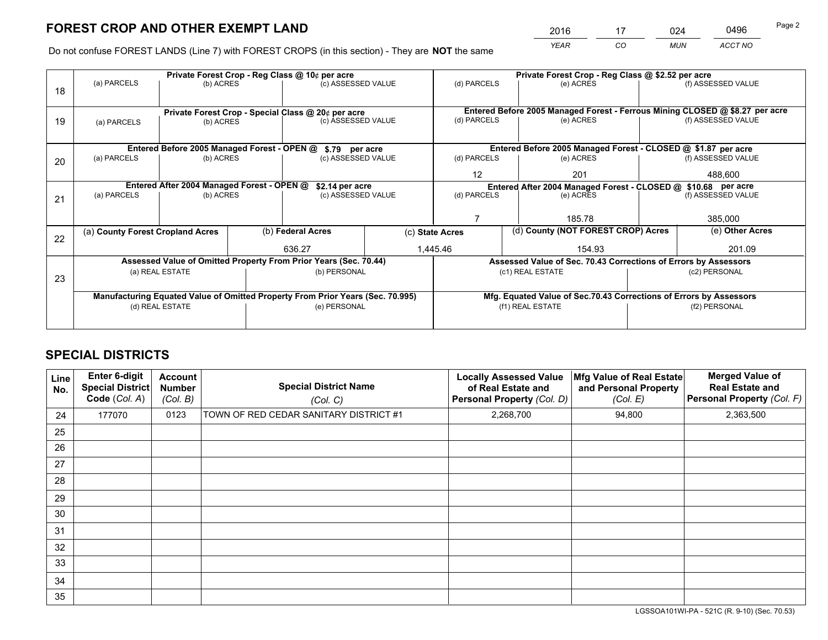*YEAR CO MUN ACCT NO* <sup>2016</sup> <sup>17</sup> <sup>024</sup> <sup>0496</sup>

Do not confuse FOREST LANDS (Line 7) with FOREST CROPS (in this section) - They are **NOT** the same

|    |                                                                                |                                             |  | Private Forest Crop - Reg Class @ 10¢ per acre                           |  |                  | Private Forest Crop - Reg Class @ \$2.52 per acre                            |               |                    |
|----|--------------------------------------------------------------------------------|---------------------------------------------|--|--------------------------------------------------------------------------|--|------------------|------------------------------------------------------------------------------|---------------|--------------------|
| 18 | (a) PARCELS                                                                    | (b) ACRES                                   |  | (c) ASSESSED VALUE                                                       |  | (d) PARCELS      | (e) ACRES                                                                    |               | (f) ASSESSED VALUE |
|    |                                                                                |                                             |  |                                                                          |  |                  | Entered Before 2005 Managed Forest - Ferrous Mining CLOSED @ \$8.27 per acre |               |                    |
| 19 | (a) PARCELS                                                                    | (b) ACRES                                   |  | Private Forest Crop - Special Class @ 20¢ per acre<br>(c) ASSESSED VALUE |  | (d) PARCELS      | (e) ACRES                                                                    |               |                    |
|    |                                                                                |                                             |  |                                                                          |  |                  |                                                                              |               |                    |
|    |                                                                                | Entered Before 2005 Managed Forest - OPEN @ |  | \$.79 per acre                                                           |  |                  | Entered Before 2005 Managed Forest - CLOSED @ \$1.87 per acre                |               |                    |
| 20 | (a) PARCELS<br>(b) ACRES                                                       |                                             |  | (c) ASSESSED VALUE                                                       |  | (d) PARCELS      | (e) ACRES                                                                    |               | (f) ASSESSED VALUE |
|    |                                                                                |                                             |  |                                                                          |  |                  | 201                                                                          |               | 488,600            |
|    |                                                                                | Entered After 2004 Managed Forest - OPEN @  |  | \$2.14 per acre                                                          |  |                  | Entered After 2004 Managed Forest - CLOSED @ \$10.68 per acre                |               |                    |
| 21 | (a) PARCELS                                                                    | (b) ACRES                                   |  | (c) ASSESSED VALUE                                                       |  | (d) PARCELS      | (e) ACRES                                                                    |               | (f) ASSESSED VALUE |
|    |                                                                                |                                             |  |                                                                          |  |                  |                                                                              |               |                    |
|    |                                                                                |                                             |  |                                                                          |  |                  | 185.78                                                                       |               |                    |
|    | (a) County Forest Cropland Acres                                               |                                             |  | (b) Federal Acres                                                        |  | (c) State Acres  | (d) County (NOT FOREST CROP) Acres                                           |               | (e) Other Acres    |
| 22 |                                                                                |                                             |  |                                                                          |  |                  |                                                                              |               |                    |
|    |                                                                                |                                             |  | 636.27                                                                   |  | 1,445.46         | 154.93                                                                       |               | 201.09             |
|    |                                                                                |                                             |  | Assessed Value of Omitted Property From Prior Years (Sec. 70.44)         |  |                  | Assessed Value of Sec. 70.43 Corrections of Errors by Assessors              |               |                    |
| 23 |                                                                                | (a) REAL ESTATE                             |  | (b) PERSONAL                                                             |  |                  | (c1) REAL ESTATE                                                             |               | (c2) PERSONAL      |
|    |                                                                                |                                             |  |                                                                          |  |                  |                                                                              |               |                    |
|    | Manufacturing Equated Value of Omitted Property From Prior Years (Sec. 70.995) |                                             |  |                                                                          |  |                  | Mfg. Equated Value of Sec.70.43 Corrections of Errors by Assessors           |               |                    |
|    | (d) REAL ESTATE                                                                |                                             |  | (e) PERSONAL                                                             |  | (f1) REAL ESTATE |                                                                              | (f2) PERSONAL |                    |
|    |                                                                                |                                             |  |                                                                          |  |                  |                                                                              |               |                    |

## **SPECIAL DISTRICTS**

| Line<br>No. | Enter 6-digit<br><b>Special District</b><br>Code (Col. A) | <b>Account</b><br><b>Number</b><br>(Col. B) | <b>Special District Name</b><br>(Col. C) | <b>Locally Assessed Value</b><br>of Real Estate and<br><b>Personal Property (Col. D)</b> | Mfg Value of Real Estate<br>and Personal Property<br>(Col. E) | <b>Merged Value of</b><br><b>Real Estate and</b><br>Personal Property (Col. F) |
|-------------|-----------------------------------------------------------|---------------------------------------------|------------------------------------------|------------------------------------------------------------------------------------------|---------------------------------------------------------------|--------------------------------------------------------------------------------|
| 24          | 177070                                                    | 0123                                        | TOWN OF RED CEDAR SANITARY DISTRICT #1   | 2,268,700                                                                                | 94,800                                                        | 2,363,500                                                                      |
| 25          |                                                           |                                             |                                          |                                                                                          |                                                               |                                                                                |
| 26          |                                                           |                                             |                                          |                                                                                          |                                                               |                                                                                |
| 27          |                                                           |                                             |                                          |                                                                                          |                                                               |                                                                                |
| 28          |                                                           |                                             |                                          |                                                                                          |                                                               |                                                                                |
| 29          |                                                           |                                             |                                          |                                                                                          |                                                               |                                                                                |
| 30          |                                                           |                                             |                                          |                                                                                          |                                                               |                                                                                |
| 31          |                                                           |                                             |                                          |                                                                                          |                                                               |                                                                                |
| 32          |                                                           |                                             |                                          |                                                                                          |                                                               |                                                                                |
| 33          |                                                           |                                             |                                          |                                                                                          |                                                               |                                                                                |
| 34          |                                                           |                                             |                                          |                                                                                          |                                                               |                                                                                |
| 35          |                                                           |                                             |                                          |                                                                                          |                                                               |                                                                                |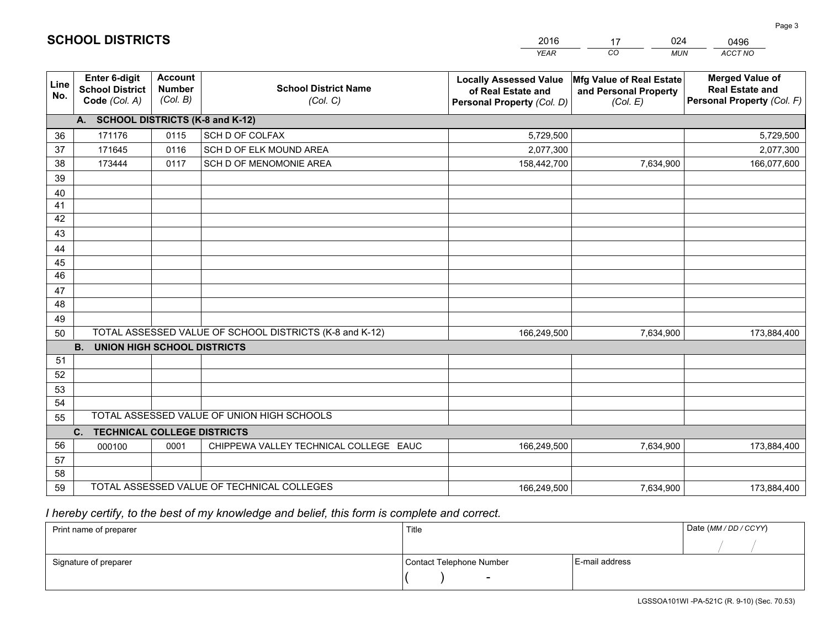|             |                                                                 |                                             |                                                         | <b>YEAR</b>                                                                       | CO<br><b>MUN</b>                                              | ACCT NO                                                                        |
|-------------|-----------------------------------------------------------------|---------------------------------------------|---------------------------------------------------------|-----------------------------------------------------------------------------------|---------------------------------------------------------------|--------------------------------------------------------------------------------|
| Line<br>No. | <b>Enter 6-digit</b><br><b>School District</b><br>Code (Col. A) | <b>Account</b><br><b>Number</b><br>(Col. B) | <b>School District Name</b><br>(Col. C)                 | <b>Locally Assessed Value</b><br>of Real Estate and<br>Personal Property (Col. D) | Mfg Value of Real Estate<br>and Personal Property<br>(Col. E) | <b>Merged Value of</b><br><b>Real Estate and</b><br>Personal Property (Col. F) |
|             | A. SCHOOL DISTRICTS (K-8 and K-12)                              |                                             |                                                         |                                                                                   |                                                               |                                                                                |
| 36          | 171176                                                          | 0115                                        | SCH D OF COLFAX                                         | 5,729,500                                                                         |                                                               | 5,729,500                                                                      |
| 37          | 171645                                                          | 0116                                        | SCH D OF ELK MOUND AREA                                 | 2,077,300                                                                         |                                                               | 2,077,300                                                                      |
| 38          | 173444                                                          | 0117                                        | SCH D OF MENOMONIE AREA                                 | 158,442,700                                                                       | 7,634,900                                                     | 166,077,600                                                                    |
| 39          |                                                                 |                                             |                                                         |                                                                                   |                                                               |                                                                                |
| 40          |                                                                 |                                             |                                                         |                                                                                   |                                                               |                                                                                |
| 41          |                                                                 |                                             |                                                         |                                                                                   |                                                               |                                                                                |
| 42          |                                                                 |                                             |                                                         |                                                                                   |                                                               |                                                                                |
| 43          |                                                                 |                                             |                                                         |                                                                                   |                                                               |                                                                                |
| 44          |                                                                 |                                             |                                                         |                                                                                   |                                                               |                                                                                |
| 45          |                                                                 |                                             |                                                         |                                                                                   |                                                               |                                                                                |
| 46          |                                                                 |                                             |                                                         |                                                                                   |                                                               |                                                                                |
| 47          |                                                                 |                                             |                                                         |                                                                                   |                                                               |                                                                                |
| 48          |                                                                 |                                             |                                                         |                                                                                   |                                                               |                                                                                |
| 49          |                                                                 |                                             | TOTAL ASSESSED VALUE OF SCHOOL DISTRICTS (K-8 and K-12) |                                                                                   |                                                               |                                                                                |
| 50          | <b>B.</b><br><b>UNION HIGH SCHOOL DISTRICTS</b>                 |                                             |                                                         | 166,249,500                                                                       | 7,634,900                                                     | 173,884,400                                                                    |
| 51          |                                                                 |                                             |                                                         |                                                                                   |                                                               |                                                                                |
| 52          |                                                                 |                                             |                                                         |                                                                                   |                                                               |                                                                                |
| 53          |                                                                 |                                             |                                                         |                                                                                   |                                                               |                                                                                |
| 54          |                                                                 |                                             |                                                         |                                                                                   |                                                               |                                                                                |
| 55          |                                                                 |                                             | TOTAL ASSESSED VALUE OF UNION HIGH SCHOOLS              |                                                                                   |                                                               |                                                                                |
|             | C.<br><b>TECHNICAL COLLEGE DISTRICTS</b>                        |                                             |                                                         |                                                                                   |                                                               |                                                                                |
| 56          | 000100                                                          | 0001                                        | CHIPPEWA VALLEY TECHNICAL COLLEGE EAUC                  | 166,249,500                                                                       | 7,634,900                                                     | 173,884,400                                                                    |
| 57          |                                                                 |                                             |                                                         |                                                                                   |                                                               |                                                                                |
| 58          |                                                                 |                                             |                                                         |                                                                                   |                                                               |                                                                                |
| 59          |                                                                 |                                             | TOTAL ASSESSED VALUE OF TECHNICAL COLLEGES              | 166,249,500                                                                       | 7,634,900                                                     | 173,884,400                                                                    |

17

024

 *I hereby certify, to the best of my knowledge and belief, this form is complete and correct.*

**SCHOOL DISTRICTS**

| Print name of preparer | Title                    | Date (MM/DD/CCYY) |  |
|------------------------|--------------------------|-------------------|--|
|                        |                          |                   |  |
| Signature of preparer  | Contact Telephone Number | E-mail address    |  |
|                        | $\overline{\phantom{0}}$ |                   |  |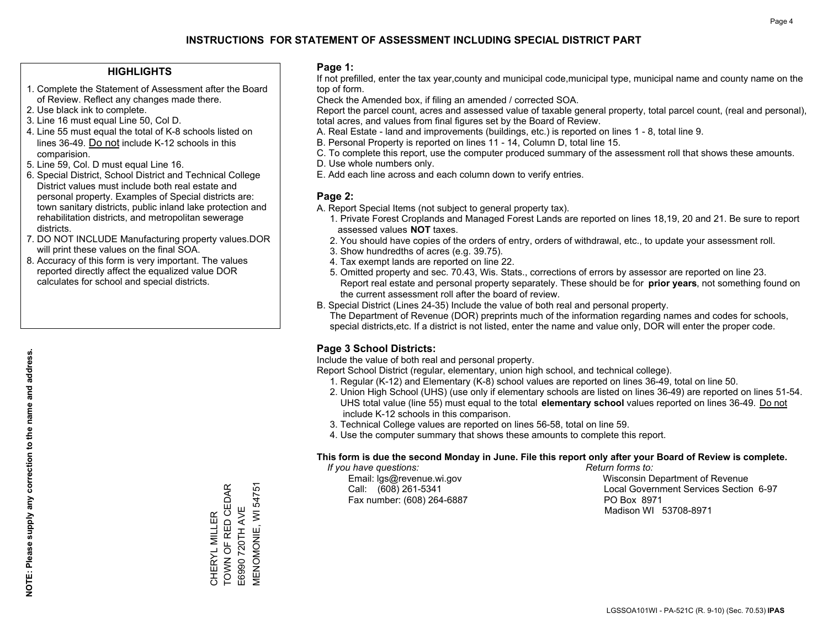### **HIGHLIGHTS**

- 1. Complete the Statement of Assessment after the Board of Review. Reflect any changes made there.
- 2. Use black ink to complete.
- 3. Line 16 must equal Line 50, Col D.
- 4. Line 55 must equal the total of K-8 schools listed on lines 36-49. Do not include K-12 schools in this comparision.
- 5. Line 59, Col. D must equal Line 16.
- 6. Special District, School District and Technical College District values must include both real estate and personal property. Examples of Special districts are: town sanitary districts, public inland lake protection and rehabilitation districts, and metropolitan sewerage districts.
- 7. DO NOT INCLUDE Manufacturing property values.DOR will print these values on the final SOA.

CHERYL MILLER TOWN OF RED CEDAR E6990 720TH AVE MENOMONIE, WI 54751

CHERYL MILLER<br>TOWN OF RED CEDAR

**MENOMONIE, WI 54751** 

E6990 720TH AVE

 8. Accuracy of this form is very important. The values reported directly affect the equalized value DOR calculates for school and special districts.

### **Page 1:**

 If not prefilled, enter the tax year,county and municipal code,municipal type, municipal name and county name on the top of form.

Check the Amended box, if filing an amended / corrected SOA.

 Report the parcel count, acres and assessed value of taxable general property, total parcel count, (real and personal), total acres, and values from final figures set by the Board of Review.

- A. Real Estate land and improvements (buildings, etc.) is reported on lines 1 8, total line 9.
- B. Personal Property is reported on lines 11 14, Column D, total line 15.
- C. To complete this report, use the computer produced summary of the assessment roll that shows these amounts.
- D. Use whole numbers only.
- E. Add each line across and each column down to verify entries.

### **Page 2:**

- A. Report Special Items (not subject to general property tax).
- 1. Private Forest Croplands and Managed Forest Lands are reported on lines 18,19, 20 and 21. Be sure to report assessed values **NOT** taxes.
- 2. You should have copies of the orders of entry, orders of withdrawal, etc., to update your assessment roll.
	- 3. Show hundredths of acres (e.g. 39.75).
- 4. Tax exempt lands are reported on line 22.
- 5. Omitted property and sec. 70.43, Wis. Stats., corrections of errors by assessor are reported on line 23. Report real estate and personal property separately. These should be for **prior years**, not something found on the current assessment roll after the board of review.
- B. Special District (Lines 24-35) Include the value of both real and personal property.
- The Department of Revenue (DOR) preprints much of the information regarding names and codes for schools, special districts,etc. If a district is not listed, enter the name and value only, DOR will enter the proper code.

### **Page 3 School Districts:**

Include the value of both real and personal property.

Report School District (regular, elementary, union high school, and technical college).

- 1. Regular (K-12) and Elementary (K-8) school values are reported on lines 36-49, total on line 50.
- 2. Union High School (UHS) (use only if elementary schools are listed on lines 36-49) are reported on lines 51-54. UHS total value (line 55) must equal to the total **elementary school** values reported on lines 36-49. Do notinclude K-12 schools in this comparison.
- 3. Technical College values are reported on lines 56-58, total on line 59.
- 4. Use the computer summary that shows these amounts to complete this report.

#### **This form is due the second Monday in June. File this report only after your Board of Review is complete.**

 *If you have questions: Return forms to:*

Fax number: (608) 264-6887 PO Box 8971

 Email: lgs@revenue.wi.gov Wisconsin Department of Revenue Call: (608) 261-5341 Local Government Services Section 6-97Madison WI 53708-8971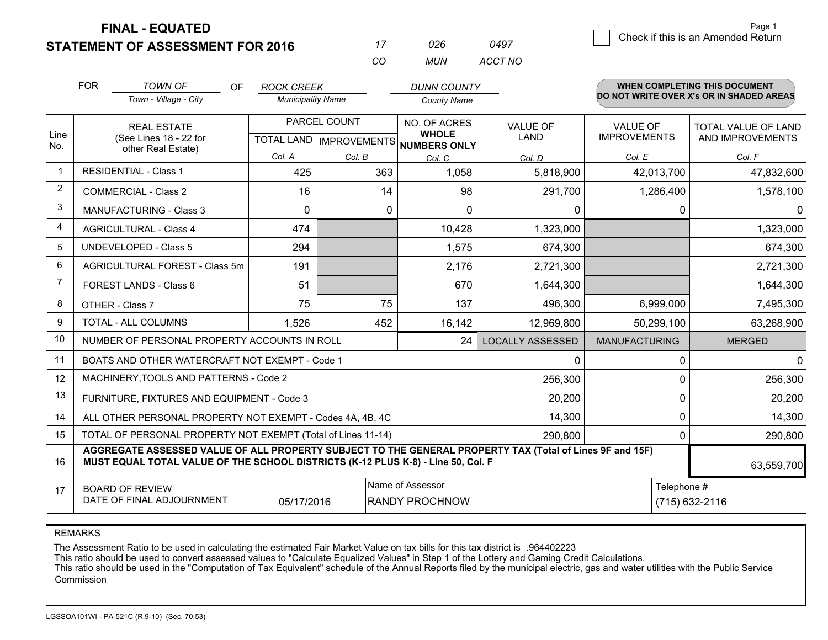**STATEMENT OF ASSESSMENT FOR 2016** 

**FINAL - EQUATED**

|                | <b>FOR</b>                                          | <b>TOWN OF</b><br>OF<br>Town - Village - City                                                                                                                                                | <b>ROCK CREEK</b><br><b>Municipality Name</b> |              | <b>DUNN COUNTY</b><br><b>County Name</b>                                 |                                |                                        | <b>WHEN COMPLETING THIS DOCUMENT</b><br>DO NOT WRITE OVER X's OR IN SHADED AREAS |
|----------------|-----------------------------------------------------|----------------------------------------------------------------------------------------------------------------------------------------------------------------------------------------------|-----------------------------------------------|--------------|--------------------------------------------------------------------------|--------------------------------|----------------------------------------|----------------------------------------------------------------------------------|
| Line<br>No.    |                                                     | <b>REAL ESTATE</b><br>(See Lines 18 - 22 for                                                                                                                                                 |                                               | PARCEL COUNT | NO. OF ACRES<br><b>WHOLE</b><br>TOTAL LAND   IMPROVEMENTS   NUMBERS ONLY | <b>VALUE OF</b><br><b>LAND</b> | <b>VALUE OF</b><br><b>IMPROVEMENTS</b> | TOTAL VALUE OF LAND<br>AND IMPROVEMENTS                                          |
|                |                                                     | other Real Estate)                                                                                                                                                                           | Col. A                                        | Col. B       | Col. C                                                                   | Col. D                         | Col. E                                 | Col. F                                                                           |
| -1             |                                                     | <b>RESIDENTIAL - Class 1</b>                                                                                                                                                                 | 425                                           |              | 363<br>1,058<br>5,818,900                                                |                                | 42,013,700                             | 47,832,600                                                                       |
| 2              |                                                     | <b>COMMERCIAL - Class 2</b>                                                                                                                                                                  | 16                                            | 14           | 98                                                                       | 291,700                        | 1,286,400                              | 1,578,100                                                                        |
| 3              |                                                     | <b>MANUFACTURING - Class 3</b>                                                                                                                                                               | $\Omega$                                      | 0            | $\Omega$                                                                 | 0                              |                                        | 0<br>0                                                                           |
| 4              |                                                     | <b>AGRICULTURAL - Class 4</b>                                                                                                                                                                | 474                                           |              | 10,428                                                                   | 1,323,000                      |                                        | 1,323,000                                                                        |
| 5              |                                                     | <b>UNDEVELOPED - Class 5</b>                                                                                                                                                                 | 294                                           |              | 1,575                                                                    | 674,300                        |                                        | 674,300                                                                          |
| 6              |                                                     | AGRICULTURAL FOREST - Class 5m                                                                                                                                                               | 191                                           |              | 2,176                                                                    | 2,721,300                      |                                        | 2,721,300                                                                        |
| $\overline{7}$ |                                                     | FOREST LANDS - Class 6                                                                                                                                                                       | 51                                            |              | 670                                                                      | 1,644,300                      |                                        | 1,644,300                                                                        |
| 8              | OTHER - Class 7                                     |                                                                                                                                                                                              | 75                                            | 75           | 137                                                                      | 496,300                        | 6,999,000                              | 7,495,300                                                                        |
| 9              |                                                     | <b>TOTAL - ALL COLUMNS</b>                                                                                                                                                                   | 1,526                                         | 452          | 16,142                                                                   | 12,969,800                     | 50,299,100                             | 63,268,900                                                                       |
| 10             |                                                     | NUMBER OF PERSONAL PROPERTY ACCOUNTS IN ROLL                                                                                                                                                 |                                               |              | 24                                                                       | <b>LOCALLY ASSESSED</b>        | <b>MANUFACTURING</b>                   | <b>MERGED</b>                                                                    |
| 11             |                                                     | BOATS AND OTHER WATERCRAFT NOT EXEMPT - Code 1                                                                                                                                               |                                               |              |                                                                          | $\mathbf{0}$                   |                                        | 0<br>$\Omega$                                                                    |
| 12             |                                                     | MACHINERY, TOOLS AND PATTERNS - Code 2                                                                                                                                                       |                                               |              |                                                                          | 256,300                        |                                        | $\Omega$<br>256,300                                                              |
| 13             |                                                     | FURNITURE, FIXTURES AND EQUIPMENT - Code 3                                                                                                                                                   |                                               |              |                                                                          | 20,200                         |                                        | 20,200<br>0                                                                      |
| 14             |                                                     | ALL OTHER PERSONAL PROPERTY NOT EXEMPT - Codes 4A, 4B, 4C                                                                                                                                    |                                               |              |                                                                          | 14,300                         |                                        | $\Omega$<br>14,300                                                               |
| 15             |                                                     | TOTAL OF PERSONAL PROPERTY NOT EXEMPT (Total of Lines 11-14)                                                                                                                                 |                                               |              |                                                                          | 290,800                        |                                        | 0<br>290,800                                                                     |
| 16             |                                                     | AGGREGATE ASSESSED VALUE OF ALL PROPERTY SUBJECT TO THE GENERAL PROPERTY TAX (Total of Lines 9F and 15F)<br>MUST EQUAL TOTAL VALUE OF THE SCHOOL DISTRICTS (K-12 PLUS K-8) - Line 50, Col. F |                                               |              |                                                                          |                                |                                        | 63,559,700                                                                       |
| 17             | <b>BOARD OF REVIEW</b><br>DATE OF FINAL ADJOURNMENT | Telephone #<br>(715) 632-2116                                                                                                                                                                |                                               |              |                                                                          |                                |                                        |                                                                                  |

*CO*

*MUN*

*ACCT NO0497*

*<sup>17</sup> <sup>026</sup>*

REMARKS

The Assessment Ratio to be used in calculating the estimated Fair Market Value on tax bills for this tax district is .964402223<br>This ratio should be used to convert assessed values to "Calculate Equalized Values" in Step 1 Commission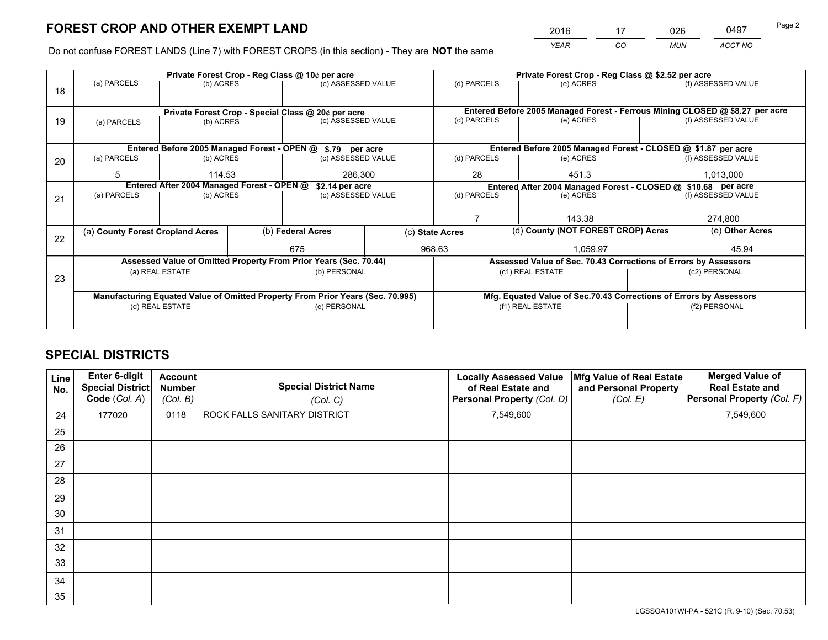*YEAR CO MUN ACCT NO* <u>2016 - 17 026 0497</u>

Do not confuse FOREST LANDS (Line 7) with FOREST CROPS (in this section) - They are **NOT** the same

|    |                                            |                                             |  | Private Forest Crop - Reg Class @ 10¢ per acre                                 |  |                                                               | Private Forest Crop - Reg Class @ \$2.52 per acre                            |               |                    |  |
|----|--------------------------------------------|---------------------------------------------|--|--------------------------------------------------------------------------------|--|---------------------------------------------------------------|------------------------------------------------------------------------------|---------------|--------------------|--|
| 18 | (a) PARCELS                                | (b) ACRES                                   |  | (c) ASSESSED VALUE                                                             |  | (d) PARCELS                                                   | (e) ACRES                                                                    |               | (f) ASSESSED VALUE |  |
|    |                                            |                                             |  |                                                                                |  |                                                               | Entered Before 2005 Managed Forest - Ferrous Mining CLOSED @ \$8.27 per acre |               |                    |  |
| 19 | (a) PARCELS                                | (b) ACRES                                   |  | Private Forest Crop - Special Class @ 20¢ per acre<br>(c) ASSESSED VALUE       |  | (d) PARCELS                                                   | (e) ACRES                                                                    |               | (f) ASSESSED VALUE |  |
|    |                                            |                                             |  |                                                                                |  |                                                               |                                                                              |               |                    |  |
|    |                                            |                                             |  |                                                                                |  |                                                               |                                                                              |               |                    |  |
|    |                                            | Entered Before 2005 Managed Forest - OPEN @ |  | \$.79 per acre                                                                 |  |                                                               | Entered Before 2005 Managed Forest - CLOSED @ \$1.87 per acre                |               |                    |  |
| 20 | (a) PARCELS<br>(b) ACRES                   |                                             |  | (c) ASSESSED VALUE                                                             |  | (d) PARCELS                                                   | (e) ACRES                                                                    |               | (f) ASSESSED VALUE |  |
|    | 5                                          | 114.53                                      |  | 286,300                                                                        |  | 28                                                            | 451.3                                                                        |               | 1,013,000          |  |
|    | Entered After 2004 Managed Forest - OPEN @ |                                             |  | \$2.14 per acre                                                                |  | Entered After 2004 Managed Forest - CLOSED @ \$10.68 per acre |                                                                              |               |                    |  |
|    | (a) PARCELS                                | (b) ACRES                                   |  | (c) ASSESSED VALUE                                                             |  | (d) PARCELS<br>(e) ACRES                                      |                                                                              |               | (f) ASSESSED VALUE |  |
| 21 |                                            |                                             |  |                                                                                |  |                                                               |                                                                              |               |                    |  |
|    |                                            |                                             |  |                                                                                |  |                                                               | 143.38                                                                       |               | 274,800            |  |
|    |                                            |                                             |  |                                                                                |  |                                                               |                                                                              |               |                    |  |
| 22 | (a) County Forest Cropland Acres           |                                             |  | (b) Federal Acres                                                              |  | (c) State Acres                                               | (d) County (NOT FOREST CROP) Acres                                           |               | (e) Other Acres    |  |
|    |                                            |                                             |  | 675                                                                            |  | 968.63<br>1.059.97                                            |                                                                              | 45.94         |                    |  |
|    |                                            |                                             |  | Assessed Value of Omitted Property From Prior Years (Sec. 70.44)               |  |                                                               | Assessed Value of Sec. 70.43 Corrections of Errors by Assessors              |               |                    |  |
|    |                                            | (a) REAL ESTATE                             |  | (b) PERSONAL                                                                   |  |                                                               | (c1) REAL ESTATE                                                             |               | (c2) PERSONAL      |  |
| 23 |                                            |                                             |  |                                                                                |  |                                                               |                                                                              |               |                    |  |
|    |                                            |                                             |  | Manufacturing Equated Value of Omitted Property From Prior Years (Sec. 70.995) |  |                                                               | Mfg. Equated Value of Sec.70.43 Corrections of Errors by Assessors           |               |                    |  |
|    | (d) REAL ESTATE                            |                                             |  | (e) PERSONAL                                                                   |  | (f1) REAL ESTATE                                              |                                                                              | (f2) PERSONAL |                    |  |
|    |                                            |                                             |  |                                                                                |  |                                                               |                                                                              |               |                    |  |
|    |                                            |                                             |  |                                                                                |  |                                                               |                                                                              |               |                    |  |

## **SPECIAL DISTRICTS**

| Line<br>No. | Enter 6-digit<br><b>Special District</b><br>Code (Col. A) | <b>Account</b><br><b>Number</b><br>(Col. B) | <b>Special District Name</b><br>(Col. C) | <b>Locally Assessed Value</b><br>of Real Estate and<br>Personal Property (Col. D) | Mfg Value of Real Estate<br>and Personal Property<br>(Col. E) | <b>Merged Value of</b><br><b>Real Estate and</b><br>Personal Property (Col. F) |
|-------------|-----------------------------------------------------------|---------------------------------------------|------------------------------------------|-----------------------------------------------------------------------------------|---------------------------------------------------------------|--------------------------------------------------------------------------------|
| 24          | 177020                                                    | 0118                                        | <b>ROCK FALLS SANITARY DISTRICT</b>      | 7,549,600                                                                         |                                                               | 7,549,600                                                                      |
| 25          |                                                           |                                             |                                          |                                                                                   |                                                               |                                                                                |
| 26          |                                                           |                                             |                                          |                                                                                   |                                                               |                                                                                |
| 27          |                                                           |                                             |                                          |                                                                                   |                                                               |                                                                                |
| 28          |                                                           |                                             |                                          |                                                                                   |                                                               |                                                                                |
| 29          |                                                           |                                             |                                          |                                                                                   |                                                               |                                                                                |
| 30          |                                                           |                                             |                                          |                                                                                   |                                                               |                                                                                |
| 31          |                                                           |                                             |                                          |                                                                                   |                                                               |                                                                                |
| 32          |                                                           |                                             |                                          |                                                                                   |                                                               |                                                                                |
| 33          |                                                           |                                             |                                          |                                                                                   |                                                               |                                                                                |
| 34          |                                                           |                                             |                                          |                                                                                   |                                                               |                                                                                |
| 35          |                                                           |                                             |                                          |                                                                                   |                                                               |                                                                                |

LGSSOA101WI-PA - 521C (R. 9-10) (Sec. 70.53)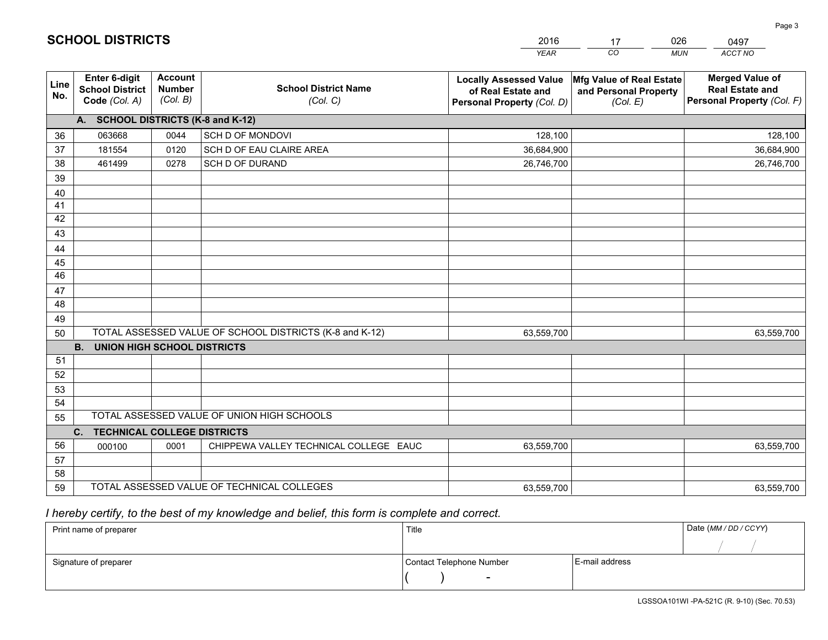|             |                                                          |                                             |                                                         | <b>YEAR</b>                                                                       | CO<br><b>MUN</b>                                              | ACCT NO                                                                        |
|-------------|----------------------------------------------------------|---------------------------------------------|---------------------------------------------------------|-----------------------------------------------------------------------------------|---------------------------------------------------------------|--------------------------------------------------------------------------------|
| Line<br>No. | Enter 6-digit<br><b>School District</b><br>Code (Col. A) | <b>Account</b><br><b>Number</b><br>(Col. B) | <b>School District Name</b><br>(Col. C)                 | <b>Locally Assessed Value</b><br>of Real Estate and<br>Personal Property (Col. D) | Mfg Value of Real Estate<br>and Personal Property<br>(Col. E) | <b>Merged Value of</b><br><b>Real Estate and</b><br>Personal Property (Col. F) |
|             | A. SCHOOL DISTRICTS (K-8 and K-12)                       |                                             |                                                         |                                                                                   |                                                               |                                                                                |
| 36          | 063668                                                   | 0044                                        | SCH D OF MONDOVI                                        | 128,100                                                                           |                                                               | 128,100                                                                        |
| 37          | 181554                                                   | 0120                                        | SCH D OF EAU CLAIRE AREA                                | 36,684,900                                                                        |                                                               | 36,684,900                                                                     |
| 38          | 461499                                                   | 0278                                        | SCH D OF DURAND                                         | 26,746,700                                                                        |                                                               | 26,746,700                                                                     |
| 39          |                                                          |                                             |                                                         |                                                                                   |                                                               |                                                                                |
| 40          |                                                          |                                             |                                                         |                                                                                   |                                                               |                                                                                |
| 41          |                                                          |                                             |                                                         |                                                                                   |                                                               |                                                                                |
| 42          |                                                          |                                             |                                                         |                                                                                   |                                                               |                                                                                |
| 43          |                                                          |                                             |                                                         |                                                                                   |                                                               |                                                                                |
| 44          |                                                          |                                             |                                                         |                                                                                   |                                                               |                                                                                |
| 45          |                                                          |                                             |                                                         |                                                                                   |                                                               |                                                                                |
| 46          |                                                          |                                             |                                                         |                                                                                   |                                                               |                                                                                |
| 47          |                                                          |                                             |                                                         |                                                                                   |                                                               |                                                                                |
| 48          |                                                          |                                             |                                                         |                                                                                   |                                                               |                                                                                |
| 49          |                                                          |                                             |                                                         |                                                                                   |                                                               |                                                                                |
| 50          |                                                          |                                             | TOTAL ASSESSED VALUE OF SCHOOL DISTRICTS (K-8 and K-12) | 63,559,700                                                                        |                                                               | 63,559,700                                                                     |
|             | <b>B.</b><br><b>UNION HIGH SCHOOL DISTRICTS</b>          |                                             |                                                         |                                                                                   |                                                               |                                                                                |
| 51          |                                                          |                                             |                                                         |                                                                                   |                                                               |                                                                                |
| 52          |                                                          |                                             |                                                         |                                                                                   |                                                               |                                                                                |
| 53<br>54    |                                                          |                                             |                                                         |                                                                                   |                                                               |                                                                                |
|             |                                                          |                                             | TOTAL ASSESSED VALUE OF UNION HIGH SCHOOLS              |                                                                                   |                                                               |                                                                                |
| 55          |                                                          |                                             |                                                         |                                                                                   |                                                               |                                                                                |
| 56          | C. TECHNICAL COLLEGE DISTRICTS                           |                                             |                                                         |                                                                                   |                                                               |                                                                                |
| 57          | 000100                                                   | 0001                                        | CHIPPEWA VALLEY TECHNICAL COLLEGE EAUC                  | 63,559,700                                                                        |                                                               | 63,559,700                                                                     |
| 58          |                                                          |                                             |                                                         |                                                                                   |                                                               |                                                                                |
| 59          |                                                          |                                             | TOTAL ASSESSED VALUE OF TECHNICAL COLLEGES              | 63,559,700                                                                        |                                                               | 63,559,700                                                                     |
|             |                                                          |                                             |                                                         |                                                                                   |                                                               |                                                                                |

17

026

 *I hereby certify, to the best of my knowledge and belief, this form is complete and correct.*

**SCHOOL DISTRICTS**

| Print name of preparer | Title                    |                | Date (MM / DD / CCYY) |
|------------------------|--------------------------|----------------|-----------------------|
|                        |                          |                |                       |
| Signature of preparer  | Contact Telephone Number | E-mail address |                       |
|                        | $\sim$                   |                |                       |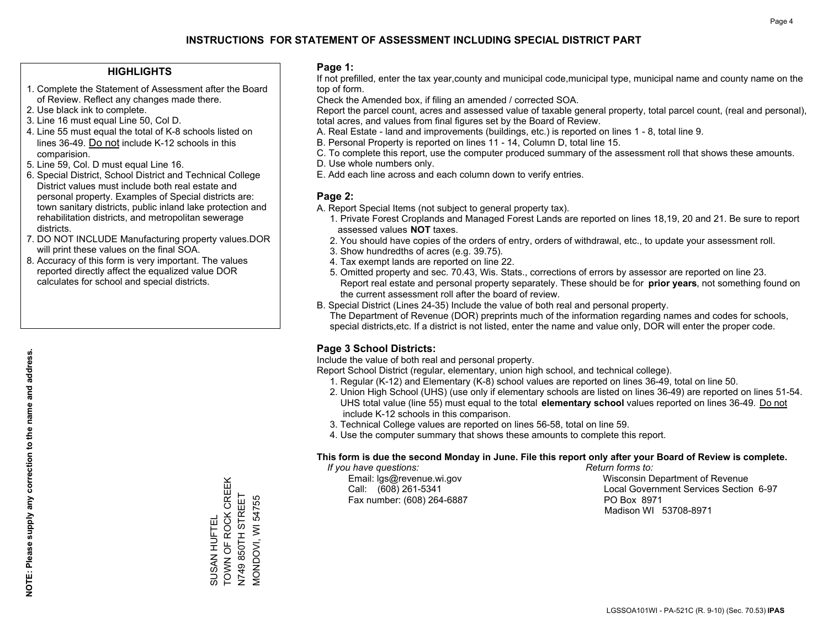### **HIGHLIGHTS**

- 1. Complete the Statement of Assessment after the Board of Review. Reflect any changes made there.
- 2. Use black ink to complete.
- 3. Line 16 must equal Line 50, Col D.
- 4. Line 55 must equal the total of K-8 schools listed on lines 36-49. Do not include K-12 schools in this comparision.
- 5. Line 59, Col. D must equal Line 16.
- 6. Special District, School District and Technical College District values must include both real estate and personal property. Examples of Special districts are: town sanitary districts, public inland lake protection and rehabilitation districts, and metropolitan sewerage districts.
- 7. DO NOT INCLUDE Manufacturing property values.DOR will print these values on the final SOA.
- 8. Accuracy of this form is very important. The values reported directly affect the equalized value DOR calculates for school and special districts.

### **Page 1:**

 If not prefilled, enter the tax year,county and municipal code,municipal type, municipal name and county name on the top of form.

Check the Amended box, if filing an amended / corrected SOA.

 Report the parcel count, acres and assessed value of taxable general property, total parcel count, (real and personal), total acres, and values from final figures set by the Board of Review.

- A. Real Estate land and improvements (buildings, etc.) is reported on lines 1 8, total line 9.
- B. Personal Property is reported on lines 11 14, Column D, total line 15.
- C. To complete this report, use the computer produced summary of the assessment roll that shows these amounts.
- D. Use whole numbers only.
- E. Add each line across and each column down to verify entries.

### **Page 2:**

- A. Report Special Items (not subject to general property tax).
- 1. Private Forest Croplands and Managed Forest Lands are reported on lines 18,19, 20 and 21. Be sure to report assessed values **NOT** taxes.
- 2. You should have copies of the orders of entry, orders of withdrawal, etc., to update your assessment roll.
	- 3. Show hundredths of acres (e.g. 39.75).
- 4. Tax exempt lands are reported on line 22.
- 5. Omitted property and sec. 70.43, Wis. Stats., corrections of errors by assessor are reported on line 23. Report real estate and personal property separately. These should be for **prior years**, not something found on the current assessment roll after the board of review.
- B. Special District (Lines 24-35) Include the value of both real and personal property.
- The Department of Revenue (DOR) preprints much of the information regarding names and codes for schools, special districts,etc. If a district is not listed, enter the name and value only, DOR will enter the proper code.

### **Page 3 School Districts:**

Include the value of both real and personal property.

Report School District (regular, elementary, union high school, and technical college).

- 1. Regular (K-12) and Elementary (K-8) school values are reported on lines 36-49, total on line 50.
- 2. Union High School (UHS) (use only if elementary schools are listed on lines 36-49) are reported on lines 51-54. UHS total value (line 55) must equal to the total **elementary school** values reported on lines 36-49. Do notinclude K-12 schools in this comparison.
- 3. Technical College values are reported on lines 56-58, total on line 59.
- 4. Use the computer summary that shows these amounts to complete this report.

#### **This form is due the second Monday in June. File this report only after your Board of Review is complete.**

 *If you have questions: Return forms to:*

Fax number: (608) 264-6887 PO Box 8971

 Email: lgs@revenue.wi.gov Wisconsin Department of Revenue Call: (608) 261-5341 Local Government Services Section 6-97Madison WI 53708-8971

TOWN OF ROCK CREEK TOWN OF ROCK CREEK N749 850TH STREET N749 850TH STREET MONDOVI, WI 54755 MONDOVI, WI 54755 SUSAN HUFTEL SUSAN HUFTEL

**NOTE: Please supply any correction to the name and address.**

NOTE: Please supply any correction to the name and address.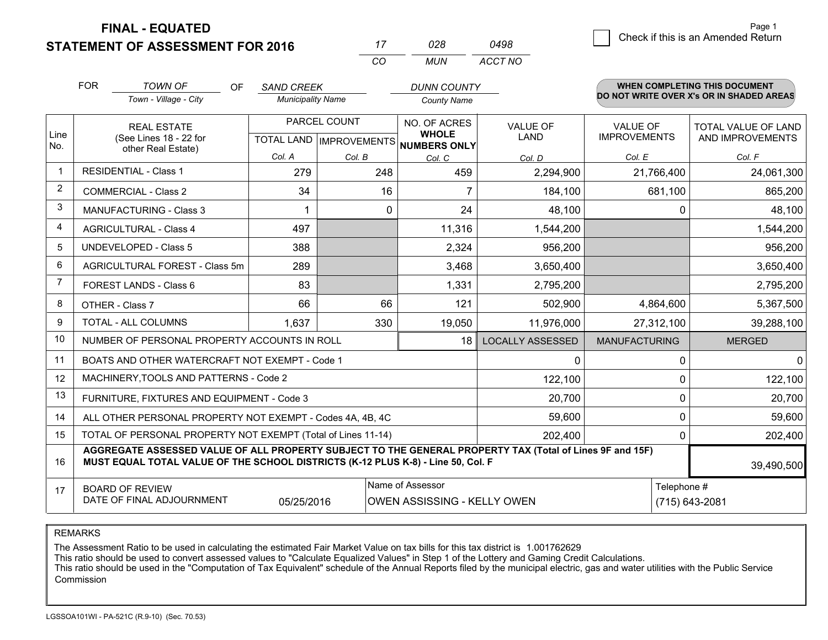**STATEMENT OF ASSESSMENT FOR 2016 FINAL - EQUATED**

|                |                                                                                                                                                                                              |                          | CO               | <b>MUN</b>                                               | ACCT NO                       |                      |                                          |
|----------------|----------------------------------------------------------------------------------------------------------------------------------------------------------------------------------------------|--------------------------|------------------|----------------------------------------------------------|-------------------------------|----------------------|------------------------------------------|
|                | <b>FOR</b><br><b>TOWN OF</b><br>OF.                                                                                                                                                          | <b>SAND CREEK</b>        |                  | <b>DUNN COUNTY</b>                                       |                               |                      | <b>WHEN COMPLETING THIS DOCUMENT</b>     |
|                | Town - Village - City                                                                                                                                                                        | <b>Municipality Name</b> |                  | <b>County Name</b>                                       |                               |                      | DO NOT WRITE OVER X's OR IN SHADED AREAS |
|                | <b>REAL ESTATE</b>                                                                                                                                                                           |                          | PARCEL COUNT     | NO. OF ACRES                                             | <b>VALUE OF</b>               | <b>VALUE OF</b>      | TOTAL VALUE OF LAND                      |
| Line<br>No.    | (See Lines 18 - 22 for<br>other Real Estate)                                                                                                                                                 |                          |                  | <b>WHOLE</b><br>TOTAL LAND   IMPROVEMENTS   NUMBERS ONLY | LAND                          | <b>IMPROVEMENTS</b>  | AND IMPROVEMENTS                         |
|                |                                                                                                                                                                                              | Col. A                   | Col. B<br>Col. C |                                                          | Col. D                        | Col. E               | Col. F                                   |
| $\mathbf 1$    | <b>RESIDENTIAL - Class 1</b>                                                                                                                                                                 | 279                      | 248              | 459                                                      | 2,294,900                     | 21,766,400           | 24,061,300                               |
| 2              | <b>COMMERCIAL - Class 2</b>                                                                                                                                                                  | 34                       | 16               | 7                                                        | 184,100                       | 681,100              | 865,200                                  |
| 3              | <b>MANUFACTURING - Class 3</b>                                                                                                                                                               |                          | 0                | 24                                                       | 48,100                        | 0                    | 48,100                                   |
| 4              | <b>AGRICULTURAL - Class 4</b>                                                                                                                                                                | 497                      |                  | 11,316                                                   | 1,544,200                     |                      | 1,544,200                                |
| 5              | <b>UNDEVELOPED - Class 5</b>                                                                                                                                                                 | 388                      |                  | 2,324                                                    | 956,200                       |                      | 956,200                                  |
| 6              | AGRICULTURAL FOREST - Class 5m                                                                                                                                                               | 289                      |                  | 3,468                                                    | 3,650,400                     |                      | 3,650,400                                |
| $\overline{7}$ | FOREST LANDS - Class 6                                                                                                                                                                       | 83                       |                  | 1,331                                                    | 2,795,200                     |                      | 2,795,200                                |
| 8              | OTHER - Class 7                                                                                                                                                                              | 66                       | 66               | 121                                                      | 502,900                       | 4,864,600            | 5,367,500                                |
| 9              | TOTAL - ALL COLUMNS                                                                                                                                                                          | 1,637                    | 330              | 19,050                                                   | 11,976,000                    | 27,312,100           | 39,288,100                               |
| 10             | NUMBER OF PERSONAL PROPERTY ACCOUNTS IN ROLL                                                                                                                                                 |                          |                  | 18                                                       | <b>LOCALLY ASSESSED</b>       | <b>MANUFACTURING</b> | <b>MERGED</b>                            |
| 11             | BOATS AND OTHER WATERCRAFT NOT EXEMPT - Code 1                                                                                                                                               |                          |                  |                                                          | $\mathbf{0}$                  | 0                    | $\mathbf 0$                              |
| 12             | MACHINERY, TOOLS AND PATTERNS - Code 2                                                                                                                                                       |                          |                  |                                                          | 122,100                       | 0                    | 122,100                                  |
| 13             | FURNITURE, FIXTURES AND EQUIPMENT - Code 3                                                                                                                                                   |                          |                  |                                                          | 20,700                        | $\mathbf 0$          | 20,700                                   |
| 14             | ALL OTHER PERSONAL PROPERTY NOT EXEMPT - Codes 4A, 4B, 4C                                                                                                                                    |                          |                  |                                                          | 59,600                        | $\Omega$             | 59,600                                   |
| 15             | TOTAL OF PERSONAL PROPERTY NOT EXEMPT (Total of Lines 11-14)                                                                                                                                 |                          | 202,400          | $\Omega$                                                 | 202,400                       |                      |                                          |
| 16             | AGGREGATE ASSESSED VALUE OF ALL PROPERTY SUBJECT TO THE GENERAL PROPERTY TAX (Total of Lines 9F and 15F)<br>MUST EQUAL TOTAL VALUE OF THE SCHOOL DISTRICTS (K-12 PLUS K-8) - Line 50, Col. F | 39,490,500               |                  |                                                          |                               |                      |                                          |
| 17             | <b>BOARD OF REVIEW</b><br>DATE OF FINAL ADJOURNMENT                                                                                                                                          | 05/25/2016               | Name of Assessor | OWEN ASSISSING - KELLY OWEN                              | Telephone #<br>(715) 643-2081 |                      |                                          |

*0498*

*<sup>17</sup> <sup>028</sup>*

REMARKS

The Assessment Ratio to be used in calculating the estimated Fair Market Value on tax bills for this tax district is 1.001762629<br>This ratio should be used to convert assessed values to "Calculate Equalized Values" in Step Commission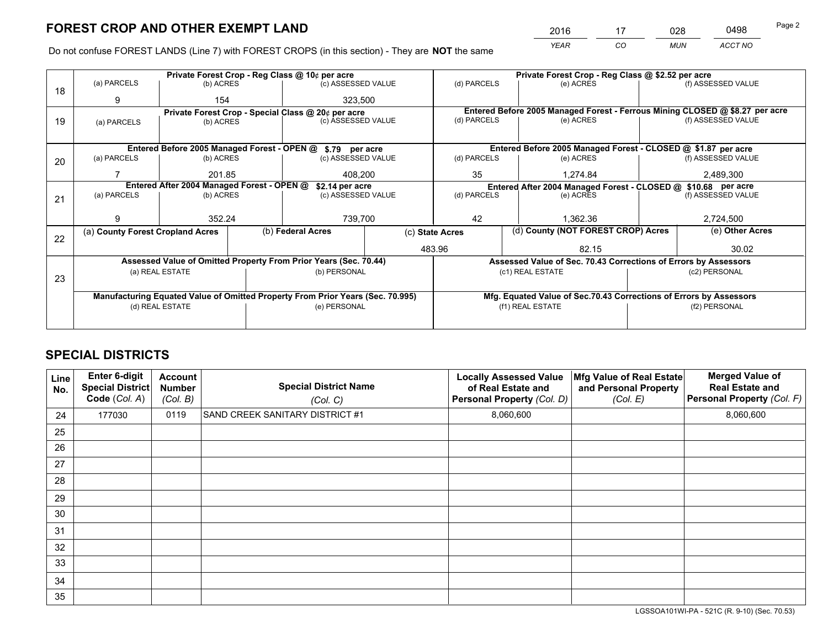*YEAR CO MUN ACCT NO* <sup>2016</sup> <sup>17</sup> <sup>028</sup> <sup>0498</sup>

Do not confuse FOREST LANDS (Line 7) with FOREST CROPS (in this section) - They are **NOT** the same

|    |                                            |                 |  | Private Forest Crop - Reg Class @ 10¢ per acre                                 |  |                                                               | Private Forest Crop - Reg Class @ \$2.52 per acre                  |  |                                                                              |  |  |
|----|--------------------------------------------|-----------------|--|--------------------------------------------------------------------------------|--|---------------------------------------------------------------|--------------------------------------------------------------------|--|------------------------------------------------------------------------------|--|--|
| 18 | (a) PARCELS                                | (b) ACRES       |  | (c) ASSESSED VALUE                                                             |  | (d) PARCELS                                                   | (e) ACRES                                                          |  | (f) ASSESSED VALUE                                                           |  |  |
|    | 9                                          | 154             |  | 323,500                                                                        |  |                                                               |                                                                    |  |                                                                              |  |  |
|    |                                            |                 |  | Private Forest Crop - Special Class @ 20¢ per acre                             |  |                                                               |                                                                    |  | Entered Before 2005 Managed Forest - Ferrous Mining CLOSED @ \$8.27 per acre |  |  |
| 19 | (a) PARCELS                                | (b) ACRES       |  | (c) ASSESSED VALUE                                                             |  | (d) PARCELS                                                   | (e) ACRES                                                          |  | (f) ASSESSED VALUE                                                           |  |  |
|    |                                            |                 |  |                                                                                |  |                                                               |                                                                    |  |                                                                              |  |  |
|    |                                            |                 |  | Entered Before 2005 Managed Forest - OPEN @ \$.79 per acre                     |  |                                                               | Entered Before 2005 Managed Forest - CLOSED @ \$1.87 per acre      |  |                                                                              |  |  |
| 20 | (a) PARCELS                                | (b) ACRES       |  | (c) ASSESSED VALUE                                                             |  | (d) PARCELS                                                   | (e) ACRES                                                          |  | (f) ASSESSED VALUE                                                           |  |  |
|    |                                            | 201.85          |  | 408.200                                                                        |  | 35                                                            | 1.274.84                                                           |  | 2,489,300                                                                    |  |  |
|    | Entered After 2004 Managed Forest - OPEN @ |                 |  | \$2.14 per acre                                                                |  | Entered After 2004 Managed Forest - CLOSED @ \$10.68 per acre |                                                                    |  |                                                                              |  |  |
| 21 | (a) PARCELS                                | (b) ACRES       |  | (c) ASSESSED VALUE                                                             |  | (d) PARCELS                                                   | (e) ACRES                                                          |  | (f) ASSESSED VALUE                                                           |  |  |
|    |                                            |                 |  |                                                                                |  |                                                               |                                                                    |  |                                                                              |  |  |
|    | 9                                          | 352.24          |  | 739,700                                                                        |  | 42<br>1.362.36                                                |                                                                    |  | 2,724,500                                                                    |  |  |
| 22 | (a) County Forest Cropland Acres           |                 |  | (b) Federal Acres                                                              |  | (d) County (NOT FOREST CROP) Acres<br>(c) State Acres         |                                                                    |  | (e) Other Acres                                                              |  |  |
|    |                                            |                 |  |                                                                                |  | 483.96<br>82.15                                               |                                                                    |  | 30.02                                                                        |  |  |
|    |                                            |                 |  | Assessed Value of Omitted Property From Prior Years (Sec. 70.44)               |  |                                                               | Assessed Value of Sec. 70.43 Corrections of Errors by Assessors    |  |                                                                              |  |  |
|    |                                            | (a) REAL ESTATE |  | (b) PERSONAL                                                                   |  |                                                               | (c1) REAL ESTATE                                                   |  | (c2) PERSONAL                                                                |  |  |
| 23 |                                            |                 |  |                                                                                |  |                                                               |                                                                    |  |                                                                              |  |  |
|    |                                            |                 |  | Manufacturing Equated Value of Omitted Property From Prior Years (Sec. 70.995) |  |                                                               | Mfg. Equated Value of Sec.70.43 Corrections of Errors by Assessors |  |                                                                              |  |  |
|    | (d) REAL ESTATE                            |                 |  | (e) PERSONAL                                                                   |  |                                                               | (f1) REAL ESTATE                                                   |  | (f2) PERSONAL                                                                |  |  |
|    |                                            |                 |  |                                                                                |  |                                                               |                                                                    |  |                                                                              |  |  |

## **SPECIAL DISTRICTS**

| Line<br>No. | Enter 6-digit<br>Special District<br>Code (Col. A) | <b>Account</b><br><b>Number</b><br>(Col. B) | <b>Special District Name</b><br>(Col. C) | <b>Locally Assessed Value</b><br>of Real Estate and<br>Personal Property (Col. D) | Mfg Value of Real Estate<br>and Personal Property<br>(Col. E) | <b>Merged Value of</b><br><b>Real Estate and</b><br>Personal Property (Col. F) |
|-------------|----------------------------------------------------|---------------------------------------------|------------------------------------------|-----------------------------------------------------------------------------------|---------------------------------------------------------------|--------------------------------------------------------------------------------|
| 24          | 177030                                             | 0119                                        | SAND CREEK SANITARY DISTRICT #1          | 8,060,600                                                                         |                                                               | 8,060,600                                                                      |
| 25          |                                                    |                                             |                                          |                                                                                   |                                                               |                                                                                |
| 26          |                                                    |                                             |                                          |                                                                                   |                                                               |                                                                                |
| 27          |                                                    |                                             |                                          |                                                                                   |                                                               |                                                                                |
| 28          |                                                    |                                             |                                          |                                                                                   |                                                               |                                                                                |
| 29          |                                                    |                                             |                                          |                                                                                   |                                                               |                                                                                |
| 30          |                                                    |                                             |                                          |                                                                                   |                                                               |                                                                                |
| 31          |                                                    |                                             |                                          |                                                                                   |                                                               |                                                                                |
| 32          |                                                    |                                             |                                          |                                                                                   |                                                               |                                                                                |
| 33          |                                                    |                                             |                                          |                                                                                   |                                                               |                                                                                |
| 34          |                                                    |                                             |                                          |                                                                                   |                                                               |                                                                                |
| 35          |                                                    |                                             |                                          |                                                                                   |                                                               |                                                                                |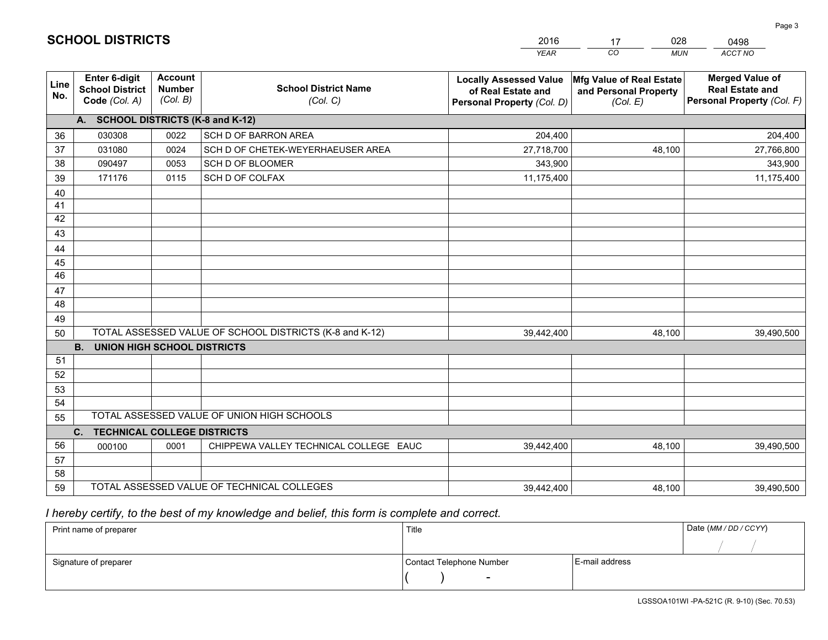|             |                                                                 |                                                                                        |                                                         | <b>YEAR</b>                                                                       | CO<br><b>MUN</b>                                              | ACCT NO                                                                        |
|-------------|-----------------------------------------------------------------|----------------------------------------------------------------------------------------|---------------------------------------------------------|-----------------------------------------------------------------------------------|---------------------------------------------------------------|--------------------------------------------------------------------------------|
| Line<br>No. | <b>Enter 6-digit</b><br><b>School District</b><br>Code (Col. A) | <b>Account</b><br><b>Number</b><br><b>School District Name</b><br>(Col. B)<br>(Col. C) |                                                         | <b>Locally Assessed Value</b><br>of Real Estate and<br>Personal Property (Col. D) | Mfg Value of Real Estate<br>and Personal Property<br>(Col. E) | <b>Merged Value of</b><br><b>Real Estate and</b><br>Personal Property (Col. F) |
|             | A. SCHOOL DISTRICTS (K-8 and K-12)                              |                                                                                        |                                                         |                                                                                   |                                                               |                                                                                |
| 36          | 030308                                                          | 0022                                                                                   | SCH D OF BARRON AREA                                    | 204,400                                                                           |                                                               | 204,400                                                                        |
| 37          | 031080                                                          | 0024                                                                                   | SCH D OF CHETEK-WEYERHAEUSER AREA                       | 27,718,700                                                                        | 48,100                                                        | 27,766,800                                                                     |
| 38          | 090497                                                          | 0053                                                                                   | SCH D OF BLOOMER                                        | 343,900                                                                           |                                                               | 343,900                                                                        |
| 39          | 171176                                                          | 0115                                                                                   | SCH D OF COLFAX                                         | 11,175,400                                                                        |                                                               | 11,175,400                                                                     |
| 40          |                                                                 |                                                                                        |                                                         |                                                                                   |                                                               |                                                                                |
| 41          |                                                                 |                                                                                        |                                                         |                                                                                   |                                                               |                                                                                |
| 42          |                                                                 |                                                                                        |                                                         |                                                                                   |                                                               |                                                                                |
| 43          |                                                                 |                                                                                        |                                                         |                                                                                   |                                                               |                                                                                |
| 44          |                                                                 |                                                                                        |                                                         |                                                                                   |                                                               |                                                                                |
| 45          |                                                                 |                                                                                        |                                                         |                                                                                   |                                                               |                                                                                |
| 46          |                                                                 |                                                                                        |                                                         |                                                                                   |                                                               |                                                                                |
| 47          |                                                                 |                                                                                        |                                                         |                                                                                   |                                                               |                                                                                |
| 48          |                                                                 |                                                                                        |                                                         |                                                                                   |                                                               |                                                                                |
| 49          |                                                                 |                                                                                        |                                                         |                                                                                   |                                                               |                                                                                |
| 50          |                                                                 |                                                                                        | TOTAL ASSESSED VALUE OF SCHOOL DISTRICTS (K-8 and K-12) | 39,442,400                                                                        | 48,100                                                        | 39,490,500                                                                     |
|             | <b>B.</b><br>UNION HIGH SCHOOL DISTRICTS                        |                                                                                        |                                                         |                                                                                   |                                                               |                                                                                |
| 51          |                                                                 |                                                                                        |                                                         |                                                                                   |                                                               |                                                                                |
| 52          |                                                                 |                                                                                        |                                                         |                                                                                   |                                                               |                                                                                |
| 53          |                                                                 |                                                                                        |                                                         |                                                                                   |                                                               |                                                                                |
| 54          |                                                                 |                                                                                        | TOTAL ASSESSED VALUE OF UNION HIGH SCHOOLS              |                                                                                   |                                                               |                                                                                |
| 55          |                                                                 |                                                                                        |                                                         |                                                                                   |                                                               |                                                                                |
| 56          | C.<br><b>TECHNICAL COLLEGE DISTRICTS</b>                        |                                                                                        |                                                         |                                                                                   |                                                               |                                                                                |
|             | 000100                                                          | 0001                                                                                   | CHIPPEWA VALLEY TECHNICAL COLLEGE EAUC                  | 39,442,400                                                                        | 48.100                                                        | 39,490,500                                                                     |
| 57<br>58    |                                                                 |                                                                                        |                                                         |                                                                                   |                                                               |                                                                                |
| 59          |                                                                 |                                                                                        | TOTAL ASSESSED VALUE OF TECHNICAL COLLEGES              | 39,442,400                                                                        | 48,100                                                        | 39,490,500                                                                     |
|             |                                                                 |                                                                                        |                                                         |                                                                                   |                                                               |                                                                                |

17

028

 *I hereby certify, to the best of my knowledge and belief, this form is complete and correct.*

**SCHOOL DISTRICTS**

| Print name of preparer | Title                    | Date (MM / DD / CCYY) |  |
|------------------------|--------------------------|-----------------------|--|
|                        |                          |                       |  |
| Signature of preparer  | Contact Telephone Number | E-mail address        |  |
|                        | $\sim$                   |                       |  |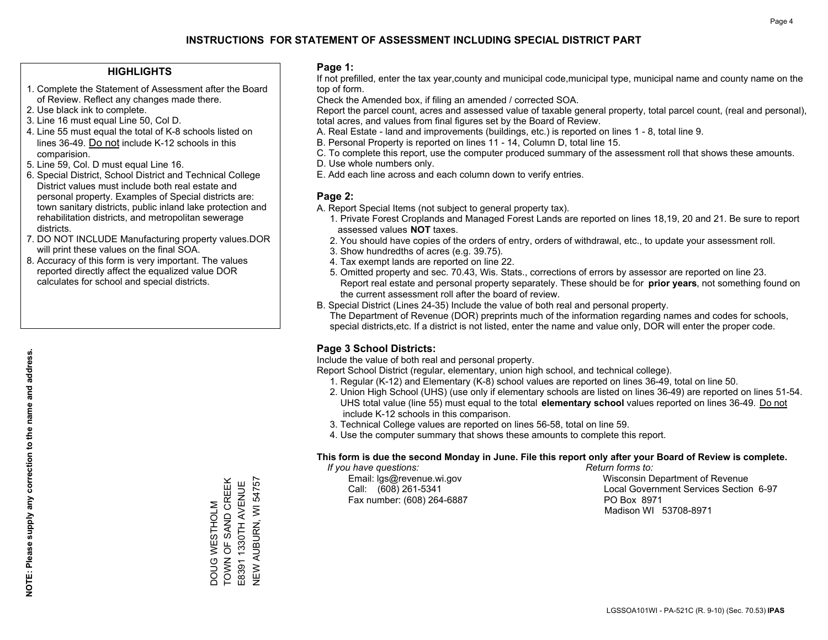### **HIGHLIGHTS**

- 1. Complete the Statement of Assessment after the Board of Review. Reflect any changes made there.
- 2. Use black ink to complete.
- 3. Line 16 must equal Line 50, Col D.
- 4. Line 55 must equal the total of K-8 schools listed on lines 36-49. Do not include K-12 schools in this comparision.
- 5. Line 59, Col. D must equal Line 16.
- 6. Special District, School District and Technical College District values must include both real estate and personal property. Examples of Special districts are: town sanitary districts, public inland lake protection and rehabilitation districts, and metropolitan sewerage districts.
- 7. DO NOT INCLUDE Manufacturing property values.DOR will print these values on the final SOA.
- 8. Accuracy of this form is very important. The values reported directly affect the equalized value DOR calculates for school and special districts.

### **Page 1:**

 If not prefilled, enter the tax year,county and municipal code,municipal type, municipal name and county name on the top of form.

Check the Amended box, if filing an amended / corrected SOA.

 Report the parcel count, acres and assessed value of taxable general property, total parcel count, (real and personal), total acres, and values from final figures set by the Board of Review.

- A. Real Estate land and improvements (buildings, etc.) is reported on lines 1 8, total line 9.
- B. Personal Property is reported on lines 11 14, Column D, total line 15.
- C. To complete this report, use the computer produced summary of the assessment roll that shows these amounts.
- D. Use whole numbers only.
- E. Add each line across and each column down to verify entries.

### **Page 2:**

- A. Report Special Items (not subject to general property tax).
- 1. Private Forest Croplands and Managed Forest Lands are reported on lines 18,19, 20 and 21. Be sure to report assessed values **NOT** taxes.
- 2. You should have copies of the orders of entry, orders of withdrawal, etc., to update your assessment roll.
	- 3. Show hundredths of acres (e.g. 39.75).
- 4. Tax exempt lands are reported on line 22.
- 5. Omitted property and sec. 70.43, Wis. Stats., corrections of errors by assessor are reported on line 23. Report real estate and personal property separately. These should be for **prior years**, not something found on the current assessment roll after the board of review.
- B. Special District (Lines 24-35) Include the value of both real and personal property.
- The Department of Revenue (DOR) preprints much of the information regarding names and codes for schools, special districts,etc. If a district is not listed, enter the name and value only, DOR will enter the proper code.

### **Page 3 School Districts:**

Include the value of both real and personal property.

Report School District (regular, elementary, union high school, and technical college).

- 1. Regular (K-12) and Elementary (K-8) school values are reported on lines 36-49, total on line 50.
- 2. Union High School (UHS) (use only if elementary schools are listed on lines 36-49) are reported on lines 51-54. UHS total value (line 55) must equal to the total **elementary school** values reported on lines 36-49. Do notinclude K-12 schools in this comparison.
- 3. Technical College values are reported on lines 56-58, total on line 59.
- 4. Use the computer summary that shows these amounts to complete this report.

#### **This form is due the second Monday in June. File this report only after your Board of Review is complete.**

 *If you have questions: Return forms to:*

Fax number: (608) 264-6887 PO Box 8971

 Email: lgs@revenue.wi.gov Wisconsin Department of Revenue Call: (608) 261-5341 Local Government Services Section 6-97Madison WI 53708-8971

TOWN OF SAND CREEK DOUG WESTHOLM<br>TOWN OF SAND CREEK E8391 1330TH AVENUE<br>NEW AUBURN, WI 54757 NEW AUBURN, WI 54757 E8391 1330TH AVENUE DOUG WESTHOLM

**NOTE: Please supply any correction to the name and address.**

NOTE: Please supply any correction to the name and address.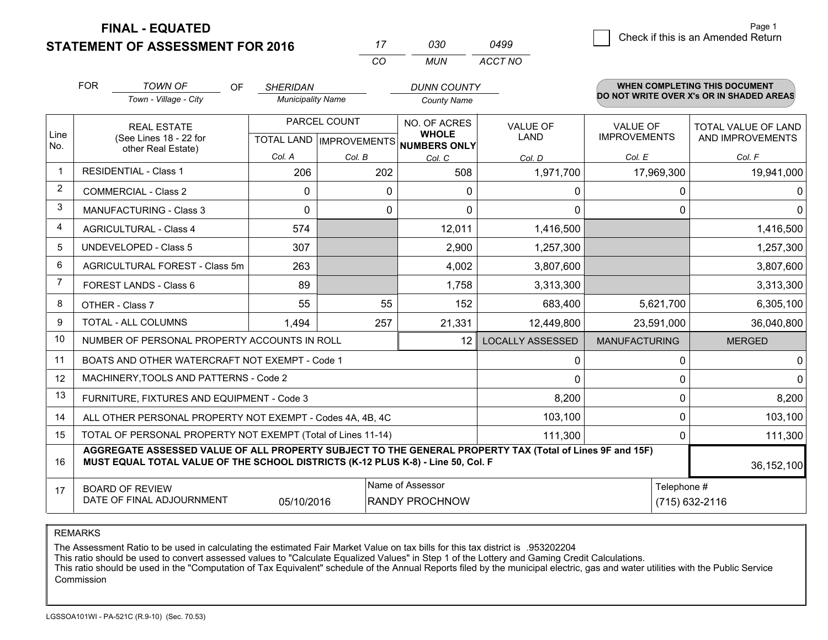**STATEMENT OF ASSESSMENT FOR 2016 FINAL - EQUATED**

g **Check if this is an Amended Return** Page 1

|                | <b>FOR</b>                                                                                                     | <b>TOWN OF</b><br><b>OF</b>                                                                                                                                                                  | <b>SHERIDAN</b>                      |        | <b>DUNN COUNTY</b>                                   |                         |                      | <b>WHEN COMPLETING THIS DOCUMENT</b>     |
|----------------|----------------------------------------------------------------------------------------------------------------|----------------------------------------------------------------------------------------------------------------------------------------------------------------------------------------------|--------------------------------------|--------|------------------------------------------------------|-------------------------|----------------------|------------------------------------------|
|                |                                                                                                                | Town - Village - City                                                                                                                                                                        | <b>Municipality Name</b>             |        | <b>County Name</b>                                   |                         |                      | DO NOT WRITE OVER X's OR IN SHADED AREAS |
|                |                                                                                                                | PARCEL COUNT<br><b>REAL ESTATE</b>                                                                                                                                                           |                                      |        | NO. OF ACRES                                         | <b>VALUE OF</b>         | <b>VALUE OF</b>      | TOTAL VALUE OF LAND                      |
| Line<br>No.    |                                                                                                                | (See Lines 18 - 22 for<br>other Real Estate)                                                                                                                                                 |                                      |        | <b>WHOLE</b><br>TOTAL LAND IMPROVEMENTS NUMBERS ONLY | LAND                    | <b>IMPROVEMENTS</b>  | AND IMPROVEMENTS                         |
|                |                                                                                                                |                                                                                                                                                                                              | Col. A                               | Col. B | Col. C                                               | Col. D                  | Col. E               | Col. F                                   |
| $\mathbf 1$    |                                                                                                                | <b>RESIDENTIAL - Class 1</b>                                                                                                                                                                 | 206                                  | 202    | 508                                                  | 1,971,700               | 17,969,300           | 19,941,000                               |
| $\overline{2}$ |                                                                                                                | <b>COMMERCIAL - Class 2</b>                                                                                                                                                                  | $\mathbf{0}$                         | 0      | 0                                                    | 0                       | 0                    | 0 <sup>1</sup>                           |
| 3              |                                                                                                                | <b>MANUFACTURING - Class 3</b>                                                                                                                                                               | $\Omega$                             | 0      | $\Omega$                                             | $\Omega$                | $\Omega$             | $\Omega$                                 |
| 4              |                                                                                                                | <b>AGRICULTURAL - Class 4</b>                                                                                                                                                                | 574                                  |        | 12,011                                               | 1,416,500               |                      | 1,416,500                                |
| 5              |                                                                                                                | <b>UNDEVELOPED - Class 5</b>                                                                                                                                                                 | 307                                  |        | 2,900                                                | 1,257,300               |                      | 1,257,300                                |
| 6              |                                                                                                                | AGRICULTURAL FOREST - Class 5m                                                                                                                                                               | 263                                  |        | 4,002                                                | 3,807,600               |                      | 3,807,600                                |
| $\overline{7}$ |                                                                                                                | FOREST LANDS - Class 6                                                                                                                                                                       | 89                                   |        | 1,758                                                | 3,313,300               |                      | 3,313,300                                |
| 8              |                                                                                                                | OTHER - Class 7                                                                                                                                                                              | 55                                   | 55     | 152                                                  | 683,400                 | 5,621,700            | 6,305,100                                |
| 9              |                                                                                                                | <b>TOTAL - ALL COLUMNS</b>                                                                                                                                                                   | 257<br>21,331<br>1,494<br>12,449,800 |        | 23,591,000                                           | 36,040,800              |                      |                                          |
| 10             |                                                                                                                | NUMBER OF PERSONAL PROPERTY ACCOUNTS IN ROLL                                                                                                                                                 |                                      |        | 12 <sup>2</sup>                                      | <b>LOCALLY ASSESSED</b> | <b>MANUFACTURING</b> | <b>MERGED</b>                            |
| 11             |                                                                                                                | BOATS AND OTHER WATERCRAFT NOT EXEMPT - Code 1                                                                                                                                               |                                      |        |                                                      | 0                       | 0                    | 0                                        |
| 12             |                                                                                                                | MACHINERY, TOOLS AND PATTERNS - Code 2                                                                                                                                                       |                                      |        |                                                      | $\mathbf{0}$            | $\mathbf{0}$         | 0                                        |
| 13             |                                                                                                                | FURNITURE, FIXTURES AND EQUIPMENT - Code 3                                                                                                                                                   |                                      |        |                                                      | 8,200                   | 0                    | 8,200                                    |
| 14             |                                                                                                                | ALL OTHER PERSONAL PROPERTY NOT EXEMPT - Codes 4A, 4B, 4C                                                                                                                                    |                                      |        |                                                      | 103,100                 | $\mathbf{0}$         | 103,100                                  |
| 15             | TOTAL OF PERSONAL PROPERTY NOT EXEMPT (Total of Lines 11-14)<br>111,300                                        |                                                                                                                                                                                              |                                      |        |                                                      |                         | $\mathbf{0}$         | 111,300                                  |
| 16             |                                                                                                                | AGGREGATE ASSESSED VALUE OF ALL PROPERTY SUBJECT TO THE GENERAL PROPERTY TAX (Total of Lines 9F and 15F)<br>MUST EQUAL TOTAL VALUE OF THE SCHOOL DISTRICTS (K-12 PLUS K-8) - Line 50, Col. F |                                      |        |                                                      |                         |                      | 36,152,100                               |
| 17             | Name of Assessor<br><b>BOARD OF REVIEW</b><br>DATE OF FINAL ADJOURNMENT<br><b>RANDY PROCHNOW</b><br>05/10/2016 |                                                                                                                                                                                              |                                      |        |                                                      |                         | Telephone #          | (715) 632-2116                           |

*MUN*

*ACCT NO0499*

*<sup>17</sup> <sup>030</sup>*

*CO*

REMARKS

The Assessment Ratio to be used in calculating the estimated Fair Market Value on tax bills for this tax district is .953202204<br>This ratio should be used to convert assessed values to "Calculate Equalized Values" in Step 1 Commission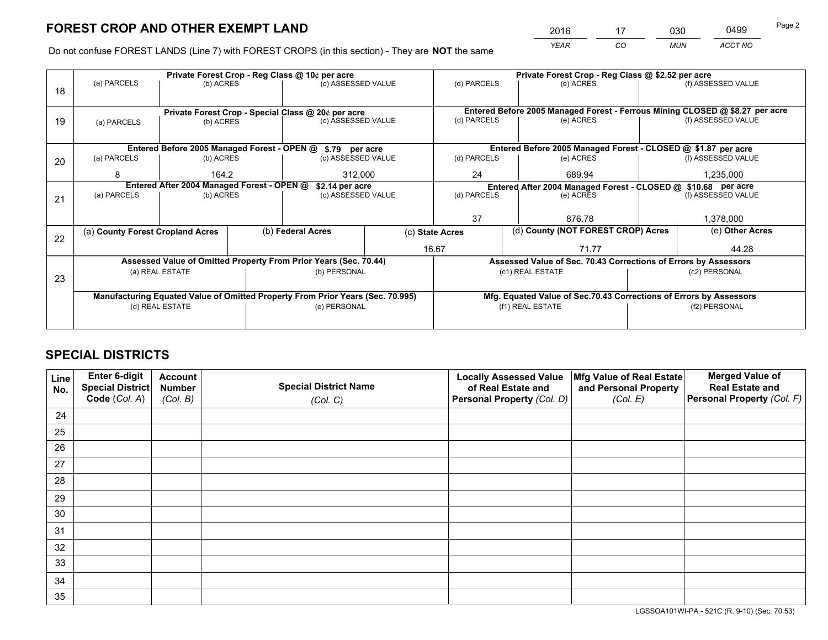*YEAR CO MUN ACCT NO* <sup>2016</sup> <sup>17</sup> <sup>030</sup> <sup>0499</sup>

Do not confuse FOREST LANDS (Line 7) with FOREST CROPS (in this section) - They are **NOT** the same

|    |                                                    |                                             |  | Private Forest Crop - Reg Class @ 10¢ per acre                                 |                 | Private Forest Crop - Reg Class @ \$2.52 per acre     |                                                                              |  |                    |  |  |
|----|----------------------------------------------------|---------------------------------------------|--|--------------------------------------------------------------------------------|-----------------|-------------------------------------------------------|------------------------------------------------------------------------------|--|--------------------|--|--|
| 18 | (a) PARCELS                                        | (b) ACRES                                   |  | (c) ASSESSED VALUE                                                             |                 | (d) PARCELS                                           | (e) ACRES                                                                    |  | (f) ASSESSED VALUE |  |  |
|    |                                                    |                                             |  |                                                                                |                 |                                                       |                                                                              |  |                    |  |  |
|    | Private Forest Crop - Special Class @ 20¢ per acre |                                             |  |                                                                                |                 |                                                       | Entered Before 2005 Managed Forest - Ferrous Mining CLOSED @ \$8.27 per acre |  |                    |  |  |
| 19 | (a) PARCELS                                        | (b) ACRES                                   |  | (c) ASSESSED VALUE                                                             |                 | (d) PARCELS                                           | (e) ACRES                                                                    |  | (f) ASSESSED VALUE |  |  |
|    |                                                    |                                             |  |                                                                                |                 |                                                       |                                                                              |  |                    |  |  |
|    |                                                    | Entered Before 2005 Managed Forest - OPEN @ |  | \$.79 per acre                                                                 |                 |                                                       | Entered Before 2005 Managed Forest - CLOSED @ \$1.87 per acre                |  |                    |  |  |
| 20 | (a) PARCELS                                        | (b) ACRES                                   |  | (c) ASSESSED VALUE                                                             |                 | (d) PARCELS                                           | (e) ACRES                                                                    |  | (f) ASSESSED VALUE |  |  |
|    | 8                                                  | 164.2                                       |  | 312,000                                                                        |                 | 24                                                    | 689.94                                                                       |  | 1,235,000          |  |  |
|    | Entered After 2004 Managed Forest - OPEN @         |                                             |  |                                                                                | \$2.14 per acre |                                                       | Entered After 2004 Managed Forest - CLOSED @ \$10.68 per acre                |  |                    |  |  |
| 21 | (a) PARCELS                                        | (b) ACRES                                   |  | (c) ASSESSED VALUE                                                             | (d) PARCELS     |                                                       | (e) ACRES                                                                    |  |                    |  |  |
|    |                                                    |                                             |  |                                                                                |                 |                                                       |                                                                              |  |                    |  |  |
|    |                                                    |                                             |  |                                                                                |                 | 37                                                    | 876.78                                                                       |  | 1,378,000          |  |  |
|    | (a) County Forest Cropland Acres                   |                                             |  | (b) Federal Acres                                                              |                 | (d) County (NOT FOREST CROP) Acres<br>(c) State Acres |                                                                              |  | (e) Other Acres    |  |  |
| 22 |                                                    |                                             |  |                                                                                |                 | 16.67                                                 | 71.77                                                                        |  | 44.28              |  |  |
|    |                                                    |                                             |  | Assessed Value of Omitted Property From Prior Years (Sec. 70.44)               |                 |                                                       | Assessed Value of Sec. 70.43 Corrections of Errors by Assessors              |  |                    |  |  |
|    |                                                    | (a) REAL ESTATE                             |  | (b) PERSONAL                                                                   |                 |                                                       | (c1) REAL ESTATE                                                             |  | (c2) PERSONAL      |  |  |
| 23 |                                                    |                                             |  |                                                                                |                 |                                                       |                                                                              |  |                    |  |  |
|    |                                                    |                                             |  |                                                                                |                 |                                                       |                                                                              |  |                    |  |  |
|    |                                                    |                                             |  | Manufacturing Equated Value of Omitted Property From Prior Years (Sec. 70.995) |                 |                                                       | Mfg. Equated Value of Sec.70.43 Corrections of Errors by Assessors           |  |                    |  |  |
|    |                                                    | (d) REAL ESTATE                             |  | (e) PERSONAL                                                                   |                 |                                                       | (f1) REAL ESTATE                                                             |  | (f2) PERSONAL      |  |  |
|    |                                                    |                                             |  |                                                                                |                 |                                                       |                                                                              |  |                    |  |  |

## **SPECIAL DISTRICTS**

| Line<br>No. | Enter 6-digit<br><b>Special District</b> | <b>Account</b><br><b>Number</b> | <b>Special District Name</b> | <b>Locally Assessed Value</b><br>of Real Estate and | Mfg Value of Real Estate<br>and Personal Property | <b>Merged Value of</b><br><b>Real Estate and</b> |
|-------------|------------------------------------------|---------------------------------|------------------------------|-----------------------------------------------------|---------------------------------------------------|--------------------------------------------------|
|             | Code (Col. A)                            | (Col. B)                        | (Col. C)                     | Personal Property (Col. D)                          | (Col. E)                                          | Personal Property (Col. F)                       |
| 24          |                                          |                                 |                              |                                                     |                                                   |                                                  |
| 25          |                                          |                                 |                              |                                                     |                                                   |                                                  |
| 26          |                                          |                                 |                              |                                                     |                                                   |                                                  |
| 27          |                                          |                                 |                              |                                                     |                                                   |                                                  |
| 28          |                                          |                                 |                              |                                                     |                                                   |                                                  |
| 29          |                                          |                                 |                              |                                                     |                                                   |                                                  |
| 30          |                                          |                                 |                              |                                                     |                                                   |                                                  |
| 31          |                                          |                                 |                              |                                                     |                                                   |                                                  |
| 32          |                                          |                                 |                              |                                                     |                                                   |                                                  |
| 33          |                                          |                                 |                              |                                                     |                                                   |                                                  |
| 34          |                                          |                                 |                              |                                                     |                                                   |                                                  |
| 35          |                                          |                                 |                              |                                                     |                                                   |                                                  |

LGSSOA101WI-PA - 521C (R. 9-10) (Sec. 70.53)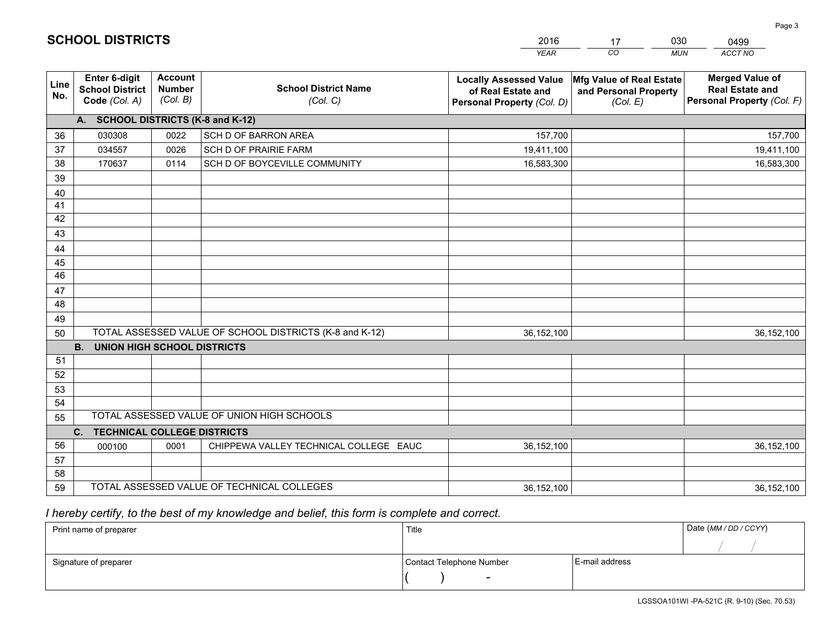|                       |                                                          |                                                                                        |                                                         | <b>YEAR</b>                                                                       | CO<br><b>MUN</b>                                              | ACCT NO                                                                        |
|-----------------------|----------------------------------------------------------|----------------------------------------------------------------------------------------|---------------------------------------------------------|-----------------------------------------------------------------------------------|---------------------------------------------------------------|--------------------------------------------------------------------------------|
| Line<br>No.           | Enter 6-digit<br><b>School District</b><br>Code (Col. A) | <b>Account</b><br><b>Number</b><br><b>School District Name</b><br>(Col. B)<br>(Col. C) |                                                         | <b>Locally Assessed Value</b><br>of Real Estate and<br>Personal Property (Col. D) | Mfg Value of Real Estate<br>and Personal Property<br>(Col. E) | <b>Merged Value of</b><br><b>Real Estate and</b><br>Personal Property (Col. F) |
|                       | A. SCHOOL DISTRICTS (K-8 and K-12)                       |                                                                                        |                                                         |                                                                                   |                                                               |                                                                                |
| 36                    | 030308                                                   | 0022                                                                                   | SCH D OF BARRON AREA                                    | 157,700                                                                           |                                                               | 157,700                                                                        |
| 37                    | 034557                                                   | 0026                                                                                   | SCH D OF PRAIRIE FARM                                   | 19,411,100                                                                        |                                                               | 19,411,100                                                                     |
| 38                    | 170637                                                   | 0114                                                                                   | SCH D OF BOYCEVILLE COMMUNITY                           | 16,583,300                                                                        |                                                               | 16,583,300                                                                     |
| 39                    |                                                          |                                                                                        |                                                         |                                                                                   |                                                               |                                                                                |
| 40                    |                                                          |                                                                                        |                                                         |                                                                                   |                                                               |                                                                                |
| 41                    |                                                          |                                                                                        |                                                         |                                                                                   |                                                               |                                                                                |
| 42                    |                                                          |                                                                                        |                                                         |                                                                                   |                                                               |                                                                                |
| 43                    |                                                          |                                                                                        |                                                         |                                                                                   |                                                               |                                                                                |
| 44                    |                                                          |                                                                                        |                                                         |                                                                                   |                                                               |                                                                                |
| 45<br>$\overline{46}$ |                                                          |                                                                                        |                                                         |                                                                                   |                                                               |                                                                                |
|                       |                                                          |                                                                                        |                                                         |                                                                                   |                                                               |                                                                                |
| 47<br>48              |                                                          |                                                                                        |                                                         |                                                                                   |                                                               |                                                                                |
| 49                    |                                                          |                                                                                        |                                                         |                                                                                   |                                                               |                                                                                |
| 50                    |                                                          |                                                                                        | TOTAL ASSESSED VALUE OF SCHOOL DISTRICTS (K-8 and K-12) | 36,152,100                                                                        |                                                               | 36, 152, 100                                                                   |
|                       | <b>B.</b><br><b>UNION HIGH SCHOOL DISTRICTS</b>          |                                                                                        |                                                         |                                                                                   |                                                               |                                                                                |
| 51                    |                                                          |                                                                                        |                                                         |                                                                                   |                                                               |                                                                                |
| 52                    |                                                          |                                                                                        |                                                         |                                                                                   |                                                               |                                                                                |
| 53                    |                                                          |                                                                                        |                                                         |                                                                                   |                                                               |                                                                                |
| 54                    |                                                          |                                                                                        |                                                         |                                                                                   |                                                               |                                                                                |
| 55                    |                                                          |                                                                                        | TOTAL ASSESSED VALUE OF UNION HIGH SCHOOLS              |                                                                                   |                                                               |                                                                                |
|                       | C.<br><b>TECHNICAL COLLEGE DISTRICTS</b>                 |                                                                                        |                                                         |                                                                                   |                                                               |                                                                                |
| 56                    | 000100                                                   | 0001                                                                                   | CHIPPEWA VALLEY TECHNICAL COLLEGE EAUC                  | 36,152,100                                                                        |                                                               | 36, 152, 100                                                                   |
| 57                    |                                                          |                                                                                        |                                                         |                                                                                   |                                                               |                                                                                |
| 58                    |                                                          |                                                                                        |                                                         |                                                                                   |                                                               |                                                                                |
| 59                    |                                                          |                                                                                        | TOTAL ASSESSED VALUE OF TECHNICAL COLLEGES              | 36,152,100                                                                        |                                                               | 36, 152, 100                                                                   |

 *I hereby certify, to the best of my knowledge and belief, this form is complete and correct.*

| Print name of preparer | Title                    |                | Date (MM / DD / CCYY) |
|------------------------|--------------------------|----------------|-----------------------|
|                        |                          |                |                       |
| Signature of preparer  | Contact Telephone Number | E-mail address |                       |
|                        | $\sim$                   |                |                       |

| <b>SCHOOL DISTRICTS</b> |  |
|-------------------------|--|
|-------------------------|--|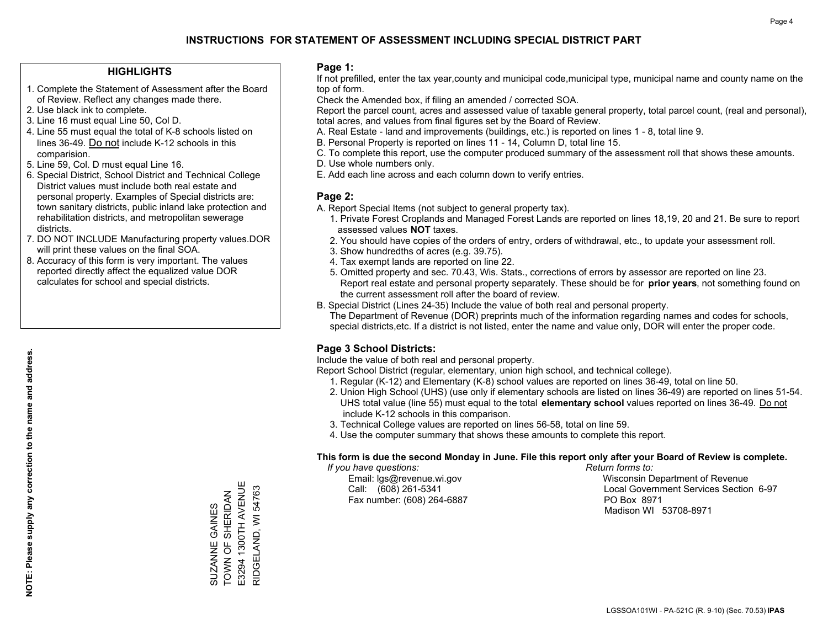### **HIGHLIGHTS**

- 1. Complete the Statement of Assessment after the Board of Review. Reflect any changes made there.
- 2. Use black ink to complete.
- 3. Line 16 must equal Line 50, Col D.
- 4. Line 55 must equal the total of K-8 schools listed on lines 36-49. Do not include K-12 schools in this comparision.
- 5. Line 59, Col. D must equal Line 16.
- 6. Special District, School District and Technical College District values must include both real estate and personal property. Examples of Special districts are: town sanitary districts, public inland lake protection and rehabilitation districts, and metropolitan sewerage districts.
- 7. DO NOT INCLUDE Manufacturing property values.DOR will print these values on the final SOA.

SUZANNE GAINES TOWN OF SHERIDAN E3294 1300TH AVENUE RIDGELAND, WI 54763

SUZANNE GAINES<br>TOWN OF SHERIDAN

E3294 1300TH AVENUE RIDGELAND, WI 54763

 8. Accuracy of this form is very important. The values reported directly affect the equalized value DOR calculates for school and special districts.

### **Page 1:**

 If not prefilled, enter the tax year,county and municipal code,municipal type, municipal name and county name on the top of form.

Check the Amended box, if filing an amended / corrected SOA.

 Report the parcel count, acres and assessed value of taxable general property, total parcel count, (real and personal), total acres, and values from final figures set by the Board of Review.

- A. Real Estate land and improvements (buildings, etc.) is reported on lines 1 8, total line 9.
- B. Personal Property is reported on lines 11 14, Column D, total line 15.
- C. To complete this report, use the computer produced summary of the assessment roll that shows these amounts.
- D. Use whole numbers only.
- E. Add each line across and each column down to verify entries.

### **Page 2:**

- A. Report Special Items (not subject to general property tax).
- 1. Private Forest Croplands and Managed Forest Lands are reported on lines 18,19, 20 and 21. Be sure to report assessed values **NOT** taxes.
- 2. You should have copies of the orders of entry, orders of withdrawal, etc., to update your assessment roll.
	- 3. Show hundredths of acres (e.g. 39.75).
- 4. Tax exempt lands are reported on line 22.
- 5. Omitted property and sec. 70.43, Wis. Stats., corrections of errors by assessor are reported on line 23. Report real estate and personal property separately. These should be for **prior years**, not something found on the current assessment roll after the board of review.
- B. Special District (Lines 24-35) Include the value of both real and personal property.

 The Department of Revenue (DOR) preprints much of the information regarding names and codes for schools, special districts,etc. If a district is not listed, enter the name and value only, DOR will enter the proper code.

### **Page 3 School Districts:**

Include the value of both real and personal property.

Report School District (regular, elementary, union high school, and technical college).

- 1. Regular (K-12) and Elementary (K-8) school values are reported on lines 36-49, total on line 50.
- 2. Union High School (UHS) (use only if elementary schools are listed on lines 36-49) are reported on lines 51-54. UHS total value (line 55) must equal to the total **elementary school** values reported on lines 36-49. Do notinclude K-12 schools in this comparison.
- 3. Technical College values are reported on lines 56-58, total on line 59.
- 4. Use the computer summary that shows these amounts to complete this report.

#### **This form is due the second Monday in June. File this report only after your Board of Review is complete.**

 *If you have questions: Return forms to:*

Fax number: (608) 264-6887 PO Box 8971

 Email: lgs@revenue.wi.gov Wisconsin Department of Revenue Call: (608) 261-5341 Local Government Services Section 6-97Madison WI 53708-8971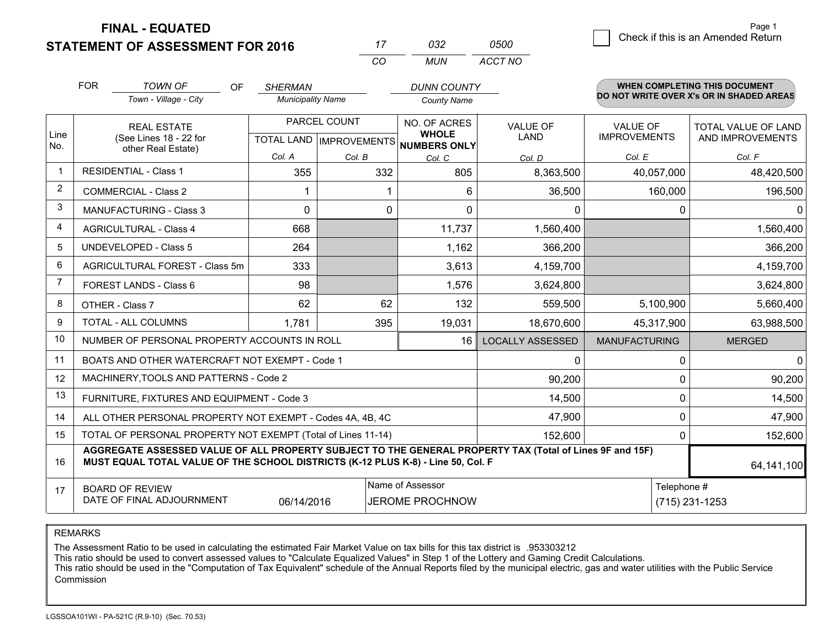**FINAL - EQUATED**

**STATEMENT OF ASSESSMENT FOR 2016** 

| 17  | 032 | 0500    |
|-----|-----|---------|
| CO. | MUN | ACCT NO |

|                | <b>FOR</b>                                                                                                                                                                                   | <b>TOWN OF</b><br><b>OF</b><br>Town - Village - City               | <b>SHERMAN</b><br><b>Municipality Name</b> |        | <b>DUNN COUNTY</b><br><b>County Name</b>            |                                |                                        | <b>WHEN COMPLETING THIS DOCUMENT</b><br>DO NOT WRITE OVER X's OR IN SHADED AREAS |
|----------------|----------------------------------------------------------------------------------------------------------------------------------------------------------------------------------------------|--------------------------------------------------------------------|--------------------------------------------|--------|-----------------------------------------------------|--------------------------------|----------------------------------------|----------------------------------------------------------------------------------|
| Line<br>No.    |                                                                                                                                                                                              | <b>REAL ESTATE</b><br>(See Lines 18 - 22 for<br>other Real Estate) | PARCEL COUNT<br>TOTAL LAND   IMPROVEMENTS  |        | NO. OF ACRES<br><b>WHOLE</b><br><b>NUMBERS ONLY</b> | <b>VALUE OF</b><br><b>LAND</b> | <b>VALUE OF</b><br><b>IMPROVEMENTS</b> | TOTAL VALUE OF LAND<br>AND IMPROVEMENTS                                          |
|                |                                                                                                                                                                                              |                                                                    | Col. A                                     | Col. B | Col. C                                              | Col. D                         | Col. E                                 | Col. F                                                                           |
| -1             |                                                                                                                                                                                              | <b>RESIDENTIAL - Class 1</b>                                       | 355                                        | 332    | 805                                                 | 8,363,500                      | 40,057,000                             | 48,420,500                                                                       |
| 2              |                                                                                                                                                                                              | <b>COMMERCIAL - Class 2</b>                                        |                                            |        | 6                                                   | 36,500                         | 160,000                                | 196,500                                                                          |
| 3              |                                                                                                                                                                                              | <b>MANUFACTURING - Class 3</b>                                     | $\Omega$                                   | 0      | $\Omega$                                            | 0                              | 0                                      | $\Omega$                                                                         |
| 4              |                                                                                                                                                                                              | <b>AGRICULTURAL - Class 4</b>                                      | 668                                        |        | 11,737                                              | 1,560,400                      |                                        | 1,560,400                                                                        |
| 5              |                                                                                                                                                                                              | UNDEVELOPED - Class 5                                              | 264                                        |        | 1,162                                               | 366,200                        |                                        | 366,200                                                                          |
| 6              | AGRICULTURAL FOREST - Class 5m<br>FOREST LANDS - Class 6                                                                                                                                     |                                                                    | 333                                        |        | 3,613                                               | 4,159,700                      |                                        | 4,159,700                                                                        |
| $\overline{7}$ |                                                                                                                                                                                              |                                                                    | 98                                         |        | 1,576                                               | 3,624,800                      |                                        | 3,624,800                                                                        |
| 8              |                                                                                                                                                                                              | OTHER - Class 7                                                    | 62<br>62                                   |        | 132                                                 | 559,500                        | 5,100,900                              | 5,660,400                                                                        |
| 9              |                                                                                                                                                                                              | TOTAL - ALL COLUMNS                                                | 1,781                                      | 395    | 19,031                                              | 18,670,600                     | 45,317,900                             | 63,988,500                                                                       |
| 10             |                                                                                                                                                                                              | NUMBER OF PERSONAL PROPERTY ACCOUNTS IN ROLL                       |                                            |        | 16                                                  | <b>LOCALLY ASSESSED</b>        | <b>MANUFACTURING</b>                   | <b>MERGED</b>                                                                    |
| 11             |                                                                                                                                                                                              | BOATS AND OTHER WATERCRAFT NOT EXEMPT - Code 1                     |                                            |        |                                                     | 0                              | 0                                      | $\overline{0}$                                                                   |
| 12             |                                                                                                                                                                                              | MACHINERY, TOOLS AND PATTERNS - Code 2                             |                                            |        |                                                     | 90,200                         | 0                                      | 90,200                                                                           |
| 13             |                                                                                                                                                                                              | FURNITURE, FIXTURES AND EQUIPMENT - Code 3                         |                                            |        |                                                     | 14,500                         | 0                                      | 14,500                                                                           |
| 14             |                                                                                                                                                                                              | ALL OTHER PERSONAL PROPERTY NOT EXEMPT - Codes 4A, 4B, 4C          |                                            |        |                                                     | 47,900                         | 0                                      | 47,900                                                                           |
| 15             | TOTAL OF PERSONAL PROPERTY NOT EXEMPT (Total of Lines 11-14)<br>152,600                                                                                                                      |                                                                    |                                            |        |                                                     |                                | $\Omega$                               | 152,600                                                                          |
| 16             | AGGREGATE ASSESSED VALUE OF ALL PROPERTY SUBJECT TO THE GENERAL PROPERTY TAX (Total of Lines 9F and 15F)<br>MUST EQUAL TOTAL VALUE OF THE SCHOOL DISTRICTS (K-12 PLUS K-8) - Line 50, Col. F |                                                                    |                                            |        |                                                     |                                |                                        | 64,141,100                                                                       |
| 17             | Name of Assessor<br>Telephone #<br><b>BOARD OF REVIEW</b><br>DATE OF FINAL ADJOURNMENT<br>JEROME PROCHNOW<br>06/14/2016                                                                      |                                                                    |                                            |        |                                                     | $(715)$ 231-1253               |                                        |                                                                                  |

REMARKS

The Assessment Ratio to be used in calculating the estimated Fair Market Value on tax bills for this tax district is .953303212

This ratio should be used to convert assessed values to "Calculate Equalized Values" in Step 1 of the Lottery and Gaming Credit Calculations.<br>This ratio should be used in the "Computation of Tax Equivalent" schedule of the Commission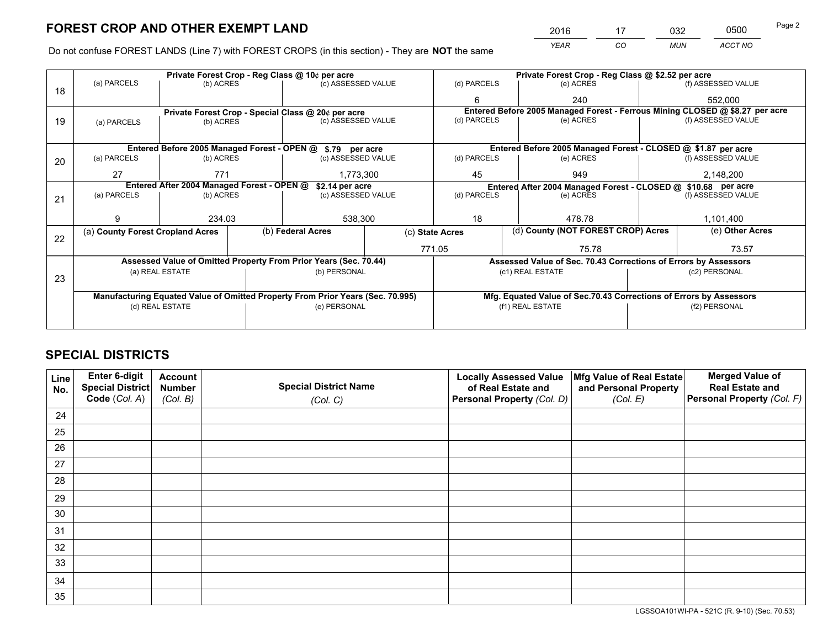*YEAR CO MUN ACCT NO* <sup>2016</sup> <sup>17</sup> <sup>032</sup> <sup>0500</sup> Page 2

Do not confuse FOREST LANDS (Line 7) with FOREST CROPS (in this section) - They are **NOT** the same

|    |                                                                                |                                  |  | Private Forest Crop - Reg Class @ 10¢ per acre                   |  | Private Forest Crop - Reg Class @ \$2.52 per acre             |        |                                                                    |           |                                                                              |
|----|--------------------------------------------------------------------------------|----------------------------------|--|------------------------------------------------------------------|--|---------------------------------------------------------------|--------|--------------------------------------------------------------------|-----------|------------------------------------------------------------------------------|
| 18 | (a) PARCELS                                                                    | (b) ACRES                        |  | (c) ASSESSED VALUE                                               |  | (d) PARCELS                                                   |        | (e) ACRES                                                          |           | (f) ASSESSED VALUE                                                           |
|    |                                                                                |                                  |  |                                                                  |  | 6                                                             |        | 240                                                                |           | 552,000                                                                      |
|    |                                                                                |                                  |  | Private Forest Crop - Special Class @ 20¢ per acre               |  |                                                               |        |                                                                    |           | Entered Before 2005 Managed Forest - Ferrous Mining CLOSED @ \$8.27 per acre |
| 19 | (a) PARCELS                                                                    | (b) ACRES                        |  | (c) ASSESSED VALUE                                               |  | (d) PARCELS                                                   |        | (e) ACRES                                                          |           | (f) ASSESSED VALUE                                                           |
|    |                                                                                |                                  |  |                                                                  |  |                                                               |        |                                                                    |           |                                                                              |
|    |                                                                                |                                  |  | Entered Before 2005 Managed Forest - OPEN @ \$.79 per acre       |  |                                                               |        | Entered Before 2005 Managed Forest - CLOSED @ \$1.87 per acre      |           |                                                                              |
| 20 | (a) PARCELS                                                                    | (b) ACRES                        |  | (c) ASSESSED VALUE                                               |  | (d) PARCELS                                                   |        | (e) ACRES                                                          |           | (f) ASSESSED VALUE                                                           |
|    | 27                                                                             | 771                              |  | 1,773,300                                                        |  | 45                                                            |        | 949                                                                | 2,148,200 |                                                                              |
|    | Entered After 2004 Managed Forest - OPEN @<br>\$2.14 per acre                  |                                  |  |                                                                  |  | Entered After 2004 Managed Forest - CLOSED @ \$10.68 per acre |        |                                                                    |           |                                                                              |
| 21 | (a) PARCELS                                                                    | (b) ACRES                        |  | (c) ASSESSED VALUE                                               |  | (d) PARCELS<br>(e) ACRES                                      |        | (f) ASSESSED VALUE                                                 |           |                                                                              |
|    |                                                                                |                                  |  |                                                                  |  |                                                               |        |                                                                    |           |                                                                              |
|    | 9                                                                              | 234.03                           |  | 538,300                                                          |  | 18                                                            | 478.78 |                                                                    | 1,101,400 |                                                                              |
| 22 |                                                                                | (a) County Forest Cropland Acres |  |                                                                  |  | (c) State Acres                                               |        | (d) County (NOT FOREST CROP) Acres                                 |           | (e) Other Acres                                                              |
|    |                                                                                |                                  |  |                                                                  |  | 771.05                                                        |        | 75.78                                                              |           | 73.57                                                                        |
|    |                                                                                |                                  |  | Assessed Value of Omitted Property From Prior Years (Sec. 70.44) |  |                                                               |        | Assessed Value of Sec. 70.43 Corrections of Errors by Assessors    |           |                                                                              |
|    |                                                                                | (a) REAL ESTATE                  |  | (b) PERSONAL                                                     |  |                                                               |        | (c1) REAL ESTATE                                                   |           | (c2) PERSONAL                                                                |
| 23 |                                                                                |                                  |  |                                                                  |  |                                                               |        |                                                                    |           |                                                                              |
|    | Manufacturing Equated Value of Omitted Property From Prior Years (Sec. 70.995) |                                  |  |                                                                  |  |                                                               |        | Mfg. Equated Value of Sec.70.43 Corrections of Errors by Assessors |           |                                                                              |
|    | (d) REAL ESTATE                                                                |                                  |  | (e) PERSONAL                                                     |  |                                                               |        | (f1) REAL ESTATE                                                   |           | (f2) PERSONAL                                                                |
|    |                                                                                |                                  |  |                                                                  |  |                                                               |        |                                                                    |           |                                                                              |

## **SPECIAL DISTRICTS**

| Line<br>No. | Enter 6-digit<br>Special District<br>Code (Col. A) | <b>Account</b><br><b>Number</b> | <b>Special District Name</b> | <b>Locally Assessed Value</b><br>of Real Estate and | Mfg Value of Real Estate<br>and Personal Property | <b>Merged Value of</b><br><b>Real Estate and</b><br>Personal Property (Col. F) |
|-------------|----------------------------------------------------|---------------------------------|------------------------------|-----------------------------------------------------|---------------------------------------------------|--------------------------------------------------------------------------------|
|             |                                                    | (Col. B)                        | (Col. C)                     | Personal Property (Col. D)                          | (Col. E)                                          |                                                                                |
| 24          |                                                    |                                 |                              |                                                     |                                                   |                                                                                |
| 25          |                                                    |                                 |                              |                                                     |                                                   |                                                                                |
| 26          |                                                    |                                 |                              |                                                     |                                                   |                                                                                |
| 27          |                                                    |                                 |                              |                                                     |                                                   |                                                                                |
| 28          |                                                    |                                 |                              |                                                     |                                                   |                                                                                |
| 29          |                                                    |                                 |                              |                                                     |                                                   |                                                                                |
| 30          |                                                    |                                 |                              |                                                     |                                                   |                                                                                |
| 31          |                                                    |                                 |                              |                                                     |                                                   |                                                                                |
| 32          |                                                    |                                 |                              |                                                     |                                                   |                                                                                |
| 33          |                                                    |                                 |                              |                                                     |                                                   |                                                                                |
| 34          |                                                    |                                 |                              |                                                     |                                                   |                                                                                |
| 35          |                                                    |                                 |                              |                                                     |                                                   |                                                                                |

LGSSOA101WI-PA - 521C (R. 9-10) (Sec. 70.53)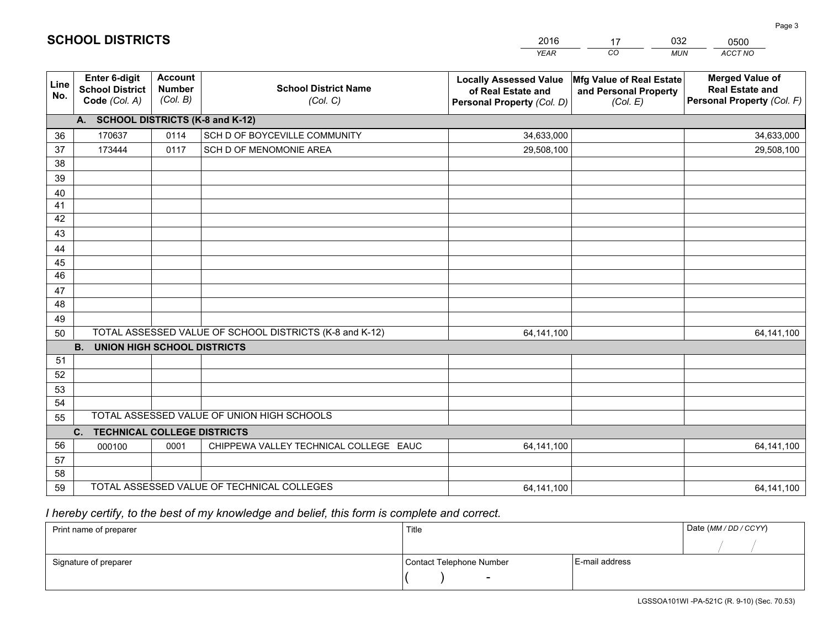|                 |                                                          |                                             |                                                         | <b>YEAR</b>                                                                       | CO<br><b>MUN</b>                                              | ACCT NO                                                                        |  |  |  |  |
|-----------------|----------------------------------------------------------|---------------------------------------------|---------------------------------------------------------|-----------------------------------------------------------------------------------|---------------------------------------------------------------|--------------------------------------------------------------------------------|--|--|--|--|
| Line<br>No.     | Enter 6-digit<br><b>School District</b><br>Code (Col. A) | <b>Account</b><br><b>Number</b><br>(Col. B) | <b>School District Name</b><br>(Col. C)                 | <b>Locally Assessed Value</b><br>of Real Estate and<br>Personal Property (Col. D) | Mfg Value of Real Estate<br>and Personal Property<br>(Col. E) | <b>Merged Value of</b><br><b>Real Estate and</b><br>Personal Property (Col. F) |  |  |  |  |
|                 | A. SCHOOL DISTRICTS (K-8 and K-12)                       |                                             |                                                         |                                                                                   |                                                               |                                                                                |  |  |  |  |
| 36              | 170637                                                   | 0114                                        | SCH D OF BOYCEVILLE COMMUNITY                           | 34,633,000                                                                        |                                                               | 34,633,000                                                                     |  |  |  |  |
| 37              | 173444                                                   | 0117                                        | SCH D OF MENOMONIE AREA                                 | 29,508,100                                                                        |                                                               | 29,508,100                                                                     |  |  |  |  |
| 38              |                                                          |                                             |                                                         |                                                                                   |                                                               |                                                                                |  |  |  |  |
| 39              |                                                          |                                             |                                                         |                                                                                   |                                                               |                                                                                |  |  |  |  |
| 40              |                                                          |                                             |                                                         |                                                                                   |                                                               |                                                                                |  |  |  |  |
| 41              |                                                          |                                             |                                                         |                                                                                   |                                                               |                                                                                |  |  |  |  |
| 42              |                                                          |                                             |                                                         |                                                                                   |                                                               |                                                                                |  |  |  |  |
| 43              |                                                          |                                             |                                                         |                                                                                   |                                                               |                                                                                |  |  |  |  |
| 44<br>45        |                                                          |                                             |                                                         |                                                                                   |                                                               |                                                                                |  |  |  |  |
| $\overline{46}$ |                                                          |                                             |                                                         |                                                                                   |                                                               |                                                                                |  |  |  |  |
| 47              |                                                          |                                             |                                                         |                                                                                   |                                                               |                                                                                |  |  |  |  |
| 48              |                                                          |                                             |                                                         |                                                                                   |                                                               |                                                                                |  |  |  |  |
| 49              |                                                          |                                             |                                                         |                                                                                   |                                                               |                                                                                |  |  |  |  |
| 50              |                                                          |                                             | TOTAL ASSESSED VALUE OF SCHOOL DISTRICTS (K-8 and K-12) | 64,141,100                                                                        |                                                               | 64, 141, 100                                                                   |  |  |  |  |
|                 | <b>B.</b><br><b>UNION HIGH SCHOOL DISTRICTS</b>          |                                             |                                                         |                                                                                   |                                                               |                                                                                |  |  |  |  |
| 51              |                                                          |                                             |                                                         |                                                                                   |                                                               |                                                                                |  |  |  |  |
| 52              |                                                          |                                             |                                                         |                                                                                   |                                                               |                                                                                |  |  |  |  |
| 53              |                                                          |                                             |                                                         |                                                                                   |                                                               |                                                                                |  |  |  |  |
| 54              |                                                          |                                             |                                                         |                                                                                   |                                                               |                                                                                |  |  |  |  |
| 55              |                                                          |                                             | TOTAL ASSESSED VALUE OF UNION HIGH SCHOOLS              |                                                                                   |                                                               |                                                                                |  |  |  |  |
|                 | C.<br><b>TECHNICAL COLLEGE DISTRICTS</b>                 |                                             |                                                         |                                                                                   |                                                               |                                                                                |  |  |  |  |
| 56              | 000100                                                   | 0001                                        | CHIPPEWA VALLEY TECHNICAL COLLEGE EAUC                  | 64,141,100                                                                        |                                                               | 64,141,100                                                                     |  |  |  |  |
| 57              |                                                          |                                             |                                                         |                                                                                   |                                                               |                                                                                |  |  |  |  |
| 58              |                                                          |                                             |                                                         |                                                                                   |                                                               |                                                                                |  |  |  |  |
| 59              |                                                          |                                             | TOTAL ASSESSED VALUE OF TECHNICAL COLLEGES              | 64, 141, 100                                                                      |                                                               | 64,141,100                                                                     |  |  |  |  |

17

032

 *I hereby certify, to the best of my knowledge and belief, this form is complete and correct.*

**SCHOOL DISTRICTS**

| Print name of preparer | Title                    | Date (MM / DD / CCYY) |  |
|------------------------|--------------------------|-----------------------|--|
|                        |                          |                       |  |
| Signature of preparer  | Contact Telephone Number | E-mail address        |  |
|                        | $\sim$                   |                       |  |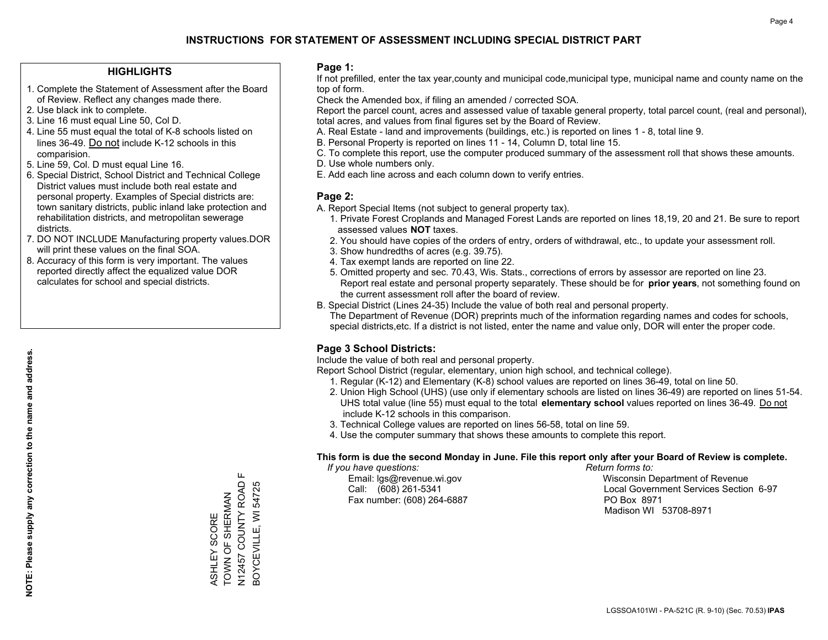### **HIGHLIGHTS**

- 1. Complete the Statement of Assessment after the Board of Review. Reflect any changes made there.
- 2. Use black ink to complete.
- 3. Line 16 must equal Line 50, Col D.
- 4. Line 55 must equal the total of K-8 schools listed on lines 36-49. Do not include K-12 schools in this comparision.
- 5. Line 59, Col. D must equal Line 16.
- 6. Special District, School District and Technical College District values must include both real estate and personal property. Examples of Special districts are: town sanitary districts, public inland lake protection and rehabilitation districts, and metropolitan sewerage districts.
- 7. DO NOT INCLUDE Manufacturing property values.DOR will print these values on the final SOA.
- 8. Accuracy of this form is very important. The values reported directly affect the equalized value DOR calculates for school and special districts.

### **Page 1:**

 If not prefilled, enter the tax year,county and municipal code,municipal type, municipal name and county name on the top of form.

Check the Amended box, if filing an amended / corrected SOA.

 Report the parcel count, acres and assessed value of taxable general property, total parcel count, (real and personal), total acres, and values from final figures set by the Board of Review.

- A. Real Estate land and improvements (buildings, etc.) is reported on lines 1 8, total line 9.
- B. Personal Property is reported on lines 11 14, Column D, total line 15.
- C. To complete this report, use the computer produced summary of the assessment roll that shows these amounts.
- D. Use whole numbers only.
- E. Add each line across and each column down to verify entries.

### **Page 2:**

- A. Report Special Items (not subject to general property tax).
- 1. Private Forest Croplands and Managed Forest Lands are reported on lines 18,19, 20 and 21. Be sure to report assessed values **NOT** taxes.
- 2. You should have copies of the orders of entry, orders of withdrawal, etc., to update your assessment roll.
	- 3. Show hundredths of acres (e.g. 39.75).
- 4. Tax exempt lands are reported on line 22.
- 5. Omitted property and sec. 70.43, Wis. Stats., corrections of errors by assessor are reported on line 23. Report real estate and personal property separately. These should be for **prior years**, not something found on the current assessment roll after the board of review.
- B. Special District (Lines 24-35) Include the value of both real and personal property.
- The Department of Revenue (DOR) preprints much of the information regarding names and codes for schools, special districts,etc. If a district is not listed, enter the name and value only, DOR will enter the proper code.

### **Page 3 School Districts:**

Include the value of both real and personal property.

Report School District (regular, elementary, union high school, and technical college).

- 1. Regular (K-12) and Elementary (K-8) school values are reported on lines 36-49, total on line 50.
- 2. Union High School (UHS) (use only if elementary schools are listed on lines 36-49) are reported on lines 51-54. UHS total value (line 55) must equal to the total **elementary school** values reported on lines 36-49. Do notinclude K-12 schools in this comparison.
- 3. Technical College values are reported on lines 56-58, total on line 59.
- 4. Use the computer summary that shows these amounts to complete this report.

#### **This form is due the second Monday in June. File this report only after your Board of Review is complete.**

 *If you have questions: Return forms to:*

Fax number: (608) 264-6887 PO Box 8971

 Email: lgs@revenue.wi.gov Wisconsin Department of Revenue Call: (608) 261-5341 Local Government Services Section 6-97Madison WI 53708-8971

Щ N12457 COUNTY ROAD F N12457 COUNTY ROAD ASHLEY SCORE<br>TOWN OF SHERMAN TOWN OF SHERMAN ASHLEY SCORE

BOYCEVILLE, WI 54725

3OYCEVILLE, WI 54725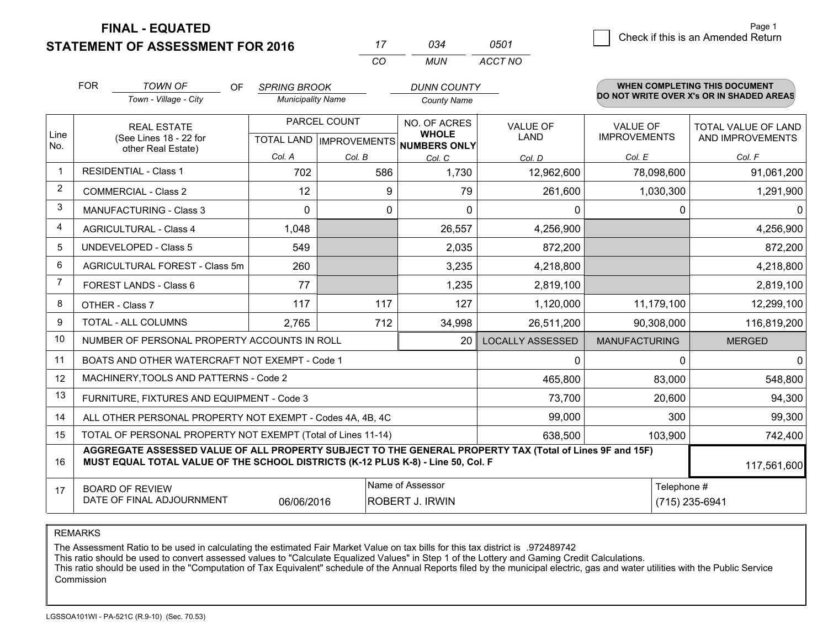**STATEMENT OF ASSESSMENT FOR 2016** 

**FINAL - EQUATED**

|                | <b>FOR</b>                                                                                                      | <b>TOWN OF</b><br>OF<br>Town - Village - City                                                                                                                                                | <b>SPRING BROOK</b><br><b>Municipality Name</b>      |        | <b>DUNN COUNTY</b><br><b>County Name</b> |                                |                                        | <b>WHEN COMPLETING THIS DOCUMENT</b><br>DO NOT WRITE OVER X's OR IN SHADED AREAS |
|----------------|-----------------------------------------------------------------------------------------------------------------|----------------------------------------------------------------------------------------------------------------------------------------------------------------------------------------------|------------------------------------------------------|--------|------------------------------------------|--------------------------------|----------------------------------------|----------------------------------------------------------------------------------|
| Line<br>No.    |                                                                                                                 | <b>REAL ESTATE</b><br>(See Lines 18 - 22 for                                                                                                                                                 | PARCEL COUNT<br>TOTAL LAND IMPROVEMENTS NUMBERS ONLY |        | NO. OF ACRES<br><b>WHOLE</b>             | <b>VALUE OF</b><br><b>LAND</b> | <b>VALUE OF</b><br><b>IMPROVEMENTS</b> | TOTAL VALUE OF LAND<br>AND IMPROVEMENTS                                          |
|                |                                                                                                                 | other Real Estate)                                                                                                                                                                           | Col. A                                               | Col. B | Col. C                                   | Col. D                         | Col. E                                 | Col. F                                                                           |
| -1             |                                                                                                                 | <b>RESIDENTIAL - Class 1</b>                                                                                                                                                                 | 702                                                  | 586    | 1,730                                    | 12,962,600                     | 78,098,600                             | 91,061,200                                                                       |
| 2              |                                                                                                                 | <b>COMMERCIAL - Class 2</b>                                                                                                                                                                  | 12                                                   | 9      | 79                                       | 261,600                        | 1,030,300                              | 1,291,900                                                                        |
| 3              |                                                                                                                 | <b>MANUFACTURING - Class 3</b>                                                                                                                                                               | $\mathbf{0}$                                         | 0      | 0                                        | 0                              | 0                                      | 0                                                                                |
| 4              |                                                                                                                 | <b>AGRICULTURAL - Class 4</b>                                                                                                                                                                | 1,048                                                |        | 26,557                                   | 4,256,900                      |                                        | 4,256,900                                                                        |
| 5              |                                                                                                                 | <b>UNDEVELOPED - Class 5</b>                                                                                                                                                                 | 549                                                  |        | 2,035                                    | 872,200                        |                                        | 872,200                                                                          |
| 6              | AGRICULTURAL FOREST - Class 5m                                                                                  |                                                                                                                                                                                              | 260                                                  |        | 3,235                                    | 4,218,800                      |                                        | 4,218,800                                                                        |
| $\overline{7}$ |                                                                                                                 | <b>FOREST LANDS - Class 6</b>                                                                                                                                                                | 77                                                   |        | 1,235                                    | 2,819,100                      |                                        | 2,819,100                                                                        |
| 8              |                                                                                                                 | OTHER - Class 7                                                                                                                                                                              | 117                                                  | 117    | 127                                      | 1,120,000                      | 11,179,100                             | 12,299,100                                                                       |
| 9              |                                                                                                                 | TOTAL - ALL COLUMNS                                                                                                                                                                          | 2,765                                                | 712    | 34,998                                   | 26,511,200                     | 90,308,000                             | 116,819,200                                                                      |
| 10             |                                                                                                                 | NUMBER OF PERSONAL PROPERTY ACCOUNTS IN ROLL                                                                                                                                                 |                                                      |        | 20                                       | <b>LOCALLY ASSESSED</b>        | <b>MANUFACTURING</b>                   | <b>MERGED</b>                                                                    |
| 11             |                                                                                                                 | BOATS AND OTHER WATERCRAFT NOT EXEMPT - Code 1                                                                                                                                               |                                                      |        |                                          | 0                              | $\Omega$                               | $\mathbf{0}$                                                                     |
| 12             |                                                                                                                 | MACHINERY, TOOLS AND PATTERNS - Code 2                                                                                                                                                       |                                                      |        |                                          | 465,800                        | 83,000                                 | 548,800                                                                          |
| 13             |                                                                                                                 | FURNITURE, FIXTURES AND EQUIPMENT - Code 3                                                                                                                                                   |                                                      |        |                                          | 73,700                         | 20,600                                 | 94,300                                                                           |
| 14             |                                                                                                                 | ALL OTHER PERSONAL PROPERTY NOT EXEMPT - Codes 4A, 4B, 4C                                                                                                                                    |                                                      |        |                                          | 99,000                         | 300                                    | 99,300                                                                           |
| 15             |                                                                                                                 | TOTAL OF PERSONAL PROPERTY NOT EXEMPT (Total of Lines 11-14)                                                                                                                                 |                                                      |        |                                          | 638,500                        | 103,900                                | 742,400                                                                          |
| 16             |                                                                                                                 | AGGREGATE ASSESSED VALUE OF ALL PROPERTY SUBJECT TO THE GENERAL PROPERTY TAX (Total of Lines 9F and 15F)<br>MUST EQUAL TOTAL VALUE OF THE SCHOOL DISTRICTS (K-12 PLUS K-8) - Line 50, Col. F |                                                      |        |                                          |                                |                                        | 117,561,600                                                                      |
| 17             | Name of Assessor<br><b>BOARD OF REVIEW</b><br>DATE OF FINAL ADJOURNMENT<br><b>ROBERT J. IRWIN</b><br>06/06/2016 |                                                                                                                                                                                              |                                                      |        |                                          |                                |                                        | Telephone #<br>(715) 235-6941                                                    |

*CO*

*MUN*

*ACCT NO0501*

*<sup>17</sup> <sup>034</sup>*

REMARKS

The Assessment Ratio to be used in calculating the estimated Fair Market Value on tax bills for this tax district is .972489742<br>This ratio should be used to convert assessed values to "Calculate Equalized Values" in Step 1 Commission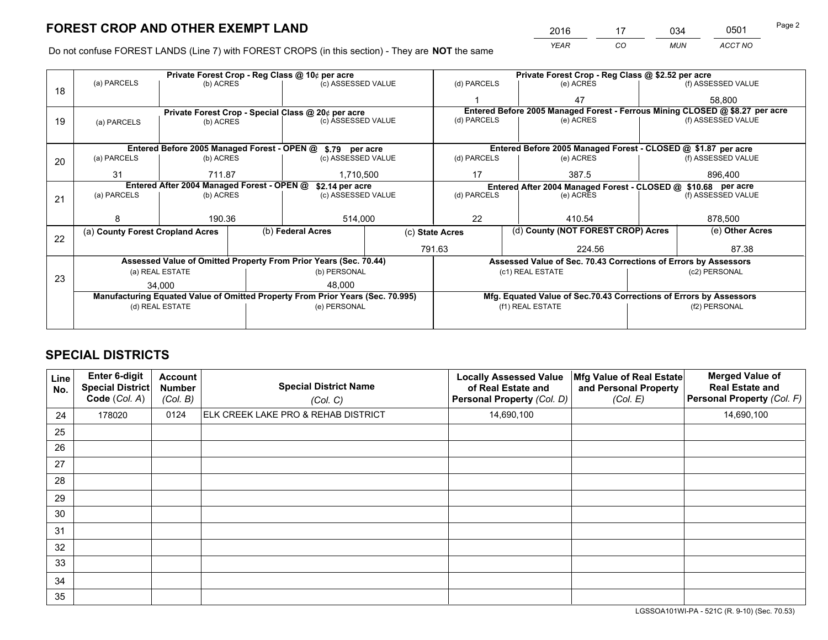*YEAR CO MUN ACCT NO* 2016 <u>17 034 0501</u> Page 2

Do not confuse FOREST LANDS (Line 7) with FOREST CROPS (in this section) - They are **NOT** the same

|    |                                                               | Private Forest Crop - Reg Class @ 10¢ per acre                                 |                   |                    |             | Private Forest Crop - Reg Class @ \$2.52 per acre                            |                                                                    |  |                    |  |
|----|---------------------------------------------------------------|--------------------------------------------------------------------------------|-------------------|--------------------|-------------|------------------------------------------------------------------------------|--------------------------------------------------------------------|--|--------------------|--|
| 18 | (a) PARCELS                                                   | (b) ACRES                                                                      |                   | (c) ASSESSED VALUE |             | (d) PARCELS                                                                  | (e) ACRES                                                          |  | (f) ASSESSED VALUE |  |
|    |                                                               |                                                                                |                   |                    |             |                                                                              | 47                                                                 |  | 58,800             |  |
|    | Private Forest Crop - Special Class @ 20¢ per acre            |                                                                                |                   |                    |             | Entered Before 2005 Managed Forest - Ferrous Mining CLOSED @ \$8.27 per acre |                                                                    |  |                    |  |
| 19 | (a) PARCELS                                                   | (b) ACRES                                                                      |                   | (c) ASSESSED VALUE |             | (d) PARCELS                                                                  | (e) ACRES                                                          |  | (f) ASSESSED VALUE |  |
|    |                                                               |                                                                                |                   |                    |             |                                                                              |                                                                    |  |                    |  |
|    |                                                               | Entered Before 2005 Managed Forest - OPEN @                                    |                   | \$.79 per acre     |             |                                                                              | Entered Before 2005 Managed Forest - CLOSED @ \$1.87 per acre      |  |                    |  |
| 20 | (a) PARCELS                                                   | (b) ACRES                                                                      |                   | (c) ASSESSED VALUE |             | (d) PARCELS                                                                  | (e) ACRES                                                          |  | (f) ASSESSED VALUE |  |
|    | 31                                                            | 711.87                                                                         |                   | 1,710,500          |             | 17<br>387.5                                                                  |                                                                    |  | 896.400            |  |
|    | Entered After 2004 Managed Forest - OPEN @<br>\$2.14 per acre |                                                                                |                   |                    |             |                                                                              | Entered After 2004 Managed Forest - CLOSED @ \$10.68 per acre      |  |                    |  |
| 21 | (a) PARCELS                                                   | (b) ACRES                                                                      |                   | (c) ASSESSED VALUE | (d) PARCELS |                                                                              | (e) ACRES                                                          |  | (f) ASSESSED VALUE |  |
|    |                                                               |                                                                                |                   |                    |             |                                                                              |                                                                    |  |                    |  |
|    | 8                                                             | 190.36                                                                         |                   | 514,000            |             | 22                                                                           | 410.54                                                             |  |                    |  |
| 22 | (a) County Forest Cropland Acres                              |                                                                                | (b) Federal Acres |                    |             |                                                                              | (d) County (NOT FOREST CROP) Acres<br>(c) State Acres              |  | (e) Other Acres    |  |
|    |                                                               |                                                                                |                   |                    |             | 791.63                                                                       | 224.56                                                             |  | 87.38              |  |
|    |                                                               | Assessed Value of Omitted Property From Prior Years (Sec. 70.44)               |                   |                    |             | Assessed Value of Sec. 70.43 Corrections of Errors by Assessors              |                                                                    |  |                    |  |
| 23 |                                                               | (a) REAL ESTATE                                                                |                   | (b) PERSONAL       |             |                                                                              | (c1) REAL ESTATE                                                   |  | (c2) PERSONAL      |  |
|    |                                                               | 34,000                                                                         |                   | 48.000             |             |                                                                              |                                                                    |  |                    |  |
|    |                                                               | Manufacturing Equated Value of Omitted Property From Prior Years (Sec. 70.995) |                   |                    |             |                                                                              | Mfg. Equated Value of Sec.70.43 Corrections of Errors by Assessors |  |                    |  |
|    |                                                               | (d) REAL ESTATE                                                                |                   | (e) PERSONAL       |             |                                                                              | (f1) REAL ESTATE                                                   |  | (f2) PERSONAL      |  |
|    |                                                               |                                                                                |                   |                    |             |                                                                              |                                                                    |  |                    |  |

## **SPECIAL DISTRICTS**

| Line<br>No. | Enter 6-digit<br>Special District<br>Code (Col. A) | <b>Account</b><br><b>Number</b><br>(Col. B) | <b>Special District Name</b><br>(Col. C) | <b>Locally Assessed Value</b><br>of Real Estate and<br>Personal Property (Col. D) | Mfg Value of Real Estate<br>and Personal Property<br>(Col. E) | <b>Merged Value of</b><br><b>Real Estate and</b><br>Personal Property (Col. F) |
|-------------|----------------------------------------------------|---------------------------------------------|------------------------------------------|-----------------------------------------------------------------------------------|---------------------------------------------------------------|--------------------------------------------------------------------------------|
| 24          | 178020                                             | 0124                                        | ELK CREEK LAKE PRO & REHAB DISTRICT      | 14,690,100                                                                        |                                                               | 14,690,100                                                                     |
| 25          |                                                    |                                             |                                          |                                                                                   |                                                               |                                                                                |
| 26          |                                                    |                                             |                                          |                                                                                   |                                                               |                                                                                |
| 27          |                                                    |                                             |                                          |                                                                                   |                                                               |                                                                                |
| 28          |                                                    |                                             |                                          |                                                                                   |                                                               |                                                                                |
| 29          |                                                    |                                             |                                          |                                                                                   |                                                               |                                                                                |
| 30          |                                                    |                                             |                                          |                                                                                   |                                                               |                                                                                |
| 31          |                                                    |                                             |                                          |                                                                                   |                                                               |                                                                                |
| 32          |                                                    |                                             |                                          |                                                                                   |                                                               |                                                                                |
| 33          |                                                    |                                             |                                          |                                                                                   |                                                               |                                                                                |
| 34          |                                                    |                                             |                                          |                                                                                   |                                                               |                                                                                |
| 35          |                                                    |                                             |                                          |                                                                                   |                                                               |                                                                                |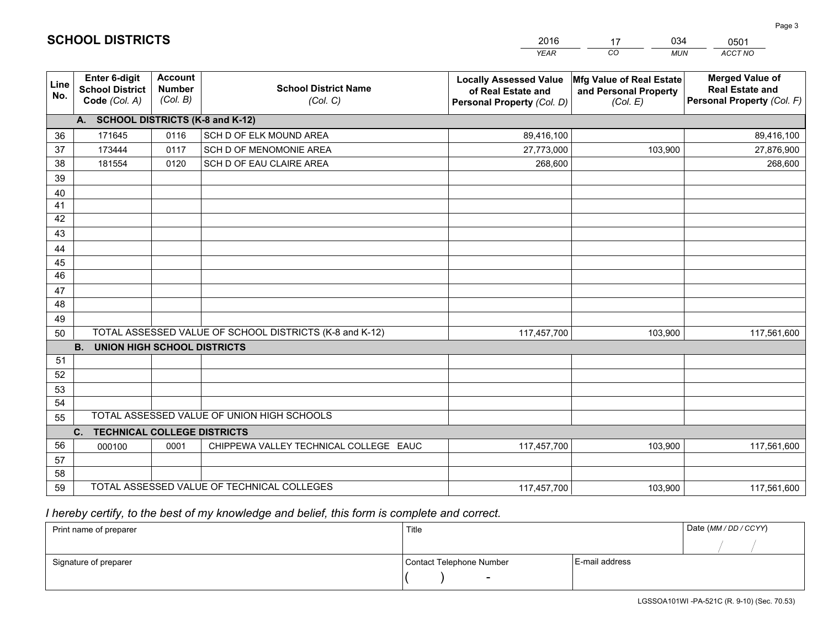|             |                                                                 |                                             |                                                         | <b>YEAR</b>                                                                       | CO<br><b>MUN</b>                                              | ACCT NO                                                                        |
|-------------|-----------------------------------------------------------------|---------------------------------------------|---------------------------------------------------------|-----------------------------------------------------------------------------------|---------------------------------------------------------------|--------------------------------------------------------------------------------|
| Line<br>No. | <b>Enter 6-digit</b><br><b>School District</b><br>Code (Col. A) | <b>Account</b><br><b>Number</b><br>(Col. B) | <b>School District Name</b><br>(Col. C)                 | <b>Locally Assessed Value</b><br>of Real Estate and<br>Personal Property (Col. D) | Mfg Value of Real Estate<br>and Personal Property<br>(Col. E) | <b>Merged Value of</b><br><b>Real Estate and</b><br>Personal Property (Col. F) |
|             | A. SCHOOL DISTRICTS (K-8 and K-12)                              |                                             |                                                         |                                                                                   |                                                               |                                                                                |
| 36          | 171645                                                          | 0116                                        | SCH D OF ELK MOUND AREA                                 | 89,416,100                                                                        |                                                               | 89,416,100                                                                     |
| 37          | 173444                                                          | 0117                                        | SCH D OF MENOMONIE AREA                                 | 27,773,000                                                                        | 103,900                                                       | 27,876,900                                                                     |
| 38          | 181554                                                          | 0120                                        | SCH D OF EAU CLAIRE AREA                                | 268,600                                                                           |                                                               | 268,600                                                                        |
| 39          |                                                                 |                                             |                                                         |                                                                                   |                                                               |                                                                                |
| 40          |                                                                 |                                             |                                                         |                                                                                   |                                                               |                                                                                |
| 41          |                                                                 |                                             |                                                         |                                                                                   |                                                               |                                                                                |
| 42          |                                                                 |                                             |                                                         |                                                                                   |                                                               |                                                                                |
| 43          |                                                                 |                                             |                                                         |                                                                                   |                                                               |                                                                                |
| 44          |                                                                 |                                             |                                                         |                                                                                   |                                                               |                                                                                |
| 45          |                                                                 |                                             |                                                         |                                                                                   |                                                               |                                                                                |
| 46          |                                                                 |                                             |                                                         |                                                                                   |                                                               |                                                                                |
| 47          |                                                                 |                                             |                                                         |                                                                                   |                                                               |                                                                                |
| 48          |                                                                 |                                             |                                                         |                                                                                   |                                                               |                                                                                |
| 49          |                                                                 |                                             |                                                         |                                                                                   |                                                               |                                                                                |
| 50          |                                                                 |                                             | TOTAL ASSESSED VALUE OF SCHOOL DISTRICTS (K-8 and K-12) | 117,457,700                                                                       | 103,900                                                       | 117,561,600                                                                    |
|             | <b>B. UNION HIGH SCHOOL DISTRICTS</b>                           |                                             |                                                         |                                                                                   |                                                               |                                                                                |
| 51          |                                                                 |                                             |                                                         |                                                                                   |                                                               |                                                                                |
| 52          |                                                                 |                                             |                                                         |                                                                                   |                                                               |                                                                                |
| 53          |                                                                 |                                             |                                                         |                                                                                   |                                                               |                                                                                |
| 54          |                                                                 |                                             | TOTAL ASSESSED VALUE OF UNION HIGH SCHOOLS              |                                                                                   |                                                               |                                                                                |
| 55          |                                                                 |                                             |                                                         |                                                                                   |                                                               |                                                                                |
|             | C.<br><b>TECHNICAL COLLEGE DISTRICTS</b>                        |                                             |                                                         |                                                                                   |                                                               |                                                                                |
| 56          | 000100                                                          | 0001                                        | CHIPPEWA VALLEY TECHNICAL COLLEGE EAUC                  | 117,457,700                                                                       | 103,900                                                       | 117,561,600                                                                    |
| 57<br>58    |                                                                 |                                             |                                                         |                                                                                   |                                                               |                                                                                |
| 59          |                                                                 |                                             | TOTAL ASSESSED VALUE OF TECHNICAL COLLEGES              |                                                                                   | 103,900                                                       | 117,561,600                                                                    |
|             |                                                                 |                                             |                                                         | 117,457,700                                                                       |                                                               |                                                                                |

17

034

# *I hereby certify, to the best of my knowledge and belief, this form is complete and correct.*

**SCHOOL DISTRICTS**

| Print name of preparer | Title                    |                | Date (MM / DD / CCYY) |
|------------------------|--------------------------|----------------|-----------------------|
|                        |                          |                |                       |
| Signature of preparer  | Contact Telephone Number | E-mail address |                       |
|                        | $\overline{\phantom{0}}$ |                |                       |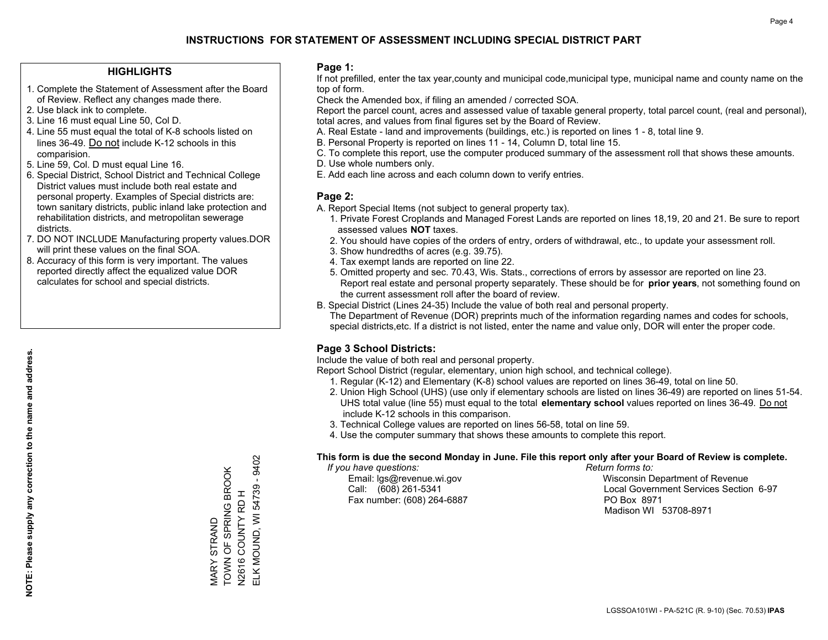### **HIGHLIGHTS**

- 1. Complete the Statement of Assessment after the Board of Review. Reflect any changes made there.
- 2. Use black ink to complete.
- 3. Line 16 must equal Line 50, Col D.
- 4. Line 55 must equal the total of K-8 schools listed on lines 36-49. Do not include K-12 schools in this comparision.
- 5. Line 59, Col. D must equal Line 16.
- 6. Special District, School District and Technical College District values must include both real estate and personal property. Examples of Special districts are: town sanitary districts, public inland lake protection and rehabilitation districts, and metropolitan sewerage districts.
- 7. DO NOT INCLUDE Manufacturing property values.DOR will print these values on the final SOA.

MARY STRAND

TOWN OF SPRING BROOK N2616 COUNTY RD H

VIARY STRAND<br>TOWN OF SPRING BROOK

ELK MOUND, WI 54739 - 9402

ELK MOUND, WI 54739 - 9402

 8. Accuracy of this form is very important. The values reported directly affect the equalized value DOR calculates for school and special districts.

### **Page 1:**

 If not prefilled, enter the tax year,county and municipal code,municipal type, municipal name and county name on the top of form.

Check the Amended box, if filing an amended / corrected SOA.

 Report the parcel count, acres and assessed value of taxable general property, total parcel count, (real and personal), total acres, and values from final figures set by the Board of Review.

- A. Real Estate land and improvements (buildings, etc.) is reported on lines 1 8, total line 9.
- B. Personal Property is reported on lines 11 14, Column D, total line 15.
- C. To complete this report, use the computer produced summary of the assessment roll that shows these amounts.
- D. Use whole numbers only.
- E. Add each line across and each column down to verify entries.

### **Page 2:**

- A. Report Special Items (not subject to general property tax).
- 1. Private Forest Croplands and Managed Forest Lands are reported on lines 18,19, 20 and 21. Be sure to report assessed values **NOT** taxes.
- 2. You should have copies of the orders of entry, orders of withdrawal, etc., to update your assessment roll.
	- 3. Show hundredths of acres (e.g. 39.75).
- 4. Tax exempt lands are reported on line 22.
- 5. Omitted property and sec. 70.43, Wis. Stats., corrections of errors by assessor are reported on line 23. Report real estate and personal property separately. These should be for **prior years**, not something found on the current assessment roll after the board of review.
- B. Special District (Lines 24-35) Include the value of both real and personal property.

 The Department of Revenue (DOR) preprints much of the information regarding names and codes for schools, special districts,etc. If a district is not listed, enter the name and value only, DOR will enter the proper code.

### **Page 3 School Districts:**

Include the value of both real and personal property.

Report School District (regular, elementary, union high school, and technical college).

- 1. Regular (K-12) and Elementary (K-8) school values are reported on lines 36-49, total on line 50.
- 2. Union High School (UHS) (use only if elementary schools are listed on lines 36-49) are reported on lines 51-54. UHS total value (line 55) must equal to the total **elementary school** values reported on lines 36-49. Do notinclude K-12 schools in this comparison.
- 3. Technical College values are reported on lines 56-58, total on line 59.
- 4. Use the computer summary that shows these amounts to complete this report.

#### **This form is due the second Monday in June. File this report only after your Board of Review is complete.**

 *If you have questions: Return forms to:*

Fax number: (608) 264-6887 PO Box 8971

 Email: lgs@revenue.wi.gov Wisconsin Department of Revenue Call: (608) 261-5341 Local Government Services Section 6-97Madison WI 53708-8971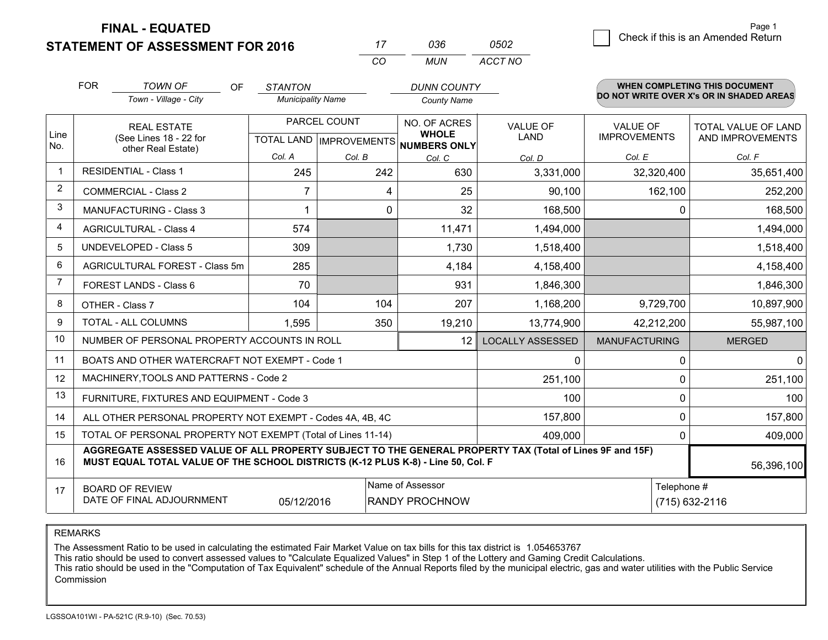**FINAL - EQUATED**

**STATEMENT OF ASSESSMENT FOR 2016** 

| 036. | 0502    |
|------|---------|
| MUN  | ACCT NO |

|                | <b>FOR</b>                                                                                                                    | <b>TOWN OF</b><br>OF                                                                                                                                                                         | <b>STANTON</b>           |                           | <b>DUNN COUNTY</b>                  |                         |                      | <b>WHEN COMPLETING THIS DOCUMENT</b><br>DO NOT WRITE OVER X's OR IN SHADED AREAS |  |
|----------------|-------------------------------------------------------------------------------------------------------------------------------|----------------------------------------------------------------------------------------------------------------------------------------------------------------------------------------------|--------------------------|---------------------------|-------------------------------------|-------------------------|----------------------|----------------------------------------------------------------------------------|--|
|                |                                                                                                                               | Town - Village - City                                                                                                                                                                        | <b>Municipality Name</b> |                           | <b>County Name</b>                  |                         |                      |                                                                                  |  |
|                |                                                                                                                               | <b>REAL ESTATE</b>                                                                                                                                                                           | PARCEL COUNT             |                           | NO. OF ACRES                        | <b>VALUE OF</b>         | <b>VALUE OF</b>      | TOTAL VALUE OF LAND                                                              |  |
| Line<br>No.    | (See Lines 18 - 22 for<br>other Real Estate)                                                                                  |                                                                                                                                                                                              |                          | TOTAL LAND   IMPROVEMENTS | <b>WHOLE</b><br><b>NUMBERS ONLY</b> | <b>LAND</b>             | <b>IMPROVEMENTS</b>  | AND IMPROVEMENTS                                                                 |  |
|                |                                                                                                                               |                                                                                                                                                                                              | Col. A                   | Col. B                    | Col. C                              | Col. D                  | Col. E               | Col. F                                                                           |  |
| -1             | <b>RESIDENTIAL - Class 1</b>                                                                                                  |                                                                                                                                                                                              | 245                      | 242                       | 630                                 | 3,331,000               | 32,320,400           | 35,651,400                                                                       |  |
| 2              |                                                                                                                               | <b>COMMERCIAL - Class 2</b>                                                                                                                                                                  | $\overline{7}$           | 4                         | 25                                  | 90,100                  | 162,100              | 252,200                                                                          |  |
| 3              |                                                                                                                               | <b>MANUFACTURING - Class 3</b>                                                                                                                                                               | 1                        | $\Omega$                  | 32                                  | 168,500                 | $\Omega$             | 168,500                                                                          |  |
| 4              |                                                                                                                               | <b>AGRICULTURAL - Class 4</b>                                                                                                                                                                | 574                      |                           | 11,471                              | 1,494,000               |                      | 1,494,000                                                                        |  |
| 5              | <b>UNDEVELOPED - Class 5</b>                                                                                                  |                                                                                                                                                                                              | 309                      |                           | 1,730                               | 1,518,400               |                      | 1,518,400                                                                        |  |
| 6              | AGRICULTURAL FOREST - Class 5m                                                                                                |                                                                                                                                                                                              | 285                      |                           | 4,184                               | 4,158,400               |                      | 4,158,400                                                                        |  |
| $\overline{7}$ | FOREST LANDS - Class 6                                                                                                        |                                                                                                                                                                                              | 70                       |                           | 931                                 | 1,846,300               |                      | 1,846,300                                                                        |  |
| 8              |                                                                                                                               | OTHER - Class 7                                                                                                                                                                              | 104                      | 104                       | 207                                 | 1,168,200               | 9,729,700            | 10,897,900                                                                       |  |
| 9              |                                                                                                                               | <b>TOTAL - ALL COLUMNS</b>                                                                                                                                                                   | 1,595                    | 350                       | 19,210                              | 13,774,900              | 42,212,200           | 55,987,100                                                                       |  |
| 10             |                                                                                                                               | NUMBER OF PERSONAL PROPERTY ACCOUNTS IN ROLL                                                                                                                                                 |                          |                           | 12                                  | <b>LOCALLY ASSESSED</b> | <b>MANUFACTURING</b> | <b>MERGED</b>                                                                    |  |
| 11             |                                                                                                                               | BOATS AND OTHER WATERCRAFT NOT EXEMPT - Code 1                                                                                                                                               |                          |                           |                                     | 0                       | $\Omega$             | $\mathbf{0}$                                                                     |  |
| 12             |                                                                                                                               | MACHINERY, TOOLS AND PATTERNS - Code 2                                                                                                                                                       |                          |                           |                                     | 251,100                 | 0                    | 251,100                                                                          |  |
| 13             |                                                                                                                               | FURNITURE, FIXTURES AND EQUIPMENT - Code 3                                                                                                                                                   |                          |                           |                                     | 100                     | 0                    | 100                                                                              |  |
| 14             |                                                                                                                               | ALL OTHER PERSONAL PROPERTY NOT EXEMPT - Codes 4A, 4B, 4C                                                                                                                                    |                          |                           |                                     | 157,800                 | $\mathbf 0$          | 157,800                                                                          |  |
| 15             |                                                                                                                               | TOTAL OF PERSONAL PROPERTY NOT EXEMPT (Total of Lines 11-14)                                                                                                                                 |                          |                           |                                     | 409,000                 | 0                    | 409,000                                                                          |  |
| 16             |                                                                                                                               | AGGREGATE ASSESSED VALUE OF ALL PROPERTY SUBJECT TO THE GENERAL PROPERTY TAX (Total of Lines 9F and 15F)<br>MUST EQUAL TOTAL VALUE OF THE SCHOOL DISTRICTS (K-12 PLUS K-8) - Line 50, Col. F |                          |                           |                                     |                         |                      | 56,396,100                                                                       |  |
| 17             | Name of Assessor<br>Telephone #<br><b>BOARD OF REVIEW</b><br>DATE OF FINAL ADJOURNMENT<br>05/12/2016<br><b>RANDY PROCHNOW</b> |                                                                                                                                                                                              |                          |                           |                                     | (715) 632-2116          |                      |                                                                                  |  |

*CO*

*<sup>17</sup> <sup>036</sup>*

REMARKS

The Assessment Ratio to be used in calculating the estimated Fair Market Value on tax bills for this tax district is 1.054653767

This ratio should be used to convert assessed values to "Calculate Equalized Values" in Step 1 of the Lottery and Gaming Credit Calculations.

 This ratio should be used in the "Computation of Tax Equivalent" schedule of the Annual Reports filed by the municipal electric, gas and water utilities with the Public Service Commission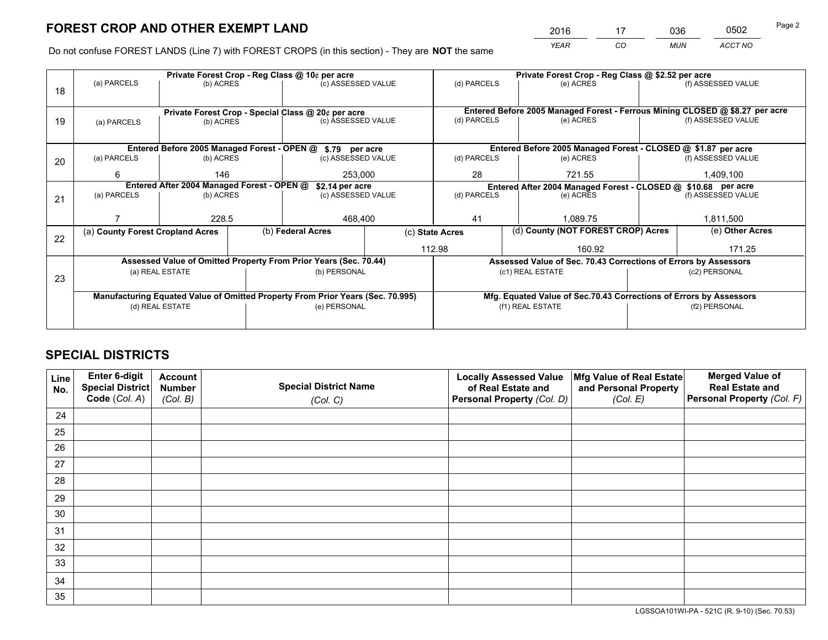*YEAR CO MUN ACCT NO* <sup>2016</sup> <sup>17</sup> <sup>036</sup> <sup>0502</sup>

Do not confuse FOREST LANDS (Line 7) with FOREST CROPS (in this section) - They are **NOT** the same

|    |                                                    |                                            |  | Private Forest Crop - Reg Class @ 10¢ per acre                                 |                                                      |                                                                              | Private Forest Crop - Reg Class @ \$2.52 per acre                  |  |                    |  |
|----|----------------------------------------------------|--------------------------------------------|--|--------------------------------------------------------------------------------|------------------------------------------------------|------------------------------------------------------------------------------|--------------------------------------------------------------------|--|--------------------|--|
| 18 | (a) PARCELS                                        | (b) ACRES                                  |  |                                                                                | (c) ASSESSED VALUE                                   | (d) PARCELS                                                                  | (e) ACRES                                                          |  | (f) ASSESSED VALUE |  |
|    |                                                    |                                            |  |                                                                                |                                                      |                                                                              |                                                                    |  |                    |  |
|    | Private Forest Crop - Special Class @ 20¢ per acre |                                            |  |                                                                                |                                                      | Entered Before 2005 Managed Forest - Ferrous Mining CLOSED @ \$8.27 per acre |                                                                    |  |                    |  |
| 19 | (a) PARCELS                                        | (b) ACRES                                  |  | (c) ASSESSED VALUE                                                             |                                                      | (d) PARCELS                                                                  | (e) ACRES                                                          |  | (f) ASSESSED VALUE |  |
|    |                                                    |                                            |  |                                                                                |                                                      |                                                                              |                                                                    |  |                    |  |
|    |                                                    |                                            |  | Entered Before 2005 Managed Forest - OPEN @ \$.79 per acre                     |                                                      |                                                                              | Entered Before 2005 Managed Forest - CLOSED @ \$1.87 per acre      |  |                    |  |
| 20 | (a) PARCELS                                        | (b) ACRES                                  |  | (c) ASSESSED VALUE                                                             |                                                      | (d) PARCELS                                                                  | (e) ACRES                                                          |  | (f) ASSESSED VALUE |  |
|    | 6<br>146                                           |                                            |  | 253.000                                                                        |                                                      | 28                                                                           | 721.55                                                             |  | 1,409,100          |  |
|    |                                                    | Entered After 2004 Managed Forest - OPEN @ |  |                                                                                | \$2.14 per acre<br>(d) PARCELS<br>(c) ASSESSED VALUE |                                                                              | Entered After 2004 Managed Forest - CLOSED @ \$10.68 per acre      |  |                    |  |
| 21 | (a) PARCELS                                        | (b) ACRES                                  |  |                                                                                |                                                      |                                                                              | (e) ACRES                                                          |  | (f) ASSESSED VALUE |  |
|    |                                                    |                                            |  |                                                                                |                                                      |                                                                              |                                                                    |  |                    |  |
|    |                                                    | 228.5                                      |  | 468,400                                                                        |                                                      | 41                                                                           | 1.089.75                                                           |  |                    |  |
| 22 | (a) County Forest Cropland Acres                   |                                            |  | (b) Federal Acres                                                              | (c) State Acres                                      |                                                                              | (d) County (NOT FOREST CROP) Acres                                 |  | (e) Other Acres    |  |
|    |                                                    |                                            |  |                                                                                | 112.98                                               |                                                                              | 160.92                                                             |  | 171.25             |  |
|    |                                                    |                                            |  | Assessed Value of Omitted Property From Prior Years (Sec. 70.44)               |                                                      | Assessed Value of Sec. 70.43 Corrections of Errors by Assessors              |                                                                    |  |                    |  |
| 23 |                                                    | (a) REAL ESTATE                            |  | (b) PERSONAL                                                                   |                                                      |                                                                              | (c1) REAL ESTATE                                                   |  | (c2) PERSONAL      |  |
|    |                                                    |                                            |  |                                                                                |                                                      |                                                                              |                                                                    |  |                    |  |
|    |                                                    |                                            |  | Manufacturing Equated Value of Omitted Property From Prior Years (Sec. 70.995) |                                                      |                                                                              | Mfg. Equated Value of Sec.70.43 Corrections of Errors by Assessors |  |                    |  |
|    |                                                    | (d) REAL ESTATE                            |  | (e) PERSONAL                                                                   |                                                      |                                                                              | (f1) REAL ESTATE                                                   |  | (f2) PERSONAL      |  |
|    |                                                    |                                            |  |                                                                                |                                                      |                                                                              |                                                                    |  |                    |  |

## **SPECIAL DISTRICTS**

| Line<br>No. | Enter 6-digit<br><b>Special District</b> | <b>Account</b><br><b>Number</b> | <b>Special District Name</b> | <b>Locally Assessed Value</b><br>of Real Estate and | Mfg Value of Real Estate<br>and Personal Property | <b>Merged Value of</b><br><b>Real Estate and</b> |
|-------------|------------------------------------------|---------------------------------|------------------------------|-----------------------------------------------------|---------------------------------------------------|--------------------------------------------------|
|             | Code (Col. A)                            | (Col. B)                        | (Col. C)                     | Personal Property (Col. D)                          | (Col. E)                                          | Personal Property (Col. F)                       |
| 24          |                                          |                                 |                              |                                                     |                                                   |                                                  |
| 25          |                                          |                                 |                              |                                                     |                                                   |                                                  |
| 26          |                                          |                                 |                              |                                                     |                                                   |                                                  |
| 27          |                                          |                                 |                              |                                                     |                                                   |                                                  |
| 28          |                                          |                                 |                              |                                                     |                                                   |                                                  |
| 29          |                                          |                                 |                              |                                                     |                                                   |                                                  |
| 30          |                                          |                                 |                              |                                                     |                                                   |                                                  |
| 31          |                                          |                                 |                              |                                                     |                                                   |                                                  |
| 32          |                                          |                                 |                              |                                                     |                                                   |                                                  |
| 33          |                                          |                                 |                              |                                                     |                                                   |                                                  |
| 34          |                                          |                                 |                              |                                                     |                                                   |                                                  |
| 35          |                                          |                                 |                              |                                                     |                                                   |                                                  |

LGSSOA101WI-PA - 521C (R. 9-10) (Sec. 70.53)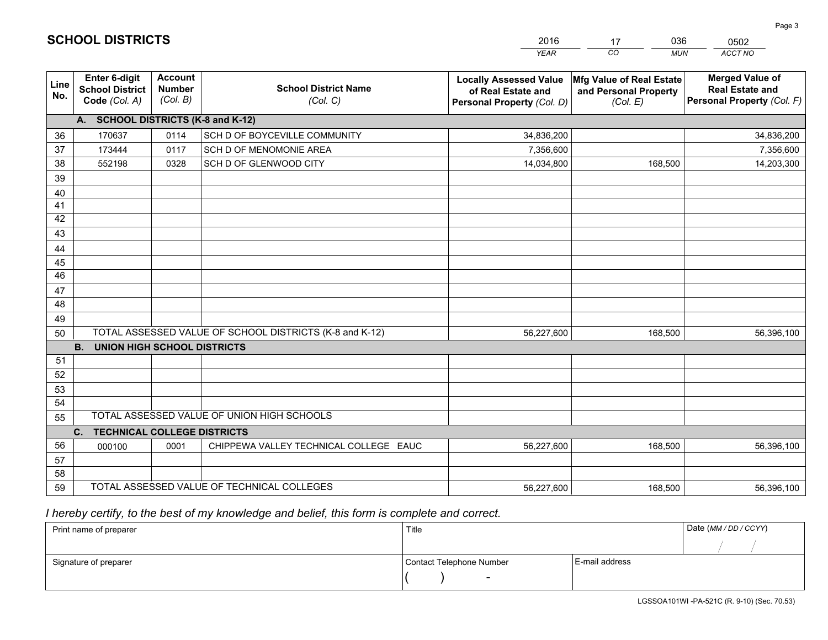|             |                                                                 |                                             |                                                         | <b>YEAR</b>                                                                       | CO<br><b>MUN</b>                                              | <b>ACCT NO</b>                                                                 |
|-------------|-----------------------------------------------------------------|---------------------------------------------|---------------------------------------------------------|-----------------------------------------------------------------------------------|---------------------------------------------------------------|--------------------------------------------------------------------------------|
| Line<br>No. | <b>Enter 6-digit</b><br><b>School District</b><br>Code (Col. A) | <b>Account</b><br><b>Number</b><br>(Col. B) | <b>School District Name</b><br>(Col. C)                 | <b>Locally Assessed Value</b><br>of Real Estate and<br>Personal Property (Col. D) | Mfg Value of Real Estate<br>and Personal Property<br>(Col. E) | <b>Merged Value of</b><br><b>Real Estate and</b><br>Personal Property (Col. F) |
|             | A. SCHOOL DISTRICTS (K-8 and K-12)                              |                                             |                                                         |                                                                                   |                                                               |                                                                                |
| 36          | 170637                                                          | 0114                                        | SCH D OF BOYCEVILLE COMMUNITY                           | 34,836,200                                                                        |                                                               | 34,836,200                                                                     |
| 37          | 173444                                                          | 0117                                        | SCH D OF MENOMONIE AREA                                 | 7,356,600                                                                         |                                                               | 7,356,600                                                                      |
| 38          | 552198                                                          | 0328                                        | SCH D OF GLENWOOD CITY                                  | 14,034,800                                                                        | 168,500                                                       | 14,203,300                                                                     |
| 39          |                                                                 |                                             |                                                         |                                                                                   |                                                               |                                                                                |
| 40          |                                                                 |                                             |                                                         |                                                                                   |                                                               |                                                                                |
| 41          |                                                                 |                                             |                                                         |                                                                                   |                                                               |                                                                                |
| 42          |                                                                 |                                             |                                                         |                                                                                   |                                                               |                                                                                |
| 43          |                                                                 |                                             |                                                         |                                                                                   |                                                               |                                                                                |
| 44          |                                                                 |                                             |                                                         |                                                                                   |                                                               |                                                                                |
| 45          |                                                                 |                                             |                                                         |                                                                                   |                                                               |                                                                                |
| 46          |                                                                 |                                             |                                                         |                                                                                   |                                                               |                                                                                |
| 47          |                                                                 |                                             |                                                         |                                                                                   |                                                               |                                                                                |
| 48          |                                                                 |                                             |                                                         |                                                                                   |                                                               |                                                                                |
| 49          |                                                                 |                                             |                                                         |                                                                                   |                                                               |                                                                                |
| 50          |                                                                 |                                             | TOTAL ASSESSED VALUE OF SCHOOL DISTRICTS (K-8 and K-12) | 56,227,600                                                                        | 168,500                                                       | 56,396,100                                                                     |
|             | <b>B. UNION HIGH SCHOOL DISTRICTS</b>                           |                                             |                                                         |                                                                                   |                                                               |                                                                                |
| 51<br>52    |                                                                 |                                             |                                                         |                                                                                   |                                                               |                                                                                |
|             |                                                                 |                                             |                                                         |                                                                                   |                                                               |                                                                                |
| 53<br>54    |                                                                 |                                             |                                                         |                                                                                   |                                                               |                                                                                |
|             |                                                                 |                                             | TOTAL ASSESSED VALUE OF UNION HIGH SCHOOLS              |                                                                                   |                                                               |                                                                                |
| 55          | C.<br><b>TECHNICAL COLLEGE DISTRICTS</b>                        |                                             |                                                         |                                                                                   |                                                               |                                                                                |
| 56          | 000100                                                          | 0001                                        | CHIPPEWA VALLEY TECHNICAL COLLEGE EAUC                  | 56,227,600                                                                        | 168,500                                                       | 56,396,100                                                                     |
| 57          |                                                                 |                                             |                                                         |                                                                                   |                                                               |                                                                                |
| 58          |                                                                 |                                             |                                                         |                                                                                   |                                                               |                                                                                |
| 59          |                                                                 |                                             | TOTAL ASSESSED VALUE OF TECHNICAL COLLEGES              | 56,227,600                                                                        | 168,500                                                       | 56,396,100                                                                     |

17

036

 *I hereby certify, to the best of my knowledge and belief, this form is complete and correct.*

**SCHOOL DISTRICTS**

| Print name of preparer | Title                    |                | Date (MM / DD / CCYY) |
|------------------------|--------------------------|----------------|-----------------------|
|                        |                          |                |                       |
| Signature of preparer  | Contact Telephone Number | E-mail address |                       |
|                        | $\sim$                   |                |                       |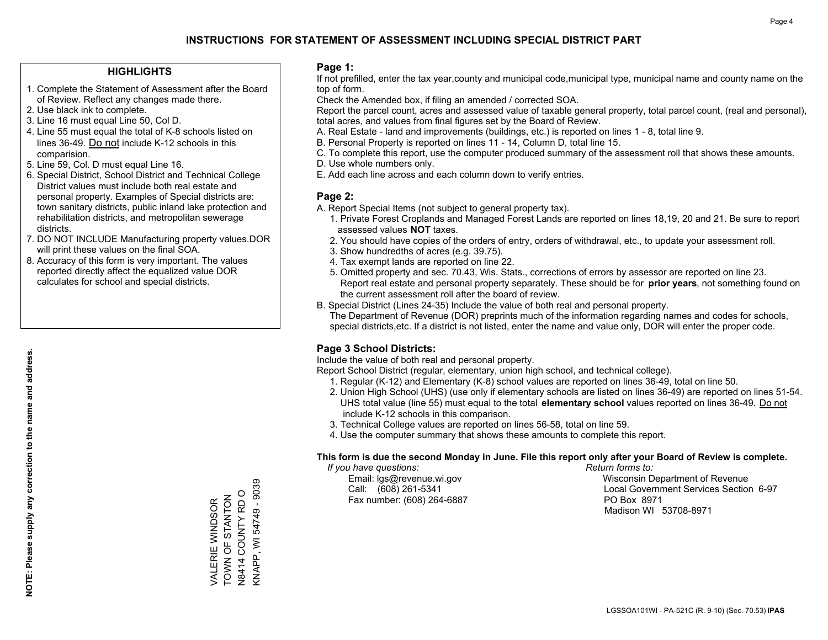### **HIGHLIGHTS**

- 1. Complete the Statement of Assessment after the Board of Review. Reflect any changes made there.
- 2. Use black ink to complete.
- 3. Line 16 must equal Line 50, Col D.
- 4. Line 55 must equal the total of K-8 schools listed on lines 36-49. Do not include K-12 schools in this comparision.
- 5. Line 59, Col. D must equal Line 16.
- 6. Special District, School District and Technical College District values must include both real estate and personal property. Examples of Special districts are: town sanitary districts, public inland lake protection and rehabilitation districts, and metropolitan sewerage districts.
- 7. DO NOT INCLUDE Manufacturing property values.DOR will print these values on the final SOA.

VALERIE WINDSOR TOWN OF STANTON N8414 COUNTY RD O KNAPP, WI 54749 - 9039

<NAPP, WI 54749 - 9039 N8414 COUNTY RD O VALERIE WINDSOR<br>TOWN OF STANTON

 8. Accuracy of this form is very important. The values reported directly affect the equalized value DOR calculates for school and special districts.

### **Page 1:**

 If not prefilled, enter the tax year,county and municipal code,municipal type, municipal name and county name on the top of form.

Check the Amended box, if filing an amended / corrected SOA.

 Report the parcel count, acres and assessed value of taxable general property, total parcel count, (real and personal), total acres, and values from final figures set by the Board of Review.

- A. Real Estate land and improvements (buildings, etc.) is reported on lines 1 8, total line 9.
- B. Personal Property is reported on lines 11 14, Column D, total line 15.
- C. To complete this report, use the computer produced summary of the assessment roll that shows these amounts.
- D. Use whole numbers only.
- E. Add each line across and each column down to verify entries.

### **Page 2:**

- A. Report Special Items (not subject to general property tax).
- 1. Private Forest Croplands and Managed Forest Lands are reported on lines 18,19, 20 and 21. Be sure to report assessed values **NOT** taxes.
- 2. You should have copies of the orders of entry, orders of withdrawal, etc., to update your assessment roll.
	- 3. Show hundredths of acres (e.g. 39.75).
- 4. Tax exempt lands are reported on line 22.
- 5. Omitted property and sec. 70.43, Wis. Stats., corrections of errors by assessor are reported on line 23. Report real estate and personal property separately. These should be for **prior years**, not something found on the current assessment roll after the board of review.
- B. Special District (Lines 24-35) Include the value of both real and personal property.
- The Department of Revenue (DOR) preprints much of the information regarding names and codes for schools, special districts,etc. If a district is not listed, enter the name and value only, DOR will enter the proper code.

### **Page 3 School Districts:**

Include the value of both real and personal property.

Report School District (regular, elementary, union high school, and technical college).

- 1. Regular (K-12) and Elementary (K-8) school values are reported on lines 36-49, total on line 50.
- 2. Union High School (UHS) (use only if elementary schools are listed on lines 36-49) are reported on lines 51-54. UHS total value (line 55) must equal to the total **elementary school** values reported on lines 36-49. Do notinclude K-12 schools in this comparison.
- 3. Technical College values are reported on lines 56-58, total on line 59.
- 4. Use the computer summary that shows these amounts to complete this report.

#### **This form is due the second Monday in June. File this report only after your Board of Review is complete.**

 *If you have questions: Return forms to:*

Fax number: (608) 264-6887 PO Box 8971

 Email: lgs@revenue.wi.gov Wisconsin Department of Revenue Call: (608) 261-5341 Local Government Services Section 6-97Madison WI 53708-8971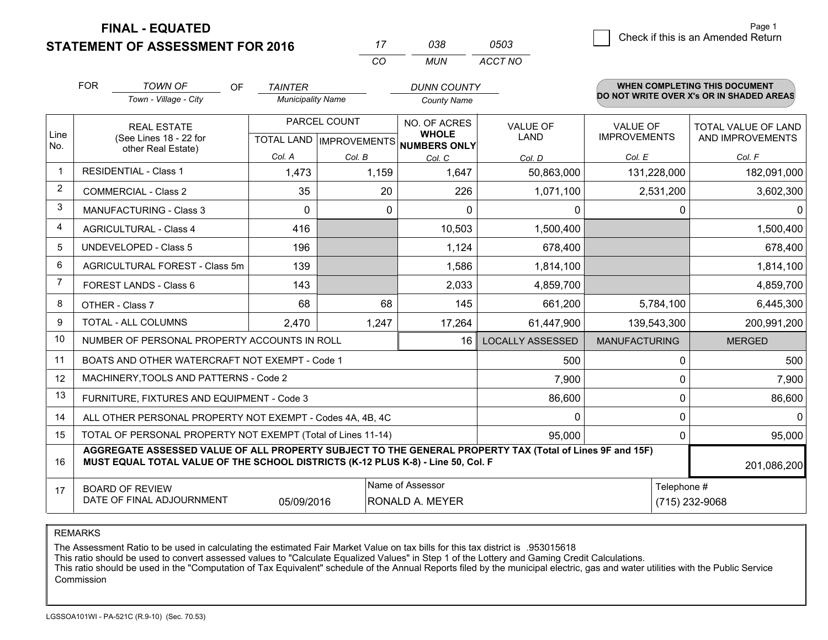**FINAL - EQUATED**

**STATEMENT OF ASSESSMENT FOR 2016** 

| 0503 | Check if this is an Amended Return | raye i |
|------|------------------------------------|--------|
|      |                                    |        |

|                | <b>FOR</b>                                                                                                                                                                                   | <b>TOWN OF</b><br><b>OF</b>                    | <b>TAINTER</b>           |              | <b>DUNN COUNTY</b>                   |                                |                                 | <b>WHEN COMPLETING THIS DOCUMENT</b>     |
|----------------|----------------------------------------------------------------------------------------------------------------------------------------------------------------------------------------------|------------------------------------------------|--------------------------|--------------|--------------------------------------|--------------------------------|---------------------------------|------------------------------------------|
|                |                                                                                                                                                                                              | Town - Village - City                          | <b>Municipality Name</b> |              | <b>County Name</b>                   |                                |                                 | DO NOT WRITE OVER X's OR IN SHADED AREAS |
| Line           |                                                                                                                                                                                              | <b>REAL ESTATE</b>                             |                          | PARCEL COUNT | NO. OF ACRES<br><b>WHOLE</b>         | <b>VALUE OF</b><br><b>LAND</b> | VALUE OF<br><b>IMPROVEMENTS</b> | TOTAL VALUE OF LAND                      |
| No.            |                                                                                                                                                                                              | (See Lines 18 - 22 for<br>other Real Estate)   |                          |              | TOTAL LAND IMPROVEMENTS NUMBERS ONLY |                                |                                 | AND IMPROVEMENTS                         |
|                |                                                                                                                                                                                              |                                                | Col. A                   | Col. B       | Col. C                               | Col. D                         | Col. E                          | Col. F                                   |
| $\mathbf 1$    |                                                                                                                                                                                              | <b>RESIDENTIAL - Class 1</b>                   | 1,473                    | 1,159        | 1,647                                | 50,863,000                     | 131,228,000                     | 182,091,000                              |
| 2              |                                                                                                                                                                                              | <b>COMMERCIAL - Class 2</b>                    | 35                       | 20           | 226                                  | 1,071,100                      | 2,531,200                       | 3,602,300                                |
| 3              |                                                                                                                                                                                              | <b>MANUFACTURING - Class 3</b>                 | $\Omega$                 | $\Omega$     | $\Omega$                             | $\Omega$                       | 0                               | 0                                        |
| 4              |                                                                                                                                                                                              | <b>AGRICULTURAL - Class 4</b>                  | 416                      |              | 10,503                               | 1,500,400                      |                                 | 1,500,400                                |
| 5              |                                                                                                                                                                                              | <b>UNDEVELOPED - Class 5</b>                   | 196                      |              | 1,124                                | 678,400                        |                                 | 678,400                                  |
| 6              |                                                                                                                                                                                              | AGRICULTURAL FOREST - Class 5m                 | 139                      |              | 1,586                                | 1,814,100                      |                                 | 1,814,100                                |
| $\overline{7}$ |                                                                                                                                                                                              | FOREST LANDS - Class 6                         | 143                      |              | 2,033                                | 4,859,700                      |                                 | 4,859,700                                |
| 8              |                                                                                                                                                                                              | OTHER - Class 7                                | 68                       | 68           | 145                                  | 661,200                        | 5,784,100                       | 6,445,300                                |
| 9              |                                                                                                                                                                                              | TOTAL - ALL COLUMNS                            | 2,470                    | 1,247        | 17,264                               | 61,447,900                     | 139,543,300                     | 200,991,200                              |
| 10             |                                                                                                                                                                                              | NUMBER OF PERSONAL PROPERTY ACCOUNTS IN ROLL   |                          |              | 16                                   | <b>LOCALLY ASSESSED</b>        | <b>MANUFACTURING</b>            | <b>MERGED</b>                            |
| 11             |                                                                                                                                                                                              | BOATS AND OTHER WATERCRAFT NOT EXEMPT - Code 1 |                          |              |                                      | 500                            | 0                               | 500                                      |
| 12             |                                                                                                                                                                                              | MACHINERY, TOOLS AND PATTERNS - Code 2         |                          |              |                                      | 7,900                          | 0                               | 7,900                                    |
| 13             |                                                                                                                                                                                              | FURNITURE, FIXTURES AND EQUIPMENT - Code 3     |                          |              |                                      | 86,600                         | 0                               | 86,600                                   |
| 14             | $\mathbf 0$<br>ALL OTHER PERSONAL PROPERTY NOT EXEMPT - Codes 4A, 4B, 4C                                                                                                                     |                                                |                          |              |                                      |                                |                                 | 0<br>$\Omega$                            |
| 15             | TOTAL OF PERSONAL PROPERTY NOT EXEMPT (Total of Lines 11-14)<br>95,000<br>0                                                                                                                  |                                                |                          |              |                                      |                                |                                 | 95,000                                   |
| 16             | AGGREGATE ASSESSED VALUE OF ALL PROPERTY SUBJECT TO THE GENERAL PROPERTY TAX (Total of Lines 9F and 15F)<br>MUST EQUAL TOTAL VALUE OF THE SCHOOL DISTRICTS (K-12 PLUS K-8) - Line 50, Col. F |                                                |                          |              |                                      |                                | 201,086,200                     |                                          |
| 17             |                                                                                                                                                                                              | <b>BOARD OF REVIEW</b>                         |                          |              | Name of Assessor                     |                                | Telephone #                     |                                          |
|                |                                                                                                                                                                                              | DATE OF FINAL ADJOURNMENT                      | 05/09/2016               |              | <b>RONALD A. MEYER</b>               |                                |                                 | (715) 232-9068                           |

*CO*

*MUN*

*ACCT NO*

*<sup>17</sup> <sup>038</sup>*

REMARKS

The Assessment Ratio to be used in calculating the estimated Fair Market Value on tax bills for this tax district is .953015618<br>This ratio should be used to convert assessed values to "Calculate Equalized Values" in Step 1 Commission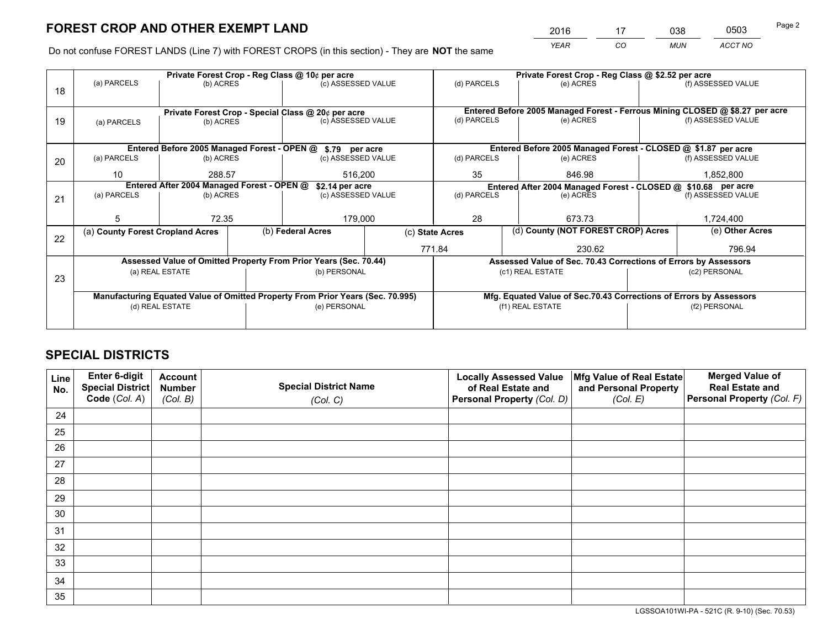*YEAR CO MUN ACCT NO* <sup>2016</sup> <sup>17</sup> <sup>038</sup> <sup>0503</sup>

Do not confuse FOREST LANDS (Line 7) with FOREST CROPS (in this section) - They are **NOT** the same

|    |                                                                                |                 |                   | Private Forest Crop - Reg Class @ 10¢ per acre                   |    |                                                                                             | Private Forest Crop - Reg Class @ \$2.52 per acre                  |                    |                    |  |
|----|--------------------------------------------------------------------------------|-----------------|-------------------|------------------------------------------------------------------|----|---------------------------------------------------------------------------------------------|--------------------------------------------------------------------|--------------------|--------------------|--|
| 18 | (a) PARCELS                                                                    | (b) ACRES       |                   | (c) ASSESSED VALUE                                               |    | (d) PARCELS                                                                                 | (e) ACRES                                                          |                    | (f) ASSESSED VALUE |  |
|    |                                                                                |                 |                   |                                                                  |    |                                                                                             |                                                                    |                    |                    |  |
|    | Private Forest Crop - Special Class @ 20¢ per acre                             |                 |                   |                                                                  |    | Entered Before 2005 Managed Forest - Ferrous Mining CLOSED @ \$8.27 per acre<br>(d) PARCELS |                                                                    |                    | (f) ASSESSED VALUE |  |
| 19 | (a) PARCELS                                                                    | (b) ACRES       |                   | (c) ASSESSED VALUE                                               |    |                                                                                             | (e) ACRES                                                          |                    |                    |  |
|    |                                                                                |                 |                   |                                                                  |    |                                                                                             |                                                                    |                    |                    |  |
|    |                                                                                |                 |                   | Entered Before 2005 Managed Forest - OPEN @ \$.79 per acre       |    |                                                                                             | Entered Before 2005 Managed Forest - CLOSED @ \$1.87 per acre      |                    |                    |  |
| 20 | (a) PARCELS                                                                    | (b) ACRES       |                   | (c) ASSESSED VALUE                                               |    | (d) PARCELS                                                                                 | (e) ACRES                                                          |                    | (f) ASSESSED VALUE |  |
|    | 10 <sup>°</sup>                                                                |                 | 288.57<br>516,200 |                                                                  | 35 | 846.98                                                                                      |                                                                    | 1,852,800          |                    |  |
|    | Entered After 2004 Managed Forest - OPEN @                                     |                 |                   | \$2.14 per acre                                                  |    | Entered After 2004 Managed Forest - CLOSED @ \$10.68 per acre                               |                                                                    |                    |                    |  |
| 21 | (a) PARCELS                                                                    | (b) ACRES       |                   | (c) ASSESSED VALUE                                               |    | (d) PARCELS<br>(e) ACRES                                                                    |                                                                    | (f) ASSESSED VALUE |                    |  |
|    |                                                                                |                 |                   |                                                                  |    |                                                                                             |                                                                    |                    |                    |  |
|    | 5                                                                              | 72.35           |                   | 179,000                                                          |    | 28                                                                                          | 673.73                                                             |                    | 1,724,400          |  |
|    | (a) County Forest Cropland Acres                                               |                 |                   | (b) Federal Acres                                                |    | (c) State Acres                                                                             | (d) County (NOT FOREST CROP) Acres                                 |                    | (e) Other Acres    |  |
| 22 |                                                                                |                 |                   |                                                                  |    |                                                                                             |                                                                    |                    |                    |  |
|    |                                                                                |                 |                   |                                                                  |    | 771.84                                                                                      | 230.62                                                             |                    | 796.94             |  |
|    |                                                                                |                 |                   | Assessed Value of Omitted Property From Prior Years (Sec. 70.44) |    |                                                                                             | Assessed Value of Sec. 70.43 Corrections of Errors by Assessors    |                    |                    |  |
| 23 |                                                                                | (a) REAL ESTATE |                   | (b) PERSONAL                                                     |    |                                                                                             | (c1) REAL ESTATE                                                   |                    | (c2) PERSONAL      |  |
|    |                                                                                |                 |                   |                                                                  |    |                                                                                             |                                                                    |                    |                    |  |
|    | Manufacturing Equated Value of Omitted Property From Prior Years (Sec. 70.995) |                 |                   |                                                                  |    |                                                                                             | Mfg. Equated Value of Sec.70.43 Corrections of Errors by Assessors |                    |                    |  |
|    | (d) REAL ESTATE                                                                |                 |                   | (e) PERSONAL                                                     |    |                                                                                             | (f1) REAL ESTATE                                                   |                    | (f2) PERSONAL      |  |
|    |                                                                                |                 |                   |                                                                  |    |                                                                                             |                                                                    |                    |                    |  |
|    |                                                                                |                 |                   |                                                                  |    |                                                                                             |                                                                    |                    |                    |  |

## **SPECIAL DISTRICTS**

| Line<br>No. | Enter 6-digit<br>Special District<br>Code (Col. A) | <b>Account</b><br><b>Number</b> | <b>Special District Name</b> | <b>Locally Assessed Value</b><br>of Real Estate and | Mfg Value of Real Estate<br>and Personal Property | <b>Merged Value of</b><br><b>Real Estate and</b><br>Personal Property (Col. F) |
|-------------|----------------------------------------------------|---------------------------------|------------------------------|-----------------------------------------------------|---------------------------------------------------|--------------------------------------------------------------------------------|
|             |                                                    | (Col. B)                        | (Col. C)                     | Personal Property (Col. D)                          | (Col. E)                                          |                                                                                |
| 24          |                                                    |                                 |                              |                                                     |                                                   |                                                                                |
| 25          |                                                    |                                 |                              |                                                     |                                                   |                                                                                |
| 26          |                                                    |                                 |                              |                                                     |                                                   |                                                                                |
| 27          |                                                    |                                 |                              |                                                     |                                                   |                                                                                |
| 28          |                                                    |                                 |                              |                                                     |                                                   |                                                                                |
| 29          |                                                    |                                 |                              |                                                     |                                                   |                                                                                |
| 30          |                                                    |                                 |                              |                                                     |                                                   |                                                                                |
| 31          |                                                    |                                 |                              |                                                     |                                                   |                                                                                |
| 32          |                                                    |                                 |                              |                                                     |                                                   |                                                                                |
| 33          |                                                    |                                 |                              |                                                     |                                                   |                                                                                |
| 34          |                                                    |                                 |                              |                                                     |                                                   |                                                                                |
| 35          |                                                    |                                 |                              |                                                     |                                                   |                                                                                |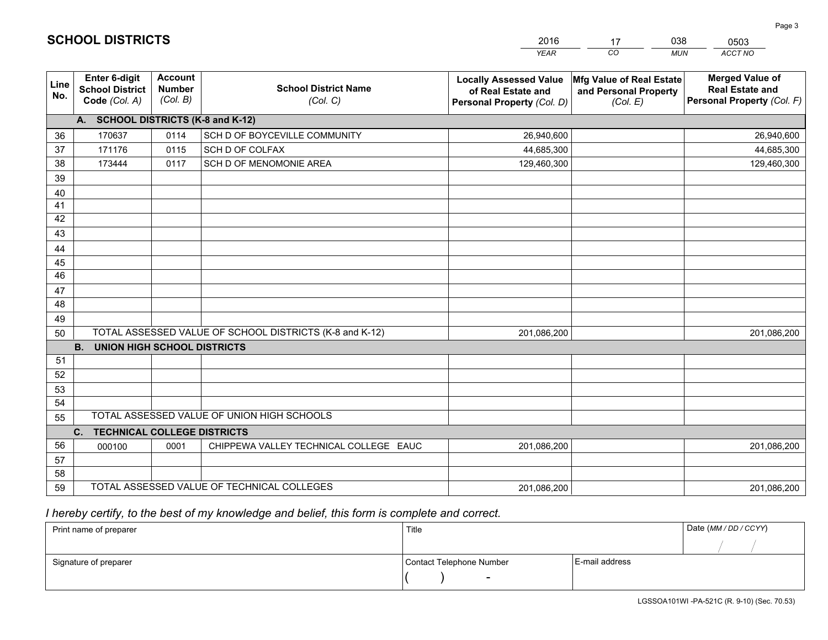|             |                                                          |                                             |                                                         | <b>YEAR</b>                                                                       | CO<br><b>MUN</b>                                              | ACCT NO                                                                        |
|-------------|----------------------------------------------------------|---------------------------------------------|---------------------------------------------------------|-----------------------------------------------------------------------------------|---------------------------------------------------------------|--------------------------------------------------------------------------------|
| Line<br>No. | Enter 6-digit<br><b>School District</b><br>Code (Col. A) | <b>Account</b><br><b>Number</b><br>(Col. B) | <b>School District Name</b><br>(Col. C)                 | <b>Locally Assessed Value</b><br>of Real Estate and<br>Personal Property (Col. D) | Mfg Value of Real Estate<br>and Personal Property<br>(Col. E) | <b>Merged Value of</b><br><b>Real Estate and</b><br>Personal Property (Col. F) |
|             | A. SCHOOL DISTRICTS (K-8 and K-12)                       |                                             |                                                         |                                                                                   |                                                               |                                                                                |
| 36          | 170637                                                   | 0114                                        | SCH D OF BOYCEVILLE COMMUNITY                           | 26,940,600                                                                        |                                                               | 26,940,600                                                                     |
| 37          | 171176                                                   | 0115                                        | SCH D OF COLFAX                                         | 44,685,300                                                                        |                                                               | 44,685,300                                                                     |
| 38          | 173444                                                   | 0117                                        | SCH D OF MENOMONIE AREA                                 | 129,460,300                                                                       |                                                               | 129,460,300                                                                    |
| 39          |                                                          |                                             |                                                         |                                                                                   |                                                               |                                                                                |
| 40          |                                                          |                                             |                                                         |                                                                                   |                                                               |                                                                                |
| 41          |                                                          |                                             |                                                         |                                                                                   |                                                               |                                                                                |
| 42          |                                                          |                                             |                                                         |                                                                                   |                                                               |                                                                                |
| 43          |                                                          |                                             |                                                         |                                                                                   |                                                               |                                                                                |
| 44          |                                                          |                                             |                                                         |                                                                                   |                                                               |                                                                                |
| 45          |                                                          |                                             |                                                         |                                                                                   |                                                               |                                                                                |
| 46          |                                                          |                                             |                                                         |                                                                                   |                                                               |                                                                                |
| 47          |                                                          |                                             |                                                         |                                                                                   |                                                               |                                                                                |
| 48          |                                                          |                                             |                                                         |                                                                                   |                                                               |                                                                                |
| 49          |                                                          |                                             |                                                         |                                                                                   |                                                               |                                                                                |
| 50          |                                                          |                                             | TOTAL ASSESSED VALUE OF SCHOOL DISTRICTS (K-8 and K-12) | 201,086,200                                                                       |                                                               | 201,086,200                                                                    |
|             | <b>B.</b><br><b>UNION HIGH SCHOOL DISTRICTS</b>          |                                             |                                                         |                                                                                   |                                                               |                                                                                |
| 51          |                                                          |                                             |                                                         |                                                                                   |                                                               |                                                                                |
| 52          |                                                          |                                             |                                                         |                                                                                   |                                                               |                                                                                |
| 53          |                                                          |                                             |                                                         |                                                                                   |                                                               |                                                                                |
| 54          |                                                          |                                             | TOTAL ASSESSED VALUE OF UNION HIGH SCHOOLS              |                                                                                   |                                                               |                                                                                |
| 55          |                                                          |                                             |                                                         |                                                                                   |                                                               |                                                                                |
|             | C.<br><b>TECHNICAL COLLEGE DISTRICTS</b>                 |                                             |                                                         |                                                                                   |                                                               |                                                                                |
| 56          | 000100                                                   | 0001                                        | CHIPPEWA VALLEY TECHNICAL COLLEGE EAUC                  | 201,086,200                                                                       |                                                               | 201,086,200                                                                    |
| 57          |                                                          |                                             |                                                         |                                                                                   |                                                               |                                                                                |
| 58          |                                                          |                                             |                                                         |                                                                                   |                                                               |                                                                                |
| 59          |                                                          |                                             | TOTAL ASSESSED VALUE OF TECHNICAL COLLEGES              | 201,086,200                                                                       |                                                               | 201,086,200                                                                    |

17

038

 *I hereby certify, to the best of my knowledge and belief, this form is complete and correct.*

**SCHOOL DISTRICTS**

| Print name of preparer | Title                    |                | Date (MM / DD / CCYY) |
|------------------------|--------------------------|----------------|-----------------------|
|                        |                          |                |                       |
| Signature of preparer  | Contact Telephone Number | E-mail address |                       |
|                        | $\overline{\phantom{0}}$ |                |                       |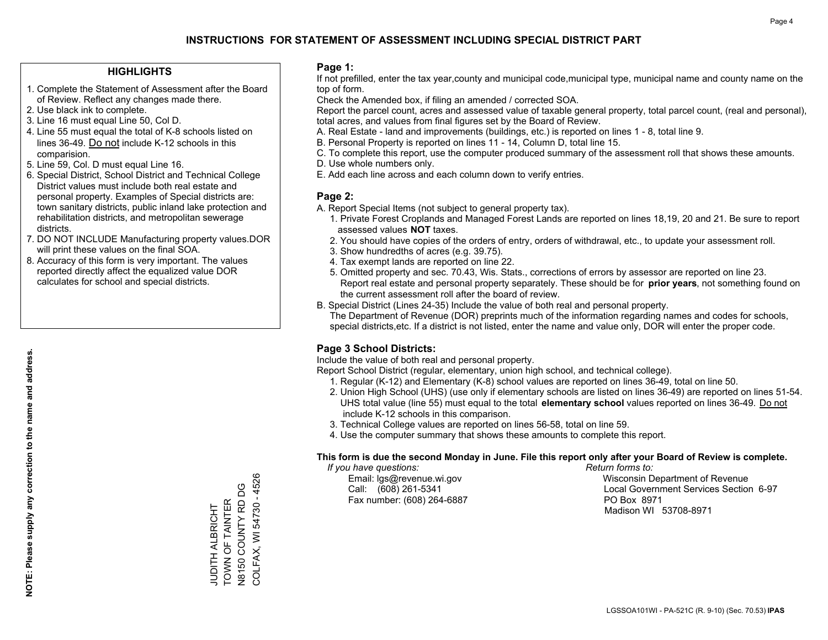#### **HIGHLIGHTS**

- 1. Complete the Statement of Assessment after the Board of Review. Reflect any changes made there.
- 2. Use black ink to complete.
- 3. Line 16 must equal Line 50, Col D.
- 4. Line 55 must equal the total of K-8 schools listed on lines 36-49. Do not include K-12 schools in this comparision.
- 5. Line 59, Col. D must equal Line 16.
- 6. Special District, School District and Technical College District values must include both real estate and personal property. Examples of Special districts are: town sanitary districts, public inland lake protection and rehabilitation districts, and metropolitan sewerage districts.
- 7. DO NOT INCLUDE Manufacturing property values.DOR will print these values on the final SOA.

JUDITH ALBRICHT TOWN OF TAINTER N8150 COUNTY RD DG COLFAX, WI 54730 - 4526

**JUDITH ALBRICHT** 

: CONNINGER<br>TOWN OF TAINTER<br>N8150 COUNTY RD DG

COLFAX, WI 54730 - 4526

 8. Accuracy of this form is very important. The values reported directly affect the equalized value DOR calculates for school and special districts.

#### **Page 1:**

 If not prefilled, enter the tax year,county and municipal code,municipal type, municipal name and county name on the top of form.

Check the Amended box, if filing an amended / corrected SOA.

 Report the parcel count, acres and assessed value of taxable general property, total parcel count, (real and personal), total acres, and values from final figures set by the Board of Review.

- A. Real Estate land and improvements (buildings, etc.) is reported on lines 1 8, total line 9.
- B. Personal Property is reported on lines 11 14, Column D, total line 15.
- C. To complete this report, use the computer produced summary of the assessment roll that shows these amounts.
- D. Use whole numbers only.
- E. Add each line across and each column down to verify entries.

### **Page 2:**

- A. Report Special Items (not subject to general property tax).
- 1. Private Forest Croplands and Managed Forest Lands are reported on lines 18,19, 20 and 21. Be sure to report assessed values **NOT** taxes.
- 2. You should have copies of the orders of entry, orders of withdrawal, etc., to update your assessment roll.
	- 3. Show hundredths of acres (e.g. 39.75).
- 4. Tax exempt lands are reported on line 22.
- 5. Omitted property and sec. 70.43, Wis. Stats., corrections of errors by assessor are reported on line 23. Report real estate and personal property separately. These should be for **prior years**, not something found on the current assessment roll after the board of review.
- B. Special District (Lines 24-35) Include the value of both real and personal property.
- The Department of Revenue (DOR) preprints much of the information regarding names and codes for schools, special districts,etc. If a district is not listed, enter the name and value only, DOR will enter the proper code.

## **Page 3 School Districts:**

Include the value of both real and personal property.

Report School District (regular, elementary, union high school, and technical college).

- 1. Regular (K-12) and Elementary (K-8) school values are reported on lines 36-49, total on line 50.
- 2. Union High School (UHS) (use only if elementary schools are listed on lines 36-49) are reported on lines 51-54. UHS total value (line 55) must equal to the total **elementary school** values reported on lines 36-49. Do notinclude K-12 schools in this comparison.
- 3. Technical College values are reported on lines 56-58, total on line 59.
- 4. Use the computer summary that shows these amounts to complete this report.

#### **This form is due the second Monday in June. File this report only after your Board of Review is complete.**

 *If you have questions: Return forms to:*

Fax number: (608) 264-6887 PO Box 8971

 Email: lgs@revenue.wi.gov Wisconsin Department of Revenue Call: (608) 261-5341 Local Government Services Section 6-97Madison WI 53708-8971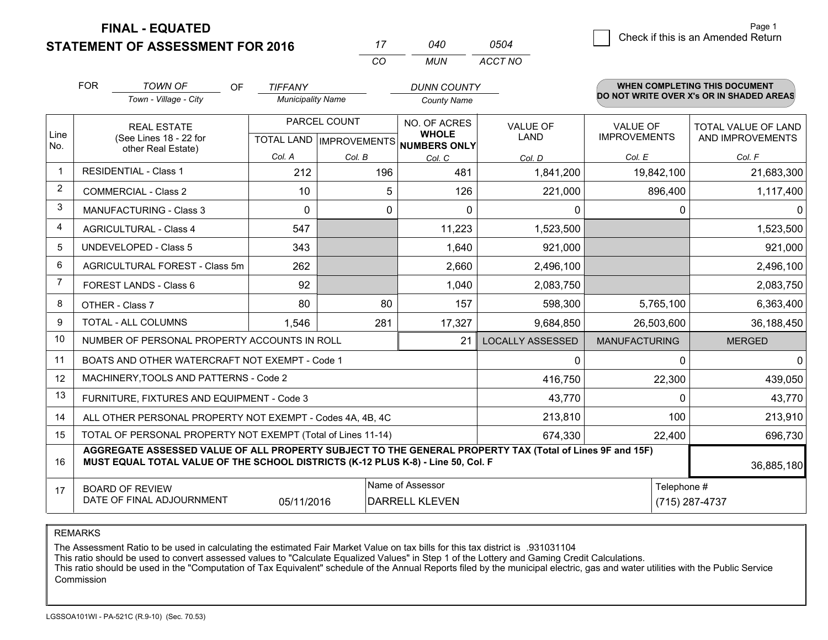**STATEMENT OF ASSESSMENT FOR 2016 FINAL - EQUATED**

 $\overline{a}$  Check if this is an Amended Return Page 1

|                |                                                                                                                                                                                              |                          | CO           | <b>MUN</b>                                           | ACCT NO                 |                      |                                          |
|----------------|----------------------------------------------------------------------------------------------------------------------------------------------------------------------------------------------|--------------------------|--------------|------------------------------------------------------|-------------------------|----------------------|------------------------------------------|
|                | <b>FOR</b><br><b>TOWN OF</b><br>OF                                                                                                                                                           | <b>TIFFANY</b>           |              | <b>DUNN COUNTY</b>                                   |                         |                      | <b>WHEN COMPLETING THIS DOCUMENT</b>     |
|                | Town - Village - City                                                                                                                                                                        | <b>Municipality Name</b> |              | <b>County Name</b>                                   |                         |                      | DO NOT WRITE OVER X's OR IN SHADED AREAS |
|                | <b>REAL ESTATE</b>                                                                                                                                                                           |                          | PARCEL COUNT | NO. OF ACRES                                         | <b>VALUE OF</b>         | <b>VALUE OF</b>      | TOTAL VALUE OF LAND                      |
| Line<br>No.    | (See Lines 18 - 22 for                                                                                                                                                                       |                          |              | <b>WHOLE</b><br>TOTAL LAND IMPROVEMENTS NUMBERS ONLY | LAND                    | <b>IMPROVEMENTS</b>  | AND IMPROVEMENTS                         |
|                | other Real Estate)                                                                                                                                                                           | Col. A                   | Col. B       | Col. C                                               | Col. D                  | Col. E               | Col. F                                   |
| $\mathbf{1}$   | <b>RESIDENTIAL - Class 1</b>                                                                                                                                                                 | 212                      | 196          | 481                                                  | 1,841,200               | 19,842,100           | 21,683,300                               |
| 2              | <b>COMMERCIAL - Class 2</b>                                                                                                                                                                  | 10                       |              | 5<br>126                                             | 221,000                 | 896,400              | 1,117,400                                |
| 3              | <b>MANUFACTURING - Class 3</b>                                                                                                                                                               | $\Omega$                 |              | $\Omega$<br>$\Omega$                                 | 0                       | $\Omega$             | 0                                        |
| $\overline{4}$ | <b>AGRICULTURAL - Class 4</b>                                                                                                                                                                | 547                      |              | 11,223                                               | 1,523,500               |                      | 1,523,500                                |
| 5              | <b>UNDEVELOPED - Class 5</b>                                                                                                                                                                 | 343                      |              | 1,640                                                | 921,000                 |                      | 921,000                                  |
| 6              | AGRICULTURAL FOREST - Class 5m                                                                                                                                                               | 262                      |              | 2,660                                                | 2,496,100               |                      | 2,496,100                                |
| $\overline{7}$ | FOREST LANDS - Class 6                                                                                                                                                                       | 92                       |              | 1,040                                                | 2,083,750               |                      | 2,083,750                                |
| 8              | OTHER - Class 7                                                                                                                                                                              | 80                       | 80           | 157                                                  | 598,300                 | 5,765,100            | 6,363,400                                |
| 9              | TOTAL - ALL COLUMNS                                                                                                                                                                          | 1,546                    | 281          | 17,327                                               | 9,684,850               | 26,503,600           | 36,188,450                               |
| 10             | NUMBER OF PERSONAL PROPERTY ACCOUNTS IN ROLL                                                                                                                                                 |                          |              | 21                                                   | <b>LOCALLY ASSESSED</b> | <b>MANUFACTURING</b> | <b>MERGED</b>                            |
| 11             | BOATS AND OTHER WATERCRAFT NOT EXEMPT - Code 1                                                                                                                                               |                          |              |                                                      | 0                       | $\Omega$             | $\mathbf 0$                              |
| 12             | MACHINERY, TOOLS AND PATTERNS - Code 2                                                                                                                                                       |                          |              |                                                      | 416,750                 | 22,300               | 439,050                                  |
| 13             | FURNITURE, FIXTURES AND EQUIPMENT - Code 3                                                                                                                                                   |                          |              |                                                      | 43,770                  | $\mathbf 0$          | 43,770                                   |
| 14             | ALL OTHER PERSONAL PROPERTY NOT EXEMPT - Codes 4A, 4B, 4C                                                                                                                                    | 100                      | 213,910      |                                                      |                         |                      |                                          |
| 15             | TOTAL OF PERSONAL PROPERTY NOT EXEMPT (Total of Lines 11-14)                                                                                                                                 | 22,400                   | 696,730      |                                                      |                         |                      |                                          |
| 16             | AGGREGATE ASSESSED VALUE OF ALL PROPERTY SUBJECT TO THE GENERAL PROPERTY TAX (Total of Lines 9F and 15F)<br>MUST EQUAL TOTAL VALUE OF THE SCHOOL DISTRICTS (K-12 PLUS K-8) - Line 50, Col. F |                          |              |                                                      |                         |                      | 36,885,180                               |
| 17             | <b>BOARD OF REVIEW</b><br>DATE OF FINAL ADJOURNMENT                                                                                                                                          | 05/11/2016               |              | Name of Assessor<br><b>DARRELL KLEVEN</b>            |                         | Telephone #          | (715) 287-4737                           |

*0504*

*<sup>17</sup> <sup>040</sup>*

REMARKS

The Assessment Ratio to be used in calculating the estimated Fair Market Value on tax bills for this tax district is .931031104<br>This ratio should be used to convert assessed values to "Calculate Equalized Values" in Step 1 Commission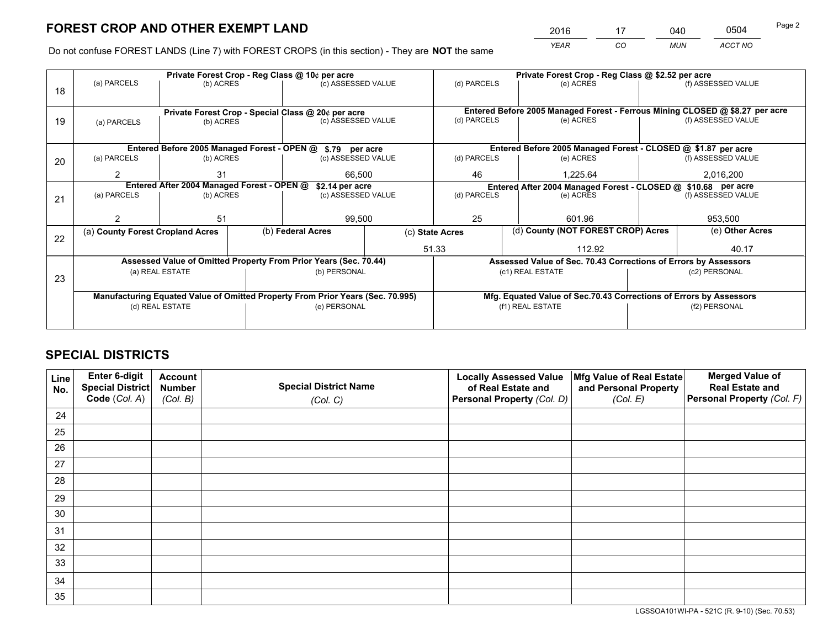*YEAR CO MUN ACCT NO* <sup>2016</sup> <sup>17</sup> <sup>040</sup> <sup>0504</sup>

Do not confuse FOREST LANDS (Line 7) with FOREST CROPS (in this section) - They are **NOT** the same

|                                                                                |             |                                                     |                                                  |                                                                                                                   |                                                                                                                                                                                                                                                                  | Private Forest Crop - Reg Class @ \$2.52 per acre |                                                                |                                                                                                                                                                                                                                                                                                                              |
|--------------------------------------------------------------------------------|-------------|-----------------------------------------------------|--------------------------------------------------|-------------------------------------------------------------------------------------------------------------------|------------------------------------------------------------------------------------------------------------------------------------------------------------------------------------------------------------------------------------------------------------------|---------------------------------------------------|----------------------------------------------------------------|------------------------------------------------------------------------------------------------------------------------------------------------------------------------------------------------------------------------------------------------------------------------------------------------------------------------------|
|                                                                                |             |                                                     |                                                  |                                                                                                                   | (d) PARCELS                                                                                                                                                                                                                                                      | (e) ACRES                                         |                                                                | (f) ASSESSED VALUE                                                                                                                                                                                                                                                                                                           |
|                                                                                |             |                                                     |                                                  |                                                                                                                   |                                                                                                                                                                                                                                                                  |                                                   |                                                                |                                                                                                                                                                                                                                                                                                                              |
| 19                                                                             |             |                                                     |                                                  |                                                                                                                   |                                                                                                                                                                                                                                                                  |                                                   |                                                                |                                                                                                                                                                                                                                                                                                                              |
| (a) PARCELS                                                                    |             |                                                     |                                                  |                                                                                                                   |                                                                                                                                                                                                                                                                  |                                                   |                                                                | (f) ASSESSED VALUE                                                                                                                                                                                                                                                                                                           |
|                                                                                |             |                                                     |                                                  |                                                                                                                   |                                                                                                                                                                                                                                                                  |                                                   |                                                                |                                                                                                                                                                                                                                                                                                                              |
|                                                                                |             |                                                     |                                                  |                                                                                                                   |                                                                                                                                                                                                                                                                  |                                                   |                                                                |                                                                                                                                                                                                                                                                                                                              |
| (a) PARCELS                                                                    |             |                                                     |                                                  |                                                                                                                   | (d) PARCELS                                                                                                                                                                                                                                                      | (e) ACRES                                         |                                                                | (f) ASSESSED VALUE                                                                                                                                                                                                                                                                                                           |
| 2                                                                              | 31          |                                                     | 66,500                                           |                                                                                                                   | 46                                                                                                                                                                                                                                                               | 1.225.64                                          |                                                                | 2,016,200                                                                                                                                                                                                                                                                                                                    |
|                                                                                |             |                                                     | \$2.14 per acre                                  |                                                                                                                   | Entered After 2004 Managed Forest - CLOSED @ \$10.68 per acre                                                                                                                                                                                                    |                                                   |                                                                |                                                                                                                                                                                                                                                                                                                              |
| (a) PARCELS                                                                    |             |                                                     | (c) ASSESSED VALUE                               |                                                                                                                   |                                                                                                                                                                                                                                                                  |                                                   | (f) ASSESSED VALUE                                             |                                                                                                                                                                                                                                                                                                                              |
|                                                                                |             |                                                     |                                                  |                                                                                                                   |                                                                                                                                                                                                                                                                  |                                                   |                                                                |                                                                                                                                                                                                                                                                                                                              |
|                                                                                | 51          |                                                     |                                                  |                                                                                                                   | 25                                                                                                                                                                                                                                                               | 601.96                                            |                                                                | 953,500                                                                                                                                                                                                                                                                                                                      |
|                                                                                |             |                                                     |                                                  |                                                                                                                   |                                                                                                                                                                                                                                                                  |                                                   |                                                                | (e) Other Acres                                                                                                                                                                                                                                                                                                              |
|                                                                                |             |                                                     | 51.33                                            |                                                                                                                   |                                                                                                                                                                                                                                                                  | 112.92                                            |                                                                | 40.17                                                                                                                                                                                                                                                                                                                        |
|                                                                                |             |                                                     |                                                  |                                                                                                                   |                                                                                                                                                                                                                                                                  |                                                   |                                                                |                                                                                                                                                                                                                                                                                                                              |
|                                                                                |             |                                                     | (b) PERSONAL                                     |                                                                                                                   |                                                                                                                                                                                                                                                                  |                                                   |                                                                | (c2) PERSONAL                                                                                                                                                                                                                                                                                                                |
| 23                                                                             |             |                                                     |                                                  |                                                                                                                   |                                                                                                                                                                                                                                                                  |                                                   |                                                                |                                                                                                                                                                                                                                                                                                                              |
| Manufacturing Equated Value of Omitted Property From Prior Years (Sec. 70.995) |             |                                                     |                                                  |                                                                                                                   |                                                                                                                                                                                                                                                                  |                                                   |                                                                |                                                                                                                                                                                                                                                                                                                              |
| (d) REAL ESTATE                                                                |             |                                                     | (e) PERSONAL                                     |                                                                                                                   |                                                                                                                                                                                                                                                                  |                                                   |                                                                | (f2) PERSONAL                                                                                                                                                                                                                                                                                                                |
|                                                                                |             |                                                     |                                                  |                                                                                                                   |                                                                                                                                                                                                                                                                  |                                                   |                                                                |                                                                                                                                                                                                                                                                                                                              |
|                                                                                | (a) PARCELS | (a) County Forest Cropland Acres<br>(a) REAL ESTATE | (b) ACRES<br>(b) ACRES<br>(b) ACRES<br>(b) ACRES | Private Forest Crop - Reg Class @ 10¢ per acre<br>Entered After 2004 Managed Forest - OPEN @<br>(b) Federal Acres | (c) ASSESSED VALUE<br>Private Forest Crop - Special Class @ 20¢ per acre<br>(c) ASSESSED VALUE<br>Entered Before 2005 Managed Forest - OPEN @ \$.79 per acre<br>(c) ASSESSED VALUE<br>99,500<br>Assessed Value of Omitted Property From Prior Years (Sec. 70.44) | (d) PARCELS<br>(d) PARCELS<br>(c) State Acres     | (e) ACRES<br>(e) ACRES<br>(c1) REAL ESTATE<br>(f1) REAL ESTATE | Entered Before 2005 Managed Forest - Ferrous Mining CLOSED @ \$8.27 per acre<br>Entered Before 2005 Managed Forest - CLOSED @ \$1.87 per acre<br>(d) County (NOT FOREST CROP) Acres<br>Assessed Value of Sec. 70.43 Corrections of Errors by Assessors<br>Mfg. Equated Value of Sec.70.43 Corrections of Errors by Assessors |

## **SPECIAL DISTRICTS**

| Line<br>No. | Enter 6-digit<br><b>Special District</b> | <b>Account</b><br><b>Number</b> | <b>Special District Name</b> | <b>Locally Assessed Value</b><br>of Real Estate and | Mfg Value of Real Estate<br>and Personal Property | <b>Merged Value of</b><br><b>Real Estate and</b> |
|-------------|------------------------------------------|---------------------------------|------------------------------|-----------------------------------------------------|---------------------------------------------------|--------------------------------------------------|
|             | Code (Col. A)                            | (Col. B)                        | (Col. C)                     | Personal Property (Col. D)                          | (Col. E)                                          | Personal Property (Col. F)                       |
| 24          |                                          |                                 |                              |                                                     |                                                   |                                                  |
| 25          |                                          |                                 |                              |                                                     |                                                   |                                                  |
| 26          |                                          |                                 |                              |                                                     |                                                   |                                                  |
| 27          |                                          |                                 |                              |                                                     |                                                   |                                                  |
| 28          |                                          |                                 |                              |                                                     |                                                   |                                                  |
| 29          |                                          |                                 |                              |                                                     |                                                   |                                                  |
| 30          |                                          |                                 |                              |                                                     |                                                   |                                                  |
| 31          |                                          |                                 |                              |                                                     |                                                   |                                                  |
| 32          |                                          |                                 |                              |                                                     |                                                   |                                                  |
| 33          |                                          |                                 |                              |                                                     |                                                   |                                                  |
| 34          |                                          |                                 |                              |                                                     |                                                   |                                                  |
| 35          |                                          |                                 |                              |                                                     |                                                   |                                                  |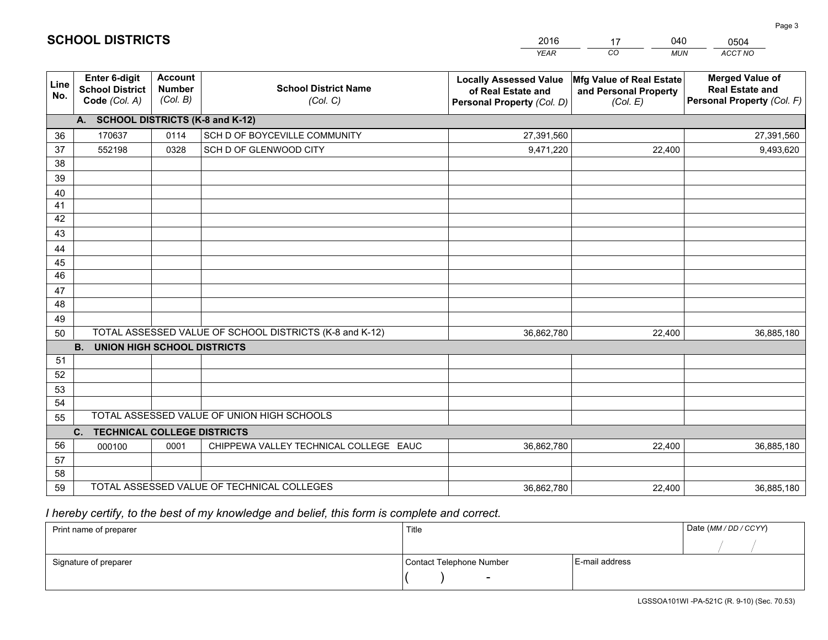|                 |                                                                 |                                             |                                                         | <b>YEAR</b>                                                                       | CO<br><b>MUN</b>                                              | ACCT NO                                                                        |
|-----------------|-----------------------------------------------------------------|---------------------------------------------|---------------------------------------------------------|-----------------------------------------------------------------------------------|---------------------------------------------------------------|--------------------------------------------------------------------------------|
| Line<br>No.     | <b>Enter 6-digit</b><br><b>School District</b><br>Code (Col. A) | <b>Account</b><br><b>Number</b><br>(Col. B) | <b>School District Name</b><br>(Col. C)                 | <b>Locally Assessed Value</b><br>of Real Estate and<br>Personal Property (Col. D) | Mfg Value of Real Estate<br>and Personal Property<br>(Col. E) | <b>Merged Value of</b><br><b>Real Estate and</b><br>Personal Property (Col. F) |
|                 | A. SCHOOL DISTRICTS (K-8 and K-12)                              |                                             |                                                         |                                                                                   |                                                               |                                                                                |
| 36              | 170637                                                          | 0114                                        | SCH D OF BOYCEVILLE COMMUNITY                           | 27,391,560                                                                        |                                                               | 27,391,560                                                                     |
| 37              | 552198                                                          | 0328                                        | SCH D OF GLENWOOD CITY                                  | 9,471,220                                                                         | 22,400                                                        | 9,493,620                                                                      |
| 38              |                                                                 |                                             |                                                         |                                                                                   |                                                               |                                                                                |
| 39              |                                                                 |                                             |                                                         |                                                                                   |                                                               |                                                                                |
| 40              |                                                                 |                                             |                                                         |                                                                                   |                                                               |                                                                                |
| 41              |                                                                 |                                             |                                                         |                                                                                   |                                                               |                                                                                |
| 42<br>43        |                                                                 |                                             |                                                         |                                                                                   |                                                               |                                                                                |
|                 |                                                                 |                                             |                                                         |                                                                                   |                                                               |                                                                                |
| 44<br>45        |                                                                 |                                             |                                                         |                                                                                   |                                                               |                                                                                |
| $\overline{46}$ |                                                                 |                                             |                                                         |                                                                                   |                                                               |                                                                                |
| 47              |                                                                 |                                             |                                                         |                                                                                   |                                                               |                                                                                |
| 48              |                                                                 |                                             |                                                         |                                                                                   |                                                               |                                                                                |
| 49              |                                                                 |                                             |                                                         |                                                                                   |                                                               |                                                                                |
| 50              |                                                                 |                                             | TOTAL ASSESSED VALUE OF SCHOOL DISTRICTS (K-8 and K-12) | 36,862,780                                                                        | 22,400                                                        | 36,885,180                                                                     |
|                 | <b>B.</b><br>UNION HIGH SCHOOL DISTRICTS                        |                                             |                                                         |                                                                                   |                                                               |                                                                                |
| 51              |                                                                 |                                             |                                                         |                                                                                   |                                                               |                                                                                |
| 52              |                                                                 |                                             |                                                         |                                                                                   |                                                               |                                                                                |
| 53              |                                                                 |                                             |                                                         |                                                                                   |                                                               |                                                                                |
| 54              |                                                                 |                                             |                                                         |                                                                                   |                                                               |                                                                                |
| 55              |                                                                 |                                             | TOTAL ASSESSED VALUE OF UNION HIGH SCHOOLS              |                                                                                   |                                                               |                                                                                |
|                 | C.<br><b>TECHNICAL COLLEGE DISTRICTS</b>                        |                                             |                                                         |                                                                                   |                                                               |                                                                                |
| 56              | 000100                                                          | 0001                                        | CHIPPEWA VALLEY TECHNICAL COLLEGE EAUC                  | 36,862,780                                                                        | 22,400                                                        | 36,885,180                                                                     |
| 57<br>58        |                                                                 |                                             |                                                         |                                                                                   |                                                               |                                                                                |
| 59              |                                                                 |                                             | TOTAL ASSESSED VALUE OF TECHNICAL COLLEGES              | 36,862,780                                                                        | 22,400                                                        | 36,885,180                                                                     |
|                 |                                                                 |                                             |                                                         |                                                                                   |                                                               |                                                                                |

17

040

 *I hereby certify, to the best of my knowledge and belief, this form is complete and correct.*

**SCHOOL DISTRICTS**

| Print name of preparer | Title                    |                | Date (MM / DD / CCYY) |
|------------------------|--------------------------|----------------|-----------------------|
|                        |                          |                |                       |
| Signature of preparer  | Contact Telephone Number | E-mail address |                       |
|                        | $\sim$                   |                |                       |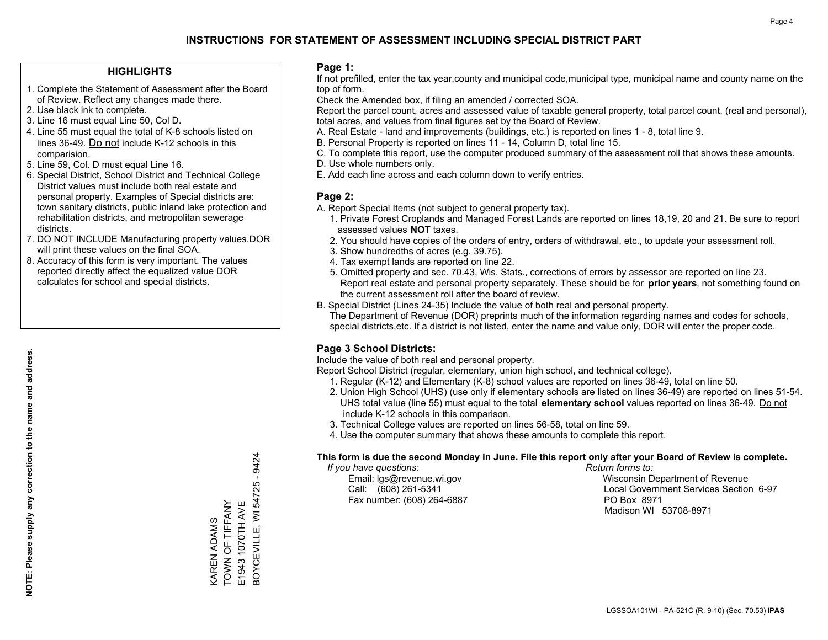#### **HIGHLIGHTS**

- 1. Complete the Statement of Assessment after the Board of Review. Reflect any changes made there.
- 2. Use black ink to complete.
- 3. Line 16 must equal Line 50, Col D.
- 4. Line 55 must equal the total of K-8 schools listed on lines 36-49. Do not include K-12 schools in this comparision.
- 5. Line 59, Col. D must equal Line 16.
- 6. Special District, School District and Technical College District values must include both real estate and personal property. Examples of Special districts are: town sanitary districts, public inland lake protection and rehabilitation districts, and metropolitan sewerage districts.
- 7. DO NOT INCLUDE Manufacturing property values.DOR will print these values on the final SOA.

KAREN ADAMS TOWN OF TIFFANY E1943 1070TH AVE

KAREN ADAMS<br>TOWN OF TIFFANY E1943 1070TH AVE BOYCEVILLE, WI 54725 - 9424

3OYCEVILLE, WI 54725 - 9424

 8. Accuracy of this form is very important. The values reported directly affect the equalized value DOR calculates for school and special districts.

#### **Page 1:**

 If not prefilled, enter the tax year,county and municipal code,municipal type, municipal name and county name on the top of form.

Check the Amended box, if filing an amended / corrected SOA.

 Report the parcel count, acres and assessed value of taxable general property, total parcel count, (real and personal), total acres, and values from final figures set by the Board of Review.

- A. Real Estate land and improvements (buildings, etc.) is reported on lines 1 8, total line 9.
- B. Personal Property is reported on lines 11 14, Column D, total line 15.
- C. To complete this report, use the computer produced summary of the assessment roll that shows these amounts.
- D. Use whole numbers only.
- E. Add each line across and each column down to verify entries.

#### **Page 2:**

- A. Report Special Items (not subject to general property tax).
- 1. Private Forest Croplands and Managed Forest Lands are reported on lines 18,19, 20 and 21. Be sure to report assessed values **NOT** taxes.
- 2. You should have copies of the orders of entry, orders of withdrawal, etc., to update your assessment roll.
	- 3. Show hundredths of acres (e.g. 39.75).
- 4. Tax exempt lands are reported on line 22.
- 5. Omitted property and sec. 70.43, Wis. Stats., corrections of errors by assessor are reported on line 23. Report real estate and personal property separately. These should be for **prior years**, not something found on the current assessment roll after the board of review.
- B. Special District (Lines 24-35) Include the value of both real and personal property.
- The Department of Revenue (DOR) preprints much of the information regarding names and codes for schools, special districts,etc. If a district is not listed, enter the name and value only, DOR will enter the proper code.

## **Page 3 School Districts:**

Include the value of both real and personal property.

Report School District (regular, elementary, union high school, and technical college).

- 1. Regular (K-12) and Elementary (K-8) school values are reported on lines 36-49, total on line 50.
- 2. Union High School (UHS) (use only if elementary schools are listed on lines 36-49) are reported on lines 51-54. UHS total value (line 55) must equal to the total **elementary school** values reported on lines 36-49. Do notinclude K-12 schools in this comparison.
- 3. Technical College values are reported on lines 56-58, total on line 59.
- 4. Use the computer summary that shows these amounts to complete this report.

#### **This form is due the second Monday in June. File this report only after your Board of Review is complete.**

 *If you have questions: Return forms to:*

Fax number: (608) 264-6887 PO Box 8971

 Email: lgs@revenue.wi.gov Wisconsin Department of Revenue Call: (608) 261-5341 Local Government Services Section 6-97Madison WI 53708-8971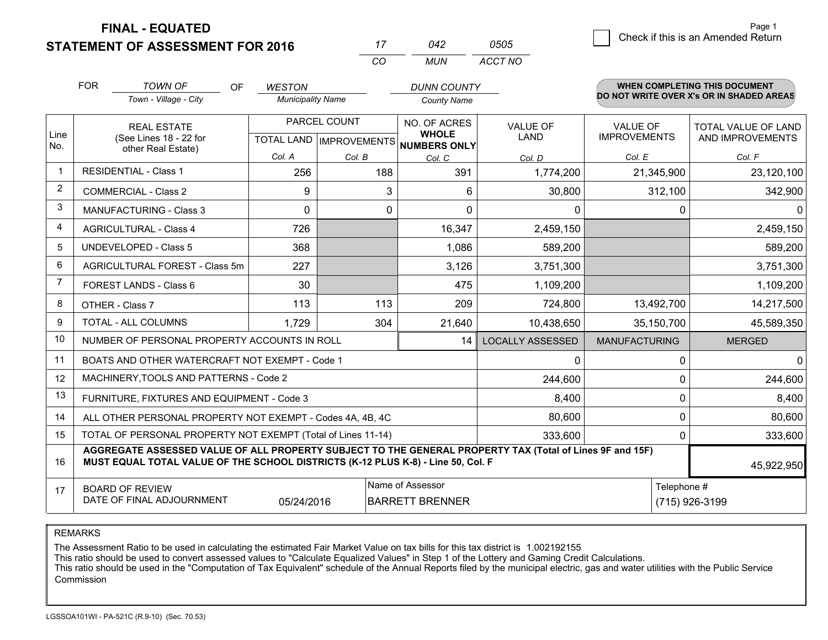**FINAL - EQUATED**

**STATEMENT OF ASSESSMENT FOR 2016** 

|   |                                    | Page 1 |
|---|------------------------------------|--------|
| 5 | Check if this is an Amended Return |        |
|   |                                    |        |

|                | <b>FOR</b>                     | <b>TOWN OF</b><br>OF.                                                                                                                                                                        | <b>WESTON</b>            |              | <b>DUNN COUNTY</b>                                       |                         |                      | <b>WHEN COMPLETING THIS DOCUMENT</b>     |  |
|----------------|--------------------------------|----------------------------------------------------------------------------------------------------------------------------------------------------------------------------------------------|--------------------------|--------------|----------------------------------------------------------|-------------------------|----------------------|------------------------------------------|--|
|                |                                | Town - Village - City                                                                                                                                                                        | <b>Municipality Name</b> |              | <b>County Name</b>                                       |                         |                      | DO NOT WRITE OVER X's OR IN SHADED AREAS |  |
|                |                                | <b>REAL ESTATE</b>                                                                                                                                                                           |                          | PARCEL COUNT | NO. OF ACRES                                             | <b>VALUE OF</b>         | <b>VALUE OF</b>      | TOTAL VALUE OF LAND                      |  |
| Line<br>No.    |                                | (See Lines 18 - 22 for<br>other Real Estate)                                                                                                                                                 |                          |              | <b>WHOLE</b><br>TOTAL LAND   IMPROVEMENTS   NUMBERS ONLY | <b>LAND</b>             | <b>IMPROVEMENTS</b>  | AND IMPROVEMENTS                         |  |
|                |                                |                                                                                                                                                                                              | Col. A                   | Col. B       | Col. C                                                   | Col. D                  | Col. E               | Col. F                                   |  |
| 1              |                                | <b>RESIDENTIAL - Class 1</b>                                                                                                                                                                 | 256                      | 188          | 391                                                      | 1,774,200               | 21,345,900           | 23,120,100                               |  |
| 2              |                                | <b>COMMERCIAL - Class 2</b>                                                                                                                                                                  | 9                        |              | 3<br>6                                                   | 30,800                  | 312,100              | 342,900                                  |  |
| 3              |                                | <b>MANUFACTURING - Class 3</b>                                                                                                                                                               | $\Omega$                 |              | 0<br>$\Omega$                                            | $\mathbf 0$             | 0                    | $\Omega$                                 |  |
| 4              |                                | <b>AGRICULTURAL - Class 4</b>                                                                                                                                                                | 726                      |              | 16,347                                                   | 2,459,150               |                      | 2,459,150                                |  |
| 5              |                                | <b>UNDEVELOPED - Class 5</b>                                                                                                                                                                 | 368                      |              | 1,086                                                    | 589,200                 |                      | 589,200                                  |  |
| 6              | AGRICULTURAL FOREST - Class 5m |                                                                                                                                                                                              | 227                      |              | 3,126                                                    | 3,751,300               |                      | 3,751,300                                |  |
| $\overline{7}$ | FOREST LANDS - Class 6         |                                                                                                                                                                                              | 30                       |              | 475                                                      | 1,109,200               |                      | 1,109,200                                |  |
| 8              |                                | OTHER - Class 7                                                                                                                                                                              | 113                      | 113          | 209                                                      | 724,800                 | 13,492,700           | 14,217,500                               |  |
| 9              |                                | TOTAL - ALL COLUMNS                                                                                                                                                                          | 1,729                    | 304          | 21,640                                                   | 10,438,650              | 35,150,700           | 45,589,350                               |  |
| 10             |                                | NUMBER OF PERSONAL PROPERTY ACCOUNTS IN ROLL                                                                                                                                                 |                          |              | 14                                                       | <b>LOCALLY ASSESSED</b> | <b>MANUFACTURING</b> | <b>MERGED</b>                            |  |
| 11             |                                | BOATS AND OTHER WATERCRAFT NOT EXEMPT - Code 1                                                                                                                                               |                          |              |                                                          | $\mathbf 0$             | 0                    | $\Omega$                                 |  |
| 12             |                                | MACHINERY, TOOLS AND PATTERNS - Code 2                                                                                                                                                       |                          |              |                                                          | 244,600                 | 0                    | 244,600                                  |  |
| 13             |                                | FURNITURE, FIXTURES AND EQUIPMENT - Code 3                                                                                                                                                   |                          |              |                                                          | 8,400                   | 0                    | 8,400                                    |  |
| 14             |                                | ALL OTHER PERSONAL PROPERTY NOT EXEMPT - Codes 4A, 4B, 4C                                                                                                                                    |                          |              |                                                          | 80,600                  | $\Omega$             | 80,600                                   |  |
| 15             |                                | TOTAL OF PERSONAL PROPERTY NOT EXEMPT (Total of Lines 11-14)                                                                                                                                 |                          |              |                                                          | 333,600                 | 0                    | 333,600                                  |  |
| 16             |                                | AGGREGATE ASSESSED VALUE OF ALL PROPERTY SUBJECT TO THE GENERAL PROPERTY TAX (Total of Lines 9F and 15F)<br>MUST EQUAL TOTAL VALUE OF THE SCHOOL DISTRICTS (K-12 PLUS K-8) - Line 50, Col. F |                          |              |                                                          |                         |                      | 45,922,950                               |  |
| 17             |                                | <b>BOARD OF REVIEW</b>                                                                                                                                                                       |                          |              | Name of Assessor                                         |                         |                      | Telephone #                              |  |
|                |                                | DATE OF FINAL ADJOURNMENT                                                                                                                                                                    | 05/24/2016               |              | <b>BARRETT BRENNER</b>                                   |                         |                      | (715) 926-3199                           |  |

*CO*

*MUN*

*ACCT NO0505*

*<sup>17</sup> <sup>042</sup>*

REMARKS

The Assessment Ratio to be used in calculating the estimated Fair Market Value on tax bills for this tax district is 1.002192155<br>This ratio should be used to convert assessed values to "Calculate Equalized Values" in Step Commission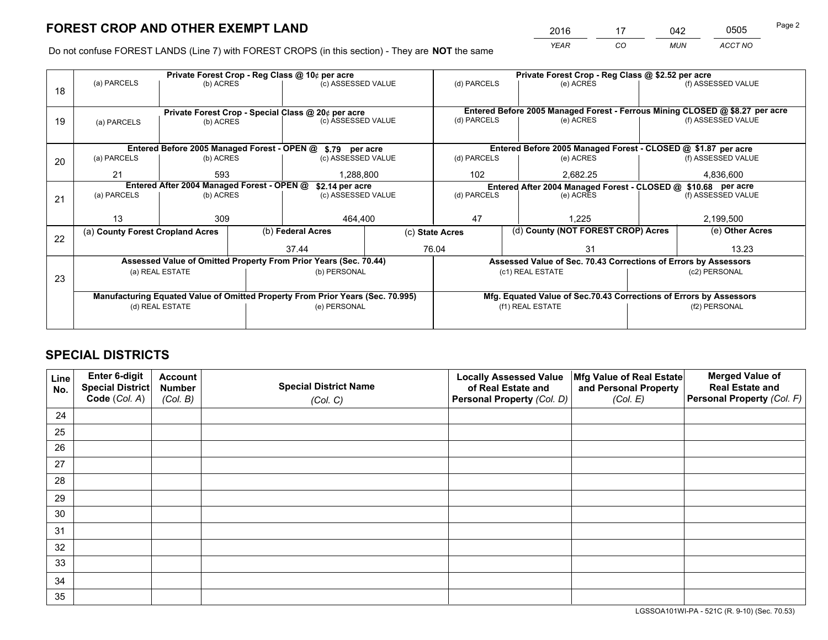*YEAR CO MUN ACCT NO* <sup>2016</sup> <sup>17</sup> <sup>042</sup> <sup>0505</sup>

Do not confuse FOREST LANDS (Line 7) with FOREST CROPS (in this section) - They are **NOT** the same

|    |                                            |                 |  | Private Forest Crop - Reg Class @ 10¢ per acre                                 |  |                                                               | Private Forest Crop - Reg Class @ \$2.52 per acre                  |  |                                                                              |  |
|----|--------------------------------------------|-----------------|--|--------------------------------------------------------------------------------|--|---------------------------------------------------------------|--------------------------------------------------------------------|--|------------------------------------------------------------------------------|--|
| 18 | (a) PARCELS                                | (b) ACRES       |  | (c) ASSESSED VALUE                                                             |  | (d) PARCELS                                                   | (e) ACRES                                                          |  | (f) ASSESSED VALUE                                                           |  |
|    |                                            |                 |  | Private Forest Crop - Special Class @ 20¢ per acre                             |  |                                                               |                                                                    |  | Entered Before 2005 Managed Forest - Ferrous Mining CLOSED @ \$8.27 per acre |  |
| 19 | (a) PARCELS                                | (b) ACRES       |  | (c) ASSESSED VALUE                                                             |  | (d) PARCELS                                                   | (e) ACRES                                                          |  | (f) ASSESSED VALUE                                                           |  |
|    |                                            |                 |  | Entered Before 2005 Managed Forest - OPEN @ \$.79 per acre                     |  |                                                               | Entered Before 2005 Managed Forest - CLOSED @ \$1.87 per acre      |  |                                                                              |  |
|    |                                            |                 |  | (c) ASSESSED VALUE                                                             |  |                                                               |                                                                    |  |                                                                              |  |
| 20 | (a) PARCELS<br>(b) ACRES                   |                 |  |                                                                                |  | (d) PARCELS                                                   | (e) ACRES                                                          |  | (f) ASSESSED VALUE                                                           |  |
|    | 21<br>593                                  |                 |  | 1,288,800                                                                      |  | 102                                                           | 2,682.25                                                           |  | 4,836,600                                                                    |  |
|    | Entered After 2004 Managed Forest - OPEN @ |                 |  | \$2.14 per acre                                                                |  | Entered After 2004 Managed Forest - CLOSED @ \$10.68 per acre |                                                                    |  |                                                                              |  |
| 21 | (a) PARCELS                                | (b) ACRES       |  | (c) ASSESSED VALUE                                                             |  | (d) PARCELS                                                   | (e) ACRES                                                          |  | (f) ASSESSED VALUE                                                           |  |
|    |                                            |                 |  |                                                                                |  |                                                               |                                                                    |  |                                                                              |  |
|    | 13                                         | 309             |  | 464,400                                                                        |  | 47                                                            | 1.225                                                              |  | 2,199,500                                                                    |  |
|    | (a) County Forest Cropland Acres           |                 |  | (b) Federal Acres                                                              |  | (d) County (NOT FOREST CROP) Acres<br>(c) State Acres         |                                                                    |  | (e) Other Acres                                                              |  |
| 22 |                                            |                 |  | 37.44                                                                          |  | 76.04<br>31                                                   |                                                                    |  | 13.23                                                                        |  |
|    |                                            |                 |  | Assessed Value of Omitted Property From Prior Years (Sec. 70.44)               |  |                                                               | Assessed Value of Sec. 70.43 Corrections of Errors by Assessors    |  |                                                                              |  |
|    | (a) REAL ESTATE                            |                 |  | (b) PERSONAL                                                                   |  |                                                               | (c1) REAL ESTATE                                                   |  | (c2) PERSONAL                                                                |  |
| 23 |                                            |                 |  |                                                                                |  |                                                               |                                                                    |  |                                                                              |  |
|    |                                            |                 |  | Manufacturing Equated Value of Omitted Property From Prior Years (Sec. 70.995) |  |                                                               | Mfg. Equated Value of Sec.70.43 Corrections of Errors by Assessors |  |                                                                              |  |
|    |                                            | (d) REAL ESTATE |  | (e) PERSONAL                                                                   |  |                                                               | (f1) REAL ESTATE                                                   |  | (f2) PERSONAL                                                                |  |
|    |                                            |                 |  |                                                                                |  |                                                               |                                                                    |  |                                                                              |  |
|    |                                            |                 |  |                                                                                |  |                                                               |                                                                    |  |                                                                              |  |

## **SPECIAL DISTRICTS**

| Line<br>No. | Enter 6-digit<br><b>Special District</b> | <b>Account</b><br><b>Number</b> | <b>Special District Name</b> | <b>Locally Assessed Value</b><br>of Real Estate and | Mfg Value of Real Estate<br>and Personal Property | <b>Merged Value of</b><br><b>Real Estate and</b> |
|-------------|------------------------------------------|---------------------------------|------------------------------|-----------------------------------------------------|---------------------------------------------------|--------------------------------------------------|
|             | Code (Col. A)                            | (Col. B)                        | (Col. C)                     | Personal Property (Col. D)                          | (Col. E)                                          | Personal Property (Col. F)                       |
| 24          |                                          |                                 |                              |                                                     |                                                   |                                                  |
| 25          |                                          |                                 |                              |                                                     |                                                   |                                                  |
| 26          |                                          |                                 |                              |                                                     |                                                   |                                                  |
| 27          |                                          |                                 |                              |                                                     |                                                   |                                                  |
| 28          |                                          |                                 |                              |                                                     |                                                   |                                                  |
| 29          |                                          |                                 |                              |                                                     |                                                   |                                                  |
| 30          |                                          |                                 |                              |                                                     |                                                   |                                                  |
| 31          |                                          |                                 |                              |                                                     |                                                   |                                                  |
| 32          |                                          |                                 |                              |                                                     |                                                   |                                                  |
| 33          |                                          |                                 |                              |                                                     |                                                   |                                                  |
| 34          |                                          |                                 |                              |                                                     |                                                   |                                                  |
| 35          |                                          |                                 |                              |                                                     |                                                   |                                                  |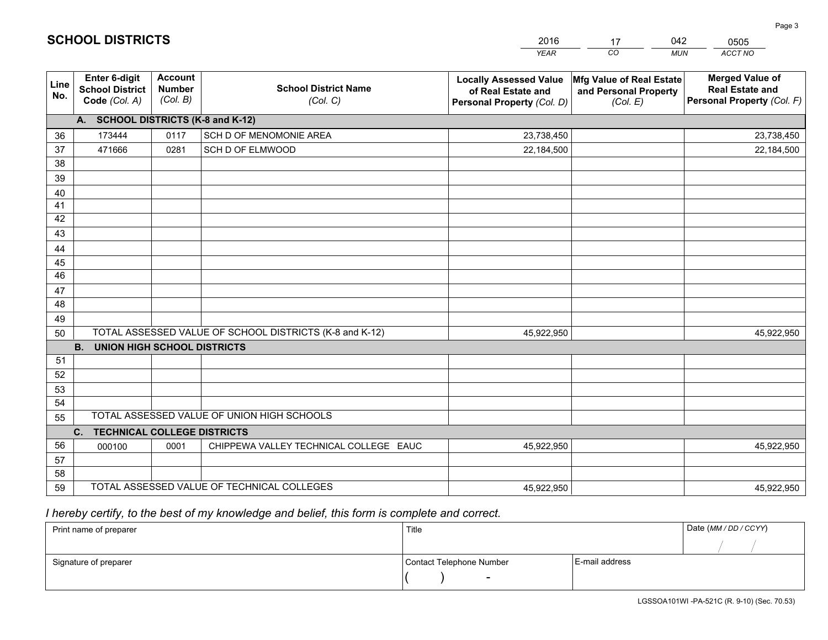|             |                                                          |                                             |                                                         | <b>YEAR</b>                                                                       | CO<br><b>MUN</b>                                              | <b>ACCT NO</b>                                                                 |
|-------------|----------------------------------------------------------|---------------------------------------------|---------------------------------------------------------|-----------------------------------------------------------------------------------|---------------------------------------------------------------|--------------------------------------------------------------------------------|
| Line<br>No. | Enter 6-digit<br><b>School District</b><br>Code (Col. A) | <b>Account</b><br><b>Number</b><br>(Col. B) | <b>School District Name</b><br>(Col. C)                 | <b>Locally Assessed Value</b><br>of Real Estate and<br>Personal Property (Col. D) | Mfg Value of Real Estate<br>and Personal Property<br>(Col. E) | <b>Merged Value of</b><br><b>Real Estate and</b><br>Personal Property (Col. F) |
|             | A. SCHOOL DISTRICTS (K-8 and K-12)                       |                                             |                                                         |                                                                                   |                                                               |                                                                                |
| 36          | 173444                                                   | 0117                                        | SCH D OF MENOMONIE AREA                                 | 23,738,450                                                                        |                                                               | 23,738,450                                                                     |
| 37          | 471666                                                   | 0281                                        | SCH D OF ELMWOOD                                        | 22,184,500                                                                        |                                                               | 22,184,500                                                                     |
| 38          |                                                          |                                             |                                                         |                                                                                   |                                                               |                                                                                |
| 39          |                                                          |                                             |                                                         |                                                                                   |                                                               |                                                                                |
| 40          |                                                          |                                             |                                                         |                                                                                   |                                                               |                                                                                |
| 41          |                                                          |                                             |                                                         |                                                                                   |                                                               |                                                                                |
| 42          |                                                          |                                             |                                                         |                                                                                   |                                                               |                                                                                |
| 43          |                                                          |                                             |                                                         |                                                                                   |                                                               |                                                                                |
| 44          |                                                          |                                             |                                                         |                                                                                   |                                                               |                                                                                |
| 45<br>46    |                                                          |                                             |                                                         |                                                                                   |                                                               |                                                                                |
|             |                                                          |                                             |                                                         |                                                                                   |                                                               |                                                                                |
| 47<br>48    |                                                          |                                             |                                                         |                                                                                   |                                                               |                                                                                |
| 49          |                                                          |                                             |                                                         |                                                                                   |                                                               |                                                                                |
| 50          |                                                          |                                             | TOTAL ASSESSED VALUE OF SCHOOL DISTRICTS (K-8 and K-12) | 45,922,950                                                                        |                                                               | 45,922,950                                                                     |
|             | <b>B.</b><br><b>UNION HIGH SCHOOL DISTRICTS</b>          |                                             |                                                         |                                                                                   |                                                               |                                                                                |
| 51          |                                                          |                                             |                                                         |                                                                                   |                                                               |                                                                                |
| 52          |                                                          |                                             |                                                         |                                                                                   |                                                               |                                                                                |
| 53          |                                                          |                                             |                                                         |                                                                                   |                                                               |                                                                                |
| 54          |                                                          |                                             |                                                         |                                                                                   |                                                               |                                                                                |
| 55          |                                                          |                                             | TOTAL ASSESSED VALUE OF UNION HIGH SCHOOLS              |                                                                                   |                                                               |                                                                                |
|             | C. TECHNICAL COLLEGE DISTRICTS                           |                                             |                                                         |                                                                                   |                                                               |                                                                                |
| 56          | 000100                                                   | 0001                                        | CHIPPEWA VALLEY TECHNICAL COLLEGE EAUC                  | 45,922,950                                                                        |                                                               | 45,922,950                                                                     |
| 57          |                                                          |                                             |                                                         |                                                                                   |                                                               |                                                                                |
| 58          |                                                          |                                             |                                                         |                                                                                   |                                                               |                                                                                |
| 59          |                                                          |                                             | TOTAL ASSESSED VALUE OF TECHNICAL COLLEGES              | 45,922,950                                                                        |                                                               | 45,922,950                                                                     |

17

042

 *I hereby certify, to the best of my knowledge and belief, this form is complete and correct.*

**SCHOOL DISTRICTS**

| Print name of preparer | Title                    |                | Date (MM / DD / CCYY) |
|------------------------|--------------------------|----------------|-----------------------|
|                        |                          |                |                       |
| Signature of preparer  | Contact Telephone Number | E-mail address |                       |
|                        |                          |                |                       |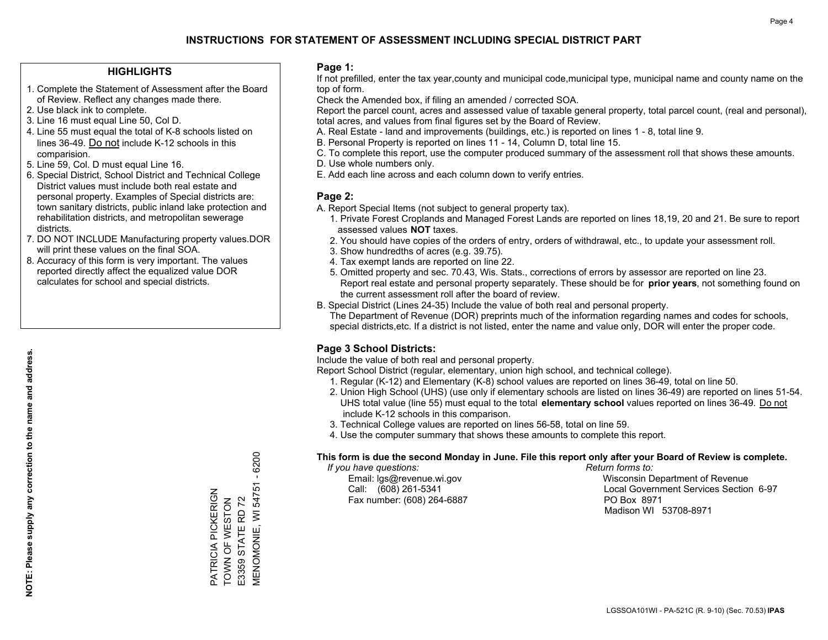#### **HIGHLIGHTS**

- 1. Complete the Statement of Assessment after the Board of Review. Reflect any changes made there.
- 2. Use black ink to complete.
- 3. Line 16 must equal Line 50, Col D.
- 4. Line 55 must equal the total of K-8 schools listed on lines 36-49. Do not include K-12 schools in this comparision.
- 5. Line 59, Col. D must equal Line 16.
- 6. Special District, School District and Technical College District values must include both real estate and personal property. Examples of Special districts are: town sanitary districts, public inland lake protection and rehabilitation districts, and metropolitan sewerage districts.
- 7. DO NOT INCLUDE Manufacturing property values.DOR will print these values on the final SOA.

PATRICIA PICKERIGN TOWN OF WESTON E3359 STATE RD 72

PATRICIA PICKERIGN<br>TOWN OF WESTON E3359 STATE RD 72 MENOMONIE, WI 54751 - 6200

**MENOMONIE, WI 54751** 

 $-6200$ 

 8. Accuracy of this form is very important. The values reported directly affect the equalized value DOR calculates for school and special districts.

#### **Page 1:**

 If not prefilled, enter the tax year,county and municipal code,municipal type, municipal name and county name on the top of form.

Check the Amended box, if filing an amended / corrected SOA.

 Report the parcel count, acres and assessed value of taxable general property, total parcel count, (real and personal), total acres, and values from final figures set by the Board of Review.

- A. Real Estate land and improvements (buildings, etc.) is reported on lines 1 8, total line 9.
- B. Personal Property is reported on lines 11 14, Column D, total line 15.
- C. To complete this report, use the computer produced summary of the assessment roll that shows these amounts.
- D. Use whole numbers only.
- E. Add each line across and each column down to verify entries.

### **Page 2:**

- A. Report Special Items (not subject to general property tax).
- 1. Private Forest Croplands and Managed Forest Lands are reported on lines 18,19, 20 and 21. Be sure to report assessed values **NOT** taxes.
- 2. You should have copies of the orders of entry, orders of withdrawal, etc., to update your assessment roll.
	- 3. Show hundredths of acres (e.g. 39.75).
- 4. Tax exempt lands are reported on line 22.
- 5. Omitted property and sec. 70.43, Wis. Stats., corrections of errors by assessor are reported on line 23. Report real estate and personal property separately. These should be for **prior years**, not something found on the current assessment roll after the board of review.
- B. Special District (Lines 24-35) Include the value of both real and personal property.
- The Department of Revenue (DOR) preprints much of the information regarding names and codes for schools, special districts,etc. If a district is not listed, enter the name and value only, DOR will enter the proper code.

## **Page 3 School Districts:**

Include the value of both real and personal property.

Report School District (regular, elementary, union high school, and technical college).

- 1. Regular (K-12) and Elementary (K-8) school values are reported on lines 36-49, total on line 50.
- 2. Union High School (UHS) (use only if elementary schools are listed on lines 36-49) are reported on lines 51-54. UHS total value (line 55) must equal to the total **elementary school** values reported on lines 36-49. Do notinclude K-12 schools in this comparison.
- 3. Technical College values are reported on lines 56-58, total on line 59.
- 4. Use the computer summary that shows these amounts to complete this report.

#### **This form is due the second Monday in June. File this report only after your Board of Review is complete.**

 *If you have questions: Return forms to:*

Fax number: (608) 264-6887 PO Box 8971

 Email: lgs@revenue.wi.gov Wisconsin Department of Revenue Call: (608) 261-5341 Local Government Services Section 6-97Madison WI 53708-8971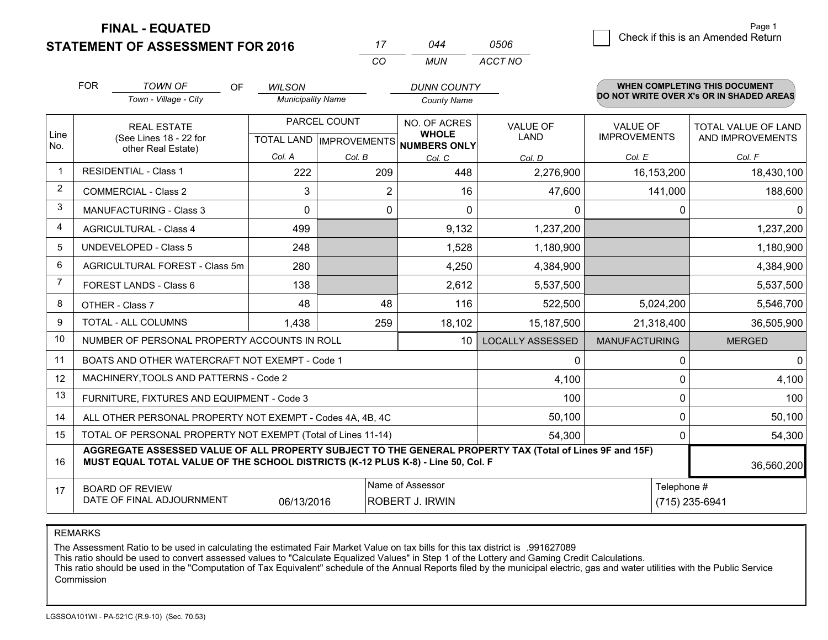**FINAL - EQUATED**

**STATEMENT OF ASSESSMENT FOR 2016** 

|                | <b>FOR</b>                                                                                                                                                                                                 | <b>TOWN OF</b><br>OF                                         | <b>WILSON</b>            |              | <b>DUNN COUNTY</b>                                   |                         |                      | <b>WHEN COMPLETING THIS DOCUMENT</b>     |  |
|----------------|------------------------------------------------------------------------------------------------------------------------------------------------------------------------------------------------------------|--------------------------------------------------------------|--------------------------|--------------|------------------------------------------------------|-------------------------|----------------------|------------------------------------------|--|
|                |                                                                                                                                                                                                            | Town - Village - City                                        | <b>Municipality Name</b> |              | <b>County Name</b>                                   |                         |                      | DO NOT WRITE OVER X's OR IN SHADED AREAS |  |
|                |                                                                                                                                                                                                            | <b>REAL ESTATE</b>                                           |                          | PARCEL COUNT | NO. OF ACRES                                         | <b>VALUE OF</b>         | <b>VALUE OF</b>      | <b>TOTAL VALUE OF LAND</b>               |  |
| Line<br>No.    |                                                                                                                                                                                                            | (See Lines 18 - 22 for<br>other Real Estate)                 |                          |              | <b>WHOLE</b><br>TOTAL LAND IMPROVEMENTS NUMBERS ONLY | LAND                    | <b>IMPROVEMENTS</b>  | AND IMPROVEMENTS                         |  |
|                |                                                                                                                                                                                                            |                                                              | Col. A                   | Col. B       | Col. C                                               | Col. D                  | Col. E               | Col. F                                   |  |
| $\overline{1}$ |                                                                                                                                                                                                            | <b>RESIDENTIAL - Class 1</b>                                 | 222                      | 209          | 448                                                  | 2,276,900               | 16, 153, 200         | 18,430,100                               |  |
| $\overline{2}$ |                                                                                                                                                                                                            | <b>COMMERCIAL - Class 2</b>                                  | 3                        | 2            | 16                                                   | 47,600                  | 141,000              | 188,600                                  |  |
| 3              |                                                                                                                                                                                                            | <b>MANUFACTURING - Class 3</b>                               | 0                        | $\mathbf{0}$ | $\Omega$                                             | $\Omega$                | 0                    | $\Omega$                                 |  |
| 4              |                                                                                                                                                                                                            | <b>AGRICULTURAL - Class 4</b>                                | 499                      |              | 9,132                                                | 1,237,200               |                      | 1,237,200                                |  |
| 5              |                                                                                                                                                                                                            | <b>UNDEVELOPED - Class 5</b>                                 | 248                      |              | 1,528                                                | 1,180,900               |                      | 1,180,900                                |  |
| 6              |                                                                                                                                                                                                            | AGRICULTURAL FOREST - Class 5m                               | 280                      |              | 4,250                                                | 4,384,900               |                      | 4,384,900                                |  |
| 7              |                                                                                                                                                                                                            | <b>FOREST LANDS - Class 6</b>                                | 138                      |              | 2,612                                                | 5,537,500               |                      | 5,537,500                                |  |
| 8              |                                                                                                                                                                                                            | OTHER - Class 7                                              | 48                       | 48           | 116                                                  | 522,500                 | 5,024,200            | 5,546,700                                |  |
| 9              |                                                                                                                                                                                                            | TOTAL - ALL COLUMNS                                          | 1,438                    | 259          | 18,102                                               | 15,187,500              | 21,318,400           | 36,505,900                               |  |
| 10             |                                                                                                                                                                                                            | NUMBER OF PERSONAL PROPERTY ACCOUNTS IN ROLL                 |                          |              | 10                                                   | <b>LOCALLY ASSESSED</b> | <b>MANUFACTURING</b> | <b>MERGED</b>                            |  |
| 11             |                                                                                                                                                                                                            | BOATS AND OTHER WATERCRAFT NOT EXEMPT - Code 1               |                          |              |                                                      | 0                       | 0                    | 0                                        |  |
| 12             |                                                                                                                                                                                                            | MACHINERY, TOOLS AND PATTERNS - Code 2                       |                          |              |                                                      | 4,100                   | 0                    | 4,100                                    |  |
| 13             |                                                                                                                                                                                                            | FURNITURE, FIXTURES AND EQUIPMENT - Code 3                   |                          |              |                                                      | 100                     | 0                    | 100                                      |  |
| 14             |                                                                                                                                                                                                            | ALL OTHER PERSONAL PROPERTY NOT EXEMPT - Codes 4A, 4B, 4C    |                          |              |                                                      | 50,100                  | 0                    | 50,100                                   |  |
| 15             |                                                                                                                                                                                                            | TOTAL OF PERSONAL PROPERTY NOT EXEMPT (Total of Lines 11-14) |                          |              |                                                      | 54,300                  | 0                    | 54,300                                   |  |
| 16             | AGGREGATE ASSESSED VALUE OF ALL PROPERTY SUBJECT TO THE GENERAL PROPERTY TAX (Total of Lines 9F and 15F)<br>MUST EQUAL TOTAL VALUE OF THE SCHOOL DISTRICTS (K-12 PLUS K-8) - Line 50, Col. F<br>36,560,200 |                                                              |                          |              |                                                      |                         |                      |                                          |  |
| 17             |                                                                                                                                                                                                            | <b>BOARD OF REVIEW</b>                                       |                          |              | Name of Assessor                                     |                         | Telephone #          |                                          |  |
|                |                                                                                                                                                                                                            | DATE OF FINAL ADJOURNMENT                                    | 06/13/2016               |              | <b>ROBERT J. IRWIN</b>                               |                         |                      | (715) 235-6941                           |  |

*CO*

*MUN*

*ACCT NO0506*

*<sup>17</sup> <sup>044</sup>*

REMARKS

The Assessment Ratio to be used in calculating the estimated Fair Market Value on tax bills for this tax district is .991627089<br>This ratio should be used to convert assessed values to "Calculate Equalized Values" in Step 1 Commission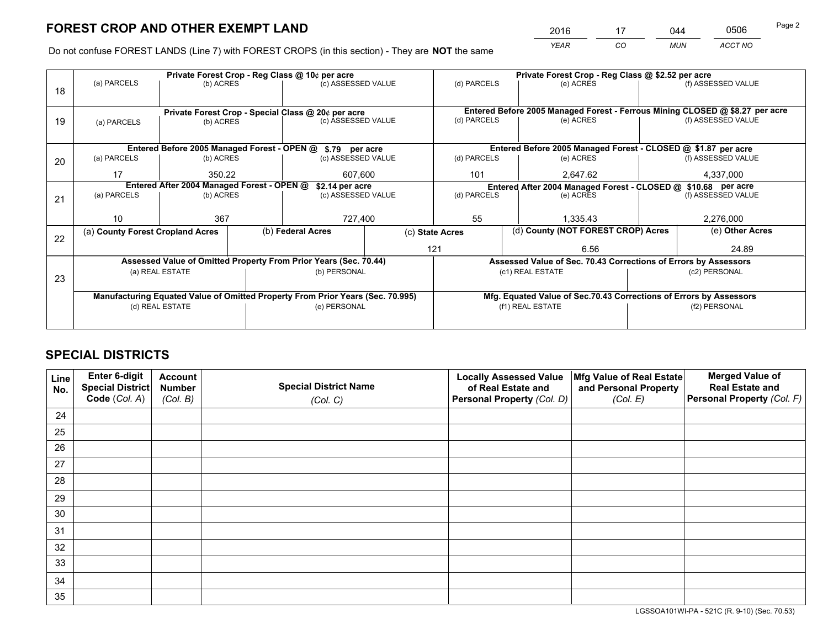*YEAR CO MUN ACCT NO* <sup>2016</sup> <sup>17</sup> <sup>044</sup> <sup>0506</sup>

Do not confuse FOREST LANDS (Line 7) with FOREST CROPS (in this section) - They are **NOT** the same

|    |                                            |                 |  | Private Forest Crop - Reg Class @ 10¢ per acre                                 |  | (d) PARCELS                                                                  | Private Forest Crop - Reg Class @ \$2.52 per acre                  |  |                    |  |  |
|----|--------------------------------------------|-----------------|--|--------------------------------------------------------------------------------|--|------------------------------------------------------------------------------|--------------------------------------------------------------------|--|--------------------|--|--|
| 18 | (a) PARCELS                                | (b) ACRES       |  | (c) ASSESSED VALUE                                                             |  |                                                                              | (e) ACRES                                                          |  | (f) ASSESSED VALUE |  |  |
|    |                                            |                 |  |                                                                                |  |                                                                              |                                                                    |  |                    |  |  |
|    |                                            |                 |  | Private Forest Crop - Special Class @ 20¢ per acre                             |  | Entered Before 2005 Managed Forest - Ferrous Mining CLOSED @ \$8.27 per acre |                                                                    |  |                    |  |  |
| 19 | (a) PARCELS                                | (b) ACRES       |  | (c) ASSESSED VALUE                                                             |  | (d) PARCELS                                                                  | (e) ACRES                                                          |  | (f) ASSESSED VALUE |  |  |
|    |                                            |                 |  |                                                                                |  |                                                                              |                                                                    |  |                    |  |  |
|    |                                            |                 |  | Entered Before 2005 Managed Forest - OPEN @ \$.79 per acre                     |  |                                                                              | Entered Before 2005 Managed Forest - CLOSED @ \$1.87 per acre      |  |                    |  |  |
| 20 | (a) PARCELS<br>(b) ACRES                   |                 |  | (c) ASSESSED VALUE                                                             |  | (d) PARCELS                                                                  | (e) ACRES                                                          |  | (f) ASSESSED VALUE |  |  |
|    | 17<br>350.22                               |                 |  | 607,600                                                                        |  | 101<br>2,647.62                                                              |                                                                    |  | 4,337,000          |  |  |
|    | Entered After 2004 Managed Forest - OPEN @ |                 |  | \$2.14 per acre                                                                |  |                                                                              | Entered After 2004 Managed Forest - CLOSED @ \$10.68 per acre      |  |                    |  |  |
| 21 | (a) PARCELS                                | (b) ACRES       |  | (c) ASSESSED VALUE                                                             |  | (d) PARCELS                                                                  | (e) ACRES                                                          |  | (f) ASSESSED VALUE |  |  |
|    |                                            |                 |  |                                                                                |  |                                                                              |                                                                    |  |                    |  |  |
|    | 10                                         | 367             |  | 727,400                                                                        |  | 55<br>1,335.43                                                               |                                                                    |  | 2,276,000          |  |  |
| 22 | (a) County Forest Cropland Acres           |                 |  | (b) Federal Acres                                                              |  | (c) State Acres                                                              | (d) County (NOT FOREST CROP) Acres                                 |  | (e) Other Acres    |  |  |
|    |                                            |                 |  |                                                                                |  | 121<br>6.56                                                                  |                                                                    |  | 24.89              |  |  |
|    |                                            |                 |  | Assessed Value of Omitted Property From Prior Years (Sec. 70.44)               |  |                                                                              | Assessed Value of Sec. 70.43 Corrections of Errors by Assessors    |  |                    |  |  |
|    |                                            | (a) REAL ESTATE |  | (b) PERSONAL                                                                   |  |                                                                              | (c1) REAL ESTATE                                                   |  | (c2) PERSONAL      |  |  |
| 23 |                                            |                 |  |                                                                                |  |                                                                              |                                                                    |  |                    |  |  |
|    |                                            |                 |  | Manufacturing Equated Value of Omitted Property From Prior Years (Sec. 70.995) |  |                                                                              | Mfg. Equated Value of Sec.70.43 Corrections of Errors by Assessors |  |                    |  |  |
|    |                                            | (d) REAL ESTATE |  | (e) PERSONAL                                                                   |  |                                                                              | (f1) REAL ESTATE                                                   |  | (f2) PERSONAL      |  |  |
|    |                                            |                 |  |                                                                                |  |                                                                              |                                                                    |  |                    |  |  |
|    |                                            |                 |  |                                                                                |  |                                                                              |                                                                    |  |                    |  |  |

## **SPECIAL DISTRICTS**

| Line<br>No. | Enter 6-digit<br>Special District<br>Code (Col. A) | <b>Account</b><br><b>Number</b><br>(Col. B) | <b>Special District Name</b><br>(Col. C) | <b>Locally Assessed Value</b><br>of Real Estate and<br>Personal Property (Col. D) | Mfg Value of Real Estate<br>and Personal Property<br>(Col. E) | <b>Merged Value of</b><br><b>Real Estate and</b><br>Personal Property (Col. F) |
|-------------|----------------------------------------------------|---------------------------------------------|------------------------------------------|-----------------------------------------------------------------------------------|---------------------------------------------------------------|--------------------------------------------------------------------------------|
| 24          |                                                    |                                             |                                          |                                                                                   |                                                               |                                                                                |
| 25          |                                                    |                                             |                                          |                                                                                   |                                                               |                                                                                |
| 26          |                                                    |                                             |                                          |                                                                                   |                                                               |                                                                                |
| 27          |                                                    |                                             |                                          |                                                                                   |                                                               |                                                                                |
| 28          |                                                    |                                             |                                          |                                                                                   |                                                               |                                                                                |
| 29          |                                                    |                                             |                                          |                                                                                   |                                                               |                                                                                |
| 30          |                                                    |                                             |                                          |                                                                                   |                                                               |                                                                                |
| 31          |                                                    |                                             |                                          |                                                                                   |                                                               |                                                                                |
| 32          |                                                    |                                             |                                          |                                                                                   |                                                               |                                                                                |
| 33          |                                                    |                                             |                                          |                                                                                   |                                                               |                                                                                |
| 34          |                                                    |                                             |                                          |                                                                                   |                                                               |                                                                                |
| 35          |                                                    |                                             |                                          |                                                                                   |                                                               |                                                                                |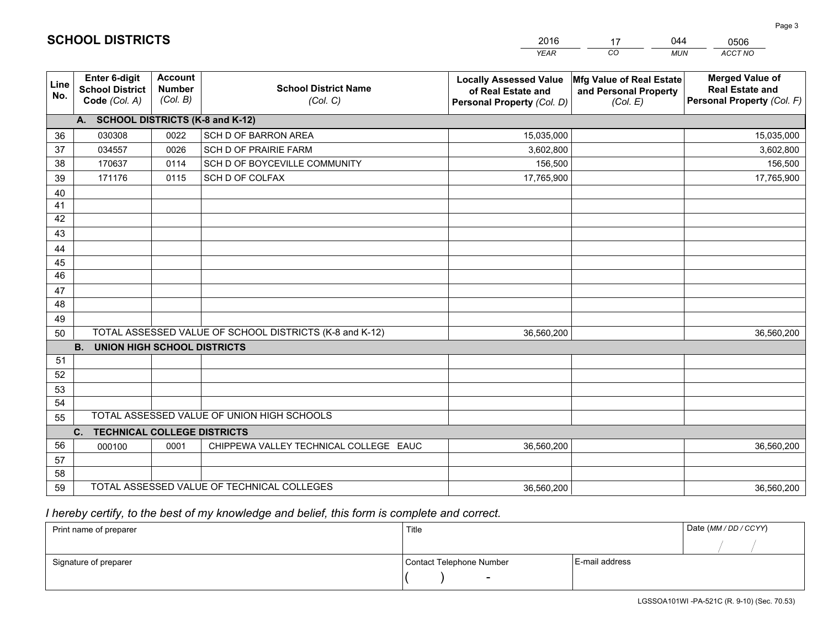|             |                                                                 |                                             |                                                         | <b>YEAR</b>                                                                       | CO.<br><b>MUN</b>                                             | ACCT NO                                                                        |
|-------------|-----------------------------------------------------------------|---------------------------------------------|---------------------------------------------------------|-----------------------------------------------------------------------------------|---------------------------------------------------------------|--------------------------------------------------------------------------------|
| Line<br>No. | <b>Enter 6-digit</b><br><b>School District</b><br>Code (Col. A) | <b>Account</b><br><b>Number</b><br>(Col. B) | <b>School District Name</b><br>(Col. C)                 | <b>Locally Assessed Value</b><br>of Real Estate and<br>Personal Property (Col. D) | Mfg Value of Real Estate<br>and Personal Property<br>(Col. E) | <b>Merged Value of</b><br><b>Real Estate and</b><br>Personal Property (Col. F) |
|             | A. SCHOOL DISTRICTS (K-8 and K-12)                              |                                             |                                                         |                                                                                   |                                                               |                                                                                |
| 36          | 030308                                                          | 0022                                        | <b>SCH D OF BARRON AREA</b>                             | 15,035,000                                                                        |                                                               | 15,035,000                                                                     |
| 37          | 034557                                                          | 0026                                        | <b>SCH D OF PRAIRIE FARM</b>                            | 3,602,800                                                                         |                                                               | 3,602,800                                                                      |
| 38          | 170637                                                          | 0114                                        | SCH D OF BOYCEVILLE COMMUNITY                           | 156,500                                                                           |                                                               | 156,500                                                                        |
| 39          | 171176                                                          | 0115                                        | SCH D OF COLFAX                                         | 17,765,900                                                                        |                                                               | 17,765,900                                                                     |
| 40          |                                                                 |                                             |                                                         |                                                                                   |                                                               |                                                                                |
| 41          |                                                                 |                                             |                                                         |                                                                                   |                                                               |                                                                                |
| 42          |                                                                 |                                             |                                                         |                                                                                   |                                                               |                                                                                |
| 43          |                                                                 |                                             |                                                         |                                                                                   |                                                               |                                                                                |
| 44          |                                                                 |                                             |                                                         |                                                                                   |                                                               |                                                                                |
| 45          |                                                                 |                                             |                                                         |                                                                                   |                                                               |                                                                                |
| 46          |                                                                 |                                             |                                                         |                                                                                   |                                                               |                                                                                |
| 47          |                                                                 |                                             |                                                         |                                                                                   |                                                               |                                                                                |
| 48          |                                                                 |                                             |                                                         |                                                                                   |                                                               |                                                                                |
| 49          |                                                                 |                                             |                                                         |                                                                                   |                                                               |                                                                                |
| 50          | <b>B.</b><br><b>UNION HIGH SCHOOL DISTRICTS</b>                 |                                             | TOTAL ASSESSED VALUE OF SCHOOL DISTRICTS (K-8 and K-12) | 36,560,200                                                                        |                                                               | 36,560,200                                                                     |
| 51          |                                                                 |                                             |                                                         |                                                                                   |                                                               |                                                                                |
| 52          |                                                                 |                                             |                                                         |                                                                                   |                                                               |                                                                                |
| 53          |                                                                 |                                             |                                                         |                                                                                   |                                                               |                                                                                |
| 54          |                                                                 |                                             |                                                         |                                                                                   |                                                               |                                                                                |
| 55          |                                                                 |                                             | TOTAL ASSESSED VALUE OF UNION HIGH SCHOOLS              |                                                                                   |                                                               |                                                                                |
|             | C.<br><b>TECHNICAL COLLEGE DISTRICTS</b>                        |                                             |                                                         |                                                                                   |                                                               |                                                                                |
| 56          | 000100                                                          | 0001                                        | CHIPPEWA VALLEY TECHNICAL COLLEGE EAUC                  | 36,560,200                                                                        |                                                               | 36,560,200                                                                     |
| 57          |                                                                 |                                             |                                                         |                                                                                   |                                                               |                                                                                |
| 58          |                                                                 |                                             |                                                         |                                                                                   |                                                               |                                                                                |
| 59          |                                                                 |                                             | TOTAL ASSESSED VALUE OF TECHNICAL COLLEGES              | 36,560,200                                                                        |                                                               | 36,560,200                                                                     |

17

044

 *I hereby certify, to the best of my knowledge and belief, this form is complete and correct.*

**SCHOOL DISTRICTS**

| Print name of preparer | Title                    |                | Date (MM / DD / CCYY) |
|------------------------|--------------------------|----------------|-----------------------|
|                        |                          |                |                       |
| Signature of preparer  | Contact Telephone Number | E-mail address |                       |
|                        | $\overline{\phantom{0}}$ |                |                       |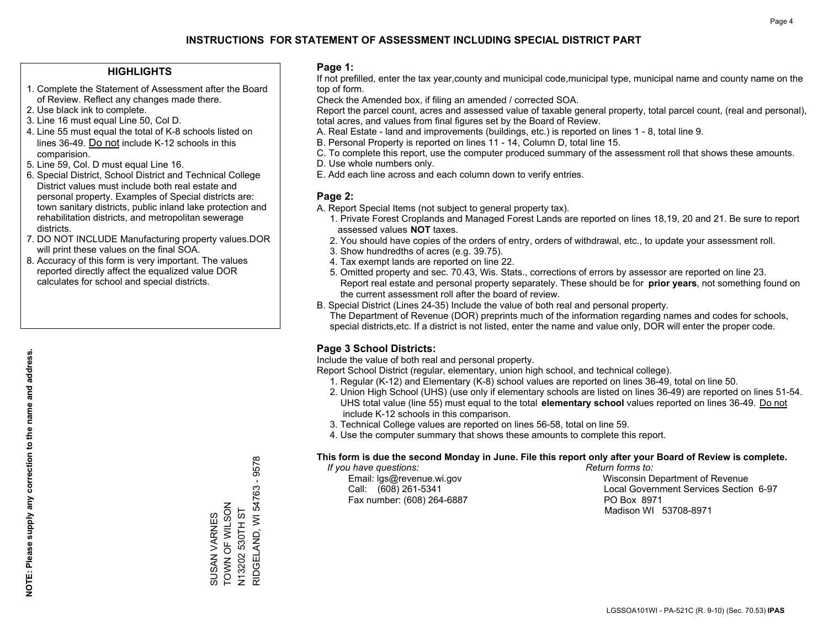#### **HIGHLIGHTS**

- 1. Complete the Statement of Assessment after the Board of Review. Reflect any changes made there.
- 2. Use black ink to complete.
- 3. Line 16 must equal Line 50, Col D.
- 4. Line 55 must equal the total of K-8 schools listed on lines 36-49. Do not include K-12 schools in this comparision.
- 5. Line 59, Col. D must equal Line 16.
- 6. Special District, School District and Technical College District values must include both real estate and personal property. Examples of Special districts are: town sanitary districts, public inland lake protection and rehabilitation districts, and metropolitan sewerage districts.
- 7. DO NOT INCLUDE Manufacturing property values.DOR will print these values on the final SOA.

SUSAN VARNES TOWN OF WILSON N13202 530TH ST

SUSAN VARNES<br>TOWN OF WILSON

RIDGELAND, WI 54763 - 9578

N13202 530TH ST<br>RIDGELAND, WI 54763 - 9578

 8. Accuracy of this form is very important. The values reported directly affect the equalized value DOR calculates for school and special districts.

#### **Page 1:**

 If not prefilled, enter the tax year,county and municipal code,municipal type, municipal name and county name on the top of form.

Check the Amended box, if filing an amended / corrected SOA.

 Report the parcel count, acres and assessed value of taxable general property, total parcel count, (real and personal), total acres, and values from final figures set by the Board of Review.

- A. Real Estate land and improvements (buildings, etc.) is reported on lines 1 8, total line 9.
- B. Personal Property is reported on lines 11 14, Column D, total line 15.
- C. To complete this report, use the computer produced summary of the assessment roll that shows these amounts.
- D. Use whole numbers only.
- E. Add each line across and each column down to verify entries.

#### **Page 2:**

- A. Report Special Items (not subject to general property tax).
- 1. Private Forest Croplands and Managed Forest Lands are reported on lines 18,19, 20 and 21. Be sure to report assessed values **NOT** taxes.
- 2. You should have copies of the orders of entry, orders of withdrawal, etc., to update your assessment roll.
	- 3. Show hundredths of acres (e.g. 39.75).
- 4. Tax exempt lands are reported on line 22.
- 5. Omitted property and sec. 70.43, Wis. Stats., corrections of errors by assessor are reported on line 23. Report real estate and personal property separately. These should be for **prior years**, not something found on the current assessment roll after the board of review.
- B. Special District (Lines 24-35) Include the value of both real and personal property.
- The Department of Revenue (DOR) preprints much of the information regarding names and codes for schools, special districts,etc. If a district is not listed, enter the name and value only, DOR will enter the proper code.

## **Page 3 School Districts:**

Include the value of both real and personal property.

Report School District (regular, elementary, union high school, and technical college).

- 1. Regular (K-12) and Elementary (K-8) school values are reported on lines 36-49, total on line 50.
- 2. Union High School (UHS) (use only if elementary schools are listed on lines 36-49) are reported on lines 51-54. UHS total value (line 55) must equal to the total **elementary school** values reported on lines 36-49. Do notinclude K-12 schools in this comparison.
- 3. Technical College values are reported on lines 56-58, total on line 59.
- 4. Use the computer summary that shows these amounts to complete this report.

#### **This form is due the second Monday in June. File this report only after your Board of Review is complete.**

 *If you have questions: Return forms to:*

Fax number: (608) 264-6887 PO Box 8971

 Email: lgs@revenue.wi.gov Wisconsin Department of Revenue Call: (608) 261-5341 Local Government Services Section 6-97Madison WI 53708-8971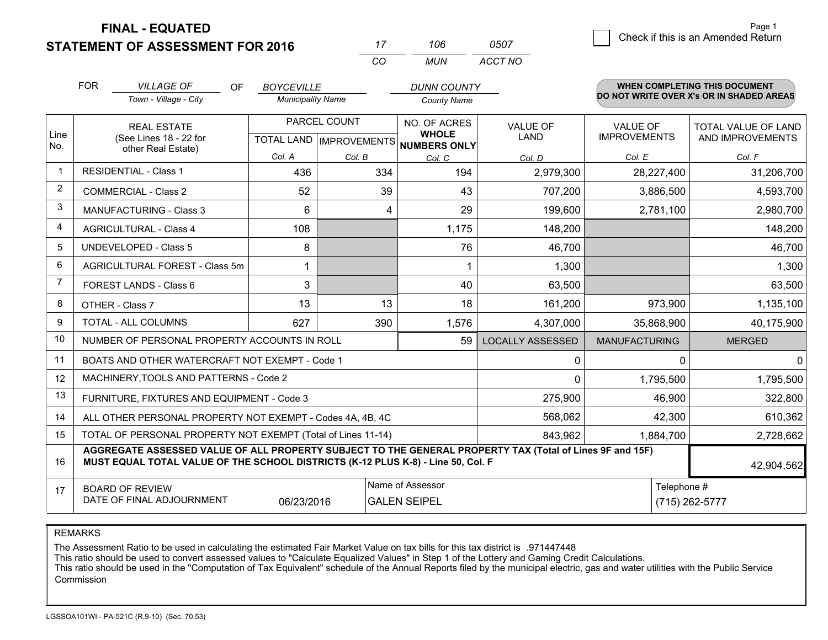**STATEMENT OF ASSESSMENT FOR 2016** 

**FINAL - EQUATED**

|                | <b>FOR</b>                            | <b>VILLAGE OF</b><br>OF<br>Town - Village - City                                                                                                                                             | <b>BOYCEVILLE</b><br><b>Municipality Name</b> |                                                | <b>DUNN COUNTY</b><br><b>County Name</b>     |                                |                                        | <b>WHEN COMPLETING THIS DOCUMENT</b><br>DO NOT WRITE OVER X's OR IN SHADED AREAS |  |
|----------------|---------------------------------------|----------------------------------------------------------------------------------------------------------------------------------------------------------------------------------------------|-----------------------------------------------|------------------------------------------------|----------------------------------------------|--------------------------------|----------------------------------------|----------------------------------------------------------------------------------|--|
| Line           |                                       | <b>REAL ESTATE</b><br>(See Lines 18 - 22 for                                                                                                                                                 |                                               | PARCEL COUNT<br><b>TOTAL LAND IMPROVEMENTS</b> | NO. OF ACRES<br><b>WHOLE</b><br>NUMBERS ONLY | <b>VALUE OF</b><br><b>LAND</b> | <b>VALUE OF</b><br><b>IMPROVEMENTS</b> | <b>TOTAL VALUE OF LAND</b><br>AND IMPROVEMENTS                                   |  |
| No.            |                                       | other Real Estate)                                                                                                                                                                           | Col. A                                        | Col. B                                         | Col. C                                       | Col. D                         | Col. E                                 | Col. F                                                                           |  |
| $\mathbf 1$    |                                       | <b>RESIDENTIAL - Class 1</b>                                                                                                                                                                 | 436                                           | 334                                            | 194                                          | 2,979,300                      | 28,227,400                             | 31,206,700                                                                       |  |
| 2              |                                       | <b>COMMERCIAL - Class 2</b>                                                                                                                                                                  | 52                                            | 39                                             | 43                                           | 707,200                        | 3,886,500                              | 4,593,700                                                                        |  |
| 3              |                                       | <b>MANUFACTURING - Class 3</b>                                                                                                                                                               | 6                                             |                                                | 4<br>29                                      | 199,600                        | 2,781,100                              | 2,980,700                                                                        |  |
| 4              | <b>AGRICULTURAL - Class 4</b>         |                                                                                                                                                                                              | 108                                           |                                                | 1,175                                        | 148,200                        |                                        | 148,200                                                                          |  |
| 5              | <b>UNDEVELOPED - Class 5</b>          |                                                                                                                                                                                              | 8                                             |                                                | 76                                           | 46,700                         |                                        | 46,700                                                                           |  |
| 6              | <b>AGRICULTURAL FOREST - Class 5m</b> |                                                                                                                                                                                              | $\mathbf 1$                                   |                                                |                                              | 1,300                          |                                        | 1,300                                                                            |  |
| $\overline{7}$ |                                       | FOREST LANDS - Class 6                                                                                                                                                                       | 3                                             |                                                | 40                                           | 63,500                         |                                        | 63,500                                                                           |  |
| 8              |                                       | OTHER - Class 7                                                                                                                                                                              | 13                                            | 13                                             | 18                                           | 161,200                        | 973,900                                | 1,135,100                                                                        |  |
| 9              |                                       | TOTAL - ALL COLUMNS                                                                                                                                                                          | 627                                           | 390                                            | 1,576                                        | 4,307,000                      | 35,868,900                             | 40,175,900                                                                       |  |
| 10             |                                       | NUMBER OF PERSONAL PROPERTY ACCOUNTS IN ROLL                                                                                                                                                 |                                               |                                                | 59                                           | <b>LOCALLY ASSESSED</b>        | <b>MANUFACTURING</b>                   | <b>MERGED</b>                                                                    |  |
| 11             |                                       | BOATS AND OTHER WATERCRAFT NOT EXEMPT - Code 1                                                                                                                                               |                                               |                                                |                                              | 0                              | 0                                      | 0                                                                                |  |
| 12             |                                       | MACHINERY, TOOLS AND PATTERNS - Code 2                                                                                                                                                       |                                               |                                                |                                              | 0                              | 1,795,500                              | 1,795,500                                                                        |  |
| 13             |                                       | FURNITURE, FIXTURES AND EQUIPMENT - Code 3                                                                                                                                                   |                                               |                                                |                                              | 275,900                        | 46,900                                 | 322,800                                                                          |  |
| 14             |                                       | ALL OTHER PERSONAL PROPERTY NOT EXEMPT - Codes 4A, 4B, 4C                                                                                                                                    |                                               |                                                |                                              | 568,062                        | 42,300                                 | 610,362                                                                          |  |
| 15             |                                       | TOTAL OF PERSONAL PROPERTY NOT EXEMPT (Total of Lines 11-14)                                                                                                                                 |                                               |                                                |                                              | 843,962                        | 1,884,700                              | 2,728,662                                                                        |  |
| 16             |                                       | AGGREGATE ASSESSED VALUE OF ALL PROPERTY SUBJECT TO THE GENERAL PROPERTY TAX (Total of Lines 9F and 15F)<br>MUST EQUAL TOTAL VALUE OF THE SCHOOL DISTRICTS (K-12 PLUS K-8) - Line 50, Col. F |                                               |                                                |                                              |                                |                                        | 42,904,562                                                                       |  |
| 17             |                                       | <b>BOARD OF REVIEW</b><br>DATE OF FINAL ADJOURNMENT                                                                                                                                          | 06/23/2016                                    |                                                | Name of Assessor<br><b>GALEN SEIPEL</b>      |                                | Telephone #<br>(715) 262-5777          |                                                                                  |  |

*CO*

*MUN*

*ACCT NO0507*

*<sup>17</sup> <sup>106</sup>*

REMARKS

The Assessment Ratio to be used in calculating the estimated Fair Market Value on tax bills for this tax district is .971447448<br>This ratio should be used to convert assessed values to "Calculate Equalized Values" in Step 1 Commission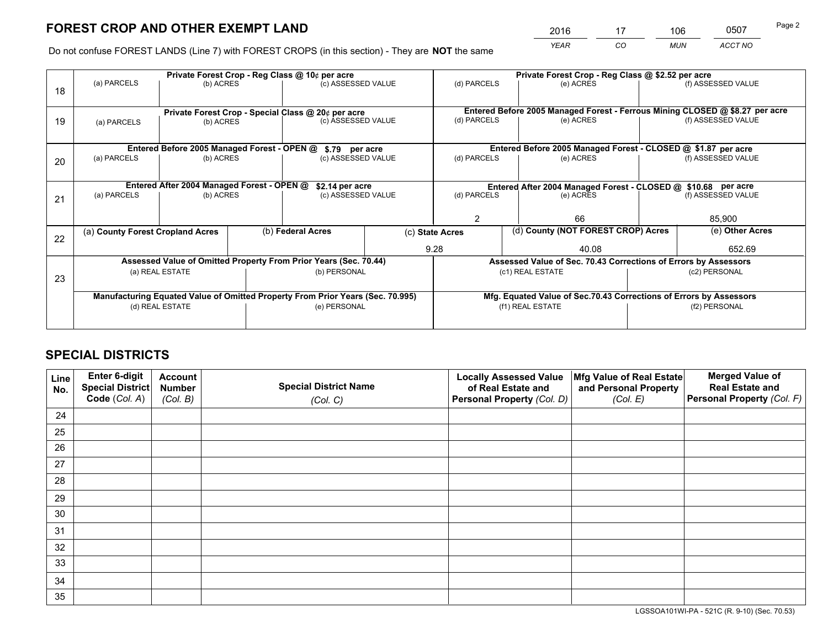*YEAR CO MUN ACCT NO* <sup>2016</sup> <sup>17</sup> <sup>106</sup> <sup>0507</sup>

Do not confuse FOREST LANDS (Line 7) with FOREST CROPS (in this section) - They are **NOT** the same

|    |                                                                                |                                             |  | Private Forest Crop - Reg Class @ 10¢ per acre                           |  |                  | Private Forest Crop - Reg Class @ \$2.52 per acre                            |               |                    |  |
|----|--------------------------------------------------------------------------------|---------------------------------------------|--|--------------------------------------------------------------------------|--|------------------|------------------------------------------------------------------------------|---------------|--------------------|--|
| 18 | (a) PARCELS                                                                    | (b) ACRES                                   |  | (c) ASSESSED VALUE                                                       |  | (d) PARCELS      | (e) ACRES                                                                    |               | (f) ASSESSED VALUE |  |
|    |                                                                                |                                             |  |                                                                          |  |                  | Entered Before 2005 Managed Forest - Ferrous Mining CLOSED @ \$8.27 per acre |               |                    |  |
| 19 | (a) PARCELS                                                                    | (b) ACRES                                   |  | Private Forest Crop - Special Class @ 20¢ per acre<br>(c) ASSESSED VALUE |  | (d) PARCELS      | (e) ACRES                                                                    |               | (f) ASSESSED VALUE |  |
|    |                                                                                |                                             |  |                                                                          |  |                  |                                                                              |               |                    |  |
|    |                                                                                | Entered Before 2005 Managed Forest - OPEN @ |  | \$.79 per acre                                                           |  |                  | Entered Before 2005 Managed Forest - CLOSED @ \$1.87 per acre                |               |                    |  |
| 20 | (a) PARCELS<br>(b) ACRES                                                       |                                             |  | (c) ASSESSED VALUE                                                       |  | (d) PARCELS      | (e) ACRES                                                                    |               | (f) ASSESSED VALUE |  |
|    | Entered After 2004 Managed Forest - OPEN @                                     |                                             |  | \$2.14 per acre                                                          |  |                  | Entered After 2004 Managed Forest - CLOSED @ \$10.68 per acre                |               |                    |  |
| 21 | (a) PARCELS                                                                    | (b) ACRES                                   |  | (c) ASSESSED VALUE                                                       |  | (d) PARCELS      | (e) ACRES                                                                    |               | (f) ASSESSED VALUE |  |
|    |                                                                                |                                             |  |                                                                          |  |                  |                                                                              |               |                    |  |
|    |                                                                                |                                             |  |                                                                          |  | $\mathcal{P}$    | 66                                                                           |               | 85,900             |  |
|    | (a) County Forest Cropland Acres                                               |                                             |  | (b) Federal Acres                                                        |  | (c) State Acres  | (d) County (NOT FOREST CROP) Acres                                           |               | (e) Other Acres    |  |
| 22 |                                                                                |                                             |  |                                                                          |  | 9.28<br>40.08    |                                                                              |               | 652.69             |  |
|    |                                                                                |                                             |  | Assessed Value of Omitted Property From Prior Years (Sec. 70.44)         |  |                  | Assessed Value of Sec. 70.43 Corrections of Errors by Assessors              |               |                    |  |
|    |                                                                                | (a) REAL ESTATE                             |  | (b) PERSONAL                                                             |  |                  | (c1) REAL ESTATE                                                             | (c2) PERSONAL |                    |  |
| 23 |                                                                                |                                             |  |                                                                          |  |                  |                                                                              |               |                    |  |
|    | Manufacturing Equated Value of Omitted Property From Prior Years (Sec. 70.995) |                                             |  |                                                                          |  |                  | Mfg. Equated Value of Sec.70.43 Corrections of Errors by Assessors           |               |                    |  |
|    | (d) REAL ESTATE                                                                |                                             |  | (e) PERSONAL                                                             |  | (f1) REAL ESTATE |                                                                              | (f2) PERSONAL |                    |  |
|    |                                                                                |                                             |  |                                                                          |  |                  |                                                                              |               |                    |  |

## **SPECIAL DISTRICTS**

| Line<br>No. | Enter 6-digit<br><b>Special District</b> | <b>Account</b><br><b>Number</b> | <b>Special District Name</b> | <b>Locally Assessed Value</b><br>of Real Estate and | Mfg Value of Real Estate<br>and Personal Property | <b>Merged Value of</b><br><b>Real Estate and</b> |
|-------------|------------------------------------------|---------------------------------|------------------------------|-----------------------------------------------------|---------------------------------------------------|--------------------------------------------------|
|             | Code (Col. A)                            | (Col. B)                        | (Col. C)                     | Personal Property (Col. D)                          | (Col. E)                                          | Personal Property (Col. F)                       |
| 24          |                                          |                                 |                              |                                                     |                                                   |                                                  |
| 25          |                                          |                                 |                              |                                                     |                                                   |                                                  |
| 26          |                                          |                                 |                              |                                                     |                                                   |                                                  |
| 27          |                                          |                                 |                              |                                                     |                                                   |                                                  |
| 28          |                                          |                                 |                              |                                                     |                                                   |                                                  |
| 29          |                                          |                                 |                              |                                                     |                                                   |                                                  |
| 30          |                                          |                                 |                              |                                                     |                                                   |                                                  |
| 31          |                                          |                                 |                              |                                                     |                                                   |                                                  |
| 32          |                                          |                                 |                              |                                                     |                                                   |                                                  |
| 33          |                                          |                                 |                              |                                                     |                                                   |                                                  |
| 34          |                                          |                                 |                              |                                                     |                                                   |                                                  |
| 35          |                                          |                                 |                              |                                                     |                                                   |                                                  |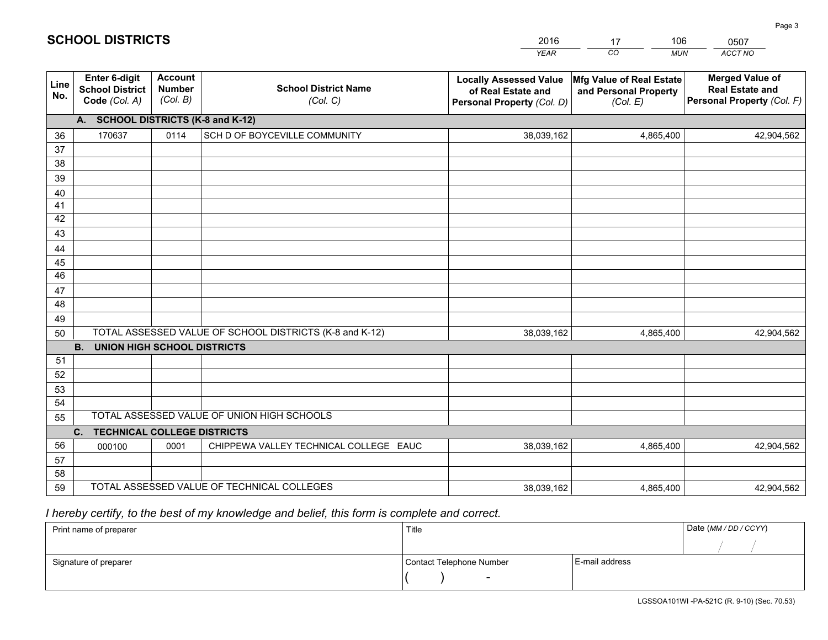|             |                                                                 |                                             |                                                         | <b>YEAR</b>                                                                       | CO<br><b>MUN</b>                                              | ACCT NO                                                                        |
|-------------|-----------------------------------------------------------------|---------------------------------------------|---------------------------------------------------------|-----------------------------------------------------------------------------------|---------------------------------------------------------------|--------------------------------------------------------------------------------|
| Line<br>No. | <b>Enter 6-digit</b><br><b>School District</b><br>Code (Col. A) | <b>Account</b><br><b>Number</b><br>(Col. B) | <b>School District Name</b><br>(Col. C)                 | <b>Locally Assessed Value</b><br>of Real Estate and<br>Personal Property (Col. D) | Mfg Value of Real Estate<br>and Personal Property<br>(Col. E) | <b>Merged Value of</b><br><b>Real Estate and</b><br>Personal Property (Col. F) |
|             | A. SCHOOL DISTRICTS (K-8 and K-12)                              |                                             |                                                         |                                                                                   |                                                               |                                                                                |
| 36          | 170637                                                          | 0114                                        | SCH D OF BOYCEVILLE COMMUNITY                           | 38,039,162                                                                        | 4,865,400                                                     | 42,904,562                                                                     |
| 37          |                                                                 |                                             |                                                         |                                                                                   |                                                               |                                                                                |
| 38          |                                                                 |                                             |                                                         |                                                                                   |                                                               |                                                                                |
| 39          |                                                                 |                                             |                                                         |                                                                                   |                                                               |                                                                                |
| 40          |                                                                 |                                             |                                                         |                                                                                   |                                                               |                                                                                |
| 41<br>42    |                                                                 |                                             |                                                         |                                                                                   |                                                               |                                                                                |
| 43          |                                                                 |                                             |                                                         |                                                                                   |                                                               |                                                                                |
| 44          |                                                                 |                                             |                                                         |                                                                                   |                                                               |                                                                                |
| 45          |                                                                 |                                             |                                                         |                                                                                   |                                                               |                                                                                |
| 46          |                                                                 |                                             |                                                         |                                                                                   |                                                               |                                                                                |
| 47          |                                                                 |                                             |                                                         |                                                                                   |                                                               |                                                                                |
| 48          |                                                                 |                                             |                                                         |                                                                                   |                                                               |                                                                                |
| 49          |                                                                 |                                             |                                                         |                                                                                   |                                                               |                                                                                |
| 50          |                                                                 |                                             | TOTAL ASSESSED VALUE OF SCHOOL DISTRICTS (K-8 and K-12) | 38,039,162                                                                        | 4,865,400                                                     | 42,904,562                                                                     |
|             | <b>B. UNION HIGH SCHOOL DISTRICTS</b>                           |                                             |                                                         |                                                                                   |                                                               |                                                                                |
| 51          |                                                                 |                                             |                                                         |                                                                                   |                                                               |                                                                                |
| 52          |                                                                 |                                             |                                                         |                                                                                   |                                                               |                                                                                |
| 53<br>54    |                                                                 |                                             |                                                         |                                                                                   |                                                               |                                                                                |
| 55          |                                                                 |                                             | TOTAL ASSESSED VALUE OF UNION HIGH SCHOOLS              |                                                                                   |                                                               |                                                                                |
|             | C.<br><b>TECHNICAL COLLEGE DISTRICTS</b>                        |                                             |                                                         |                                                                                   |                                                               |                                                                                |
| 56          | 000100                                                          | 0001                                        | CHIPPEWA VALLEY TECHNICAL COLLEGE EAUC                  | 38,039,162                                                                        | 4,865,400                                                     | 42,904,562                                                                     |
| 57          |                                                                 |                                             |                                                         |                                                                                   |                                                               |                                                                                |
| 58          |                                                                 |                                             |                                                         |                                                                                   |                                                               |                                                                                |
| 59          |                                                                 |                                             | TOTAL ASSESSED VALUE OF TECHNICAL COLLEGES              | 38,039,162                                                                        | 4,865,400                                                     | 42,904,562                                                                     |

17

106

 *I hereby certify, to the best of my knowledge and belief, this form is complete and correct.*

**SCHOOL DISTRICTS**

| Print name of preparer | Title                    | Date (MM / DD / CCYY) |  |
|------------------------|--------------------------|-----------------------|--|
|                        |                          |                       |  |
| Signature of preparer  | Contact Telephone Number | E-mail address        |  |
|                        | $\sim$                   |                       |  |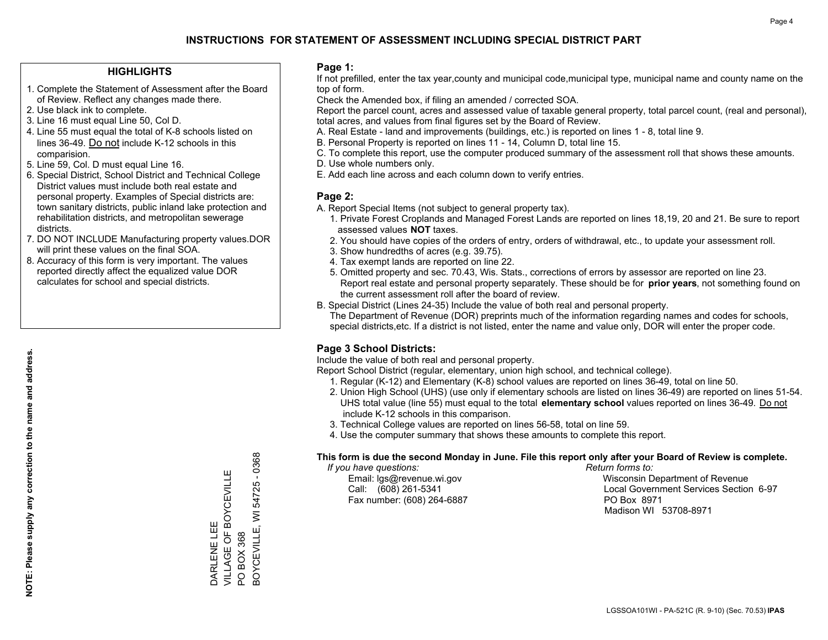#### **HIGHLIGHTS**

- 1. Complete the Statement of Assessment after the Board of Review. Reflect any changes made there.
- 2. Use black ink to complete.
- 3. Line 16 must equal Line 50, Col D.
- 4. Line 55 must equal the total of K-8 schools listed on lines 36-49. Do not include K-12 schools in this comparision.
- 5. Line 59, Col. D must equal Line 16.
- 6. Special District, School District and Technical College District values must include both real estate and personal property. Examples of Special districts are: town sanitary districts, public inland lake protection and rehabilitation districts, and metropolitan sewerage districts.
- 7. DO NOT INCLUDE Manufacturing property values.DOR will print these values on the final SOA.

DARLENE LEE

DARLENE LEE

VILLAGE OF BOYCEVILLE

VILLAGE OF BOYCEVILLE

PO BOX 368

 $\overline{S}$ 

BOX 368

BOYCEVILLE, WI 54725 - 0368

3OYCEVILLE, WI 54725

 $-0368$ 

 8. Accuracy of this form is very important. The values reported directly affect the equalized value DOR calculates for school and special districts.

#### **Page 1:**

 If not prefilled, enter the tax year,county and municipal code,municipal type, municipal name and county name on the top of form.

Check the Amended box, if filing an amended / corrected SOA.

 Report the parcel count, acres and assessed value of taxable general property, total parcel count, (real and personal), total acres, and values from final figures set by the Board of Review.

- A. Real Estate land and improvements (buildings, etc.) is reported on lines 1 8, total line 9.
- B. Personal Property is reported on lines 11 14, Column D, total line 15.
- C. To complete this report, use the computer produced summary of the assessment roll that shows these amounts.
- D. Use whole numbers only.
- E. Add each line across and each column down to verify entries.

#### **Page 2:**

- A. Report Special Items (not subject to general property tax).
- 1. Private Forest Croplands and Managed Forest Lands are reported on lines 18,19, 20 and 21. Be sure to report assessed values **NOT** taxes.
- 2. You should have copies of the orders of entry, orders of withdrawal, etc., to update your assessment roll.
	- 3. Show hundredths of acres (e.g. 39.75).
- 4. Tax exempt lands are reported on line 22.
- 5. Omitted property and sec. 70.43, Wis. Stats., corrections of errors by assessor are reported on line 23. Report real estate and personal property separately. These should be for **prior years**, not something found on the current assessment roll after the board of review.
- B. Special District (Lines 24-35) Include the value of both real and personal property.
- The Department of Revenue (DOR) preprints much of the information regarding names and codes for schools, special districts,etc. If a district is not listed, enter the name and value only, DOR will enter the proper code.

## **Page 3 School Districts:**

Include the value of both real and personal property.

Report School District (regular, elementary, union high school, and technical college).

- 1. Regular (K-12) and Elementary (K-8) school values are reported on lines 36-49, total on line 50.
- 2. Union High School (UHS) (use only if elementary schools are listed on lines 36-49) are reported on lines 51-54. UHS total value (line 55) must equal to the total **elementary school** values reported on lines 36-49. Do notinclude K-12 schools in this comparison.
- 3. Technical College values are reported on lines 56-58, total on line 59.
- 4. Use the computer summary that shows these amounts to complete this report.

#### **This form is due the second Monday in June. File this report only after your Board of Review is complete.**

 *If you have questions: Return forms to:*

Fax number: (608) 264-6887 PO Box 8971

 Email: lgs@revenue.wi.gov Wisconsin Department of Revenue Call: (608) 261-5341 Local Government Services Section 6-97Madison WI 53708-8971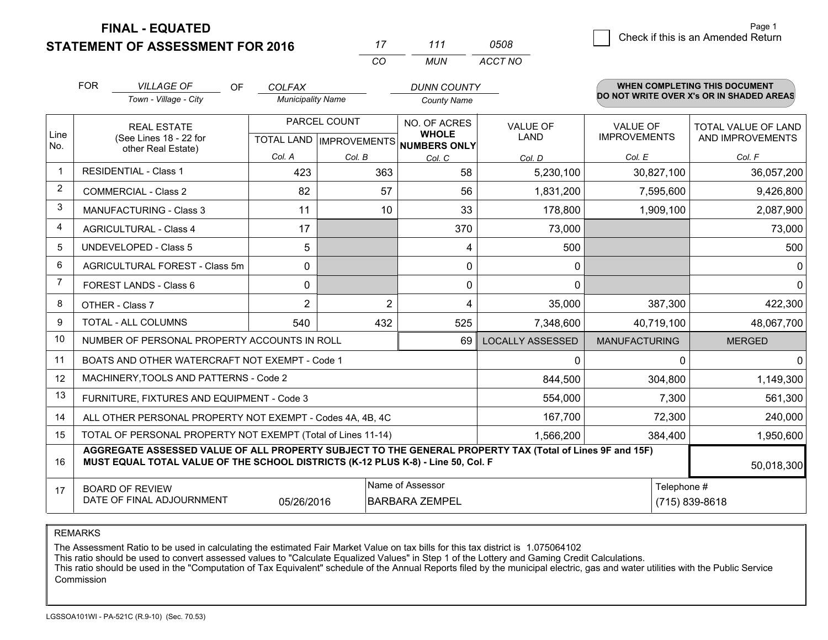**FINAL - EQUATED**

**STATEMENT OF ASSESSMENT FOR 2016** 

| 8 | Check if this is an Amended Return | raye i |
|---|------------------------------------|--------|
|   |                                    |        |

Page 1

|                | <b>FOR</b>                                                                                                                    | <b>VILLAGE OF</b><br><b>OF</b>                                                                                                                                                               | <b>COLFAX</b>            |                                                  | <b>DUNN COUNTY</b>                           |                         |                                        | WHEN COMPLETING THIS DOCUMENT            |
|----------------|-------------------------------------------------------------------------------------------------------------------------------|----------------------------------------------------------------------------------------------------------------------------------------------------------------------------------------------|--------------------------|--------------------------------------------------|----------------------------------------------|-------------------------|----------------------------------------|------------------------------------------|
|                |                                                                                                                               | Town - Village - City                                                                                                                                                                        | <b>Municipality Name</b> |                                                  | <b>County Name</b>                           |                         |                                        | DO NOT WRITE OVER X's OR IN SHADED AREAS |
| Line<br>No.    |                                                                                                                               | REAL ESTATE<br>(See Lines 18 - 22 for                                                                                                                                                        |                          | PARCEL COUNT<br><b>TOTAL LAND   IMPROVEMENTS</b> | NO. OF ACRES<br><b>WHOLE</b><br>NUMBERS ONLY | VALUE OF<br><b>LAND</b> | <b>VALUE OF</b><br><b>IMPROVEMENTS</b> | TOTAL VALUE OF LAND<br>AND IMPROVEMENTS  |
|                | other Real Estate)                                                                                                            |                                                                                                                                                                                              | Col. A                   | Col. B                                           | Col. C                                       | Col. D                  | Col. E                                 | Col. F                                   |
| $\mathbf 1$    |                                                                                                                               | <b>RESIDENTIAL - Class 1</b>                                                                                                                                                                 | 423                      | 363                                              | 58                                           | 5,230,100               | 30,827,100                             | 36,057,200                               |
| 2              |                                                                                                                               | <b>COMMERCIAL - Class 2</b>                                                                                                                                                                  | 82                       | 57                                               | 56                                           | 1,831,200               | 7,595,600                              | 9,426,800                                |
| 3              |                                                                                                                               | <b>MANUFACTURING - Class 3</b>                                                                                                                                                               | 11                       | 10                                               | 33                                           | 178,800                 | 1,909,100                              | 2,087,900                                |
| 4              | <b>AGRICULTURAL - Class 4</b>                                                                                                 |                                                                                                                                                                                              | 17                       |                                                  | 370                                          | 73,000                  |                                        | 73,000                                   |
| 5              | <b>UNDEVELOPED - Class 5</b>                                                                                                  |                                                                                                                                                                                              | 5                        |                                                  | 4                                            | 500                     |                                        | 500                                      |
| 6              |                                                                                                                               | AGRICULTURAL FOREST - Class 5m                                                                                                                                                               | 0                        |                                                  | 0                                            | 0                       |                                        |                                          |
| $\overline{7}$ |                                                                                                                               | FOREST LANDS - Class 6                                                                                                                                                                       | 0                        |                                                  | 0                                            | 0                       |                                        | 0                                        |
| 8              |                                                                                                                               | OTHER - Class 7                                                                                                                                                                              | $\overline{2}$           | $\overline{2}$                                   | 4                                            | 35,000                  | 387,300                                | 422,300                                  |
| 9              |                                                                                                                               | TOTAL - ALL COLUMNS                                                                                                                                                                          | 540                      | 432                                              | 525                                          | 7,348,600               | 40,719,100                             | 48,067,700                               |
| 10             |                                                                                                                               | NUMBER OF PERSONAL PROPERTY ACCOUNTS IN ROLL                                                                                                                                                 |                          |                                                  | 69                                           | <b>LOCALLY ASSESSED</b> | <b>MANUFACTURING</b>                   | <b>MERGED</b>                            |
| 11             |                                                                                                                               | BOATS AND OTHER WATERCRAFT NOT EXEMPT - Code 1                                                                                                                                               |                          |                                                  |                                              | 0                       | 0                                      |                                          |
| 12             |                                                                                                                               | MACHINERY, TOOLS AND PATTERNS - Code 2                                                                                                                                                       |                          |                                                  |                                              | 844,500                 | 304,800                                | 1,149,300                                |
| 13             |                                                                                                                               | FURNITURE, FIXTURES AND EQUIPMENT - Code 3                                                                                                                                                   |                          |                                                  |                                              | 554,000                 | 7,300                                  | 561,300                                  |
| 14             |                                                                                                                               | ALL OTHER PERSONAL PROPERTY NOT EXEMPT - Codes 4A, 4B, 4C                                                                                                                                    |                          |                                                  |                                              | 167,700                 | 72,300                                 | 240,000                                  |
| 15             |                                                                                                                               | TOTAL OF PERSONAL PROPERTY NOT EXEMPT (Total of Lines 11-14)                                                                                                                                 |                          |                                                  |                                              | 1,566,200               | 384,400                                | 1,950,600                                |
| 16             |                                                                                                                               | AGGREGATE ASSESSED VALUE OF ALL PROPERTY SUBJECT TO THE GENERAL PROPERTY TAX (Total of Lines 9F and 15F)<br>MUST EQUAL TOTAL VALUE OF THE SCHOOL DISTRICTS (K-12 PLUS K-8) - Line 50, Col. F |                          |                                                  |                                              |                         |                                        | 50,018,300                               |
| 17             | Name of Assessor<br>Telephone #<br><b>BOARD OF REVIEW</b><br>DATE OF FINAL ADJOURNMENT<br>05/26/2016<br><b>BARBARA ZEMPEL</b> |                                                                                                                                                                                              |                          |                                                  |                                              |                         |                                        | (715) 839-8618                           |

*CO*

*MUN*

*ACCT NO0508*

*<sup>17</sup> <sup>111</sup>*

REMARKS

The Assessment Ratio to be used in calculating the estimated Fair Market Value on tax bills for this tax district is 1.075064102<br>This ratio should be used to convert assessed values to "Calculate Equalized Values" in Step Commission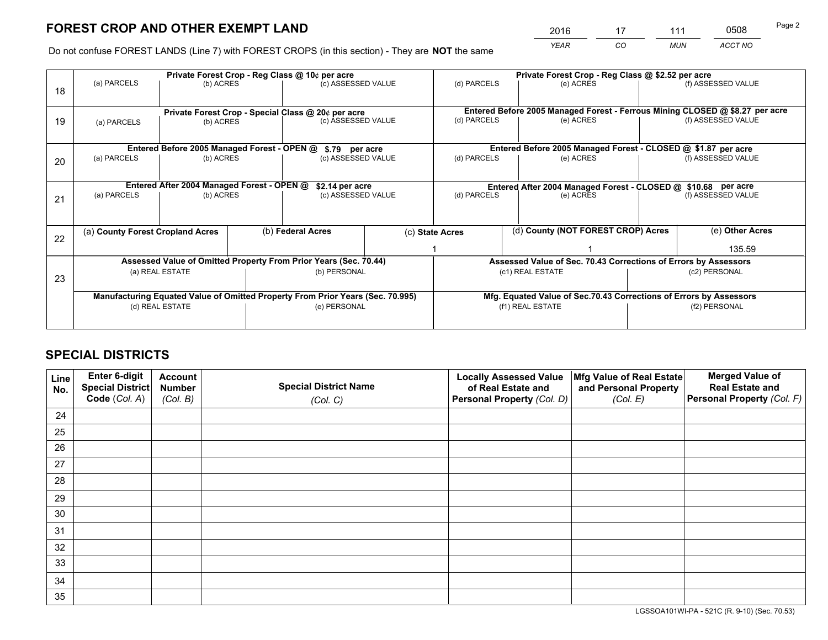*YEAR CO MUN ACCT NO* <sup>2016</sup> <sup>17</sup> <sup>111</sup> <sup>0508</sup>

Do not confuse FOREST LANDS (Line 7) with FOREST CROPS (in this section) - They are **NOT** the same

|    |                                  |                                                                                |                   | Private Forest Crop - Reg Class @ 10¢ per acre |                  |                                                                              | Private Forest Crop - Reg Class @ \$2.52 per acre |               |                    |                                                                    |
|----|----------------------------------|--------------------------------------------------------------------------------|-------------------|------------------------------------------------|------------------|------------------------------------------------------------------------------|---------------------------------------------------|---------------|--------------------|--------------------------------------------------------------------|
| 18 | (a) PARCELS                      | (b) ACRES                                                                      |                   | (c) ASSESSED VALUE                             |                  | (d) PARCELS                                                                  |                                                   | (e) ACRES     |                    | (f) ASSESSED VALUE                                                 |
|    |                                  | Private Forest Crop - Special Class @ 20¢ per acre                             |                   |                                                |                  | Entered Before 2005 Managed Forest - Ferrous Mining CLOSED @ \$8.27 per acre |                                                   |               |                    |                                                                    |
| 19 | (a) PARCELS                      | (b) ACRES                                                                      |                   | (c) ASSESSED VALUE                             |                  | (d) PARCELS                                                                  |                                                   | (e) ACRES     |                    | (f) ASSESSED VALUE                                                 |
|    |                                  | Entered Before 2005 Managed Forest - OPEN @                                    |                   |                                                |                  |                                                                              |                                                   |               |                    | Entered Before 2005 Managed Forest - CLOSED @ \$1.87 per acre      |
| 20 | (a) PARCELS<br>(b) ACRES         |                                                                                |                   | \$.79 per acre<br>(c) ASSESSED VALUE           |                  | (d) PARCELS<br>(e) ACRES                                                     |                                                   |               | (f) ASSESSED VALUE |                                                                    |
|    |                                  | Entered After 2004 Managed Forest - OPEN @                                     |                   | \$2.14 per acre                                |                  | Entered After 2004 Managed Forest - CLOSED @ \$10.68 per acre                |                                                   |               |                    |                                                                    |
| 21 | (a) PARCELS<br>(b) ACRES         |                                                                                |                   | (c) ASSESSED VALUE                             |                  | (d) PARCELS<br>(e) ACRES                                                     |                                                   |               | (f) ASSESSED VALUE |                                                                    |
| 22 | (a) County Forest Cropland Acres |                                                                                | (b) Federal Acres |                                                |                  | (d) County (NOT FOREST CROP) Acres<br>(c) State Acres                        |                                                   |               |                    | (e) Other Acres                                                    |
|    |                                  |                                                                                |                   |                                                |                  |                                                                              |                                                   |               |                    | 135.59                                                             |
|    |                                  | Assessed Value of Omitted Property From Prior Years (Sec. 70.44)               |                   |                                                |                  |                                                                              |                                                   |               |                    | Assessed Value of Sec. 70.43 Corrections of Errors by Assessors    |
| 23 | (a) REAL ESTATE                  |                                                                                |                   | (b) PERSONAL                                   | (c1) REAL ESTATE |                                                                              |                                                   | (c2) PERSONAL |                    |                                                                    |
|    |                                  | Manufacturing Equated Value of Omitted Property From Prior Years (Sec. 70.995) |                   |                                                |                  |                                                                              |                                                   |               |                    | Mfg. Equated Value of Sec.70.43 Corrections of Errors by Assessors |
|    |                                  | (d) REAL ESTATE                                                                | (e) PERSONAL      |                                                |                  | (f1) REAL ESTATE                                                             |                                                   |               |                    | (f2) PERSONAL                                                      |
|    |                                  |                                                                                |                   |                                                |                  |                                                                              |                                                   |               |                    |                                                                    |

## **SPECIAL DISTRICTS**

| Line<br>No. | Enter 6-digit<br>Special District<br>Code (Col. A) | <b>Account</b><br><b>Number</b> | <b>Special District Name</b> | <b>Locally Assessed Value</b><br>of Real Estate and | Mfg Value of Real Estate<br>and Personal Property | <b>Merged Value of</b><br><b>Real Estate and</b><br>Personal Property (Col. F) |
|-------------|----------------------------------------------------|---------------------------------|------------------------------|-----------------------------------------------------|---------------------------------------------------|--------------------------------------------------------------------------------|
|             |                                                    | (Col. B)                        | (Col. C)                     | Personal Property (Col. D)                          | (Col. E)                                          |                                                                                |
| 24          |                                                    |                                 |                              |                                                     |                                                   |                                                                                |
| 25          |                                                    |                                 |                              |                                                     |                                                   |                                                                                |
| 26          |                                                    |                                 |                              |                                                     |                                                   |                                                                                |
| 27          |                                                    |                                 |                              |                                                     |                                                   |                                                                                |
| 28          |                                                    |                                 |                              |                                                     |                                                   |                                                                                |
| 29          |                                                    |                                 |                              |                                                     |                                                   |                                                                                |
| 30          |                                                    |                                 |                              |                                                     |                                                   |                                                                                |
| 31          |                                                    |                                 |                              |                                                     |                                                   |                                                                                |
| 32          |                                                    |                                 |                              |                                                     |                                                   |                                                                                |
| 33          |                                                    |                                 |                              |                                                     |                                                   |                                                                                |
| 34          |                                                    |                                 |                              |                                                     |                                                   |                                                                                |
| 35          |                                                    |                                 |                              |                                                     |                                                   |                                                                                |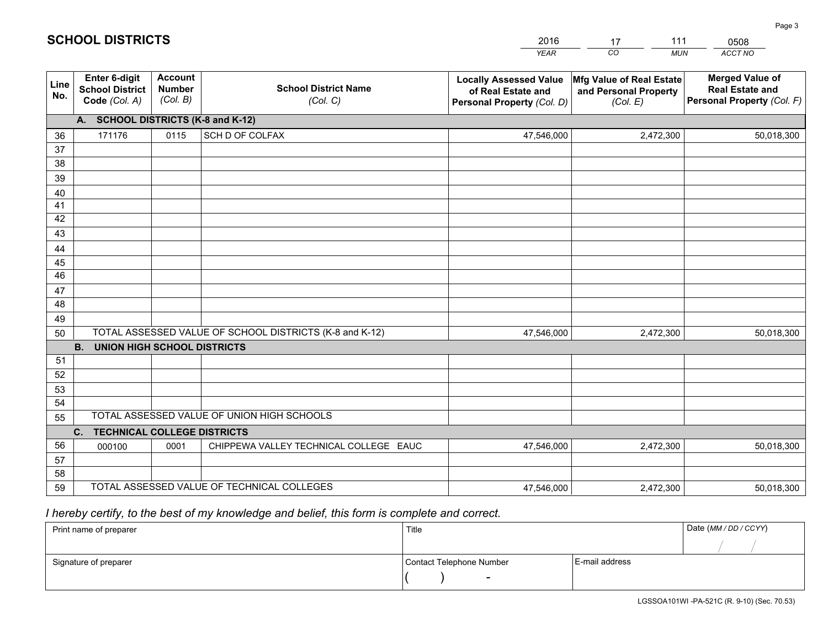|             |                                                          |                                             |                                                         | YEAR                                                                              | CO.<br><b>MUN</b>                                             | ACCT NO                                                                        |
|-------------|----------------------------------------------------------|---------------------------------------------|---------------------------------------------------------|-----------------------------------------------------------------------------------|---------------------------------------------------------------|--------------------------------------------------------------------------------|
| Line<br>No. | Enter 6-digit<br><b>School District</b><br>Code (Col. A) | <b>Account</b><br><b>Number</b><br>(Col. B) | <b>School District Name</b><br>(Col. C)                 | <b>Locally Assessed Value</b><br>of Real Estate and<br>Personal Property (Col. D) | Mfg Value of Real Estate<br>and Personal Property<br>(Col. E) | <b>Merged Value of</b><br><b>Real Estate and</b><br>Personal Property (Col. F) |
|             | A. SCHOOL DISTRICTS (K-8 and K-12)                       |                                             |                                                         |                                                                                   |                                                               |                                                                                |
| 36          | 171176                                                   | 0115                                        | SCH D OF COLFAX                                         | 47,546,000                                                                        | 2,472,300                                                     | 50,018,300                                                                     |
| 37          |                                                          |                                             |                                                         |                                                                                   |                                                               |                                                                                |
| 38          |                                                          |                                             |                                                         |                                                                                   |                                                               |                                                                                |
| 39          |                                                          |                                             |                                                         |                                                                                   |                                                               |                                                                                |
| 40          |                                                          |                                             |                                                         |                                                                                   |                                                               |                                                                                |
| 41          |                                                          |                                             |                                                         |                                                                                   |                                                               |                                                                                |
| 42<br>43    |                                                          |                                             |                                                         |                                                                                   |                                                               |                                                                                |
| 44          |                                                          |                                             |                                                         |                                                                                   |                                                               |                                                                                |
| 45          |                                                          |                                             |                                                         |                                                                                   |                                                               |                                                                                |
| 46          |                                                          |                                             |                                                         |                                                                                   |                                                               |                                                                                |
| 47          |                                                          |                                             |                                                         |                                                                                   |                                                               |                                                                                |
| 48          |                                                          |                                             |                                                         |                                                                                   |                                                               |                                                                                |
| 49          |                                                          |                                             |                                                         |                                                                                   |                                                               |                                                                                |
| 50          |                                                          |                                             | TOTAL ASSESSED VALUE OF SCHOOL DISTRICTS (K-8 and K-12) | 47,546,000                                                                        | 2,472,300                                                     | 50,018,300                                                                     |
|             | <b>B. UNION HIGH SCHOOL DISTRICTS</b>                    |                                             |                                                         |                                                                                   |                                                               |                                                                                |
| 51          |                                                          |                                             |                                                         |                                                                                   |                                                               |                                                                                |
| 52          |                                                          |                                             |                                                         |                                                                                   |                                                               |                                                                                |
| 53          |                                                          |                                             |                                                         |                                                                                   |                                                               |                                                                                |
| 54          |                                                          |                                             |                                                         |                                                                                   |                                                               |                                                                                |
| 55          |                                                          |                                             | TOTAL ASSESSED VALUE OF UNION HIGH SCHOOLS              |                                                                                   |                                                               |                                                                                |
|             | C.<br><b>TECHNICAL COLLEGE DISTRICTS</b>                 |                                             |                                                         |                                                                                   |                                                               |                                                                                |
| 56          | 000100                                                   | 0001                                        | CHIPPEWA VALLEY TECHNICAL COLLEGE EAUC                  | 47,546,000                                                                        | 2,472,300                                                     | 50,018,300                                                                     |
| 57<br>58    |                                                          |                                             |                                                         |                                                                                   |                                                               |                                                                                |
| 59          |                                                          |                                             | TOTAL ASSESSED VALUE OF TECHNICAL COLLEGES              | 47,546,000                                                                        | 2,472,300                                                     | 50,018,300                                                                     |
|             |                                                          |                                             |                                                         |                                                                                   |                                                               |                                                                                |

17

111

 *I hereby certify, to the best of my knowledge and belief, this form is complete and correct.*

**SCHOOL DISTRICTS**

| Print name of preparer | Title                    | Date (MM/DD/CCYY) |  |
|------------------------|--------------------------|-------------------|--|
|                        |                          |                   |  |
| Signature of preparer  | Contact Telephone Number | E-mail address    |  |
|                        | $\overline{\phantom{a}}$ |                   |  |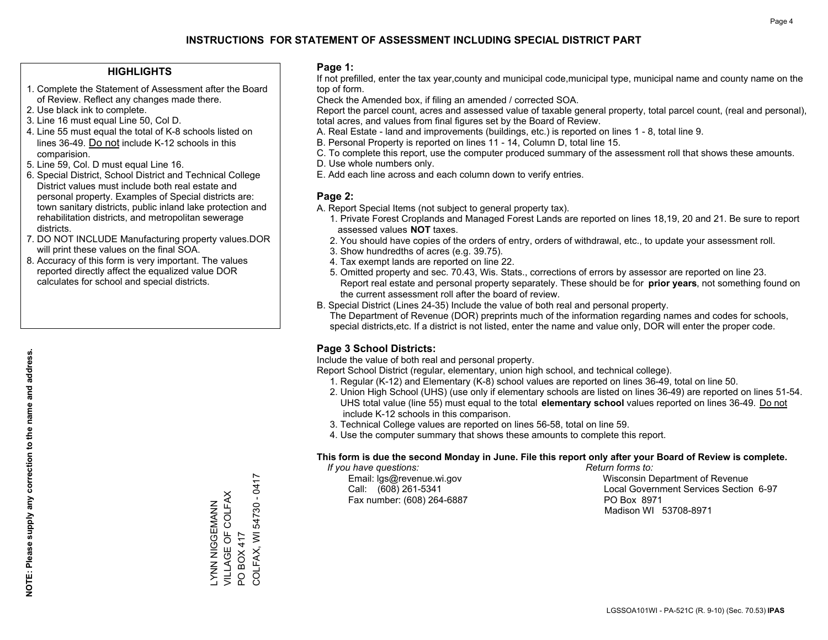#### **HIGHLIGHTS**

- 1. Complete the Statement of Assessment after the Board of Review. Reflect any changes made there.
- 2. Use black ink to complete.
- 3. Line 16 must equal Line 50, Col D.
- 4. Line 55 must equal the total of K-8 schools listed on lines 36-49. Do not include K-12 schools in this comparision.
- 5. Line 59, Col. D must equal Line 16.
- 6. Special District, School District and Technical College District values must include both real estate and personal property. Examples of Special districts are: town sanitary districts, public inland lake protection and rehabilitation districts, and metropolitan sewerage districts.
- 7. DO NOT INCLUDE Manufacturing property values.DOR will print these values on the final SOA.

ZZYMIUGUN ZZYJ VILLAGE OF COLFAX

LYNN NIGGEMANN<br>VILLAGE OF COLFAX<br>PO BOX 417

PO BOX 417

COLFAX, WI 54730 - 0417

COLFAX, WI 54730 - 0417

 8. Accuracy of this form is very important. The values reported directly affect the equalized value DOR calculates for school and special districts.

#### **Page 1:**

 If not prefilled, enter the tax year,county and municipal code,municipal type, municipal name and county name on the top of form.

Check the Amended box, if filing an amended / corrected SOA.

 Report the parcel count, acres and assessed value of taxable general property, total parcel count, (real and personal), total acres, and values from final figures set by the Board of Review.

- A. Real Estate land and improvements (buildings, etc.) is reported on lines 1 8, total line 9.
- B. Personal Property is reported on lines 11 14, Column D, total line 15.
- C. To complete this report, use the computer produced summary of the assessment roll that shows these amounts.
- D. Use whole numbers only.
- E. Add each line across and each column down to verify entries.

#### **Page 2:**

- A. Report Special Items (not subject to general property tax).
- 1. Private Forest Croplands and Managed Forest Lands are reported on lines 18,19, 20 and 21. Be sure to report assessed values **NOT** taxes.
- 2. You should have copies of the orders of entry, orders of withdrawal, etc., to update your assessment roll.
	- 3. Show hundredths of acres (e.g. 39.75).
- 4. Tax exempt lands are reported on line 22.
- 5. Omitted property and sec. 70.43, Wis. Stats., corrections of errors by assessor are reported on line 23. Report real estate and personal property separately. These should be for **prior years**, not something found on the current assessment roll after the board of review.
- B. Special District (Lines 24-35) Include the value of both real and personal property.
- The Department of Revenue (DOR) preprints much of the information regarding names and codes for schools, special districts,etc. If a district is not listed, enter the name and value only, DOR will enter the proper code.

## **Page 3 School Districts:**

Include the value of both real and personal property.

Report School District (regular, elementary, union high school, and technical college).

- 1. Regular (K-12) and Elementary (K-8) school values are reported on lines 36-49, total on line 50.
- 2. Union High School (UHS) (use only if elementary schools are listed on lines 36-49) are reported on lines 51-54. UHS total value (line 55) must equal to the total **elementary school** values reported on lines 36-49. Do notinclude K-12 schools in this comparison.
- 3. Technical College values are reported on lines 56-58, total on line 59.
- 4. Use the computer summary that shows these amounts to complete this report.

#### **This form is due the second Monday in June. File this report only after your Board of Review is complete.**

 *If you have questions: Return forms to:*

Fax number: (608) 264-6887 PO Box 8971

 Email: lgs@revenue.wi.gov Wisconsin Department of Revenue Call: (608) 261-5341 Local Government Services Section 6-97Madison WI 53708-8971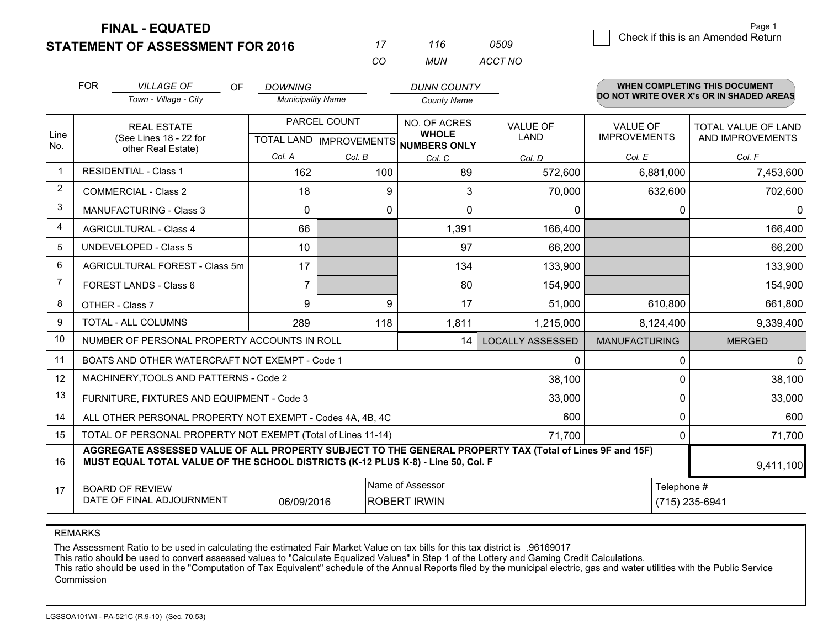**STATEMENT OF ASSESSMENT FOR 2016** 

**FINAL - EQUATED**

|                | <b>FOR</b>                                                                                                   | <b>VILLAGE OF</b><br>OF<br>Town - Village - City                                                                                                                                             | <b>DOWNING</b><br><b>Municipality Name</b> |              | <b>DUNN COUNTY</b><br><b>County Name</b>                             |                         |                                        | <b>WHEN COMPLETING THIS DOCUMENT</b><br>DO NOT WRITE OVER X's OR IN SHADED AREAS |
|----------------|--------------------------------------------------------------------------------------------------------------|----------------------------------------------------------------------------------------------------------------------------------------------------------------------------------------------|--------------------------------------------|--------------|----------------------------------------------------------------------|-------------------------|----------------------------------------|----------------------------------------------------------------------------------|
| Line<br>No.    | <b>REAL ESTATE</b><br>(See Lines 18 - 22 for                                                                 |                                                                                                                                                                                              |                                            | PARCEL COUNT | NO. OF ACRES<br><b>WHOLE</b><br>TOTAL LAND IMPROVEMENTS NUMBERS ONLY | <b>VALUE OF</b><br>LAND | <b>VALUE OF</b><br><b>IMPROVEMENTS</b> | <b>TOTAL VALUE OF LAND</b><br>AND IMPROVEMENTS                                   |
|                |                                                                                                              | other Real Estate)                                                                                                                                                                           | Col. A                                     | Col. B       | Col. C                                                               | Col. D                  | Col. E                                 | Col. F                                                                           |
| $\mathbf 1$    | <b>RESIDENTIAL - Class 1</b>                                                                                 |                                                                                                                                                                                              | 162                                        | 100          | 89                                                                   | 572,600                 | 6,881,000                              | 7,453,600                                                                        |
| 2              |                                                                                                              | <b>COMMERCIAL - Class 2</b>                                                                                                                                                                  | 18                                         | 9            | 3                                                                    | 70,000                  | 632,600                                | 702,600                                                                          |
| 3              |                                                                                                              | <b>MANUFACTURING - Class 3</b>                                                                                                                                                               | $\Omega$                                   | 0            | $\Omega$                                                             | 0                       | 0                                      | 0                                                                                |
| 4              | <b>AGRICULTURAL - Class 4</b>                                                                                |                                                                                                                                                                                              | 66                                         |              | 1,391                                                                | 166,400                 |                                        | 166,400                                                                          |
| 5              | <b>UNDEVELOPED - Class 5</b>                                                                                 |                                                                                                                                                                                              | 10                                         |              | 97                                                                   | 66,200                  |                                        | 66,200                                                                           |
| 6              | AGRICULTURAL FOREST - Class 5m                                                                               |                                                                                                                                                                                              | 17                                         |              | 134                                                                  | 133,900                 |                                        | 133,900                                                                          |
| $\overline{7}$ | <b>FOREST LANDS - Class 6</b>                                                                                |                                                                                                                                                                                              | $\overline{7}$                             |              | 80                                                                   | 154,900                 |                                        | 154,900                                                                          |
| 8              | OTHER - Class 7                                                                                              |                                                                                                                                                                                              | 9                                          | 9            | 17                                                                   | 51,000                  | 610,800                                | 661,800                                                                          |
| 9              |                                                                                                              | TOTAL - ALL COLUMNS                                                                                                                                                                          | 289                                        | 118          | 1,811                                                                | 1,215,000               | 8,124,400                              | 9,339,400                                                                        |
| 10             |                                                                                                              | NUMBER OF PERSONAL PROPERTY ACCOUNTS IN ROLL                                                                                                                                                 |                                            |              | 14                                                                   | <b>LOCALLY ASSESSED</b> | <b>MANUFACTURING</b>                   | <b>MERGED</b>                                                                    |
| 11             |                                                                                                              | BOATS AND OTHER WATERCRAFT NOT EXEMPT - Code 1                                                                                                                                               |                                            |              |                                                                      | 0                       | $\Omega$                               | 0                                                                                |
| 12             |                                                                                                              | MACHINERY, TOOLS AND PATTERNS - Code 2                                                                                                                                                       |                                            |              |                                                                      | 38,100                  | $\Omega$                               | 38,100                                                                           |
| 13             |                                                                                                              | FURNITURE, FIXTURES AND EQUIPMENT - Code 3                                                                                                                                                   |                                            |              |                                                                      | 33,000                  | 0                                      | 33,000                                                                           |
| 14             |                                                                                                              | ALL OTHER PERSONAL PROPERTY NOT EXEMPT - Codes 4A, 4B, 4C                                                                                                                                    |                                            |              |                                                                      | 600                     | $\Omega$                               | 600                                                                              |
| 15             |                                                                                                              | TOTAL OF PERSONAL PROPERTY NOT EXEMPT (Total of Lines 11-14)                                                                                                                                 |                                            |              |                                                                      | 71,700                  | $\Omega$                               | 71,700                                                                           |
| 16             |                                                                                                              | AGGREGATE ASSESSED VALUE OF ALL PROPERTY SUBJECT TO THE GENERAL PROPERTY TAX (Total of Lines 9F and 15F)<br>MUST EQUAL TOTAL VALUE OF THE SCHOOL DISTRICTS (K-12 PLUS K-8) - Line 50, Col. F |                                            |              |                                                                      |                         |                                        | 9,411,100                                                                        |
| 17             | Name of Assessor<br><b>BOARD OF REVIEW</b><br>DATE OF FINAL ADJOURNMENT<br>06/09/2016<br><b>ROBERT IRWIN</b> |                                                                                                                                                                                              |                                            |              |                                                                      |                         | Telephone #                            | (715) 235-6941                                                                   |

*CO*

*MUN*

*ACCT NO0509*

*<sup>17</sup> <sup>116</sup>*

REMARKS

The Assessment Ratio to be used in calculating the estimated Fair Market Value on tax bills for this tax district is .96169017<br>This ratio should be used to convert assessed values to "Calculate Equalized Values" in Step 1 Commission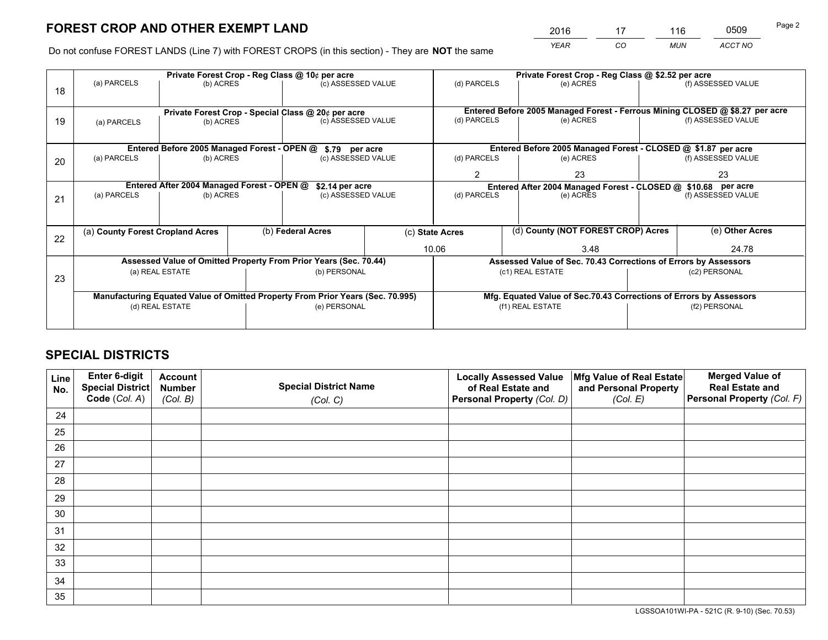*YEAR CO MUN ACCT NO* <sup>2016</sup> <sup>17</sup> <sup>116</sup> <sup>0509</sup>

Do not confuse FOREST LANDS (Line 7) with FOREST CROPS (in this section) - They are **NOT** the same

|    |                                  |                                             |  | Private Forest Crop - Reg Class @ 10¢ per acre                                 |                |                                                       | Private Forest Crop - Reg Class @ \$2.52 per acre                            |               |                    |  |
|----|----------------------------------|---------------------------------------------|--|--------------------------------------------------------------------------------|----------------|-------------------------------------------------------|------------------------------------------------------------------------------|---------------|--------------------|--|
| 18 | (a) PARCELS                      | (b) ACRES                                   |  | (c) ASSESSED VALUE                                                             |                | (d) PARCELS                                           | (e) ACRES                                                                    |               | (f) ASSESSED VALUE |  |
|    |                                  |                                             |  |                                                                                |                |                                                       |                                                                              |               |                    |  |
|    |                                  |                                             |  | Private Forest Crop - Special Class @ 20¢ per acre                             |                |                                                       | Entered Before 2005 Managed Forest - Ferrous Mining CLOSED @ \$8.27 per acre |               |                    |  |
| 19 | (a) PARCELS                      | (b) ACRES                                   |  | (c) ASSESSED VALUE                                                             |                | (d) PARCELS                                           | (e) ACRES                                                                    |               | (f) ASSESSED VALUE |  |
|    |                                  |                                             |  |                                                                                |                |                                                       |                                                                              |               |                    |  |
|    |                                  | Entered Before 2005 Managed Forest - OPEN @ |  | \$.79 per acre                                                                 |                |                                                       | Entered Before 2005 Managed Forest - CLOSED @ \$1.87 per acre                |               |                    |  |
| 20 | (a) PARCELS                      | (b) ACRES                                   |  | (c) ASSESSED VALUE                                                             |                | (d) PARCELS                                           | (e) ACRES                                                                    |               | (f) ASSESSED VALUE |  |
|    |                                  |                                             |  |                                                                                | $\overline{2}$ | 23                                                    |                                                                              | 23            |                    |  |
|    |                                  | Entered After 2004 Managed Forest - OPEN @  |  | \$2.14 per acre                                                                |                |                                                       | Entered After 2004 Managed Forest - CLOSED @ \$10.68 per acre                |               |                    |  |
| 21 | (a) PARCELS                      | (b) ACRES                                   |  | (c) ASSESSED VALUE                                                             |                | (d) PARCELS                                           | (e) ACRES                                                                    |               | (f) ASSESSED VALUE |  |
|    |                                  |                                             |  |                                                                                |                |                                                       |                                                                              |               |                    |  |
|    | (a) County Forest Cropland Acres |                                             |  | (b) Federal Acres                                                              |                | (d) County (NOT FOREST CROP) Acres<br>(c) State Acres |                                                                              |               | (e) Other Acres    |  |
| 22 |                                  |                                             |  |                                                                                |                |                                                       |                                                                              |               |                    |  |
|    |                                  |                                             |  |                                                                                |                | 10.06                                                 | 3.48                                                                         |               | 24.78              |  |
|    |                                  |                                             |  | Assessed Value of Omitted Property From Prior Years (Sec. 70.44)               |                |                                                       | Assessed Value of Sec. 70.43 Corrections of Errors by Assessors              |               |                    |  |
| 23 |                                  | (a) REAL ESTATE                             |  | (b) PERSONAL                                                                   |                |                                                       | (c1) REAL ESTATE                                                             |               | (c2) PERSONAL      |  |
|    |                                  |                                             |  |                                                                                |                |                                                       |                                                                              |               |                    |  |
|    |                                  |                                             |  | Manufacturing Equated Value of Omitted Property From Prior Years (Sec. 70.995) |                |                                                       | Mfg. Equated Value of Sec.70.43 Corrections of Errors by Assessors           |               |                    |  |
|    |                                  | (d) REAL ESTATE                             |  | (e) PERSONAL                                                                   |                |                                                       | (f1) REAL ESTATE                                                             | (f2) PERSONAL |                    |  |
|    |                                  |                                             |  |                                                                                |                |                                                       |                                                                              |               |                    |  |

## **SPECIAL DISTRICTS**

| Line<br>No. | Enter 6-digit<br>Special District<br>Code (Col. A) | <b>Account</b><br><b>Number</b><br>(Col. B) | <b>Special District Name</b><br>(Col. C) | <b>Locally Assessed Value</b><br>of Real Estate and<br>Personal Property (Col. D) | Mfg Value of Real Estate<br>and Personal Property<br>(Col. E) | <b>Merged Value of</b><br><b>Real Estate and</b><br>Personal Property (Col. F) |
|-------------|----------------------------------------------------|---------------------------------------------|------------------------------------------|-----------------------------------------------------------------------------------|---------------------------------------------------------------|--------------------------------------------------------------------------------|
| 24          |                                                    |                                             |                                          |                                                                                   |                                                               |                                                                                |
| 25          |                                                    |                                             |                                          |                                                                                   |                                                               |                                                                                |
| 26          |                                                    |                                             |                                          |                                                                                   |                                                               |                                                                                |
| 27          |                                                    |                                             |                                          |                                                                                   |                                                               |                                                                                |
| 28          |                                                    |                                             |                                          |                                                                                   |                                                               |                                                                                |
| 29          |                                                    |                                             |                                          |                                                                                   |                                                               |                                                                                |
| 30          |                                                    |                                             |                                          |                                                                                   |                                                               |                                                                                |
| 31          |                                                    |                                             |                                          |                                                                                   |                                                               |                                                                                |
| 32          |                                                    |                                             |                                          |                                                                                   |                                                               |                                                                                |
| 33          |                                                    |                                             |                                          |                                                                                   |                                                               |                                                                                |
| 34          |                                                    |                                             |                                          |                                                                                   |                                                               |                                                                                |
| 35          |                                                    |                                             |                                          |                                                                                   |                                                               |                                                                                |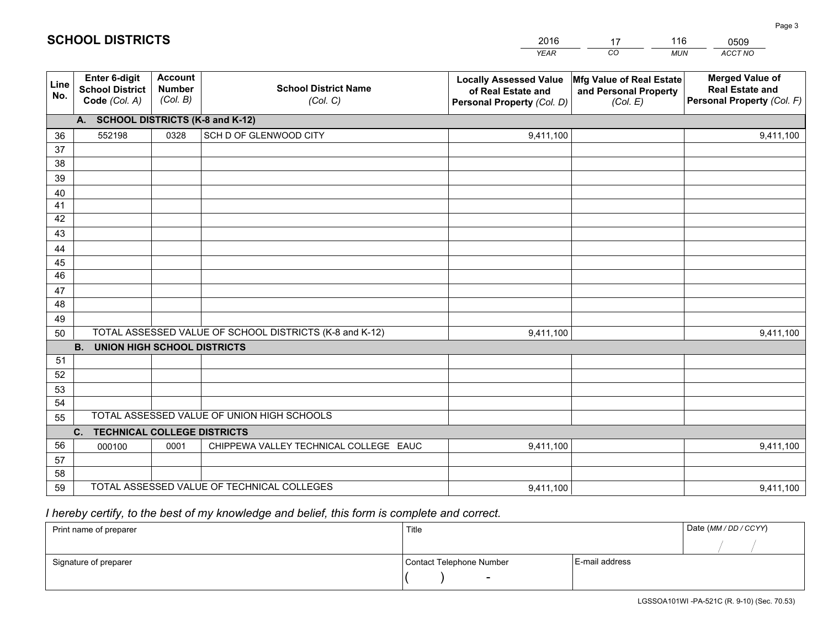|             |                                                                 |                                             |                                                         | <b>YEAR</b>                                                                       | CO<br><b>MUN</b>                                              | ACCT NO                                                                        |  |  |  |  |  |
|-------------|-----------------------------------------------------------------|---------------------------------------------|---------------------------------------------------------|-----------------------------------------------------------------------------------|---------------------------------------------------------------|--------------------------------------------------------------------------------|--|--|--|--|--|
| Line<br>No. | <b>Enter 6-digit</b><br><b>School District</b><br>Code (Col. A) | <b>Account</b><br><b>Number</b><br>(Col. B) | <b>School District Name</b><br>(Col. C)                 | <b>Locally Assessed Value</b><br>of Real Estate and<br>Personal Property (Col. D) | Mfg Value of Real Estate<br>and Personal Property<br>(Col. E) | <b>Merged Value of</b><br><b>Real Estate and</b><br>Personal Property (Col. F) |  |  |  |  |  |
|             | A. SCHOOL DISTRICTS (K-8 and K-12)                              |                                             |                                                         |                                                                                   |                                                               |                                                                                |  |  |  |  |  |
| 36          | 552198                                                          | 0328                                        | SCH D OF GLENWOOD CITY                                  | 9,411,100                                                                         |                                                               | 9,411,100                                                                      |  |  |  |  |  |
| 37          |                                                                 |                                             |                                                         |                                                                                   |                                                               |                                                                                |  |  |  |  |  |
| 38          |                                                                 |                                             |                                                         |                                                                                   |                                                               |                                                                                |  |  |  |  |  |
| 39          |                                                                 |                                             |                                                         |                                                                                   |                                                               |                                                                                |  |  |  |  |  |
| 40          |                                                                 |                                             |                                                         |                                                                                   |                                                               |                                                                                |  |  |  |  |  |
| 41<br>42    |                                                                 |                                             |                                                         |                                                                                   |                                                               |                                                                                |  |  |  |  |  |
| 43          |                                                                 |                                             |                                                         |                                                                                   |                                                               |                                                                                |  |  |  |  |  |
| 44          |                                                                 |                                             |                                                         |                                                                                   |                                                               |                                                                                |  |  |  |  |  |
| 45          |                                                                 |                                             |                                                         |                                                                                   |                                                               |                                                                                |  |  |  |  |  |
| 46          |                                                                 |                                             |                                                         |                                                                                   |                                                               |                                                                                |  |  |  |  |  |
| 47          |                                                                 |                                             |                                                         |                                                                                   |                                                               |                                                                                |  |  |  |  |  |
| 48          |                                                                 |                                             |                                                         |                                                                                   |                                                               |                                                                                |  |  |  |  |  |
| 49          |                                                                 |                                             |                                                         |                                                                                   |                                                               |                                                                                |  |  |  |  |  |
| 50          |                                                                 |                                             | TOTAL ASSESSED VALUE OF SCHOOL DISTRICTS (K-8 and K-12) | 9,411,100                                                                         |                                                               | 9,411,100                                                                      |  |  |  |  |  |
|             | <b>B.</b><br><b>UNION HIGH SCHOOL DISTRICTS</b>                 |                                             |                                                         |                                                                                   |                                                               |                                                                                |  |  |  |  |  |
| 51          |                                                                 |                                             |                                                         |                                                                                   |                                                               |                                                                                |  |  |  |  |  |
| 52          |                                                                 |                                             |                                                         |                                                                                   |                                                               |                                                                                |  |  |  |  |  |
| 53<br>54    |                                                                 |                                             |                                                         |                                                                                   |                                                               |                                                                                |  |  |  |  |  |
|             |                                                                 |                                             | TOTAL ASSESSED VALUE OF UNION HIGH SCHOOLS              |                                                                                   |                                                               |                                                                                |  |  |  |  |  |
| 55          | C.<br><b>TECHNICAL COLLEGE DISTRICTS</b>                        |                                             |                                                         |                                                                                   |                                                               |                                                                                |  |  |  |  |  |
| 56          | 000100                                                          | 0001                                        | CHIPPEWA VALLEY TECHNICAL COLLEGE EAUC                  | 9,411,100                                                                         |                                                               | 9,411,100                                                                      |  |  |  |  |  |
| 57          |                                                                 |                                             |                                                         |                                                                                   |                                                               |                                                                                |  |  |  |  |  |
| 58          |                                                                 |                                             |                                                         |                                                                                   |                                                               |                                                                                |  |  |  |  |  |
| 59          |                                                                 |                                             | TOTAL ASSESSED VALUE OF TECHNICAL COLLEGES              | 9,411,100                                                                         |                                                               | 9,411,100                                                                      |  |  |  |  |  |

17

116

 *I hereby certify, to the best of my knowledge and belief, this form is complete and correct.*

**SCHOOL DISTRICTS**

| Print name of preparer | Title                    | Date (MM / DD / CCYY) |  |
|------------------------|--------------------------|-----------------------|--|
|                        |                          |                       |  |
| Signature of preparer  | Contact Telephone Number | E-mail address        |  |
|                        | $\overline{\phantom{0}}$ |                       |  |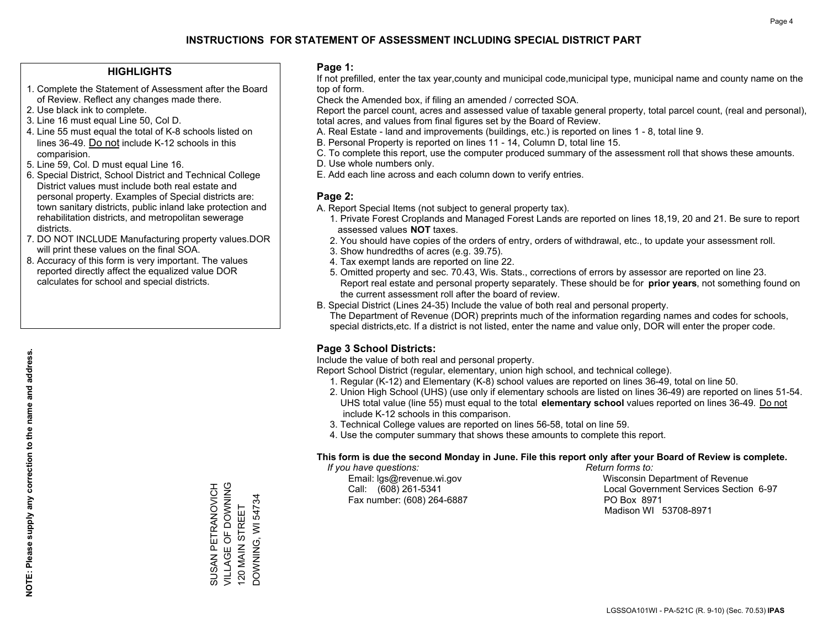#### **HIGHLIGHTS**

- 1. Complete the Statement of Assessment after the Board of Review. Reflect any changes made there.
- 2. Use black ink to complete.

**NOTE: Please supply any correction to the name and address.**

NOTE: Please supply any correction to the name and address.

- 3. Line 16 must equal Line 50, Col D.
- 4. Line 55 must equal the total of K-8 schools listed on lines 36-49. Do not include K-12 schools in this comparision.
- 5. Line 59, Col. D must equal Line 16.
- 6. Special District, School District and Technical College District values must include both real estate and personal property. Examples of Special districts are: town sanitary districts, public inland lake protection and rehabilitation districts, and metropolitan sewerage districts.
- 7. DO NOT INCLUDE Manufacturing property values.DOR will print these values on the final SOA.
- 8. Accuracy of this form is very important. The values reported directly affect the equalized value DOR calculates for school and special districts.

#### **Page 1:**

 If not prefilled, enter the tax year,county and municipal code,municipal type, municipal name and county name on the top of form.

Check the Amended box, if filing an amended / corrected SOA.

 Report the parcel count, acres and assessed value of taxable general property, total parcel count, (real and personal), total acres, and values from final figures set by the Board of Review.

- A. Real Estate land and improvements (buildings, etc.) is reported on lines 1 8, total line 9.
- B. Personal Property is reported on lines 11 14, Column D, total line 15.
- C. To complete this report, use the computer produced summary of the assessment roll that shows these amounts.
- D. Use whole numbers only.
- E. Add each line across and each column down to verify entries.

#### **Page 2:**

- A. Report Special Items (not subject to general property tax).
- 1. Private Forest Croplands and Managed Forest Lands are reported on lines 18,19, 20 and 21. Be sure to report assessed values **NOT** taxes.
- 2. You should have copies of the orders of entry, orders of withdrawal, etc., to update your assessment roll.
	- 3. Show hundredths of acres (e.g. 39.75).
- 4. Tax exempt lands are reported on line 22.
- 5. Omitted property and sec. 70.43, Wis. Stats., corrections of errors by assessor are reported on line 23. Report real estate and personal property separately. These should be for **prior years**, not something found on the current assessment roll after the board of review.
- B. Special District (Lines 24-35) Include the value of both real and personal property.

 The Department of Revenue (DOR) preprints much of the information regarding names and codes for schools, special districts,etc. If a district is not listed, enter the name and value only, DOR will enter the proper code.

## **Page 3 School Districts:**

Include the value of both real and personal property.

Report School District (regular, elementary, union high school, and technical college).

- 1. Regular (K-12) and Elementary (K-8) school values are reported on lines 36-49, total on line 50.
- 2. Union High School (UHS) (use only if elementary schools are listed on lines 36-49) are reported on lines 51-54. UHS total value (line 55) must equal to the total **elementary school** values reported on lines 36-49. Do notinclude K-12 schools in this comparison.
- 3. Technical College values are reported on lines 56-58, total on line 59.
- 4. Use the computer summary that shows these amounts to complete this report.

#### **This form is due the second Monday in June. File this report only after your Board of Review is complete.**

 *If you have questions: Return forms to:*

Fax number: (608) 264-6887 PO Box 8971

 Email: lgs@revenue.wi.gov Wisconsin Department of Revenue Call: (608) 261-5341 Local Government Services Section 6-97Madison WI 53708-8971

SUSAN PETRANOVICH<br>VILLAGE OF DOWNING<br>120 MAIN STREET VILLAGE OF DOWNING SUSAN PETRANOVICH DOWNING, WI 54734 DOWNING, WI 54734 120 MAIN STREET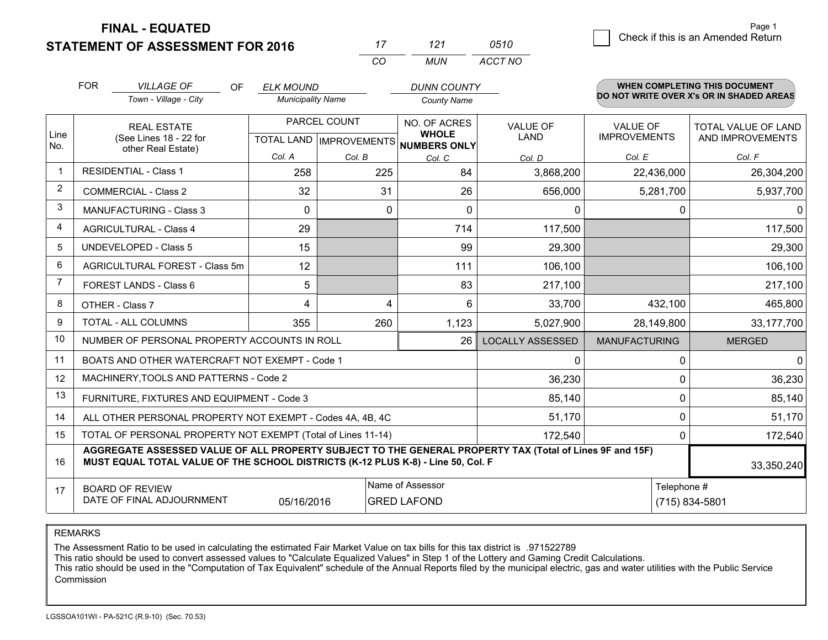**STATEMENT OF ASSESSMENT FOR 2016** 

**FINAL - EQUATED**

0 **Check if this is an Amended Return** Page 1

|                | <b>FOR</b>                                                                                                  | <b>VILLAGE OF</b><br>OF.<br>Town - Village - City                                                                                                                                            | <b>ELK MOUND</b><br><b>Municipality Name</b> |        | <b>DUNN COUNTY</b><br><b>County Name</b>            |                         |                                        | WHEN COMPLETING THIS DOCUMENT<br>DO NOT WRITE OVER X's OR IN SHADED AREAS |
|----------------|-------------------------------------------------------------------------------------------------------------|----------------------------------------------------------------------------------------------------------------------------------------------------------------------------------------------|----------------------------------------------|--------|-----------------------------------------------------|-------------------------|----------------------------------------|---------------------------------------------------------------------------|
| Line<br>No.    |                                                                                                             | PARCEL COUNT<br><b>REAL ESTATE</b><br>(See Lines 18 - 22 for<br>TOTAL LAND   IMPROVEMENTS<br>other Real Estate)                                                                              |                                              |        | NO. OF ACRES<br><b>WHOLE</b><br><b>NUMBERS ONLY</b> | <b>VALUE OF</b><br>LAND | <b>VALUE OF</b><br><b>IMPROVEMENTS</b> | TOTAL VALUE OF LAND<br>AND IMPROVEMENTS                                   |
|                |                                                                                                             |                                                                                                                                                                                              | Col. A                                       | Col. B | Col. C                                              | Col. D                  | Col. E                                 | Col. F                                                                    |
| $\mathbf 1$    |                                                                                                             | <b>RESIDENTIAL - Class 1</b>                                                                                                                                                                 | 258                                          | 225    | 84                                                  | 3,868,200               | 22,436,000                             | 26,304,200                                                                |
| 2              |                                                                                                             | <b>COMMERCIAL - Class 2</b>                                                                                                                                                                  | 32                                           | 31     | 26                                                  | 656,000                 | 5,281,700                              | 5,937,700                                                                 |
| 3              |                                                                                                             | MANUFACTURING - Class 3                                                                                                                                                                      | $\Omega$                                     | 0      | 0                                                   | 0                       | 0                                      | $\Omega$                                                                  |
| $\overline{4}$ |                                                                                                             | <b>AGRICULTURAL - Class 4</b>                                                                                                                                                                | 29                                           |        | 714                                                 | 117,500                 |                                        | 117,500                                                                   |
| 5              |                                                                                                             | <b>UNDEVELOPED - Class 5</b>                                                                                                                                                                 | 15                                           |        | 99                                                  | 29,300                  |                                        | 29,300                                                                    |
| 6              | AGRICULTURAL FOREST - Class 5m                                                                              |                                                                                                                                                                                              | 12                                           |        | 111                                                 | 106,100                 |                                        | 106,100                                                                   |
| $\overline{7}$ | FOREST LANDS - Class 6                                                                                      |                                                                                                                                                                                              | 5                                            |        | 83                                                  | 217,100                 |                                        | 217,100                                                                   |
| 8              |                                                                                                             | OTHER - Class 7                                                                                                                                                                              | 4                                            | 4      | 6                                                   | 33,700                  | 432,100                                | 465,800                                                                   |
| 9              |                                                                                                             | TOTAL - ALL COLUMNS                                                                                                                                                                          | 355                                          | 260    | 1,123                                               | 5,027,900               | 28,149,800                             | 33,177,700                                                                |
| 10             |                                                                                                             | NUMBER OF PERSONAL PROPERTY ACCOUNTS IN ROLL                                                                                                                                                 |                                              |        | 26                                                  | <b>LOCALLY ASSESSED</b> | <b>MANUFACTURING</b>                   | <b>MERGED</b>                                                             |
| 11             |                                                                                                             | BOATS AND OTHER WATERCRAFT NOT EXEMPT - Code 1                                                                                                                                               |                                              |        |                                                     | 0                       | 0                                      | $\mathbf{0}$                                                              |
| 12             |                                                                                                             | MACHINERY, TOOLS AND PATTERNS - Code 2                                                                                                                                                       |                                              |        |                                                     | 36,230                  | $\mathbf 0$                            | 36,230                                                                    |
| 13             |                                                                                                             | FURNITURE, FIXTURES AND EQUIPMENT - Code 3                                                                                                                                                   |                                              |        |                                                     | 85,140                  | 0                                      | 85,140                                                                    |
| 14             |                                                                                                             | ALL OTHER PERSONAL PROPERTY NOT EXEMPT - Codes 4A, 4B, 4C                                                                                                                                    |                                              |        |                                                     | 51,170                  | $\mathbf 0$                            | 51,170                                                                    |
| 15             |                                                                                                             | TOTAL OF PERSONAL PROPERTY NOT EXEMPT (Total of Lines 11-14)                                                                                                                                 |                                              |        |                                                     | 172,540                 | 0                                      | 172,540                                                                   |
| 16             |                                                                                                             | AGGREGATE ASSESSED VALUE OF ALL PROPERTY SUBJECT TO THE GENERAL PROPERTY TAX (Total of Lines 9F and 15F)<br>MUST EQUAL TOTAL VALUE OF THE SCHOOL DISTRICTS (K-12 PLUS K-8) - Line 50, Col. F |                                              |        |                                                     |                         |                                        | 33,350,240                                                                |
| 17             | Name of Assessor<br><b>BOARD OF REVIEW</b><br>DATE OF FINAL ADJOURNMENT<br>05/16/2016<br><b>GRED LAFOND</b> |                                                                                                                                                                                              |                                              |        |                                                     |                         | Telephone #                            | (715) 834-5801                                                            |

*CO*

*MUN*

*ACCT NO0510*

*<sup>17</sup> <sup>121</sup>*

REMARKS

The Assessment Ratio to be used in calculating the estimated Fair Market Value on tax bills for this tax district is .971522789<br>This ratio should be used to convert assessed values to "Calculate Equalized Values" in Step 1 Commission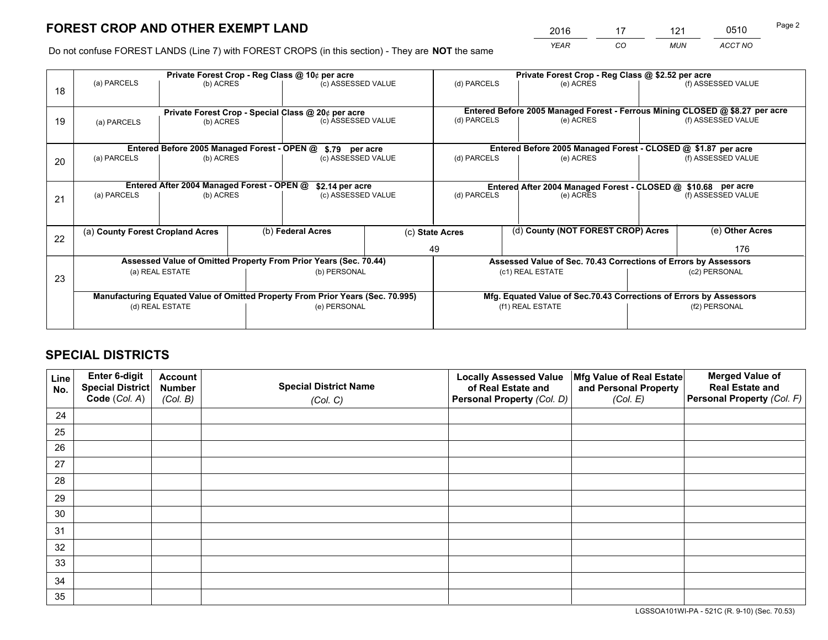*YEAR CO MUN ACCT NO* <sup>2016</sup> <sup>17</sup> <sup>121</sup> <sup>0510</sup>

Do not confuse FOREST LANDS (Line 7) with FOREST CROPS (in this section) - They are **NOT** the same

|    |                                  |                                                    |  | Private Forest Crop - Reg Class @ 10¢ per acre                                 |  |                  | Private Forest Crop - Reg Class @ \$2.52 per acre                            |               |                    |  |
|----|----------------------------------|----------------------------------------------------|--|--------------------------------------------------------------------------------|--|------------------|------------------------------------------------------------------------------|---------------|--------------------|--|
| 18 | (a) PARCELS                      | (b) ACRES                                          |  | (c) ASSESSED VALUE                                                             |  | (d) PARCELS      | (e) ACRES                                                                    |               | (f) ASSESSED VALUE |  |
|    |                                  | Private Forest Crop - Special Class @ 20¢ per acre |  |                                                                                |  |                  | Entered Before 2005 Managed Forest - Ferrous Mining CLOSED @ \$8.27 per acre |               |                    |  |
| 19 | (a) PARCELS                      | (b) ACRES                                          |  | (c) ASSESSED VALUE                                                             |  | (d) PARCELS      | (e) ACRES                                                                    |               | (f) ASSESSED VALUE |  |
|    |                                  | Entered Before 2005 Managed Forest - OPEN @        |  | \$.79 per acre                                                                 |  |                  | Entered Before 2005 Managed Forest - CLOSED @ \$1.87 per acre                |               |                    |  |
| 20 | (a) PARCELS<br>(b) ACRES         |                                                    |  | (c) ASSESSED VALUE                                                             |  | (d) PARCELS      | (e) ACRES                                                                    |               | (f) ASSESSED VALUE |  |
|    |                                  | Entered After 2004 Managed Forest - OPEN @         |  | \$2.14 per acre                                                                |  |                  | Entered After 2004 Managed Forest - CLOSED @ \$10.68 per acre                |               |                    |  |
| 21 | (a) PARCELS                      | (b) ACRES                                          |  | (c) ASSESSED VALUE                                                             |  | (d) PARCELS      | (e) ACRES                                                                    |               | (f) ASSESSED VALUE |  |
|    |                                  |                                                    |  |                                                                                |  |                  |                                                                              |               |                    |  |
| 22 | (a) County Forest Cropland Acres |                                                    |  | (b) Federal Acres                                                              |  | (c) State Acres  | (d) County (NOT FOREST CROP) Acres                                           |               | (e) Other Acres    |  |
|    |                                  |                                                    |  |                                                                                |  | 49               |                                                                              |               | 176                |  |
|    |                                  |                                                    |  | Assessed Value of Omitted Property From Prior Years (Sec. 70.44)               |  |                  | Assessed Value of Sec. 70.43 Corrections of Errors by Assessors              |               |                    |  |
| 23 |                                  | (a) REAL ESTATE                                    |  | (b) PERSONAL                                                                   |  | (c1) REAL ESTATE |                                                                              | (c2) PERSONAL |                    |  |
|    |                                  |                                                    |  | Manufacturing Equated Value of Omitted Property From Prior Years (Sec. 70.995) |  |                  | Mfg. Equated Value of Sec.70.43 Corrections of Errors by Assessors           |               |                    |  |
|    |                                  | (d) REAL ESTATE                                    |  | (e) PERSONAL                                                                   |  |                  | (f1) REAL ESTATE                                                             |               | (f2) PERSONAL      |  |
|    |                                  |                                                    |  |                                                                                |  |                  |                                                                              |               |                    |  |

## **SPECIAL DISTRICTS**

| Line<br>No. | Enter 6-digit<br><b>Special District</b> | <b>Account</b><br><b>Number</b> | <b>Special District Name</b> | <b>Locally Assessed Value</b><br>of Real Estate and | Mfg Value of Real Estate<br>and Personal Property | <b>Merged Value of</b><br><b>Real Estate and</b> |
|-------------|------------------------------------------|---------------------------------|------------------------------|-----------------------------------------------------|---------------------------------------------------|--------------------------------------------------|
|             | Code (Col. A)                            | (Col. B)                        | (Col. C)                     | Personal Property (Col. D)                          | (Col. E)                                          | Personal Property (Col. F)                       |
| 24          |                                          |                                 |                              |                                                     |                                                   |                                                  |
| 25          |                                          |                                 |                              |                                                     |                                                   |                                                  |
| 26          |                                          |                                 |                              |                                                     |                                                   |                                                  |
| 27          |                                          |                                 |                              |                                                     |                                                   |                                                  |
| 28          |                                          |                                 |                              |                                                     |                                                   |                                                  |
| 29          |                                          |                                 |                              |                                                     |                                                   |                                                  |
| 30          |                                          |                                 |                              |                                                     |                                                   |                                                  |
| 31          |                                          |                                 |                              |                                                     |                                                   |                                                  |
| 32          |                                          |                                 |                              |                                                     |                                                   |                                                  |
| 33          |                                          |                                 |                              |                                                     |                                                   |                                                  |
| 34          |                                          |                                 |                              |                                                     |                                                   |                                                  |
| 35          |                                          |                                 |                              |                                                     |                                                   |                                                  |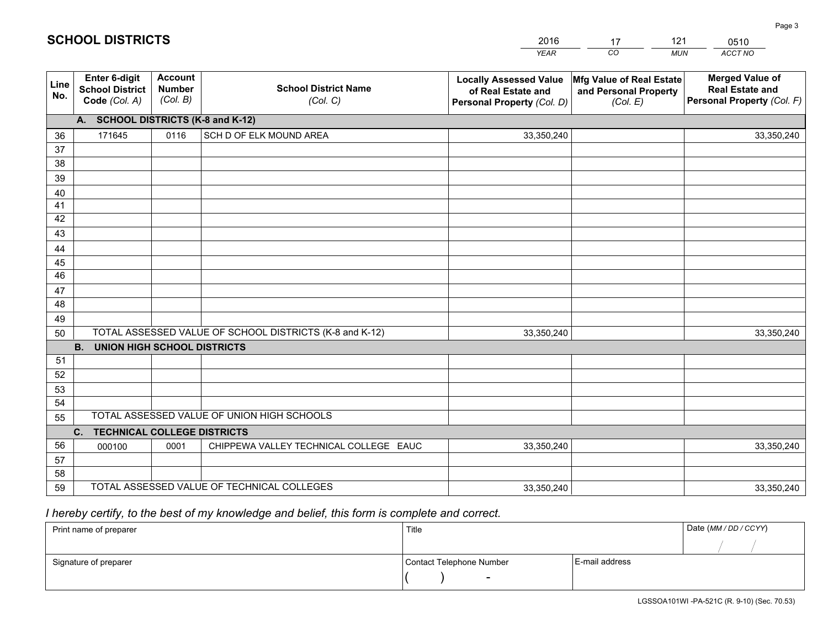| <b>Account</b><br><b>Merged Value of</b><br>Enter 6-digit<br><b>Locally Assessed Value</b><br>Mfg Value of Real Estate<br>Line<br><b>School District Name</b><br><b>Number</b><br><b>School District</b><br><b>Real Estate and</b><br>of Real Estate and<br>and Personal Property<br>No.<br>(Col. B)<br>Personal Property (Col. F)<br>Code (Col. A)<br>(Col. C)<br>Personal Property (Col. D)<br>(Col. E)<br>A. SCHOOL DISTRICTS (K-8 and K-12)<br>SCH D OF ELK MOUND AREA<br>171645<br>0116<br>36<br>33,350,240<br>33,350,240<br>37<br>38<br>39<br>40<br>41<br>42<br>43<br>44<br>45<br>46<br>47<br>48<br>49<br>TOTAL ASSESSED VALUE OF SCHOOL DISTRICTS (K-8 and K-12)<br>50<br>33,350,240<br>33,350,240<br><b>UNION HIGH SCHOOL DISTRICTS</b><br><b>B.</b><br>51<br>52<br>53<br>54<br>TOTAL ASSESSED VALUE OF UNION HIGH SCHOOLS<br>55<br>C.<br><b>TECHNICAL COLLEGE DISTRICTS</b><br>56<br>CHIPPEWA VALLEY TECHNICAL COLLEGE EAUC<br>000100<br>0001<br>33,350,240<br>33,350,240<br>57 |    |  |  |  | YEAR | CO.<br><b>MUN</b> | ACCT NO |  |  |  |  |  |
|------------------------------------------------------------------------------------------------------------------------------------------------------------------------------------------------------------------------------------------------------------------------------------------------------------------------------------------------------------------------------------------------------------------------------------------------------------------------------------------------------------------------------------------------------------------------------------------------------------------------------------------------------------------------------------------------------------------------------------------------------------------------------------------------------------------------------------------------------------------------------------------------------------------------------------------------------------------------------------------|----|--|--|--|------|-------------------|---------|--|--|--|--|--|
|                                                                                                                                                                                                                                                                                                                                                                                                                                                                                                                                                                                                                                                                                                                                                                                                                                                                                                                                                                                          |    |  |  |  |      |                   |         |  |  |  |  |  |
|                                                                                                                                                                                                                                                                                                                                                                                                                                                                                                                                                                                                                                                                                                                                                                                                                                                                                                                                                                                          |    |  |  |  |      |                   |         |  |  |  |  |  |
|                                                                                                                                                                                                                                                                                                                                                                                                                                                                                                                                                                                                                                                                                                                                                                                                                                                                                                                                                                                          |    |  |  |  |      |                   |         |  |  |  |  |  |
|                                                                                                                                                                                                                                                                                                                                                                                                                                                                                                                                                                                                                                                                                                                                                                                                                                                                                                                                                                                          |    |  |  |  |      |                   |         |  |  |  |  |  |
|                                                                                                                                                                                                                                                                                                                                                                                                                                                                                                                                                                                                                                                                                                                                                                                                                                                                                                                                                                                          |    |  |  |  |      |                   |         |  |  |  |  |  |
|                                                                                                                                                                                                                                                                                                                                                                                                                                                                                                                                                                                                                                                                                                                                                                                                                                                                                                                                                                                          |    |  |  |  |      |                   |         |  |  |  |  |  |
|                                                                                                                                                                                                                                                                                                                                                                                                                                                                                                                                                                                                                                                                                                                                                                                                                                                                                                                                                                                          |    |  |  |  |      |                   |         |  |  |  |  |  |
|                                                                                                                                                                                                                                                                                                                                                                                                                                                                                                                                                                                                                                                                                                                                                                                                                                                                                                                                                                                          |    |  |  |  |      |                   |         |  |  |  |  |  |
|                                                                                                                                                                                                                                                                                                                                                                                                                                                                                                                                                                                                                                                                                                                                                                                                                                                                                                                                                                                          |    |  |  |  |      |                   |         |  |  |  |  |  |
|                                                                                                                                                                                                                                                                                                                                                                                                                                                                                                                                                                                                                                                                                                                                                                                                                                                                                                                                                                                          |    |  |  |  |      |                   |         |  |  |  |  |  |
|                                                                                                                                                                                                                                                                                                                                                                                                                                                                                                                                                                                                                                                                                                                                                                                                                                                                                                                                                                                          |    |  |  |  |      |                   |         |  |  |  |  |  |
|                                                                                                                                                                                                                                                                                                                                                                                                                                                                                                                                                                                                                                                                                                                                                                                                                                                                                                                                                                                          |    |  |  |  |      |                   |         |  |  |  |  |  |
|                                                                                                                                                                                                                                                                                                                                                                                                                                                                                                                                                                                                                                                                                                                                                                                                                                                                                                                                                                                          |    |  |  |  |      |                   |         |  |  |  |  |  |
|                                                                                                                                                                                                                                                                                                                                                                                                                                                                                                                                                                                                                                                                                                                                                                                                                                                                                                                                                                                          |    |  |  |  |      |                   |         |  |  |  |  |  |
|                                                                                                                                                                                                                                                                                                                                                                                                                                                                                                                                                                                                                                                                                                                                                                                                                                                                                                                                                                                          |    |  |  |  |      |                   |         |  |  |  |  |  |
|                                                                                                                                                                                                                                                                                                                                                                                                                                                                                                                                                                                                                                                                                                                                                                                                                                                                                                                                                                                          |    |  |  |  |      |                   |         |  |  |  |  |  |
|                                                                                                                                                                                                                                                                                                                                                                                                                                                                                                                                                                                                                                                                                                                                                                                                                                                                                                                                                                                          |    |  |  |  |      |                   |         |  |  |  |  |  |
|                                                                                                                                                                                                                                                                                                                                                                                                                                                                                                                                                                                                                                                                                                                                                                                                                                                                                                                                                                                          |    |  |  |  |      |                   |         |  |  |  |  |  |
|                                                                                                                                                                                                                                                                                                                                                                                                                                                                                                                                                                                                                                                                                                                                                                                                                                                                                                                                                                                          |    |  |  |  |      |                   |         |  |  |  |  |  |
|                                                                                                                                                                                                                                                                                                                                                                                                                                                                                                                                                                                                                                                                                                                                                                                                                                                                                                                                                                                          |    |  |  |  |      |                   |         |  |  |  |  |  |
|                                                                                                                                                                                                                                                                                                                                                                                                                                                                                                                                                                                                                                                                                                                                                                                                                                                                                                                                                                                          |    |  |  |  |      |                   |         |  |  |  |  |  |
|                                                                                                                                                                                                                                                                                                                                                                                                                                                                                                                                                                                                                                                                                                                                                                                                                                                                                                                                                                                          |    |  |  |  |      |                   |         |  |  |  |  |  |
|                                                                                                                                                                                                                                                                                                                                                                                                                                                                                                                                                                                                                                                                                                                                                                                                                                                                                                                                                                                          |    |  |  |  |      |                   |         |  |  |  |  |  |
|                                                                                                                                                                                                                                                                                                                                                                                                                                                                                                                                                                                                                                                                                                                                                                                                                                                                                                                                                                                          |    |  |  |  |      |                   |         |  |  |  |  |  |
|                                                                                                                                                                                                                                                                                                                                                                                                                                                                                                                                                                                                                                                                                                                                                                                                                                                                                                                                                                                          | 58 |  |  |  |      |                   |         |  |  |  |  |  |
| TOTAL ASSESSED VALUE OF TECHNICAL COLLEGES<br>59<br>33,350,240<br>33,350,240                                                                                                                                                                                                                                                                                                                                                                                                                                                                                                                                                                                                                                                                                                                                                                                                                                                                                                             |    |  |  |  |      |                   |         |  |  |  |  |  |

17

121

 *I hereby certify, to the best of my knowledge and belief, this form is complete and correct.*

**SCHOOL DISTRICTS**

| Print name of preparer | Title                    | Date (MM/DD/CCYY) |  |
|------------------------|--------------------------|-------------------|--|
|                        |                          |                   |  |
| Signature of preparer  | Contact Telephone Number | E-mail address    |  |
|                        | $\overline{\phantom{a}}$ |                   |  |

Page 3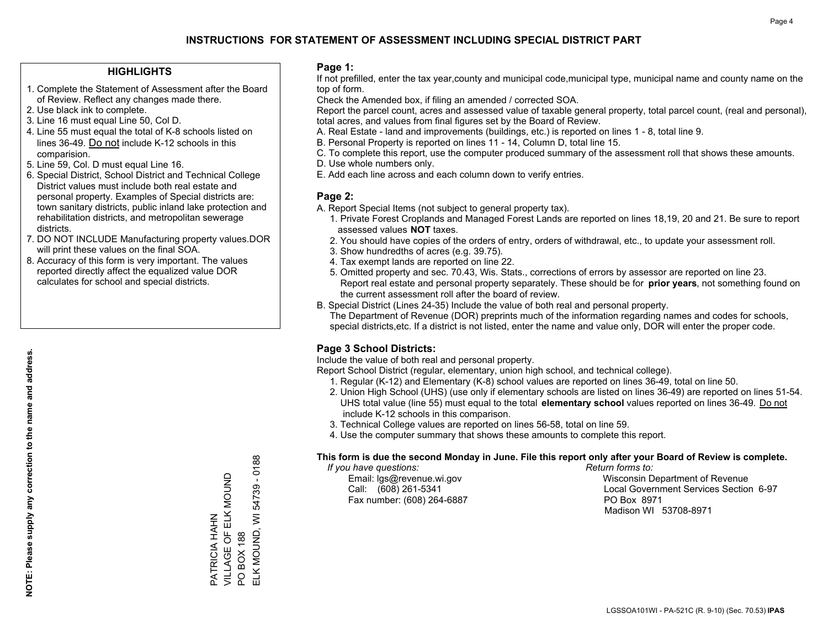#### **HIGHLIGHTS**

- 1. Complete the Statement of Assessment after the Board of Review. Reflect any changes made there.
- 2. Use black ink to complete.
- 3. Line 16 must equal Line 50, Col D.
- 4. Line 55 must equal the total of K-8 schools listed on lines 36-49. Do not include K-12 schools in this comparision.
- 5. Line 59, Col. D must equal Line 16.
- 6. Special District, School District and Technical College District values must include both real estate and personal property. Examples of Special districts are: town sanitary districts, public inland lake protection and rehabilitation districts, and metropolitan sewerage districts.
- 7. DO NOT INCLUDE Manufacturing property values.DOR will print these values on the final SOA.

PATRICIA HAHN

PATRICIA HAHN

VILLAGE OF ELK MOUND

VILLAGE OF ELK MOUND

PO BOX 188

 $\overline{S}$ 

**BOX 188** 

ELK MOUND, WI 54739 - 0188

ELK MOUND, WI

54739

 $-0188$ 

 8. Accuracy of this form is very important. The values reported directly affect the equalized value DOR calculates for school and special districts.

#### **Page 1:**

 If not prefilled, enter the tax year,county and municipal code,municipal type, municipal name and county name on the top of form.

Check the Amended box, if filing an amended / corrected SOA.

 Report the parcel count, acres and assessed value of taxable general property, total parcel count, (real and personal), total acres, and values from final figures set by the Board of Review.

- A. Real Estate land and improvements (buildings, etc.) is reported on lines 1 8, total line 9.
- B. Personal Property is reported on lines 11 14, Column D, total line 15.
- C. To complete this report, use the computer produced summary of the assessment roll that shows these amounts.
- D. Use whole numbers only.
- E. Add each line across and each column down to verify entries.

#### **Page 2:**

- A. Report Special Items (not subject to general property tax).
- 1. Private Forest Croplands and Managed Forest Lands are reported on lines 18,19, 20 and 21. Be sure to report assessed values **NOT** taxes.
- 2. You should have copies of the orders of entry, orders of withdrawal, etc., to update your assessment roll.
	- 3. Show hundredths of acres (e.g. 39.75).
- 4. Tax exempt lands are reported on line 22.
- 5. Omitted property and sec. 70.43, Wis. Stats., corrections of errors by assessor are reported on line 23. Report real estate and personal property separately. These should be for **prior years**, not something found on the current assessment roll after the board of review.
- B. Special District (Lines 24-35) Include the value of both real and personal property.

 The Department of Revenue (DOR) preprints much of the information regarding names and codes for schools, special districts,etc. If a district is not listed, enter the name and value only, DOR will enter the proper code.

## **Page 3 School Districts:**

Include the value of both real and personal property.

Report School District (regular, elementary, union high school, and technical college).

- 1. Regular (K-12) and Elementary (K-8) school values are reported on lines 36-49, total on line 50.
- 2. Union High School (UHS) (use only if elementary schools are listed on lines 36-49) are reported on lines 51-54. UHS total value (line 55) must equal to the total **elementary school** values reported on lines 36-49. Do notinclude K-12 schools in this comparison.
- 3. Technical College values are reported on lines 56-58, total on line 59.
- 4. Use the computer summary that shows these amounts to complete this report.

#### **This form is due the second Monday in June. File this report only after your Board of Review is complete.**

 *If you have questions: Return forms to:*

Fax number: (608) 264-6887 PO Box 8971

 Email: lgs@revenue.wi.gov Wisconsin Department of Revenue Call: (608) 261-5341 Local Government Services Section 6-97Madison WI 53708-8971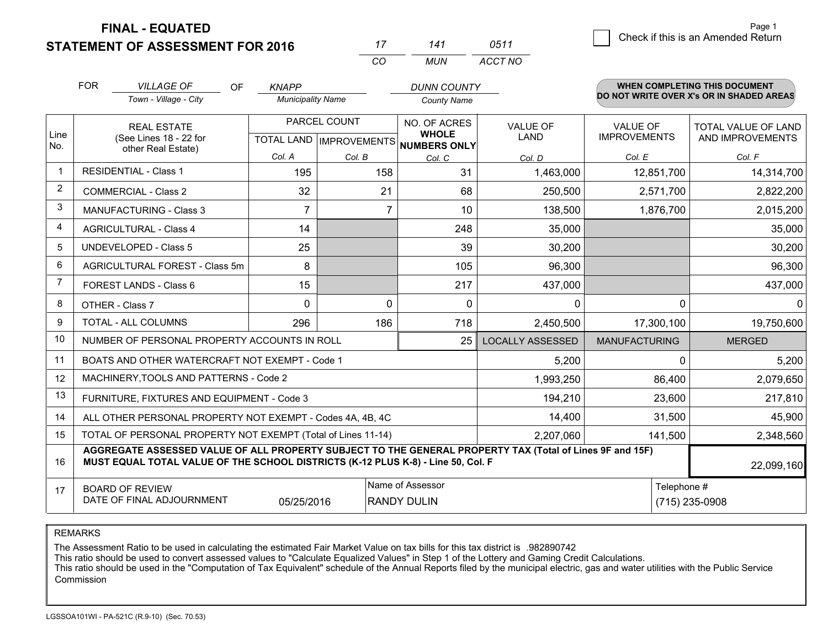**STATEMENT OF ASSESSMENT FOR 2016** 

**FINAL - EQUATED**

| 17 | 141 | 0511       | Check if this is an Amended Return |
|----|-----|------------|------------------------------------|
| CO |     | MUN ACCTNO |                                    |

|                | <b>FOR</b><br><b>VILLAGE OF</b>                                                                                                                                                                            | <b>OF</b>  | <b>KNAPP</b>             |                    | <b>DUNN COUNTY</b>                  |                         |                      | WHEN COMPLETING THIS DOCUMENT            |  |
|----------------|------------------------------------------------------------------------------------------------------------------------------------------------------------------------------------------------------------|------------|--------------------------|--------------------|-------------------------------------|-------------------------|----------------------|------------------------------------------|--|
|                | Town - Village - City                                                                                                                                                                                      |            | <b>Municipality Name</b> |                    | <b>County Name</b>                  |                         |                      | DO NOT WRITE OVER X's OR IN SHADED AREAS |  |
|                | <b>REAL ESTATE</b>                                                                                                                                                                                         |            |                          | PARCEL COUNT       | NO. OF ACRES<br><b>WHOLE</b>        | <b>VALUE OF</b>         | <b>VALUE OF</b>      | <b>TOTAL VALUE OF LAND</b>               |  |
| Line<br>No.    | (See Lines 18 - 22 for<br>other Real Estate)                                                                                                                                                               |            |                          |                    | TOTAL LAND MPROVEMENTS NUMBERS ONLY | <b>LAND</b>             | <b>IMPROVEMENTS</b>  | AND IMPROVEMENTS                         |  |
|                |                                                                                                                                                                                                            |            | Col. A                   | Col. B             | Col. C                              | Col. D                  | Col. E               | Col. F                                   |  |
| $\mathbf{1}$   | <b>RESIDENTIAL - Class 1</b>                                                                                                                                                                               |            | 195                      | 158                | 31                                  | 1,463,000               | 12,851,700           | 14,314,700                               |  |
| $\overline{2}$ | <b>COMMERCIAL - Class 2</b>                                                                                                                                                                                |            | 32                       | 21                 | 68                                  | 250,500                 | 2,571,700            | 2,822,200                                |  |
| 3              | <b>MANUFACTURING - Class 3</b>                                                                                                                                                                             |            | $\overline{7}$           | $\overline{7}$     | 10                                  | 138,500                 | 1,876,700            | 2,015,200                                |  |
| $\overline{4}$ | <b>AGRICULTURAL - Class 4</b>                                                                                                                                                                              |            | 14                       |                    | 248                                 | 35,000                  |                      | 35,000                                   |  |
| 5              | <b>UNDEVELOPED - Class 5</b>                                                                                                                                                                               |            | 25                       |                    | 39                                  | 30,200                  |                      | 30,200                                   |  |
| 6              | AGRICULTURAL FOREST - Class 5m                                                                                                                                                                             |            | 8                        |                    | 105                                 | 96,300                  |                      | 96,300                                   |  |
| 7              | FOREST LANDS - Class 6                                                                                                                                                                                     |            | 15                       |                    | 217                                 | 437,000                 |                      | 437,000                                  |  |
| 8              | OTHER - Class 7                                                                                                                                                                                            |            | $\mathbf 0$              | $\mathbf 0$        | $\mathbf{0}$                        | $\mathbf 0$             | $\Omega$             | 0                                        |  |
| 9              | TOTAL - ALL COLUMNS                                                                                                                                                                                        |            | 296                      | 186                | 718                                 | 2,450,500               | 17,300,100           | 19,750,600                               |  |
| 10             | NUMBER OF PERSONAL PROPERTY ACCOUNTS IN ROLL                                                                                                                                                               |            |                          |                    | 25                                  | <b>LOCALLY ASSESSED</b> | <b>MANUFACTURING</b> | <b>MERGED</b>                            |  |
| 11             | BOATS AND OTHER WATERCRAFT NOT EXEMPT - Code 1                                                                                                                                                             |            |                          |                    |                                     | 5,200                   | $\Omega$             | 5,200                                    |  |
| 12             | MACHINERY, TOOLS AND PATTERNS - Code 2                                                                                                                                                                     |            |                          |                    |                                     | 1,993,250               | 86,400               | 2,079,650                                |  |
| 13             | FURNITURE, FIXTURES AND EQUIPMENT - Code 3                                                                                                                                                                 |            |                          |                    |                                     | 194,210                 | 23,600               | 217,810                                  |  |
| 14             | ALL OTHER PERSONAL PROPERTY NOT EXEMPT - Codes 4A, 4B, 4C                                                                                                                                                  |            |                          |                    |                                     | 14,400                  | 31,500               | 45,900                                   |  |
| 15             | TOTAL OF PERSONAL PROPERTY NOT EXEMPT (Total of Lines 11-14)                                                                                                                                               |            |                          |                    |                                     | 2,207,060               | 141,500              | 2,348,560                                |  |
| 16             | AGGREGATE ASSESSED VALUE OF ALL PROPERTY SUBJECT TO THE GENERAL PROPERTY TAX (Total of Lines 9F and 15F)<br>MUST EQUAL TOTAL VALUE OF THE SCHOOL DISTRICTS (K-12 PLUS K-8) - Line 50, Col. F<br>22,099,160 |            |                          |                    |                                     |                         |                      |                                          |  |
| 17             | <b>BOARD OF REVIEW</b>                                                                                                                                                                                     |            |                          |                    | Name of Assessor                    |                         |                      | Telephone #                              |  |
|                | DATE OF FINAL ADJOURNMENT                                                                                                                                                                                  | 05/25/2016 |                          | <b>RANDY DULIN</b> |                                     |                         | (715) 235-0908       |                                          |  |

*CO*

REMARKS

The Assessment Ratio to be used in calculating the estimated Fair Market Value on tax bills for this tax district is .982890742<br>This ratio should be used to convert assessed values to "Calculate Equalized Values" in Step 1 Commission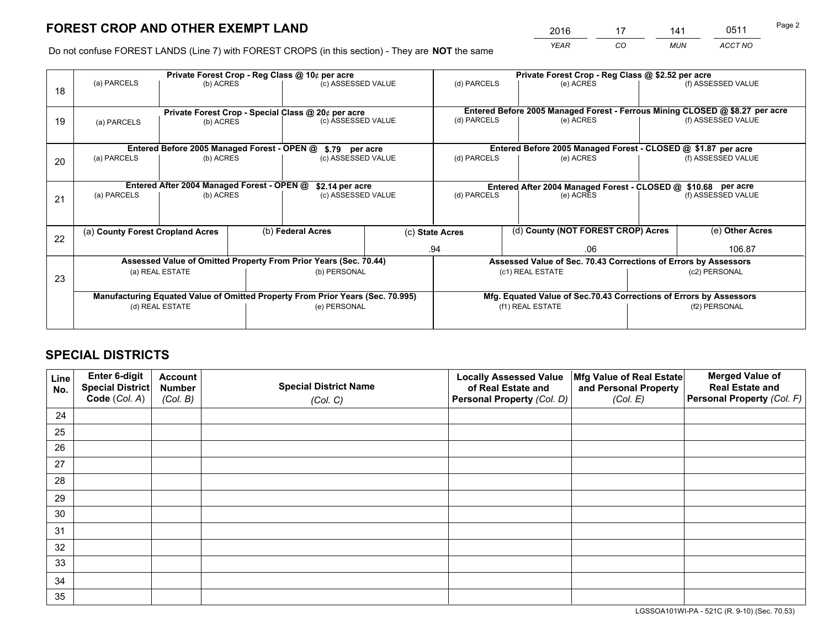*YEAR CO MUN ACCT NO* <sup>2016</sup> <sup>17</sup> <sup>141</sup> <sup>0511</sup>

Do not confuse FOREST LANDS (Line 7) with FOREST CROPS (in this section) - They are **NOT** the same

|    |                                                    |                                             |              | Private Forest Crop - Reg Class @ 10¢ per acre                                 |  | Private Forest Crop - Reg Class @ \$2.52 per acre                            |                                                                    |               |                    |  |
|----|----------------------------------------------------|---------------------------------------------|--------------|--------------------------------------------------------------------------------|--|------------------------------------------------------------------------------|--------------------------------------------------------------------|---------------|--------------------|--|
| 18 | (a) PARCELS                                        | (b) ACRES                                   |              | (c) ASSESSED VALUE                                                             |  | (d) PARCELS                                                                  | (e) ACRES                                                          |               | (f) ASSESSED VALUE |  |
|    |                                                    |                                             |              |                                                                                |  |                                                                              |                                                                    |               |                    |  |
|    | Private Forest Crop - Special Class @ 20¢ per acre |                                             |              |                                                                                |  | Entered Before 2005 Managed Forest - Ferrous Mining CLOSED @ \$8.27 per acre |                                                                    |               |                    |  |
| 19 | (a) PARCELS                                        | (b) ACRES                                   |              | (c) ASSESSED VALUE                                                             |  | (d) PARCELS                                                                  | (e) ACRES                                                          |               | (f) ASSESSED VALUE |  |
|    |                                                    |                                             |              |                                                                                |  |                                                                              |                                                                    |               |                    |  |
|    |                                                    | Entered Before 2005 Managed Forest - OPEN @ |              | \$.79 per acre                                                                 |  |                                                                              | Entered Before 2005 Managed Forest - CLOSED @ \$1.87 per acre      |               |                    |  |
| 20 | (a) PARCELS                                        | (b) ACRES                                   |              | (c) ASSESSED VALUE                                                             |  | (d) PARCELS                                                                  | (e) ACRES                                                          |               | (f) ASSESSED VALUE |  |
|    |                                                    |                                             |              |                                                                                |  |                                                                              |                                                                    |               |                    |  |
|    |                                                    | Entered After 2004 Managed Forest - OPEN @  |              | \$2.14 per acre                                                                |  | Entered After 2004 Managed Forest - CLOSED @ \$10.68 per acre                |                                                                    |               |                    |  |
| 21 | (a) PARCELS                                        | (b) ACRES                                   |              | (c) ASSESSED VALUE                                                             |  | (d) PARCELS<br>(e) ACRES                                                     |                                                                    |               | (f) ASSESSED VALUE |  |
|    |                                                    |                                             |              |                                                                                |  |                                                                              |                                                                    |               |                    |  |
|    |                                                    |                                             |              |                                                                                |  |                                                                              |                                                                    |               |                    |  |
| 22 | (a) County Forest Cropland Acres                   |                                             |              | (b) Federal Acres                                                              |  | (c) State Acres                                                              | (d) County (NOT FOREST CROP) Acres                                 |               | (e) Other Acres    |  |
|    |                                                    |                                             |              |                                                                                |  | .94                                                                          | .06                                                                |               | 106.87             |  |
|    |                                                    |                                             |              | Assessed Value of Omitted Property From Prior Years (Sec. 70.44)               |  |                                                                              | Assessed Value of Sec. 70.43 Corrections of Errors by Assessors    |               |                    |  |
| 23 |                                                    | (a) REAL ESTATE                             |              | (b) PERSONAL                                                                   |  |                                                                              | (c1) REAL ESTATE                                                   |               | (c2) PERSONAL      |  |
|    |                                                    |                                             |              |                                                                                |  |                                                                              |                                                                    |               |                    |  |
|    |                                                    |                                             |              | Manufacturing Equated Value of Omitted Property From Prior Years (Sec. 70.995) |  |                                                                              | Mfg. Equated Value of Sec.70.43 Corrections of Errors by Assessors |               |                    |  |
|    | (d) REAL ESTATE                                    |                                             | (e) PERSONAL |                                                                                |  | (f1) REAL ESTATE                                                             |                                                                    | (f2) PERSONAL |                    |  |
|    |                                                    |                                             |              |                                                                                |  |                                                                              |                                                                    |               |                    |  |

## **SPECIAL DISTRICTS**

| Line<br>No. | Enter 6-digit<br>Special District<br>Code (Col. A) | <b>Account</b><br><b>Number</b> | <b>Special District Name</b> | <b>Locally Assessed Value</b><br>of Real Estate and | Mfg Value of Real Estate<br>and Personal Property | <b>Merged Value of</b><br><b>Real Estate and</b><br>Personal Property (Col. F) |
|-------------|----------------------------------------------------|---------------------------------|------------------------------|-----------------------------------------------------|---------------------------------------------------|--------------------------------------------------------------------------------|
|             |                                                    | (Col. B)                        | (Col. C)                     | Personal Property (Col. D)                          | (Col. E)                                          |                                                                                |
| 24          |                                                    |                                 |                              |                                                     |                                                   |                                                                                |
| 25          |                                                    |                                 |                              |                                                     |                                                   |                                                                                |
| 26          |                                                    |                                 |                              |                                                     |                                                   |                                                                                |
| 27          |                                                    |                                 |                              |                                                     |                                                   |                                                                                |
| 28          |                                                    |                                 |                              |                                                     |                                                   |                                                                                |
| 29          |                                                    |                                 |                              |                                                     |                                                   |                                                                                |
| 30          |                                                    |                                 |                              |                                                     |                                                   |                                                                                |
| 31          |                                                    |                                 |                              |                                                     |                                                   |                                                                                |
| 32          |                                                    |                                 |                              |                                                     |                                                   |                                                                                |
| 33          |                                                    |                                 |                              |                                                     |                                                   |                                                                                |
| 34          |                                                    |                                 |                              |                                                     |                                                   |                                                                                |
| 35          |                                                    |                                 |                              |                                                     |                                                   |                                                                                |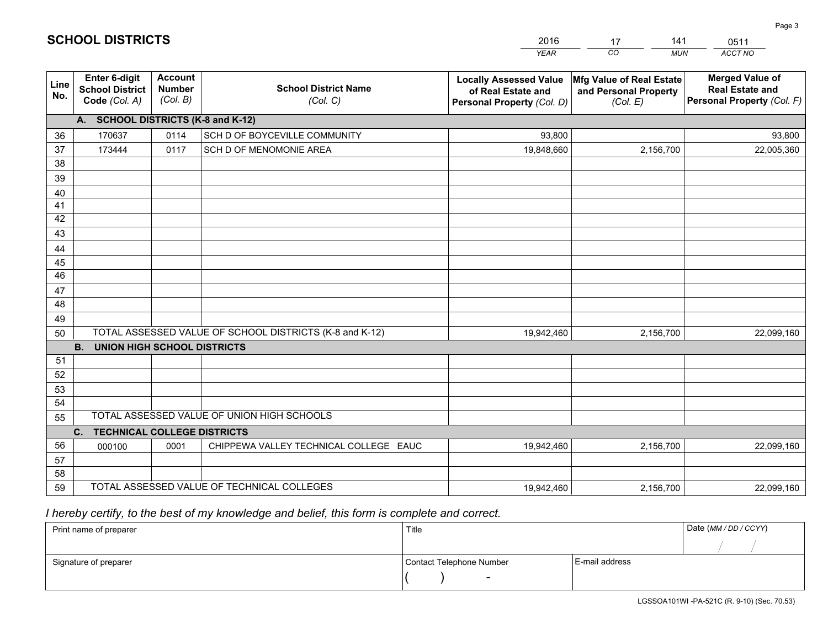|             |                                                          |                                             |                                                         | YEAR                                                                              | CO.<br><b>MUN</b>                                             | ACCT NO                                                                        |  |  |  |  |  |
|-------------|----------------------------------------------------------|---------------------------------------------|---------------------------------------------------------|-----------------------------------------------------------------------------------|---------------------------------------------------------------|--------------------------------------------------------------------------------|--|--|--|--|--|
| Line<br>No. | Enter 6-digit<br><b>School District</b><br>Code (Col. A) | <b>Account</b><br><b>Number</b><br>(Col. B) | <b>School District Name</b><br>(Col. C)                 | <b>Locally Assessed Value</b><br>of Real Estate and<br>Personal Property (Col. D) | Mfg Value of Real Estate<br>and Personal Property<br>(Col. E) | <b>Merged Value of</b><br><b>Real Estate and</b><br>Personal Property (Col. F) |  |  |  |  |  |
|             | A. SCHOOL DISTRICTS (K-8 and K-12)                       |                                             |                                                         |                                                                                   |                                                               |                                                                                |  |  |  |  |  |
| 36          | 170637                                                   | 0114                                        | SCH D OF BOYCEVILLE COMMUNITY                           | 93,800                                                                            |                                                               | 93,800                                                                         |  |  |  |  |  |
| 37          | 173444                                                   | 0117                                        | SCH D OF MENOMONIE AREA                                 | 19,848,660                                                                        | 2,156,700                                                     | 22,005,360                                                                     |  |  |  |  |  |
| 38          |                                                          |                                             |                                                         |                                                                                   |                                                               |                                                                                |  |  |  |  |  |
| 39          |                                                          |                                             |                                                         |                                                                                   |                                                               |                                                                                |  |  |  |  |  |
| 40          |                                                          |                                             |                                                         |                                                                                   |                                                               |                                                                                |  |  |  |  |  |
| 41          |                                                          |                                             |                                                         |                                                                                   |                                                               |                                                                                |  |  |  |  |  |
| 42          |                                                          |                                             |                                                         |                                                                                   |                                                               |                                                                                |  |  |  |  |  |
| 43          |                                                          |                                             |                                                         |                                                                                   |                                                               |                                                                                |  |  |  |  |  |
| 44<br>45    |                                                          |                                             |                                                         |                                                                                   |                                                               |                                                                                |  |  |  |  |  |
| 46          |                                                          |                                             |                                                         |                                                                                   |                                                               |                                                                                |  |  |  |  |  |
| 47          |                                                          |                                             |                                                         |                                                                                   |                                                               |                                                                                |  |  |  |  |  |
| 48          |                                                          |                                             |                                                         |                                                                                   |                                                               |                                                                                |  |  |  |  |  |
| 49          |                                                          |                                             |                                                         |                                                                                   |                                                               |                                                                                |  |  |  |  |  |
| 50          |                                                          |                                             | TOTAL ASSESSED VALUE OF SCHOOL DISTRICTS (K-8 and K-12) | 19,942,460                                                                        | 2,156,700                                                     | 22,099,160                                                                     |  |  |  |  |  |
|             | <b>B.</b><br><b>UNION HIGH SCHOOL DISTRICTS</b>          |                                             |                                                         |                                                                                   |                                                               |                                                                                |  |  |  |  |  |
| 51          |                                                          |                                             |                                                         |                                                                                   |                                                               |                                                                                |  |  |  |  |  |
| 52          |                                                          |                                             |                                                         |                                                                                   |                                                               |                                                                                |  |  |  |  |  |
| 53          |                                                          |                                             |                                                         |                                                                                   |                                                               |                                                                                |  |  |  |  |  |
| 54          |                                                          |                                             |                                                         |                                                                                   |                                                               |                                                                                |  |  |  |  |  |
| 55          |                                                          |                                             | TOTAL ASSESSED VALUE OF UNION HIGH SCHOOLS              |                                                                                   |                                                               |                                                                                |  |  |  |  |  |
|             | C.<br><b>TECHNICAL COLLEGE DISTRICTS</b>                 |                                             |                                                         |                                                                                   |                                                               |                                                                                |  |  |  |  |  |
| 56          | 000100                                                   | 0001                                        | CHIPPEWA VALLEY TECHNICAL COLLEGE EAUC                  | 19,942,460                                                                        | 2,156,700                                                     | 22,099,160                                                                     |  |  |  |  |  |
| 57          |                                                          |                                             |                                                         |                                                                                   |                                                               |                                                                                |  |  |  |  |  |
| 58          |                                                          |                                             |                                                         |                                                                                   |                                                               |                                                                                |  |  |  |  |  |
| 59          |                                                          |                                             | TOTAL ASSESSED VALUE OF TECHNICAL COLLEGES              | 19,942,460                                                                        | 2,156,700                                                     | 22,099,160                                                                     |  |  |  |  |  |

17

141

 *I hereby certify, to the best of my knowledge and belief, this form is complete and correct.*

**SCHOOL DISTRICTS**

| Print name of preparer | Title                    |                | Date (MM/DD/CCYY) |
|------------------------|--------------------------|----------------|-------------------|
|                        |                          |                |                   |
| Signature of preparer  | Contact Telephone Number | E-mail address |                   |
|                        | $\overline{\phantom{0}}$ |                |                   |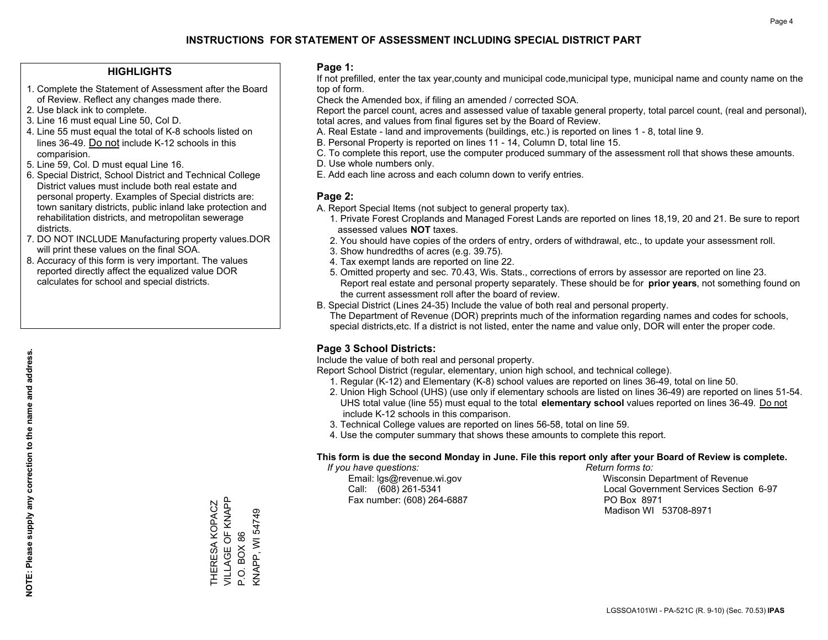#### **HIGHLIGHTS**

- 1. Complete the Statement of Assessment after the Board of Review. Reflect any changes made there.
- 2. Use black ink to complete.
- 3. Line 16 must equal Line 50, Col D.
- 4. Line 55 must equal the total of K-8 schools listed on lines 36-49. Do not include K-12 schools in this comparision.
- 5. Line 59, Col. D must equal Line 16.
- 6. Special District, School District and Technical College District values must include both real estate and personal property. Examples of Special districts are: town sanitary districts, public inland lake protection and rehabilitation districts, and metropolitan sewerage districts.
- 7. DO NOT INCLUDE Manufacturing property values.DOR will print these values on the final SOA.
- 8. Accuracy of this form is very important. The values reported directly affect the equalized value DOR calculates for school and special districts.

#### **Page 1:**

 If not prefilled, enter the tax year,county and municipal code,municipal type, municipal name and county name on the top of form.

Check the Amended box, if filing an amended / corrected SOA.

 Report the parcel count, acres and assessed value of taxable general property, total parcel count, (real and personal), total acres, and values from final figures set by the Board of Review.

- A. Real Estate land and improvements (buildings, etc.) is reported on lines 1 8, total line 9.
- B. Personal Property is reported on lines 11 14, Column D, total line 15.
- C. To complete this report, use the computer produced summary of the assessment roll that shows these amounts.
- D. Use whole numbers only.
- E. Add each line across and each column down to verify entries.

#### **Page 2:**

- A. Report Special Items (not subject to general property tax).
- 1. Private Forest Croplands and Managed Forest Lands are reported on lines 18,19, 20 and 21. Be sure to report assessed values **NOT** taxes.
- 2. You should have copies of the orders of entry, orders of withdrawal, etc., to update your assessment roll.
	- 3. Show hundredths of acres (e.g. 39.75).
- 4. Tax exempt lands are reported on line 22.
- 5. Omitted property and sec. 70.43, Wis. Stats., corrections of errors by assessor are reported on line 23. Report real estate and personal property separately. These should be for **prior years**, not something found on the current assessment roll after the board of review.
- B. Special District (Lines 24-35) Include the value of both real and personal property.
- The Department of Revenue (DOR) preprints much of the information regarding names and codes for schools, special districts,etc. If a district is not listed, enter the name and value only, DOR will enter the proper code.

## **Page 3 School Districts:**

Include the value of both real and personal property.

Report School District (regular, elementary, union high school, and technical college).

- 1. Regular (K-12) and Elementary (K-8) school values are reported on lines 36-49, total on line 50.
- 2. Union High School (UHS) (use only if elementary schools are listed on lines 36-49) are reported on lines 51-54. UHS total value (line 55) must equal to the total **elementary school** values reported on lines 36-49. Do notinclude K-12 schools in this comparison.
- 3. Technical College values are reported on lines 56-58, total on line 59.
- 4. Use the computer summary that shows these amounts to complete this report.

#### **This form is due the second Monday in June. File this report only after your Board of Review is complete.**

 *If you have questions: Return forms to:*

Fax number: (608) 264-6887 PO Box 8971

 Email: lgs@revenue.wi.gov Wisconsin Department of Revenue Call: (608) 261-5341 Local Government Services Section 6-97Madison WI 53708-8971

VILLAGE OF KNAPP VILLAGE OF KNAPP THERESA KOPACZ THERESA KOPACZ **KNAPP, WI 54749** KNAPP, WI 54749 P.O. BOX 86 P.O. BOX 86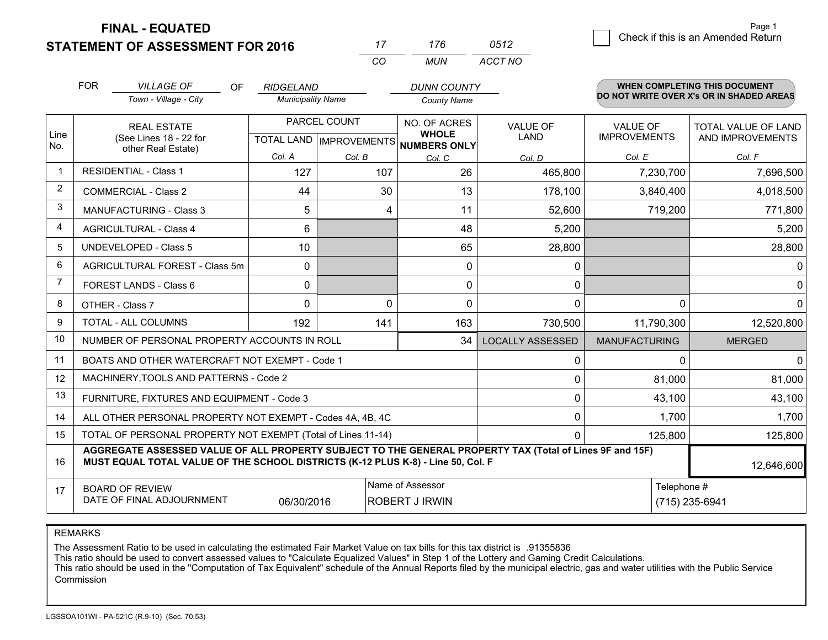**STATEMENT OF ASSESSMENT FOR 2016** 

**FINAL - EQUATED**

2 Check if this is an Amended Return Page 1

|                | <b>FOR</b>                                                                                                   | <b>VILLAGE OF</b><br>OF                                                                                                                                                                      | <b>RIDGELAND</b>         |              | <b>DUNN COUNTY</b>                                   |                         |                      | <b>WHEN COMPLETING THIS DOCUMENT</b>     |  |
|----------------|--------------------------------------------------------------------------------------------------------------|----------------------------------------------------------------------------------------------------------------------------------------------------------------------------------------------|--------------------------|--------------|------------------------------------------------------|-------------------------|----------------------|------------------------------------------|--|
|                |                                                                                                              | Town - Village - City                                                                                                                                                                        | <b>Municipality Name</b> |              | <b>County Name</b>                                   |                         |                      | DO NOT WRITE OVER X's OR IN SHADED AREAS |  |
|                |                                                                                                              | <b>REAL ESTATE</b>                                                                                                                                                                           |                          | PARCEL COUNT | NO. OF ACRES                                         | <b>VALUE OF</b>         | <b>VALUE OF</b>      | TOTAL VALUE OF LAND                      |  |
| Line<br>No.    |                                                                                                              | (See Lines 18 - 22 for<br>other Real Estate)                                                                                                                                                 |                          |              | <b>WHOLE</b><br>TOTAL LAND IMPROVEMENTS NUMBERS ONLY | <b>LAND</b>             | <b>IMPROVEMENTS</b>  | AND IMPROVEMENTS                         |  |
|                |                                                                                                              |                                                                                                                                                                                              | Col. A                   | Col. B       | Col. C                                               | Col. D                  | Col. E               | Col. F                                   |  |
| $\overline{1}$ |                                                                                                              | <b>RESIDENTIAL - Class 1</b>                                                                                                                                                                 | 127                      | 107          | 26                                                   | 465,800                 | 7,230,700            | 7,696,500                                |  |
| $\overline{2}$ |                                                                                                              | <b>COMMERCIAL - Class 2</b>                                                                                                                                                                  | 44                       | 30           | 13                                                   | 178,100                 | 3,840,400            | 4,018,500                                |  |
| 3              |                                                                                                              | <b>MANUFACTURING - Class 3</b>                                                                                                                                                               | 5                        | 4            | 11                                                   | 52,600                  | 719,200              | 771,800                                  |  |
| $\overline{4}$ |                                                                                                              | <b>AGRICULTURAL - Class 4</b>                                                                                                                                                                | 6                        |              | 48                                                   | 5,200                   |                      | 5,200                                    |  |
| 5              |                                                                                                              | <b>UNDEVELOPED - Class 5</b>                                                                                                                                                                 | 10                       |              | 65                                                   | 28,800                  |                      | 28,800                                   |  |
| 6              |                                                                                                              | AGRICULTURAL FOREST - Class 5m                                                                                                                                                               | 0                        |              | 0                                                    | 0                       |                      | 0                                        |  |
| $\overline{7}$ |                                                                                                              | FOREST LANDS - Class 6                                                                                                                                                                       | 0                        |              | 0                                                    | 0                       |                      | $\mathbf 0$                              |  |
| 8              |                                                                                                              | OTHER - Class 7                                                                                                                                                                              | $\Omega$                 | $\Omega$     | 0                                                    | $\Omega$                | $\Omega$             | $\mathbf{0}$                             |  |
| 9              |                                                                                                              | TOTAL - ALL COLUMNS                                                                                                                                                                          | 192                      | 141          | 163                                                  | 730,500                 | 11,790,300           | 12,520,800                               |  |
| 10             |                                                                                                              | NUMBER OF PERSONAL PROPERTY ACCOUNTS IN ROLL                                                                                                                                                 |                          |              | 34                                                   | <b>LOCALLY ASSESSED</b> | <b>MANUFACTURING</b> | <b>MERGED</b>                            |  |
| 11             |                                                                                                              | BOATS AND OTHER WATERCRAFT NOT EXEMPT - Code 1                                                                                                                                               |                          |              |                                                      | 0                       | $\Omega$             | $\Omega$                                 |  |
| 12             |                                                                                                              | MACHINERY, TOOLS AND PATTERNS - Code 2                                                                                                                                                       |                          |              |                                                      | 0                       | 81,000               | 81,000                                   |  |
| 13             |                                                                                                              | FURNITURE, FIXTURES AND EQUIPMENT - Code 3                                                                                                                                                   |                          |              |                                                      | 0                       | 43,100               | 43,100                                   |  |
| 14             |                                                                                                              | ALL OTHER PERSONAL PROPERTY NOT EXEMPT - Codes 4A, 4B, 4C                                                                                                                                    |                          |              |                                                      | 0                       | 1.700                | 1,700                                    |  |
| 15             |                                                                                                              | TOTAL OF PERSONAL PROPERTY NOT EXEMPT (Total of Lines 11-14)                                                                                                                                 |                          |              |                                                      | $\Omega$                | 125,800              | 125,800                                  |  |
| 16             |                                                                                                              | AGGREGATE ASSESSED VALUE OF ALL PROPERTY SUBJECT TO THE GENERAL PROPERTY TAX (Total of Lines 9F and 15F)<br>MUST EQUAL TOTAL VALUE OF THE SCHOOL DISTRICTS (K-12 PLUS K-8) - Line 50, Col. F |                          |              |                                                      |                         |                      | 12,646,600                               |  |
| 17             |                                                                                                              |                                                                                                                                                                                              |                          |              | Name of Assessor                                     |                         | Telephone #          |                                          |  |
|                | <b>BOARD OF REVIEW</b><br>DATE OF FINAL ADJOURNMENT<br>06/30/2016<br><b>ROBERT J IRWIN</b><br>(715) 235-6941 |                                                                                                                                                                                              |                          |              |                                                      |                         |                      |                                          |  |

*CO*

*MUN*

*ACCT NO0512*

*<sup>17</sup> <sup>176</sup>*

REMARKS

The Assessment Ratio to be used in calculating the estimated Fair Market Value on tax bills for this tax district is .91355836<br>This ratio should be used to convert assessed values to "Calculate Equalized Values" in Step 1 Commission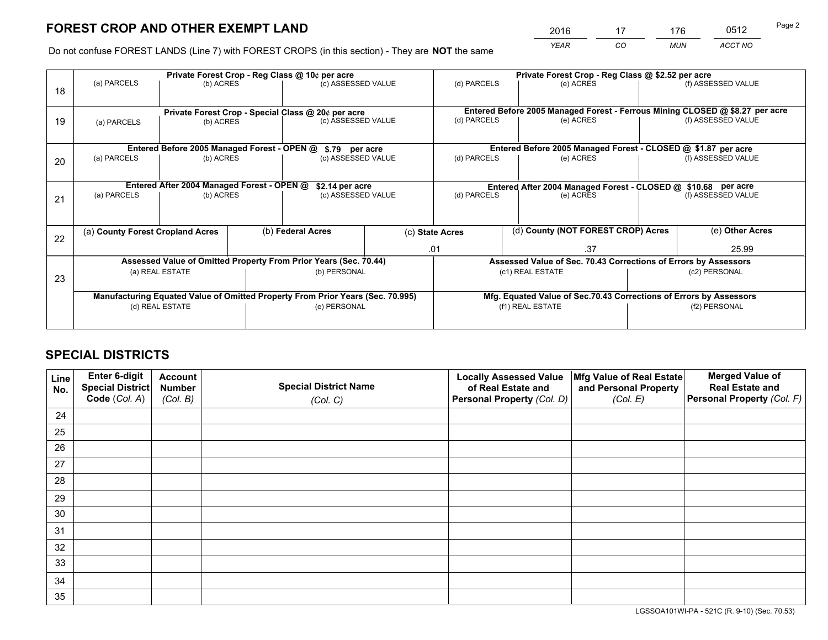# **FOREST CROP AND OTHER EXEMPT LAND**

 *YEAR CO MUN ACCT NO* <sup>2016</sup> <sup>17</sup> <sup>176</sup> <sup>0512</sup>

Do not confuse FOREST LANDS (Line 7) with FOREST CROPS (in this section) - They are **NOT** the same

|    |                                  |                                             |  | Private Forest Crop - Reg Class @ 10¢ per acre                                 |  | Private Forest Crop - Reg Class @ \$2.52 per acre                            |                                                                 |           |               |                                                                    |
|----|----------------------------------|---------------------------------------------|--|--------------------------------------------------------------------------------|--|------------------------------------------------------------------------------|-----------------------------------------------------------------|-----------|---------------|--------------------------------------------------------------------|
| 18 | (a) PARCELS                      | (b) ACRES                                   |  | (c) ASSESSED VALUE                                                             |  | (d) PARCELS                                                                  | (e) ACRES                                                       |           |               | (f) ASSESSED VALUE                                                 |
|    |                                  |                                             |  | Private Forest Crop - Special Class @ 20¢ per acre                             |  | Entered Before 2005 Managed Forest - Ferrous Mining CLOSED @ \$8.27 per acre |                                                                 |           |               |                                                                    |
| 19 | (a) PARCELS                      | (b) ACRES                                   |  | (c) ASSESSED VALUE                                                             |  | (d) PARCELS                                                                  | (e) ACRES                                                       |           |               | (f) ASSESSED VALUE                                                 |
|    |                                  | Entered Before 2005 Managed Forest - OPEN @ |  | \$.79 per acre                                                                 |  |                                                                              | Entered Before 2005 Managed Forest - CLOSED @ \$1.87 per acre   |           |               |                                                                    |
| 20 | (a) PARCELS<br>(b) ACRES         |                                             |  | (c) ASSESSED VALUE                                                             |  | (d) PARCELS                                                                  |                                                                 | (e) ACRES |               | (f) ASSESSED VALUE                                                 |
|    |                                  | Entered After 2004 Managed Forest - OPEN @  |  | \$2.14 per acre<br>(c) ASSESSED VALUE                                          |  | Entered After 2004 Managed Forest - CLOSED @ \$10.68 per acre                |                                                                 |           |               |                                                                    |
| 21 | (a) PARCELS                      | (b) ACRES                                   |  |                                                                                |  | (d) PARCELS                                                                  |                                                                 | (e) ACRES |               | (f) ASSESSED VALUE                                                 |
| 22 | (a) County Forest Cropland Acres |                                             |  | (b) Federal Acres                                                              |  | (d) County (NOT FOREST CROP) Acres<br>(c) State Acres                        |                                                                 |           |               | (e) Other Acres                                                    |
|    |                                  |                                             |  |                                                                                |  | .37<br>.01                                                                   |                                                                 |           | 25.99         |                                                                    |
|    |                                  |                                             |  | Assessed Value of Omitted Property From Prior Years (Sec. 70.44)               |  |                                                                              | Assessed Value of Sec. 70.43 Corrections of Errors by Assessors |           |               |                                                                    |
| 23 | (a) REAL ESTATE                  |                                             |  | (b) PERSONAL                                                                   |  | (c1) REAL ESTATE                                                             |                                                                 |           | (c2) PERSONAL |                                                                    |
|    |                                  |                                             |  | Manufacturing Equated Value of Omitted Property From Prior Years (Sec. 70.995) |  |                                                                              |                                                                 |           |               | Mfg. Equated Value of Sec.70.43 Corrections of Errors by Assessors |
|    | (d) REAL ESTATE                  |                                             |  | (e) PERSONAL                                                                   |  | (f1) REAL ESTATE                                                             |                                                                 |           | (f2) PERSONAL |                                                                    |
|    |                                  |                                             |  |                                                                                |  |                                                                              |                                                                 |           |               |                                                                    |

## **SPECIAL DISTRICTS**

| Line<br>No. | Enter 6-digit<br><b>Special District</b> | <b>Account</b><br><b>Number</b> | <b>Special District Name</b> | <b>Locally Assessed Value</b><br>of Real Estate and | Mfg Value of Real Estate<br>and Personal Property | <b>Merged Value of</b><br><b>Real Estate and</b> |
|-------------|------------------------------------------|---------------------------------|------------------------------|-----------------------------------------------------|---------------------------------------------------|--------------------------------------------------|
|             | Code (Col. A)                            | (Col. B)                        | (Col. C)                     | Personal Property (Col. D)                          | (Col. E)                                          | Personal Property (Col. F)                       |
| 24          |                                          |                                 |                              |                                                     |                                                   |                                                  |
| 25          |                                          |                                 |                              |                                                     |                                                   |                                                  |
| 26          |                                          |                                 |                              |                                                     |                                                   |                                                  |
| 27          |                                          |                                 |                              |                                                     |                                                   |                                                  |
| 28          |                                          |                                 |                              |                                                     |                                                   |                                                  |
| 29          |                                          |                                 |                              |                                                     |                                                   |                                                  |
| 30          |                                          |                                 |                              |                                                     |                                                   |                                                  |
| 31          |                                          |                                 |                              |                                                     |                                                   |                                                  |
| 32          |                                          |                                 |                              |                                                     |                                                   |                                                  |
| 33          |                                          |                                 |                              |                                                     |                                                   |                                                  |
| 34          |                                          |                                 |                              |                                                     |                                                   |                                                  |
| 35          |                                          |                                 |                              |                                                     |                                                   |                                                  |

LGSSOA101WI-PA - 521C (R. 9-10) (Sec. 70.53)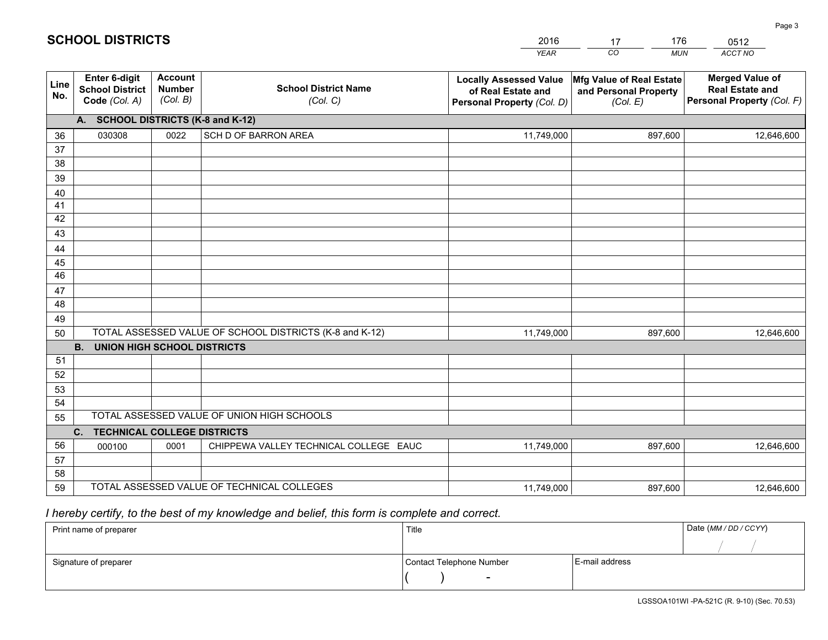|             |                                                                 |                                             |                                                         | <b>YEAR</b>                                                                       | CO<br><b>MUN</b>                                              | ACCT NO                                                                        |
|-------------|-----------------------------------------------------------------|---------------------------------------------|---------------------------------------------------------|-----------------------------------------------------------------------------------|---------------------------------------------------------------|--------------------------------------------------------------------------------|
| Line<br>No. | <b>Enter 6-digit</b><br><b>School District</b><br>Code (Col. A) | <b>Account</b><br><b>Number</b><br>(Col. B) | <b>School District Name</b><br>(Col. C)                 | <b>Locally Assessed Value</b><br>of Real Estate and<br>Personal Property (Col. D) | Mfg Value of Real Estate<br>and Personal Property<br>(Col. E) | <b>Merged Value of</b><br><b>Real Estate and</b><br>Personal Property (Col. F) |
|             | A. SCHOOL DISTRICTS (K-8 and K-12)                              |                                             |                                                         |                                                                                   |                                                               |                                                                                |
| 36          | 030308                                                          | 0022                                        | SCH D OF BARRON AREA                                    | 11,749,000                                                                        | 897,600                                                       | 12,646,600                                                                     |
| 37          |                                                                 |                                             |                                                         |                                                                                   |                                                               |                                                                                |
| 38          |                                                                 |                                             |                                                         |                                                                                   |                                                               |                                                                                |
| 39          |                                                                 |                                             |                                                         |                                                                                   |                                                               |                                                                                |
| 40          |                                                                 |                                             |                                                         |                                                                                   |                                                               |                                                                                |
| 41<br>42    |                                                                 |                                             |                                                         |                                                                                   |                                                               |                                                                                |
| 43          |                                                                 |                                             |                                                         |                                                                                   |                                                               |                                                                                |
| 44          |                                                                 |                                             |                                                         |                                                                                   |                                                               |                                                                                |
| 45          |                                                                 |                                             |                                                         |                                                                                   |                                                               |                                                                                |
| 46          |                                                                 |                                             |                                                         |                                                                                   |                                                               |                                                                                |
| 47          |                                                                 |                                             |                                                         |                                                                                   |                                                               |                                                                                |
| 48          |                                                                 |                                             |                                                         |                                                                                   |                                                               |                                                                                |
| 49          |                                                                 |                                             |                                                         |                                                                                   |                                                               |                                                                                |
| 50          |                                                                 |                                             | TOTAL ASSESSED VALUE OF SCHOOL DISTRICTS (K-8 and K-12) | 11,749,000                                                                        | 897,600                                                       | 12,646,600                                                                     |
|             | <b>B. UNION HIGH SCHOOL DISTRICTS</b>                           |                                             |                                                         |                                                                                   |                                                               |                                                                                |
| 51          |                                                                 |                                             |                                                         |                                                                                   |                                                               |                                                                                |
| 52          |                                                                 |                                             |                                                         |                                                                                   |                                                               |                                                                                |
| 53<br>54    |                                                                 |                                             |                                                         |                                                                                   |                                                               |                                                                                |
| 55          |                                                                 |                                             | TOTAL ASSESSED VALUE OF UNION HIGH SCHOOLS              |                                                                                   |                                                               |                                                                                |
|             | C.<br><b>TECHNICAL COLLEGE DISTRICTS</b>                        |                                             |                                                         |                                                                                   |                                                               |                                                                                |
| 56          | 000100                                                          | 0001                                        | CHIPPEWA VALLEY TECHNICAL COLLEGE EAUC                  | 11,749,000                                                                        | 897,600                                                       | 12,646,600                                                                     |
| 57          |                                                                 |                                             |                                                         |                                                                                   |                                                               |                                                                                |
| 58          |                                                                 |                                             |                                                         |                                                                                   |                                                               |                                                                                |
| 59          |                                                                 |                                             | TOTAL ASSESSED VALUE OF TECHNICAL COLLEGES              | 11,749,000                                                                        | 897,600                                                       | 12,646,600                                                                     |

2016

17

176

 *I hereby certify, to the best of my knowledge and belief, this form is complete and correct.*

**SCHOOL DISTRICTS**

| Print name of preparer | Title                    | Date (MM/DD/CCYY) |  |
|------------------------|--------------------------|-------------------|--|
|                        |                          |                   |  |
| Signature of preparer  | Contact Telephone Number | E-mail address    |  |
|                        | $\overline{\phantom{a}}$ |                   |  |

0512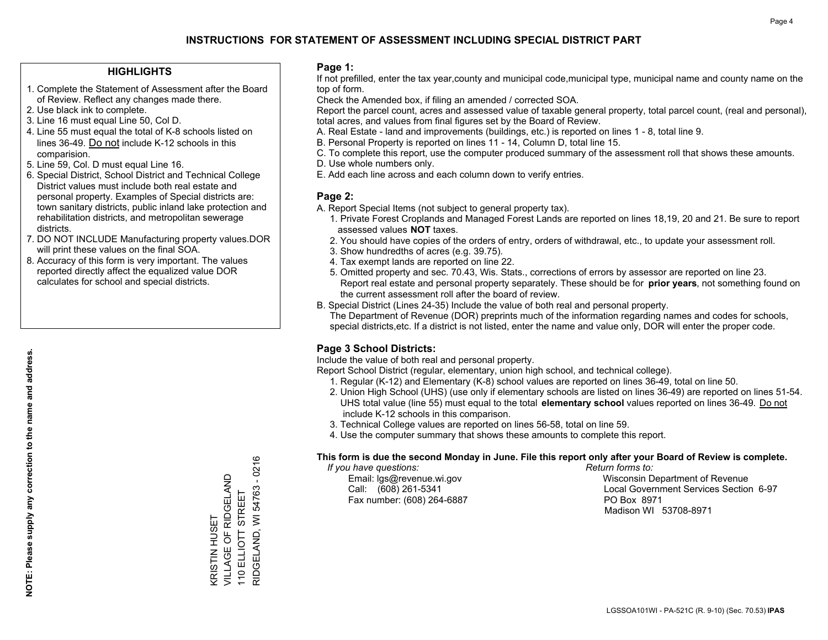## **INSTRUCTIONS FOR STATEMENT OF ASSESSMENT INCLUDING SPECIAL DISTRICT PART**

#### **HIGHLIGHTS**

- 1. Complete the Statement of Assessment after the Board of Review. Reflect any changes made there.
- 2. Use black ink to complete.
- 3. Line 16 must equal Line 50, Col D.
- 4. Line 55 must equal the total of K-8 schools listed on lines 36-49. Do not include K-12 schools in this comparision.
- 5. Line 59, Col. D must equal Line 16.
- 6. Special District, School District and Technical College District values must include both real estate and personal property. Examples of Special districts are: town sanitary districts, public inland lake protection and rehabilitation districts, and metropolitan sewerage districts.
- 7. DO NOT INCLUDE Manufacturing property values.DOR will print these values on the final SOA.

KRISTIN HUSET

**KRISTIN HUSET** 

VILLAGE OF RIDGELAND 110 ELLIOTT STREET

VILLAGE OF RIDGELAND

RIDGELAND, WI 54763 - 0216

RIDGELAND, WI 54763 110 ELLIOTT STREET

 $-0216$ 

 8. Accuracy of this form is very important. The values reported directly affect the equalized value DOR calculates for school and special districts.

#### **Page 1:**

 If not prefilled, enter the tax year,county and municipal code,municipal type, municipal name and county name on the top of form.

Check the Amended box, if filing an amended / corrected SOA.

 Report the parcel count, acres and assessed value of taxable general property, total parcel count, (real and personal), total acres, and values from final figures set by the Board of Review.

- A. Real Estate land and improvements (buildings, etc.) is reported on lines 1 8, total line 9.
- B. Personal Property is reported on lines 11 14, Column D, total line 15.
- C. To complete this report, use the computer produced summary of the assessment roll that shows these amounts.
- D. Use whole numbers only.
- E. Add each line across and each column down to verify entries.

#### **Page 2:**

- A. Report Special Items (not subject to general property tax).
- 1. Private Forest Croplands and Managed Forest Lands are reported on lines 18,19, 20 and 21. Be sure to report assessed values **NOT** taxes.
- 2. You should have copies of the orders of entry, orders of withdrawal, etc., to update your assessment roll.
	- 3. Show hundredths of acres (e.g. 39.75).
- 4. Tax exempt lands are reported on line 22.
- 5. Omitted property and sec. 70.43, Wis. Stats., corrections of errors by assessor are reported on line 23. Report real estate and personal property separately. These should be for **prior years**, not something found on the current assessment roll after the board of review.
- B. Special District (Lines 24-35) Include the value of both real and personal property.

 The Department of Revenue (DOR) preprints much of the information regarding names and codes for schools, special districts,etc. If a district is not listed, enter the name and value only, DOR will enter the proper code.

### **Page 3 School Districts:**

Include the value of both real and personal property.

Report School District (regular, elementary, union high school, and technical college).

- 1. Regular (K-12) and Elementary (K-8) school values are reported on lines 36-49, total on line 50.
- 2. Union High School (UHS) (use only if elementary schools are listed on lines 36-49) are reported on lines 51-54. UHS total value (line 55) must equal to the total **elementary school** values reported on lines 36-49. Do notinclude K-12 schools in this comparison.
- 3. Technical College values are reported on lines 56-58, total on line 59.
- 4. Use the computer summary that shows these amounts to complete this report.

#### **This form is due the second Monday in June. File this report only after your Board of Review is complete.**

 *If you have questions: Return forms to:*

Fax number: (608) 264-6887 PO Box 8971

 Email: lgs@revenue.wi.gov Wisconsin Department of Revenue Call: (608) 261-5341 Local Government Services Section 6-97Madison WI 53708-8971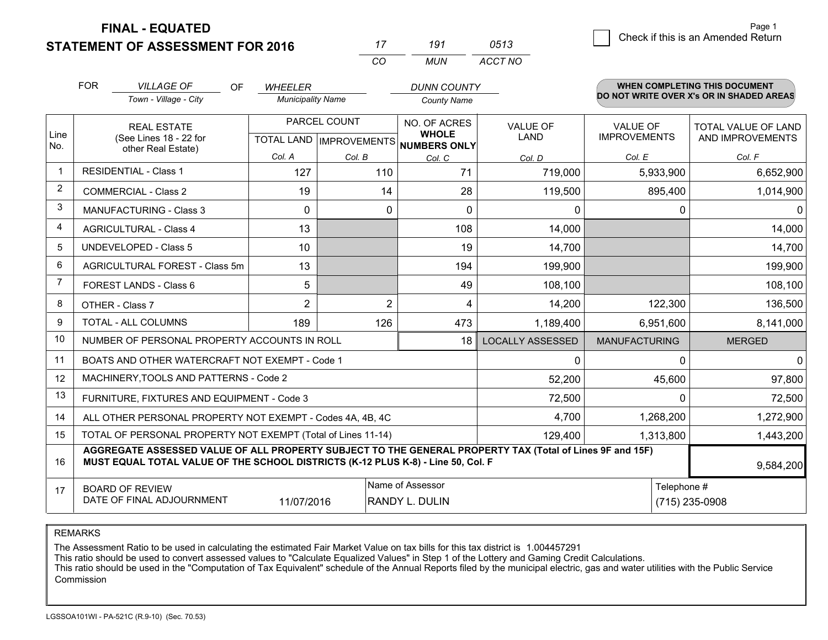**STATEMENT OF ASSESSMENT FOR 2016** 

**FINAL - EQUATED**

|                | <b>FOR</b>                                                       | <b>VILLAGE OF</b><br>OF.                                                                                                                                                                     | <b>WHEELER</b>           |                           | <b>DUNN COUNTY</b>                  |                         |                      | WHEN COMPLETING THIS DOCUMENT            |  |
|----------------|------------------------------------------------------------------|----------------------------------------------------------------------------------------------------------------------------------------------------------------------------------------------|--------------------------|---------------------------|-------------------------------------|-------------------------|----------------------|------------------------------------------|--|
|                |                                                                  | Town - Village - City                                                                                                                                                                        | <b>Municipality Name</b> |                           | <b>County Name</b>                  |                         |                      | DO NOT WRITE OVER X's OR IN SHADED AREAS |  |
|                |                                                                  | <b>REAL ESTATE</b>                                                                                                                                                                           |                          | PARCEL COUNT              | NO. OF ACRES                        | <b>VALUE OF</b>         | <b>VALUE OF</b>      | <b>TOTAL VALUE OF LAND</b>               |  |
| Line<br>No.    |                                                                  | (See Lines 18 - 22 for<br>other Real Estate)                                                                                                                                                 |                          | TOTAL LAND   IMPROVEMENTS | <b>WHOLE</b><br><b>NUMBERS ONLY</b> | LAND                    | <b>IMPROVEMENTS</b>  | AND IMPROVEMENTS                         |  |
|                |                                                                  |                                                                                                                                                                                              | Col. A                   | Col. B                    | Col. C                              | Col. D                  | Col. E               | Col. F                                   |  |
| $\mathbf 1$    |                                                                  | <b>RESIDENTIAL - Class 1</b>                                                                                                                                                                 | 127                      | 110                       | 71                                  | 719,000                 | 5,933,900            | 6,652,900                                |  |
| $\overline{2}$ |                                                                  | <b>COMMERCIAL - Class 2</b>                                                                                                                                                                  | 19                       |                           | 14<br>28                            | 119,500                 | 895,400              | 1,014,900                                |  |
| 3              |                                                                  | <b>MANUFACTURING - Class 3</b>                                                                                                                                                               | 0                        |                           | 0<br>0                              | 0                       | 0                    |                                          |  |
| 4              |                                                                  | <b>AGRICULTURAL - Class 4</b>                                                                                                                                                                | 13                       |                           | 108                                 | 14,000                  |                      | 14,000                                   |  |
| 5              |                                                                  | <b>UNDEVELOPED - Class 5</b>                                                                                                                                                                 | 10                       |                           | 19                                  | 14,700                  |                      | 14,700                                   |  |
| 6              |                                                                  | AGRICULTURAL FOREST - Class 5m                                                                                                                                                               | 13                       |                           | 194                                 | 199,900                 |                      | 199,900                                  |  |
| 7              |                                                                  | FOREST LANDS - Class 6                                                                                                                                                                       | 5                        |                           | 49                                  | 108,100                 |                      | 108,100                                  |  |
| 8              |                                                                  | OTHER - Class 7                                                                                                                                                                              | $\overline{2}$           |                           | $\overline{2}$<br>4                 | 14,200                  | 122,300              | 136,500                                  |  |
| 9              |                                                                  | <b>TOTAL - ALL COLUMNS</b>                                                                                                                                                                   | 189                      | 126                       | 473                                 | 1,189,400               | 6,951,600            | 8,141,000                                |  |
| 10             |                                                                  | NUMBER OF PERSONAL PROPERTY ACCOUNTS IN ROLL                                                                                                                                                 |                          |                           | 18                                  | <b>LOCALLY ASSESSED</b> | <b>MANUFACTURING</b> | <b>MERGED</b>                            |  |
| 11             |                                                                  | BOATS AND OTHER WATERCRAFT NOT EXEMPT - Code 1                                                                                                                                               |                          |                           |                                     | 0                       | $\Omega$             | 0                                        |  |
| 12             |                                                                  | MACHINERY, TOOLS AND PATTERNS - Code 2                                                                                                                                                       |                          |                           |                                     | 52,200                  | 45,600               | 97,800                                   |  |
| 13             |                                                                  | FURNITURE, FIXTURES AND EQUIPMENT - Code 3                                                                                                                                                   |                          |                           |                                     | 72,500                  | $\Omega$             | 72,500                                   |  |
| 14             |                                                                  | ALL OTHER PERSONAL PROPERTY NOT EXEMPT - Codes 4A, 4B, 4C                                                                                                                                    |                          |                           |                                     | 4,700                   | 1,268,200            | 1,272,900                                |  |
| 15             |                                                                  | TOTAL OF PERSONAL PROPERTY NOT EXEMPT (Total of Lines 11-14)                                                                                                                                 |                          |                           |                                     | 129,400                 | 1,313,800            | 1,443,200                                |  |
| 16             |                                                                  | AGGREGATE ASSESSED VALUE OF ALL PROPERTY SUBJECT TO THE GENERAL PROPERTY TAX (Total of Lines 9F and 15F)<br>MUST EQUAL TOTAL VALUE OF THE SCHOOL DISTRICTS (K-12 PLUS K-8) - Line 50, Col. F |                          |                           |                                     |                         |                      | 9,584,200                                |  |
| 17             |                                                                  | <b>BOARD OF REVIEW</b>                                                                                                                                                                       |                          |                           | Name of Assessor                    |                         | Telephone #          |                                          |  |
|                | DATE OF FINAL ADJOURNMENT<br><b>RANDY L. DULIN</b><br>11/07/2016 |                                                                                                                                                                                              |                          |                           |                                     |                         | (715) 235-0908       |                                          |  |

*CO*

*MUN*

*ACCT NO0513*

*<sup>17</sup> <sup>191</sup>*

REMARKS

The Assessment Ratio to be used in calculating the estimated Fair Market Value on tax bills for this tax district is 1.004457291<br>This ratio should be used to convert assessed values to "Calculate Equalized Values" in Step Commission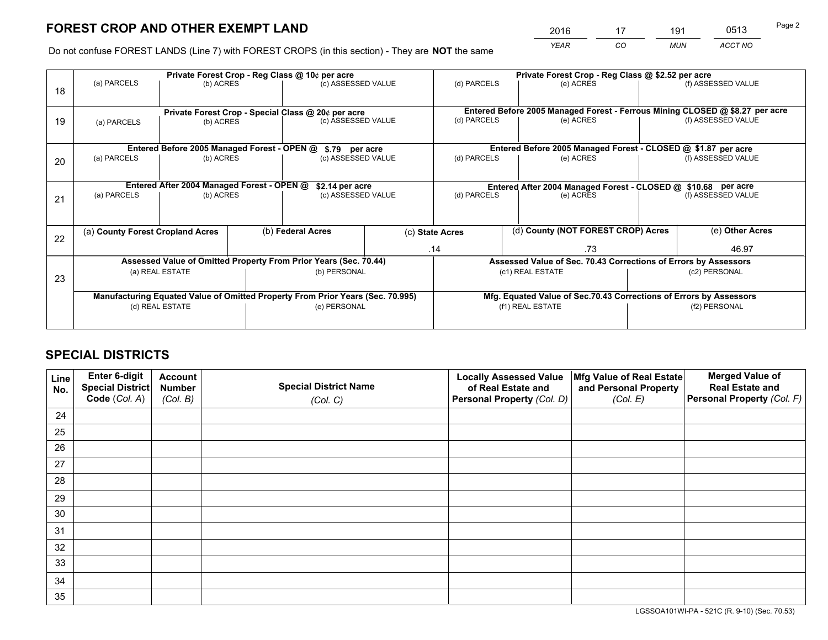# **FOREST CROP AND OTHER EXEMPT LAND**

|   | 2016 | 17 | 191        | 0513    | Page 2 |
|---|------|----|------------|---------|--------|
| е | YEAR | CO | <b>MUN</b> | ACCT NO |        |

Do not confuse FOREST LANDS (Line 7) with FOREST CROPS (in this section) - They are **NOT** the same

|    |                                                                                |                                            |                    | Private Forest Crop - Reg Class @ 10¢ per acre                   |                                                                    |                                                                              |           | Private Forest Crop - Reg Class @ \$2.52 per acre               |                    |                    |
|----|--------------------------------------------------------------------------------|--------------------------------------------|--------------------|------------------------------------------------------------------|--------------------------------------------------------------------|------------------------------------------------------------------------------|-----------|-----------------------------------------------------------------|--------------------|--------------------|
| 18 | (a) PARCELS                                                                    | (b) ACRES                                  |                    | (c) ASSESSED VALUE                                               |                                                                    | (d) PARCELS                                                                  |           | (e) ACRES                                                       |                    | (f) ASSESSED VALUE |
|    |                                                                                |                                            |                    |                                                                  |                                                                    |                                                                              |           |                                                                 |                    |                    |
|    | Private Forest Crop - Special Class @ 20¢ per acre                             |                                            |                    |                                                                  |                                                                    | Entered Before 2005 Managed Forest - Ferrous Mining CLOSED @ \$8.27 per acre |           |                                                                 |                    |                    |
| 19 | (b) ACRES<br>(a) PARCELS                                                       |                                            | (c) ASSESSED VALUE |                                                                  | (d) PARCELS                                                        |                                                                              | (e) ACRES |                                                                 | (f) ASSESSED VALUE |                    |
|    |                                                                                |                                            |                    |                                                                  |                                                                    |                                                                              |           |                                                                 |                    |                    |
|    |                                                                                |                                            |                    | Entered Before 2005 Managed Forest - OPEN @ \$.79 per acre       |                                                                    |                                                                              |           | Entered Before 2005 Managed Forest - CLOSED @ \$1.87 per acre   |                    |                    |
| 20 | (a) PARCELS                                                                    | (b) ACRES                                  |                    | (c) ASSESSED VALUE                                               |                                                                    | (d) PARCELS                                                                  |           | (e) ACRES                                                       |                    | (f) ASSESSED VALUE |
|    |                                                                                |                                            |                    |                                                                  |                                                                    |                                                                              |           |                                                                 |                    |                    |
|    |                                                                                | Entered After 2004 Managed Forest - OPEN @ |                    | \$2.14 per acre                                                  |                                                                    | Entered After 2004 Managed Forest - CLOSED @ \$10.68 per acre                |           |                                                                 |                    |                    |
| 21 | (a) PARCELS                                                                    | (b) ACRES                                  |                    | (c) ASSESSED VALUE                                               |                                                                    | (d) PARCELS                                                                  |           | (e) ACRES                                                       |                    | (f) ASSESSED VALUE |
|    |                                                                                |                                            |                    |                                                                  |                                                                    |                                                                              |           |                                                                 |                    |                    |
|    |                                                                                |                                            |                    |                                                                  |                                                                    |                                                                              |           |                                                                 |                    |                    |
| 22 | (a) County Forest Cropland Acres                                               |                                            |                    | (b) Federal Acres                                                |                                                                    | (c) State Acres                                                              |           | (d) County (NOT FOREST CROP) Acres                              |                    | (e) Other Acres    |
|    |                                                                                |                                            |                    |                                                                  |                                                                    | .14                                                                          | .73       |                                                                 | 46.97              |                    |
|    |                                                                                |                                            |                    | Assessed Value of Omitted Property From Prior Years (Sec. 70.44) |                                                                    |                                                                              |           | Assessed Value of Sec. 70.43 Corrections of Errors by Assessors |                    |                    |
| 23 |                                                                                | (a) REAL ESTATE                            |                    | (b) PERSONAL                                                     |                                                                    |                                                                              |           | (c1) REAL ESTATE                                                |                    | (c2) PERSONAL      |
|    |                                                                                |                                            |                    |                                                                  |                                                                    |                                                                              |           |                                                                 |                    |                    |
|    | Manufacturing Equated Value of Omitted Property From Prior Years (Sec. 70.995) |                                            |                    |                                                                  | Mfg. Equated Value of Sec.70.43 Corrections of Errors by Assessors |                                                                              |           |                                                                 |                    |                    |
|    | (d) REAL ESTATE                                                                |                                            |                    | (e) PERSONAL                                                     |                                                                    | (f1) REAL ESTATE                                                             |           |                                                                 | (f2) PERSONAL      |                    |
|    |                                                                                |                                            |                    |                                                                  |                                                                    |                                                                              |           |                                                                 |                    |                    |

## **SPECIAL DISTRICTS**

| Line<br>No. | Enter 6-digit<br>Special District<br>Code (Col. A) | <b>Account</b><br><b>Number</b> | <b>Special District Name</b> | <b>Locally Assessed Value</b><br>of Real Estate and | Mfg Value of Real Estate<br>and Personal Property | <b>Merged Value of</b><br><b>Real Estate and</b><br>Personal Property (Col. F) |
|-------------|----------------------------------------------------|---------------------------------|------------------------------|-----------------------------------------------------|---------------------------------------------------|--------------------------------------------------------------------------------|
|             |                                                    | (Col. B)                        | (Col. C)                     | Personal Property (Col. D)                          | (Col. E)                                          |                                                                                |
| 24          |                                                    |                                 |                              |                                                     |                                                   |                                                                                |
| 25          |                                                    |                                 |                              |                                                     |                                                   |                                                                                |
| 26          |                                                    |                                 |                              |                                                     |                                                   |                                                                                |
| 27          |                                                    |                                 |                              |                                                     |                                                   |                                                                                |
| 28          |                                                    |                                 |                              |                                                     |                                                   |                                                                                |
| 29          |                                                    |                                 |                              |                                                     |                                                   |                                                                                |
| 30          |                                                    |                                 |                              |                                                     |                                                   |                                                                                |
| 31          |                                                    |                                 |                              |                                                     |                                                   |                                                                                |
| 32          |                                                    |                                 |                              |                                                     |                                                   |                                                                                |
| 33          |                                                    |                                 |                              |                                                     |                                                   |                                                                                |
| 34          |                                                    |                                 |                              |                                                     |                                                   |                                                                                |
| 35          |                                                    |                                 |                              |                                                     |                                                   |                                                                                |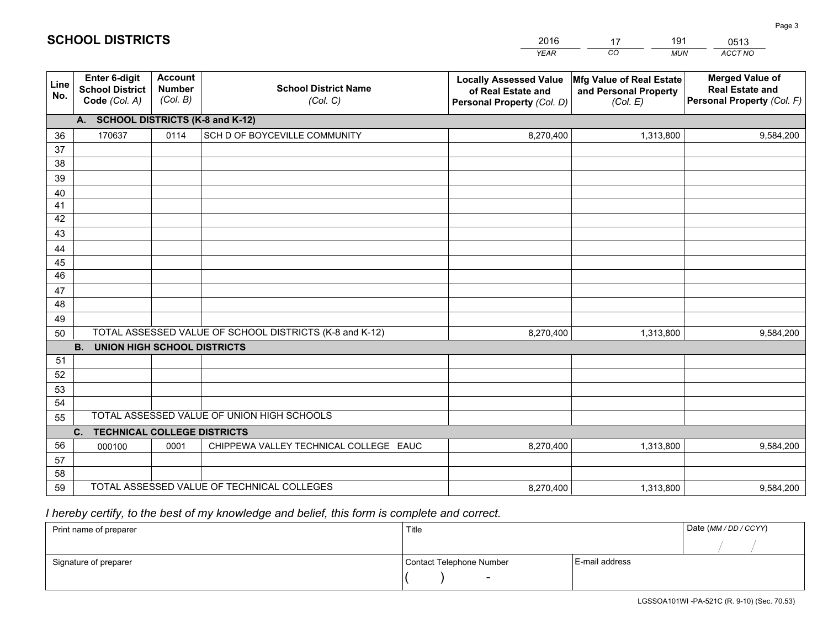|             |                                                          |                                             |                                                         | YEAR                                                                              | CO.<br><b>MUN</b>                                             | ACCT NO                                                                        |
|-------------|----------------------------------------------------------|---------------------------------------------|---------------------------------------------------------|-----------------------------------------------------------------------------------|---------------------------------------------------------------|--------------------------------------------------------------------------------|
| Line<br>No. | Enter 6-digit<br><b>School District</b><br>Code (Col. A) | <b>Account</b><br><b>Number</b><br>(Col. B) | <b>School District Name</b><br>(Col. C)                 | <b>Locally Assessed Value</b><br>of Real Estate and<br>Personal Property (Col. D) | Mfg Value of Real Estate<br>and Personal Property<br>(Col. E) | <b>Merged Value of</b><br><b>Real Estate and</b><br>Personal Property (Col. F) |
|             | A. SCHOOL DISTRICTS (K-8 and K-12)                       |                                             |                                                         |                                                                                   |                                                               |                                                                                |
| 36          | 170637                                                   | 0114                                        | SCH D OF BOYCEVILLE COMMUNITY                           | 8,270,400                                                                         | 1,313,800                                                     | 9,584,200                                                                      |
| 37          |                                                          |                                             |                                                         |                                                                                   |                                                               |                                                                                |
| 38          |                                                          |                                             |                                                         |                                                                                   |                                                               |                                                                                |
| 39          |                                                          |                                             |                                                         |                                                                                   |                                                               |                                                                                |
| 40          |                                                          |                                             |                                                         |                                                                                   |                                                               |                                                                                |
| 41<br>42    |                                                          |                                             |                                                         |                                                                                   |                                                               |                                                                                |
| 43          |                                                          |                                             |                                                         |                                                                                   |                                                               |                                                                                |
| 44          |                                                          |                                             |                                                         |                                                                                   |                                                               |                                                                                |
| 45          |                                                          |                                             |                                                         |                                                                                   |                                                               |                                                                                |
| 46          |                                                          |                                             |                                                         |                                                                                   |                                                               |                                                                                |
| 47          |                                                          |                                             |                                                         |                                                                                   |                                                               |                                                                                |
| 48          |                                                          |                                             |                                                         |                                                                                   |                                                               |                                                                                |
| 49          |                                                          |                                             |                                                         |                                                                                   |                                                               |                                                                                |
| 50          |                                                          |                                             | TOTAL ASSESSED VALUE OF SCHOOL DISTRICTS (K-8 and K-12) | 8,270,400                                                                         | 1,313,800                                                     | 9,584,200                                                                      |
|             | <b>B.</b><br>UNION HIGH SCHOOL DISTRICTS                 |                                             |                                                         |                                                                                   |                                                               |                                                                                |
| 51          |                                                          |                                             |                                                         |                                                                                   |                                                               |                                                                                |
| 52          |                                                          |                                             |                                                         |                                                                                   |                                                               |                                                                                |
| 53<br>54    |                                                          |                                             |                                                         |                                                                                   |                                                               |                                                                                |
| 55          |                                                          |                                             | TOTAL ASSESSED VALUE OF UNION HIGH SCHOOLS              |                                                                                   |                                                               |                                                                                |
|             | C.<br><b>TECHNICAL COLLEGE DISTRICTS</b>                 |                                             |                                                         |                                                                                   |                                                               |                                                                                |
| 56          | 000100                                                   | 0001                                        | CHIPPEWA VALLEY TECHNICAL COLLEGE EAUC                  | 8,270,400                                                                         | 1,313,800                                                     | 9,584,200                                                                      |
| 57          |                                                          |                                             |                                                         |                                                                                   |                                                               |                                                                                |
| 58          |                                                          |                                             |                                                         |                                                                                   |                                                               |                                                                                |
| 59          |                                                          |                                             | TOTAL ASSESSED VALUE OF TECHNICAL COLLEGES              | 8,270,400                                                                         | 1,313,800                                                     | 9,584,200                                                                      |

2016

17

191

 *I hereby certify, to the best of my knowledge and belief, this form is complete and correct.*

**SCHOOL DISTRICTS**

| Print name of preparer | Title                    | Date (MM / DD / CCYY) |  |
|------------------------|--------------------------|-----------------------|--|
|                        |                          |                       |  |
| Signature of preparer  | Contact Telephone Number | E-mail address        |  |
|                        | $\sim$                   |                       |  |

0513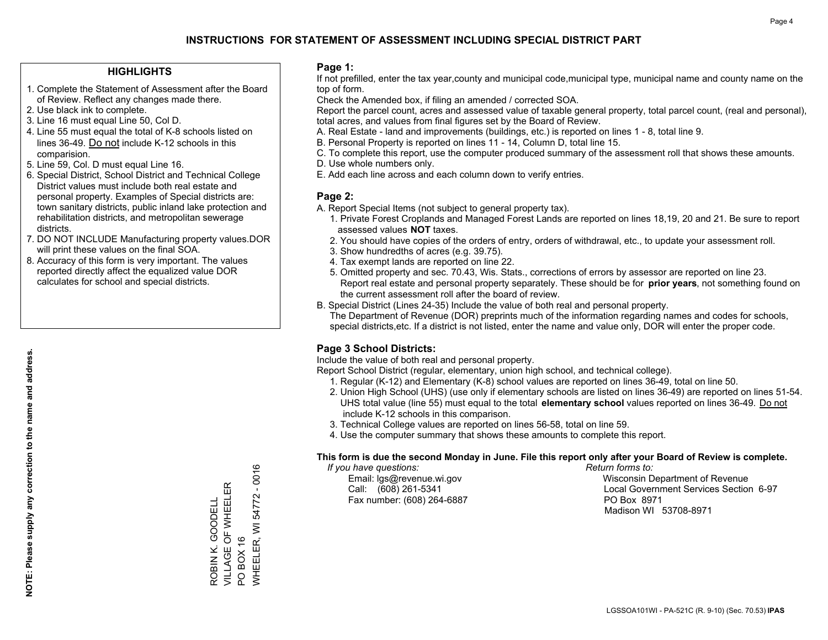## **INSTRUCTIONS FOR STATEMENT OF ASSESSMENT INCLUDING SPECIAL DISTRICT PART**

#### **HIGHLIGHTS**

- 1. Complete the Statement of Assessment after the Board of Review. Reflect any changes made there.
- 2. Use black ink to complete.
- 3. Line 16 must equal Line 50, Col D.
- 4. Line 55 must equal the total of K-8 schools listed on lines 36-49. Do not include K-12 schools in this comparision.
- 5. Line 59, Col. D must equal Line 16.
- 6. Special District, School District and Technical College District values must include both real estate and personal property. Examples of Special districts are: town sanitary districts, public inland lake protection and rehabilitation districts, and metropolitan sewerage districts.
- 7. DO NOT INCLUDE Manufacturing property values.DOR will print these values on the final SOA.
- 8. Accuracy of this form is very important. The values reported directly affect the equalized value DOR calculates for school and special districts.

#### **Page 1:**

 If not prefilled, enter the tax year,county and municipal code,municipal type, municipal name and county name on the top of form.

Check the Amended box, if filing an amended / corrected SOA.

 Report the parcel count, acres and assessed value of taxable general property, total parcel count, (real and personal), total acres, and values from final figures set by the Board of Review.

- A. Real Estate land and improvements (buildings, etc.) is reported on lines 1 8, total line 9.
- B. Personal Property is reported on lines 11 14, Column D, total line 15.
- C. To complete this report, use the computer produced summary of the assessment roll that shows these amounts.
- D. Use whole numbers only.
- E. Add each line across and each column down to verify entries.

#### **Page 2:**

- A. Report Special Items (not subject to general property tax).
- 1. Private Forest Croplands and Managed Forest Lands are reported on lines 18,19, 20 and 21. Be sure to report assessed values **NOT** taxes.
- 2. You should have copies of the orders of entry, orders of withdrawal, etc., to update your assessment roll.
	- 3. Show hundredths of acres (e.g. 39.75).
- 4. Tax exempt lands are reported on line 22.
- 5. Omitted property and sec. 70.43, Wis. Stats., corrections of errors by assessor are reported on line 23. Report real estate and personal property separately. These should be for **prior years**, not something found on the current assessment roll after the board of review.
- B. Special District (Lines 24-35) Include the value of both real and personal property.
- The Department of Revenue (DOR) preprints much of the information regarding names and codes for schools, special districts,etc. If a district is not listed, enter the name and value only, DOR will enter the proper code.

### **Page 3 School Districts:**

Include the value of both real and personal property.

Report School District (regular, elementary, union high school, and technical college).

- 1. Regular (K-12) and Elementary (K-8) school values are reported on lines 36-49, total on line 50.
- 2. Union High School (UHS) (use only if elementary schools are listed on lines 36-49) are reported on lines 51-54. UHS total value (line 55) must equal to the total **elementary school** values reported on lines 36-49. Do notinclude K-12 schools in this comparison.
- 3. Technical College values are reported on lines 56-58, total on line 59.
- 4. Use the computer summary that shows these amounts to complete this report.

#### **This form is due the second Monday in June. File this report only after your Board of Review is complete.**

 *If you have questions: Return forms to:*

Fax number: (608) 264-6887 PO Box 8971

 Email: lgs@revenue.wi.gov Wisconsin Department of Revenue Call: (608) 261-5341 Local Government Services Section 6-97Madison WI 53708-8971

 $-0016$ WHEELER, WI 54772 - 0016 VILLAGE OF WHEELER ROBIN K. GOODELL<br>VILLAGE OF WHEELER 54772 ROBIN K. GOODELL WHEELER, WI BOX 16 PO BOX 16  $\overline{S}$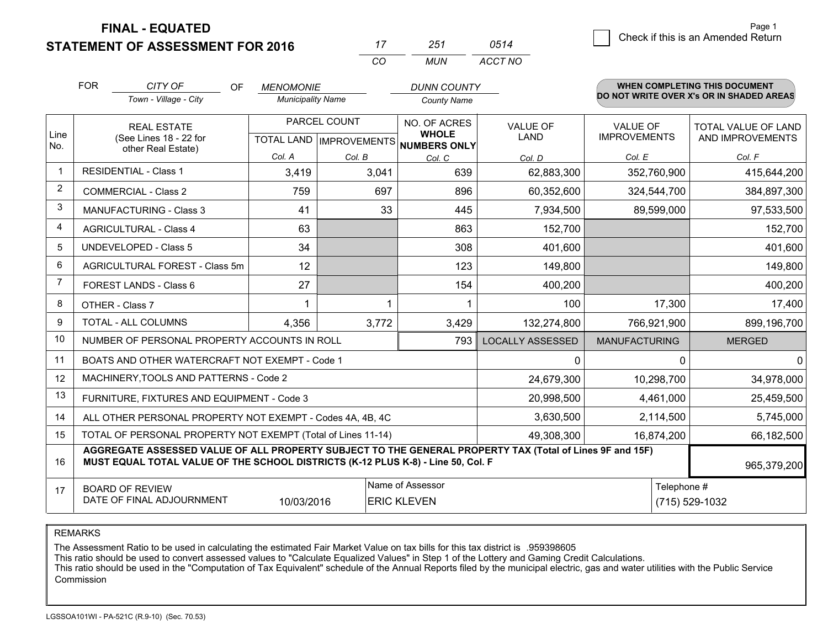**STATEMENT OF ASSESSMENT FOR 2016** 

**FINAL - EQUATED**

|                | <b>FOR</b>                                                                                                  | CITY OF<br><b>OF</b>                                                                                                                                                                         | <b>MENOMONIE</b>         |                                | <b>DUNN COUNTY</b>           |                         |                      | <b>WHEN COMPLETING THIS DOCUMENT</b>     |
|----------------|-------------------------------------------------------------------------------------------------------------|----------------------------------------------------------------------------------------------------------------------------------------------------------------------------------------------|--------------------------|--------------------------------|------------------------------|-------------------------|----------------------|------------------------------------------|
|                |                                                                                                             | Town - Village - City                                                                                                                                                                        | <b>Municipality Name</b> |                                | <b>County Name</b>           |                         |                      | DO NOT WRITE OVER X's OR IN SHADED AREAS |
|                |                                                                                                             | <b>REAL ESTATE</b>                                                                                                                                                                           |                          | PARCEL COUNT                   | NO. OF ACRES                 | <b>VALUE OF</b>         | <b>VALUE OF</b>      | TOTAL VALUE OF LAND                      |
| Line<br>No.    |                                                                                                             | (See Lines 18 - 22 for<br>other Real Estate)                                                                                                                                                 |                          | <b>TOTAL LAND IMPROVEMENTS</b> | <b>WHOLE</b><br>NUMBERS ONLY | <b>LAND</b>             | <b>IMPROVEMENTS</b>  | AND IMPROVEMENTS                         |
|                |                                                                                                             |                                                                                                                                                                                              | Col. A                   | Col. B                         | Col. C                       | Col. D                  | Col. E               | Col. F                                   |
|                |                                                                                                             | <b>RESIDENTIAL - Class 1</b>                                                                                                                                                                 | 3,419                    | 3,041                          | 639                          | 62,883,300              | 352,760,900          | 415,644,200                              |
| 2              |                                                                                                             | <b>COMMERCIAL - Class 2</b>                                                                                                                                                                  | 759                      | 697                            | 896                          | 60,352,600              | 324,544,700          | 384,897,300                              |
| 3              |                                                                                                             | <b>MANUFACTURING - Class 3</b>                                                                                                                                                               | 41                       | 33                             | 445                          | 7,934,500               | 89,599,000           | 97,533,500                               |
| 4              |                                                                                                             | <b>AGRICULTURAL - Class 4</b>                                                                                                                                                                | 63                       |                                | 863                          | 152,700                 |                      | 152,700                                  |
| 5              |                                                                                                             | <b>UNDEVELOPED - Class 5</b>                                                                                                                                                                 | 34                       |                                | 308                          | 401,600                 |                      | 401,600                                  |
| 6              | AGRICULTURAL FOREST - Class 5m                                                                              |                                                                                                                                                                                              | 12                       |                                | 123                          | 149,800                 |                      | 149,800                                  |
| $\overline{7}$ |                                                                                                             | FOREST LANDS - Class 6                                                                                                                                                                       | 27                       |                                | 154                          | 400,200                 |                      | 400,200                                  |
| 8              |                                                                                                             | OTHER - Class 7                                                                                                                                                                              |                          |                                |                              | 100                     | 17,300               | 17,400                                   |
| 9              |                                                                                                             | TOTAL - ALL COLUMNS                                                                                                                                                                          | 4,356                    | 3,772                          | 3,429                        | 132,274,800             | 766,921,900          | 899,196,700                              |
| 10             |                                                                                                             | NUMBER OF PERSONAL PROPERTY ACCOUNTS IN ROLL                                                                                                                                                 |                          |                                | 793                          | <b>LOCALLY ASSESSED</b> | <b>MANUFACTURING</b> | <b>MERGED</b>                            |
| 11             |                                                                                                             | BOATS AND OTHER WATERCRAFT NOT EXEMPT - Code 1                                                                                                                                               |                          |                                |                              | 0                       | $\Omega$             | $\Omega$                                 |
| 12             |                                                                                                             | MACHINERY, TOOLS AND PATTERNS - Code 2                                                                                                                                                       |                          |                                |                              | 24,679,300              | 10,298,700           | 34,978,000                               |
| 13             |                                                                                                             | FURNITURE, FIXTURES AND EQUIPMENT - Code 3                                                                                                                                                   |                          |                                |                              | 20,998,500              | 4,461,000            | 25,459,500                               |
| 14             |                                                                                                             | ALL OTHER PERSONAL PROPERTY NOT EXEMPT - Codes 4A, 4B, 4C                                                                                                                                    |                          |                                |                              | 3,630,500               | 2,114,500            | 5,745,000                                |
| 15             |                                                                                                             | TOTAL OF PERSONAL PROPERTY NOT EXEMPT (Total of Lines 11-14)                                                                                                                                 |                          |                                |                              | 49,308,300              | 16,874,200           | 66,182,500                               |
| 16             |                                                                                                             | AGGREGATE ASSESSED VALUE OF ALL PROPERTY SUBJECT TO THE GENERAL PROPERTY TAX (Total of Lines 9F and 15F)<br>MUST EQUAL TOTAL VALUE OF THE SCHOOL DISTRICTS (K-12 PLUS K-8) - Line 50, Col. F |                          |                                |                              |                         |                      | 965,379,200                              |
| 17             | Name of Assessor<br><b>BOARD OF REVIEW</b><br>DATE OF FINAL ADJOURNMENT<br>10/03/2016<br><b>ERIC KLEVEN</b> |                                                                                                                                                                                              |                          |                                |                              |                         | Telephone #          | (715) 529-1032                           |

*MUN*

*ACCT NO0514*

*<sup>17</sup> <sup>251</sup>*

*CO*

REMARKS

The Assessment Ratio to be used in calculating the estimated Fair Market Value on tax bills for this tax district is .959398605<br>This ratio should be used to convert assessed values to "Calculate Equalized Values" in Step 1 Commission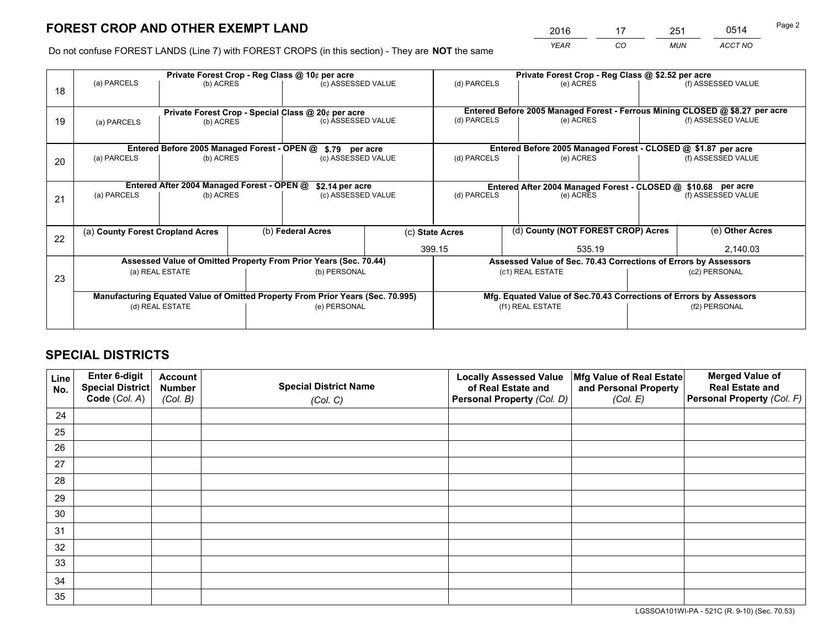# **FOREST CROP AND OTHER EXEMPT LAND**

 *YEAR CO MUN ACCT NO* <sup>2016</sup> <sup>17</sup> <sup>251</sup> <sup>0514</sup>

Do not confuse FOREST LANDS (Line 7) with FOREST CROPS (in this section) - They are **NOT** the same

|    | Private Forest Crop - Reg Class @ 10¢ per acre                                 |           |              |                                                    |                                                                    | Private Forest Crop - Reg Class @ \$2.52 per acre                            |           |                    |                    |  |
|----|--------------------------------------------------------------------------------|-----------|--------------|----------------------------------------------------|--------------------------------------------------------------------|------------------------------------------------------------------------------|-----------|--------------------|--------------------|--|
| 18 | (a) PARCELS                                                                    | (b) ACRES |              | (c) ASSESSED VALUE                                 |                                                                    | (d) PARCELS                                                                  | (e) ACRES |                    | (f) ASSESSED VALUE |  |
|    |                                                                                |           |              |                                                    |                                                                    |                                                                              |           |                    |                    |  |
|    |                                                                                |           |              | Private Forest Crop - Special Class @ 20¢ per acre |                                                                    | Entered Before 2005 Managed Forest - Ferrous Mining CLOSED @ \$8.27 per acre |           |                    |                    |  |
| 19 | (b) ACRES<br>(a) PARCELS                                                       |           |              | (c) ASSESSED VALUE                                 |                                                                    | (d) PARCELS                                                                  | (e) ACRES |                    | (f) ASSESSED VALUE |  |
|    |                                                                                |           |              |                                                    |                                                                    |                                                                              |           |                    |                    |  |
|    |                                                                                |           |              |                                                    |                                                                    | Entered Before 2005 Managed Forest - CLOSED @ \$1.87 per acre                |           |                    |                    |  |
|    | Entered Before 2005 Managed Forest - OPEN @<br>\$.79 per acre                  |           |              |                                                    |                                                                    | (d) PARCELS                                                                  |           |                    | (f) ASSESSED VALUE |  |
| 20 | (a) PARCELS<br>(b) ACRES                                                       |           |              | (c) ASSESSED VALUE                                 |                                                                    |                                                                              |           | (e) ACRES          |                    |  |
|    |                                                                                |           |              |                                                    |                                                                    |                                                                              |           |                    |                    |  |
|    | Entered After 2004 Managed Forest - OPEN @<br>\$2.14 per acre                  |           |              |                                                    | Entered After 2004 Managed Forest - CLOSED @ \$10.68 per acre      |                                                                              |           |                    |                    |  |
| 21 | (a) PARCELS                                                                    | (b) ACRES |              | (c) ASSESSED VALUE                                 |                                                                    | (d) PARCELS                                                                  | (e) ACRES | (f) ASSESSED VALUE |                    |  |
|    |                                                                                |           |              |                                                    |                                                                    |                                                                              |           |                    |                    |  |
|    |                                                                                |           |              |                                                    |                                                                    |                                                                              |           |                    |                    |  |
| 22 | (a) County Forest Cropland Acres                                               |           |              | (b) Federal Acres                                  |                                                                    | (d) County (NOT FOREST CROP) Acres<br>(c) State Acres                        |           |                    | (e) Other Acres    |  |
|    |                                                                                |           |              |                                                    |                                                                    | 399.15<br>535.19                                                             |           |                    | 2,140.03           |  |
|    | Assessed Value of Omitted Property From Prior Years (Sec. 70.44)               |           |              |                                                    | Assessed Value of Sec. 70.43 Corrections of Errors by Assessors    |                                                                              |           |                    |                    |  |
|    | (a) REAL ESTATE<br>(b) PERSONAL                                                |           |              |                                                    |                                                                    | (c1) REAL ESTATE                                                             |           |                    |                    |  |
| 23 |                                                                                |           |              |                                                    |                                                                    |                                                                              |           |                    |                    |  |
|    | Manufacturing Equated Value of Omitted Property From Prior Years (Sec. 70.995) |           |              |                                                    | Mfg. Equated Value of Sec.70.43 Corrections of Errors by Assessors |                                                                              |           |                    |                    |  |
|    | (d) REAL ESTATE                                                                |           | (e) PERSONAL |                                                    | (f1) REAL ESTATE                                                   |                                                                              |           | (f2) PERSONAL      |                    |  |
|    |                                                                                |           |              |                                                    |                                                                    |                                                                              |           |                    |                    |  |
|    |                                                                                |           |              |                                                    |                                                                    |                                                                              |           |                    |                    |  |

## **SPECIAL DISTRICTS**

| Line<br>No. | Enter 6-digit<br>Special District<br>Code (Col. A) | <b>Account</b><br><b>Number</b> | <b>Special District Name</b> | <b>Locally Assessed Value</b><br>of Real Estate and | Mfg Value of Real Estate<br>and Personal Property | <b>Merged Value of</b><br><b>Real Estate and</b><br>Personal Property (Col. F) |
|-------------|----------------------------------------------------|---------------------------------|------------------------------|-----------------------------------------------------|---------------------------------------------------|--------------------------------------------------------------------------------|
|             |                                                    | (Col. B)                        | (Col. C)                     | Personal Property (Col. D)                          | (Col. E)                                          |                                                                                |
| 24          |                                                    |                                 |                              |                                                     |                                                   |                                                                                |
| 25          |                                                    |                                 |                              |                                                     |                                                   |                                                                                |
| 26          |                                                    |                                 |                              |                                                     |                                                   |                                                                                |
| 27          |                                                    |                                 |                              |                                                     |                                                   |                                                                                |
| 28          |                                                    |                                 |                              |                                                     |                                                   |                                                                                |
| 29          |                                                    |                                 |                              |                                                     |                                                   |                                                                                |
| 30          |                                                    |                                 |                              |                                                     |                                                   |                                                                                |
| 31          |                                                    |                                 |                              |                                                     |                                                   |                                                                                |
| 32          |                                                    |                                 |                              |                                                     |                                                   |                                                                                |
| 33          |                                                    |                                 |                              |                                                     |                                                   |                                                                                |
| 34          |                                                    |                                 |                              |                                                     |                                                   |                                                                                |
| 35          |                                                    |                                 |                              |                                                     |                                                   |                                                                                |

LGSSOA101WI-PA - 521C (R. 9-10) (Sec. 70.53)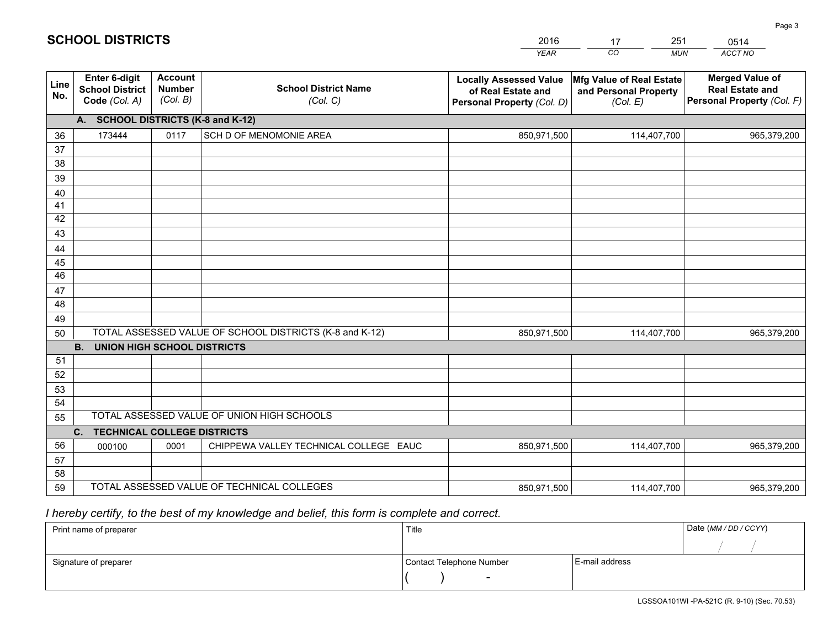|             |                                                                                                      |                                             |                                            | <b>YEAR</b>                                                                       | CO<br><b>MUN</b>                                              | ACCT NO                                                                        |  |
|-------------|------------------------------------------------------------------------------------------------------|---------------------------------------------|--------------------------------------------|-----------------------------------------------------------------------------------|---------------------------------------------------------------|--------------------------------------------------------------------------------|--|
| Line<br>No. | <b>Enter 6-digit</b><br><b>School District</b><br>Code (Col. A)                                      | <b>Account</b><br><b>Number</b><br>(Col. B) | <b>School District Name</b><br>(Col. C)    | <b>Locally Assessed Value</b><br>of Real Estate and<br>Personal Property (Col. D) | Mfg Value of Real Estate<br>and Personal Property<br>(Col. E) | <b>Merged Value of</b><br><b>Real Estate and</b><br>Personal Property (Col. F) |  |
|             | A. SCHOOL DISTRICTS (K-8 and K-12)                                                                   |                                             |                                            |                                                                                   |                                                               |                                                                                |  |
| 36          | 173444                                                                                               | 0117                                        | SCH D OF MENOMONIE AREA                    | 850,971,500                                                                       | 114,407,700                                                   | 965,379,200                                                                    |  |
| 37          |                                                                                                      |                                             |                                            |                                                                                   |                                                               |                                                                                |  |
| 38          |                                                                                                      |                                             |                                            |                                                                                   |                                                               |                                                                                |  |
| 39          |                                                                                                      |                                             |                                            |                                                                                   |                                                               |                                                                                |  |
| 40          |                                                                                                      |                                             |                                            |                                                                                   |                                                               |                                                                                |  |
| 41          |                                                                                                      |                                             |                                            |                                                                                   |                                                               |                                                                                |  |
| 42          |                                                                                                      |                                             |                                            |                                                                                   |                                                               |                                                                                |  |
| 43          |                                                                                                      |                                             |                                            |                                                                                   |                                                               |                                                                                |  |
| 44<br>45    |                                                                                                      |                                             |                                            |                                                                                   |                                                               |                                                                                |  |
| 46          |                                                                                                      |                                             |                                            |                                                                                   |                                                               |                                                                                |  |
| 47          |                                                                                                      |                                             |                                            |                                                                                   |                                                               |                                                                                |  |
| 48          |                                                                                                      |                                             |                                            |                                                                                   |                                                               |                                                                                |  |
| 49          |                                                                                                      |                                             |                                            |                                                                                   |                                                               |                                                                                |  |
| 50          | TOTAL ASSESSED VALUE OF SCHOOL DISTRICTS (K-8 and K-12)<br>850,971,500<br>114,407,700<br>965,379,200 |                                             |                                            |                                                                                   |                                                               |                                                                                |  |
|             | <b>B. UNION HIGH SCHOOL DISTRICTS</b>                                                                |                                             |                                            |                                                                                   |                                                               |                                                                                |  |
| 51          |                                                                                                      |                                             |                                            |                                                                                   |                                                               |                                                                                |  |
| 52          |                                                                                                      |                                             |                                            |                                                                                   |                                                               |                                                                                |  |
| 53          |                                                                                                      |                                             |                                            |                                                                                   |                                                               |                                                                                |  |
| 54          |                                                                                                      |                                             |                                            |                                                                                   |                                                               |                                                                                |  |
| 55          | TOTAL ASSESSED VALUE OF UNION HIGH SCHOOLS                                                           |                                             |                                            |                                                                                   |                                                               |                                                                                |  |
|             | C.<br><b>TECHNICAL COLLEGE DISTRICTS</b>                                                             |                                             |                                            |                                                                                   |                                                               |                                                                                |  |
| 56<br>57    | 000100                                                                                               | 0001                                        | CHIPPEWA VALLEY TECHNICAL COLLEGE EAUC     | 850,971,500                                                                       | 114,407,700                                                   | 965,379,200                                                                    |  |
| 58          |                                                                                                      |                                             |                                            |                                                                                   |                                                               |                                                                                |  |
| 59          |                                                                                                      |                                             | TOTAL ASSESSED VALUE OF TECHNICAL COLLEGES | 850,971,500                                                                       | 114,407,700                                                   | 965,379,200                                                                    |  |
|             |                                                                                                      |                                             |                                            |                                                                                   |                                                               |                                                                                |  |

2016

17

251

 *I hereby certify, to the best of my knowledge and belief, this form is complete and correct.*

**SCHOOL DISTRICTS**

| Print name of preparer | Title                    | Date (MM / DD / CCYY) |  |
|------------------------|--------------------------|-----------------------|--|
|                        |                          |                       |  |
| Signature of preparer  | Contact Telephone Number | E-mail address        |  |
|                        | $\sim$                   |                       |  |

0514